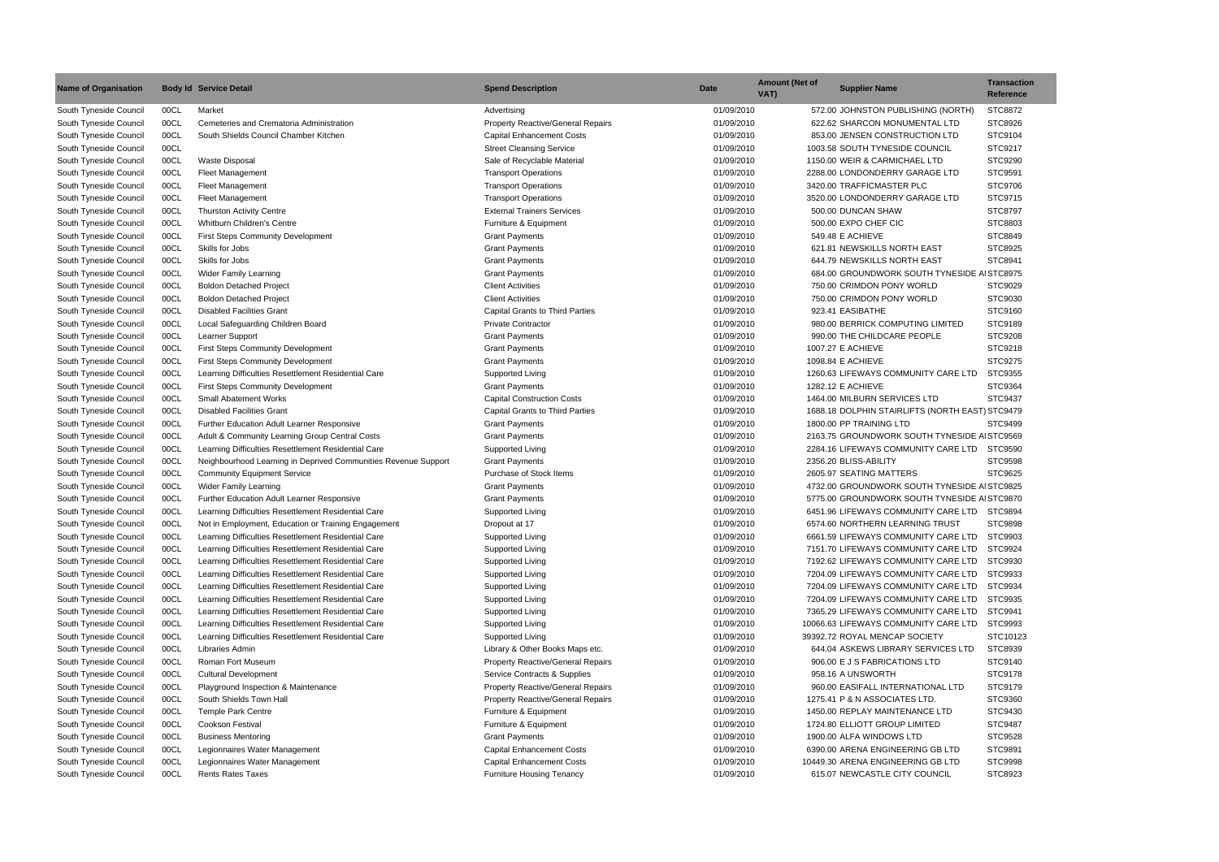| <b>Name of Organisation</b> |      | <b>Body Id Service Detail</b>                                  | <b>Spend Description</b>                 | <b>Date</b> | <b>Amount (Net of</b><br>VAT) | <b>Supplier Name</b>                            | <b>Transaction</b><br><b>Reference</b> |
|-----------------------------|------|----------------------------------------------------------------|------------------------------------------|-------------|-------------------------------|-------------------------------------------------|----------------------------------------|
| South Tyneside Council      | 00CL | Market                                                         | Advertising                              | 01/09/2010  |                               | 572.00 JOHNSTON PUBLISHING (NORTH)              | STC8872                                |
| South Tyneside Council      | 00CL | Cemeteries and Crematoria Administration                       | <b>Property Reactive/General Repairs</b> | 01/09/2010  |                               | 622.62 SHARCON MONUMENTAL LTD                   | STC8926                                |
| South Tyneside Council      | 00CL | South Shields Council Chamber Kitchen                          | <b>Capital Enhancement Costs</b>         | 01/09/2010  |                               | 853.00 JENSEN CONSTRUCTION LTD                  | STC9104                                |
| South Tyneside Council      | 00CL |                                                                | <b>Street Cleansing Service</b>          | 01/09/2010  |                               | 1003.58 SOUTH TYNESIDE COUNCIL                  | STC9217                                |
| South Tyneside Council      | 00CL | <b>Waste Disposal</b>                                          | Sale of Recyclable Material              | 01/09/2010  |                               | 1150.00 WEIR & CARMICHAEL LTD                   | STC9290                                |
| South Tyneside Council      | 00CL | <b>Fleet Management</b>                                        | <b>Transport Operations</b>              | 01/09/2010  |                               | 2288.00 LONDONDERRY GARAGE LTD                  | STC9591                                |
| South Tyneside Council      | 00CL | Fleet Management                                               | <b>Transport Operations</b>              | 01/09/2010  |                               | 3420.00 TRAFFICMASTER PLC                       | STC9706                                |
| South Tyneside Council      | 00CL | <b>Fleet Management</b>                                        | <b>Transport Operations</b>              | 01/09/2010  |                               | 3520.00 LONDONDERRY GARAGE LTD                  | STC9715                                |
| South Tyneside Council      | 00CL | <b>Thurston Activity Centre</b>                                | <b>External Trainers Services</b>        | 01/09/2010  |                               | 500.00 DUNCAN SHAW                              | STC8797                                |
| South Tyneside Council      | 00CL | Whitburn Children's Centre                                     | Furniture & Equipment                    | 01/09/2010  |                               | 500.00 EXPO CHEF CIC                            | STC8803                                |
| South Tyneside Council      | 00CL | <b>First Steps Community Development</b>                       | <b>Grant Payments</b>                    | 01/09/2010  |                               | 549.48 E ACHIEVE                                | STC8849                                |
| South Tyneside Council      | 00CL | Skills for Jobs                                                | <b>Grant Payments</b>                    | 01/09/2010  |                               | 621.81 NEWSKILLS NORTH EAST                     | STC8925                                |
| South Tyneside Council      | 00CL | Skills for Jobs                                                | <b>Grant Payments</b>                    | 01/09/2010  |                               | 644.79 NEWSKILLS NORTH EAST                     | STC8941                                |
| South Tyneside Council      | 00CL | <b>Wider Family Learning</b>                                   | <b>Grant Payments</b>                    | 01/09/2010  |                               | 684.00 GROUNDWORK SOUTH TYNESIDE AI STC8975     |                                        |
| South Tyneside Council      | 00CL | <b>Boldon Detached Project</b>                                 | <b>Client Activities</b>                 | 01/09/2010  |                               | 750.00 CRIMDON PONY WORLD                       | STC9029                                |
| South Tyneside Council      | 00CL | <b>Boldon Detached Project</b>                                 | <b>Client Activities</b>                 | 01/09/2010  |                               | 750.00 CRIMDON PONY WORLD                       | STC9030                                |
| South Tyneside Council      | 00CL | <b>Disabled Facilities Grant</b>                               | <b>Capital Grants to Third Parties</b>   | 01/09/2010  |                               | 923.41 EASIBATHE                                | STC9160                                |
| South Tyneside Council      | 00CL | Local Safeguarding Children Board                              | <b>Private Contractor</b>                | 01/09/2010  |                               | 980.00 BERRICK COMPUTING LIMITED                | STC9189                                |
|                             |      |                                                                | <b>Grant Payments</b>                    |             |                               |                                                 |                                        |
| South Tyneside Council      | 00CL | Learner Support                                                |                                          | 01/09/2010  |                               | 990.00 THE CHILDCARE PEOPLE                     | STC9208                                |
| South Tyneside Council      | 00CL | <b>First Steps Community Development</b>                       | <b>Grant Payments</b>                    | 01/09/2010  |                               | 1007.27 E ACHIEVE                               | STC9218                                |
| South Tyneside Council      | 00CL | <b>First Steps Community Development</b>                       | <b>Grant Payments</b>                    | 01/09/2010  |                               | 1098.84 E ACHIEVE                               | STC9275                                |
| South Tyneside Council      | 00CL | Learning Difficulties Resettlement Residential Care            | Supported Living                         | 01/09/2010  |                               | 1260.63 LIFEWAYS COMMUNITY CARE LTD             | STC9355                                |
| South Tyneside Council      | 00CL | <b>First Steps Community Development</b>                       | <b>Grant Payments</b>                    | 01/09/2010  |                               | 1282.12 E ACHIEVE                               | STC9364                                |
| South Tyneside Council      | 00CL | <b>Small Abatement Works</b>                                   | <b>Capital Construction Costs</b>        | 01/09/2010  |                               | 1464.00 MILBURN SERVICES LTD                    | STC9437                                |
| South Tyneside Council      | 00CL | <b>Disabled Facilities Grant</b>                               | <b>Capital Grants to Third Parties</b>   | 01/09/2010  |                               | 1688.18 DOLPHIN STAIRLIFTS (NORTH EAST) STC9479 |                                        |
| South Tyneside Council      | 00CL | Further Education Adult Learner Responsive                     | <b>Grant Payments</b>                    | 01/09/2010  |                               | 1800.00 PP TRAINING LTD                         | STC9499                                |
| South Tyneside Council      | 00CL | Adult & Community Learning Group Central Costs                 | <b>Grant Payments</b>                    | 01/09/2010  |                               | 2163.75 GROUNDWORK SOUTH TYNESIDE AI STC9569    |                                        |
| South Tyneside Council      | 00CL | Learning Difficulties Resettlement Residential Care            | Supported Living                         | 01/09/2010  |                               | 2284.16 LIFEWAYS COMMUNITY CARE LTD             | STC9590                                |
| South Tyneside Council      | 00CL | Neighbourhood Learning in Deprived Communities Revenue Support | <b>Grant Payments</b>                    | 01/09/2010  |                               | 2356.20 BLISS-ABILITY                           | <b>STC9598</b>                         |
| South Tyneside Council      | 00CL | <b>Community Equipment Service</b>                             | Purchase of Stock Items                  | 01/09/2010  |                               | 2605.97 SEATING MATTERS                         | STC9625                                |
| South Tyneside Council      | 00CL | <b>Wider Family Learning</b>                                   | <b>Grant Payments</b>                    | 01/09/2010  |                               | 4732.00 GROUNDWORK SOUTH TYNESIDE AI STC9825    |                                        |
| South Tyneside Council      | 00CL | Further Education Adult Learner Responsive                     | <b>Grant Payments</b>                    | 01/09/2010  |                               | 5775.00 GROUNDWORK SOUTH TYNESIDE A STC9870     |                                        |
| South Tyneside Council      | 00CL | Learning Difficulties Resettlement Residential Care            | Supported Living                         | 01/09/2010  |                               | 6451.96 LIFEWAYS COMMUNITY CARE LTD             | STC9894                                |
| South Tyneside Council      | 00CL | Not in Employment, Education or Training Engagement            | Dropout at 17                            | 01/09/2010  |                               | 6574.60 NORTHERN LEARNING TRUST                 | STC9898                                |
| South Tyneside Council      | 00CL | Learning Difficulties Resettlement Residential Care            | Supported Living                         | 01/09/2010  |                               | 6661.59 LIFEWAYS COMMUNITY CARE LTD             | STC9903                                |
| South Tyneside Council      | 00CL | Learning Difficulties Resettlement Residential Care            | Supported Living                         | 01/09/2010  |                               | 7151.70 LIFEWAYS COMMUNITY CARE LTD             | STC9924                                |
| South Tyneside Council      | 00CL | Learning Difficulties Resettlement Residential Care            | Supported Living                         | 01/09/2010  |                               | 7192.62 LIFEWAYS COMMUNITY CARE LTD             | STC9930                                |
| South Tyneside Council      | 00CL | Learning Difficulties Resettlement Residential Care            | Supported Living                         | 01/09/2010  |                               | 7204.09 LIFEWAYS COMMUNITY CARE LTD             | STC9933                                |
| South Tyneside Council      | 00CL | Learning Difficulties Resettlement Residential Care            | Supported Living                         | 01/09/2010  |                               | 7204.09 LIFEWAYS COMMUNITY CARE LTD             | STC9934                                |
| South Tyneside Council      | 00CL | Learning Difficulties Resettlement Residential Care            | Supported Living                         | 01/09/2010  |                               | 7204.09 LIFEWAYS COMMUNITY CARE LTD             | STC9935                                |
| South Tyneside Council      | 00CL | Learning Difficulties Resettlement Residential Care            | Supported Living                         | 01/09/2010  |                               | 7365.29 LIFEWAYS COMMUNITY CARE LTD             | STC9941                                |
| South Tyneside Council      | 00CL | Learning Difficulties Resettlement Residential Care            | Supported Living                         | 01/09/2010  |                               | 10066.63 LIFEWAYS COMMUNITY CARE LTD            | STC9993                                |
| South Tyneside Council      | 00CL | Learning Difficulties Resettlement Residential Care            | Supported Living                         | 01/09/2010  |                               | 39392.72 ROYAL MENCAP SOCIETY                   | STC10123                               |
| South Tyneside Council      | 00CL | Libraries Admin                                                | Library & Other Books Maps etc.          | 01/09/2010  |                               | 644.04 ASKEWS LIBRARY SERVICES LTD              | STC8939                                |
| South Tyneside Council      | 00CL | Roman Fort Museum                                              | <b>Property Reactive/General Repairs</b> | 01/09/2010  |                               | 906.00 E J S FABRICATIONS LTD                   | STC9140                                |
| South Tyneside Council      | 00CL | <b>Cultural Development</b>                                    | Service Contracts & Supplies             | 01/09/2010  |                               | 958.16 A UNSWORTH                               | STC9178                                |
| South Tyneside Council      | 00CL | Playground Inspection & Maintenance                            | <b>Property Reactive/General Repairs</b> | 01/09/2010  |                               | 960.00 EASIFALL INTERNATIONAL LTD               | STC9179                                |
| South Tyneside Council      | 00CL | South Shields Town Hall                                        | <b>Property Reactive/General Repairs</b> | 01/09/2010  |                               | 1275.41 P & N ASSOCIATES LTD.                   | STC9360                                |
| South Tyneside Council      | 00CL | <b>Temple Park Centre</b>                                      | Furniture & Equipment                    | 01/09/2010  |                               | 1450.00 REPLAY MAINTENANCE LTD                  | STC9430                                |
|                             |      | <b>Cookson Festival</b>                                        |                                          | 01/09/2010  |                               |                                                 | STC9487                                |
| South Tyneside Council      | 00CL |                                                                | Furniture & Equipment                    |             |                               | 1724.80 ELLIOTT GROUP LIMITED                   |                                        |
| South Tyneside Council      | 00CL | <b>Business Mentoring</b>                                      | <b>Grant Payments</b>                    | 01/09/2010  |                               | 1900.00 ALFA WINDOWS LTD                        | STC9528                                |
| South Tyneside Council      | 00CL | Legionnaires Water Management                                  | <b>Capital Enhancement Costs</b>         | 01/09/2010  |                               | 6390.00 ARENA ENGINEERING GB LTD                | STC9891                                |
| South Tyneside Council      | 00CL | Legionnaires Water Management                                  | <b>Capital Enhancement Costs</b>         | 01/09/2010  |                               | 10449.30 ARENA ENGINEERING GB LTD               | STC9998                                |
| South Tyneside Council      | 00CL | <b>Rents Rates Taxes</b>                                       | <b>Furniture Housing Tenancy</b>         | 01/09/2010  |                               | 615.07 NEWCASTLE CITY COUNCIL                   | STC8923                                |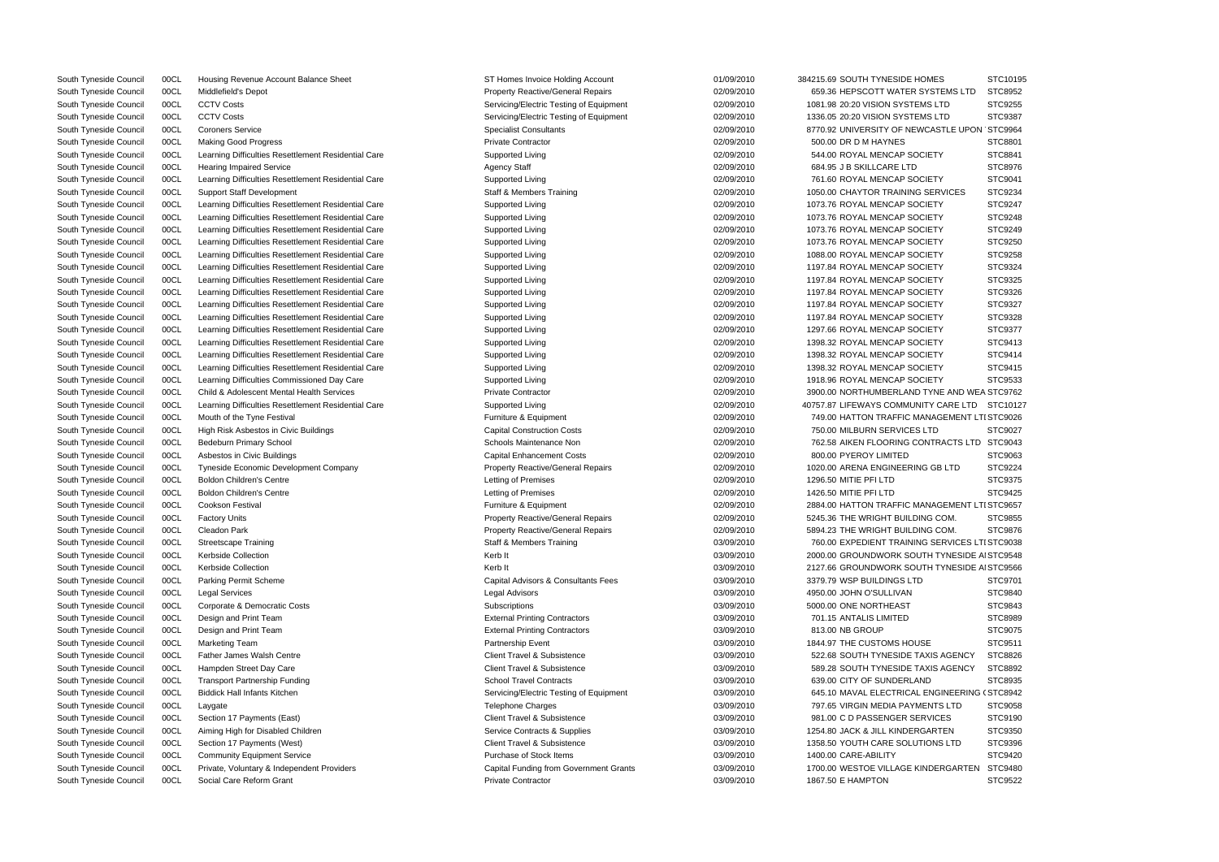| ЭMES                        | STC10195 |
|-----------------------------|----------|
| <b>SYSTEMS LTD</b>          | STC8952  |
| <b>AS LTD</b>               | STC9255  |
| <b>AS LTD</b>               | STC9387  |
| /CASTLE UPON STC9964        |          |
|                             | STC8801  |
| <b>CIETY</b>                | STC8841  |
|                             | STC8976  |
|                             |          |
| <b>CIETY</b>                | STC9041  |
| <b>SERVICES</b>             | STC9234  |
| <b>CIETY</b>                | STC9247  |
| <b>CIETY</b>                | STC9248  |
| <b>CIETY</b>                | STC9249  |
| <b>CIETY</b>                | STC9250  |
| CIETY                       | STC9258  |
| <b>CIETY</b>                | STC9324  |
| <b>CIETY</b>                | STC9325  |
| <b>CIETY</b>                | STC9326  |
| <b>CIETY</b>                | STC9327  |
| <b>CIETY</b>                | STC9328  |
| <b>CIETY</b>                | STC9377  |
| <b>CIETY</b>                | STC9413  |
| <b>CIETY</b>                | STC9414  |
| <b>CIETY</b>                | STC9415  |
| <b>CIETY</b>                | STC9533  |
| TYNE AND WEA STC9762        |          |
|                             |          |
| ITY CARE LTD STC10127       |          |
| <b>NAGEMENT LTI STC9026</b> |          |
| LTD                         | STC9027  |
| <b>NTRACTS LTD</b>          | STC9043  |
|                             | STC9063  |
| G GB LTD                    | STC9224  |
|                             | STC9375  |
|                             | STC9425  |
| <b>NAGEMENT LTI STC9657</b> |          |
| <b>NG COM.</b>              | STC9855  |
| <b>NG COM.</b>              | STC9876  |
| G SERVICES LTI STC9038      |          |
| TH TYNESIDE AI STC9548      |          |
| TH TYNESIDE AI STC9566      |          |
|                             | STC9701  |
|                             | STC9840  |
|                             | STC9843  |
|                             | STC8989  |
|                             | STC9075  |
| SЕ                          | STC9511  |
| <b>XIS AGENCY</b>           | STC8826  |
| <b>XIS AGENCY</b>           | STC8892  |
| ٩D                          | STC8935  |
| <b>ENGINEERING (STC8942</b> |          |
| ENTS LTD                    | STC9058  |
| २VICES                      | STC9190  |
| <b>GARTEN</b>               | STC9350  |
| <b>IONS LTD</b>             | STC9396  |
|                             |          |
|                             | STC9420  |
| NDERGARTEN                  | STC9480  |
|                             | STC9522  |

| South Tyneside Council | 00CL | Housing Revenue Account Balance Sheet                | ST Homes Invoice Holding Account         | 01/09/2010 | 384215.69 SOUTH TYNESIDE HOMES                 | STC10195 |
|------------------------|------|------------------------------------------------------|------------------------------------------|------------|------------------------------------------------|----------|
| South Tyneside Council | 00CL | Middlefield's Depot                                  | <b>Property Reactive/General Repairs</b> | 02/09/2010 | 659.36 HEPSCOTT WATER SYSTEMS LTD              | STC8952  |
| South Tyneside Council | 00CL | <b>CCTV Costs</b>                                    | Servicing/Electric Testing of Equipment  | 02/09/2010 | 1081.98 20:20 VISION SYSTEMS LTD               | STC9255  |
| South Tyneside Council | 00CL | <b>CCTV Costs</b>                                    | Servicing/Electric Testing of Equipment  | 02/09/2010 | 1336.05 20:20 VISION SYSTEMS LTD               | STC9387  |
| South Tyneside Council | 00CL | <b>Coroners Service</b>                              | <b>Specialist Consultants</b>            | 02/09/2010 | 8770.92 UNIVERSITY OF NEWCASTLE UPON STC9964   |          |
| South Tyneside Council | 00CL | <b>Making Good Progress</b>                          | <b>Private Contractor</b>                | 02/09/2010 | 500.00 DR D M HAYNES                           | STC8801  |
| South Tyneside Council | 00CL | Learning Difficulties Resettlement Residential Care  | Supported Living                         | 02/09/2010 | 544.00 ROYAL MENCAP SOCIETY                    | STC8841  |
| South Tyneside Council | 00CL | <b>Hearing Impaired Service</b>                      | <b>Agency Staff</b>                      | 02/09/2010 | 684.95 J B SKILLCARE LTD                       | STC8976  |
| South Tyneside Council | 00CL | Learning Difficulties Resettlement Residential Care  | Supported Living                         | 02/09/2010 | 761.60 ROYAL MENCAP SOCIETY                    | STC9041  |
| South Tyneside Council | 00CL | <b>Support Staff Development</b>                     | <b>Staff &amp; Members Training</b>      | 02/09/2010 | 1050.00 CHAYTOR TRAINING SERVICES              | STC9234  |
| South Tyneside Council | 00CL | Learning Difficulties Resettlement Residential Care  | Supported Living                         | 02/09/2010 | 1073.76 ROYAL MENCAP SOCIETY                   | STC9247  |
| South Tyneside Council | 00CL | Learning Difficulties Resettlement Residential Care  | Supported Living                         | 02/09/2010 | 1073.76 ROYAL MENCAP SOCIETY                   | STC9248  |
| South Tyneside Council | 00CL | Learning Difficulties Resettlement Residential Care  | Supported Living                         | 02/09/2010 | 1073.76 ROYAL MENCAP SOCIETY                   | STC9249  |
| South Tyneside Council | 00CL | Learning Difficulties Resettlement Residential Care  | Supported Living                         | 02/09/2010 | 1073.76 ROYAL MENCAP SOCIETY                   | STC9250  |
| South Tyneside Council | 00CL | Learning Difficulties Resettlement Residential Care  | Supported Living                         | 02/09/2010 | 1088.00 ROYAL MENCAP SOCIETY                   | STC9258  |
| South Tyneside Council | 00CL | Learning Difficulties Resettlement Residential Care  | Supported Living                         | 02/09/2010 | 1197.84 ROYAL MENCAP SOCIETY                   | STC9324  |
| South Tyneside Council | 00CL | Learning Difficulties Resettlement Residential Care  | Supported Living                         | 02/09/2010 | 1197.84 ROYAL MENCAP SOCIETY                   | STC9325  |
|                        |      |                                                      |                                          |            | 1197.84 ROYAL MENCAP SOCIETY                   |          |
| South Tyneside Council | 00CL | Learning Difficulties Resettlement Residential Care  | Supported Living                         | 02/09/2010 |                                                | STC9326  |
| South Tyneside Council | 00CL | Learning Difficulties Resettlement Residential Care  | Supported Living                         | 02/09/2010 | 1197.84 ROYAL MENCAP SOCIETY                   | STC9327  |
| South Tyneside Council | 00CL | Learning Difficulties Resettlement Residential Care  | Supported Living                         | 02/09/2010 | 1197.84 ROYAL MENCAP SOCIETY                   | STC9328  |
| South Tyneside Council | 00CL | Learning Difficulties Resettlement Residential Care  | Supported Living                         | 02/09/2010 | 1297.66 ROYAL MENCAP SOCIETY                   | STC9377  |
| South Tyneside Council | 00CL | Learning Difficulties Resettlement Residential Care  | Supported Living                         | 02/09/2010 | 1398.32 ROYAL MENCAP SOCIETY                   | STC9413  |
| South Tyneside Council | 00CL | Learning Difficulties Resettlement Residential Care  | Supported Living                         | 02/09/2010 | 1398.32 ROYAL MENCAP SOCIETY                   | STC9414  |
| South Tyneside Council | 00CL | Learning Difficulties Resettlement Residential Care  | Supported Living                         | 02/09/2010 | 1398.32 ROYAL MENCAP SOCIETY                   | STC9415  |
| South Tyneside Council | 00CL | Learning Difficulties Commissioned Day Care          | Supported Living                         | 02/09/2010 | 1918.96 ROYAL MENCAP SOCIETY                   | STC9533  |
| South Tyneside Council | 00CL | <b>Child &amp; Adolescent Mental Health Services</b> | <b>Private Contractor</b>                | 02/09/2010 | 3900.00 NORTHUMBERLAND TYNE AND WEA STC9762    |          |
| South Tyneside Council | 00CL | Learning Difficulties Resettlement Residential Care  | Supported Living                         | 02/09/2010 | 40757.87 LIFEWAYS COMMUNITY CARE LTD           | STC10127 |
| South Tyneside Council | 00CL | Mouth of the Tyne Festival                           | Furniture & Equipment                    | 02/09/2010 | 749.00 HATTON TRAFFIC MANAGEMENT LTI STC9026   |          |
| South Tyneside Council | 00CL | High Risk Asbestos in Civic Buildings                | <b>Capital Construction Costs</b>        | 02/09/2010 | 750.00 MILBURN SERVICES LTD                    | STC9027  |
| South Tyneside Council | 00CL | Bedeburn Primary School                              | Schools Maintenance Non                  | 02/09/2010 | 762.58 AIKEN FLOORING CONTRACTS LTD STC9043    |          |
| South Tyneside Council | 00CL | Asbestos in Civic Buildings                          | <b>Capital Enhancement Costs</b>         | 02/09/2010 | 800.00 PYEROY LIMITED                          | STC9063  |
| South Tyneside Council | 00CL | <b>Tyneside Economic Development Company</b>         | <b>Property Reactive/General Repairs</b> | 02/09/2010 | 1020.00 ARENA ENGINEERING GB LTD               | STC9224  |
| South Tyneside Council | 00CL | <b>Boldon Children's Centre</b>                      | Letting of Premises                      | 02/09/2010 | 1296.50 MITIE PFI LTD                          | STC9375  |
| South Tyneside Council | 00CL | <b>Boldon Children's Centre</b>                      | Letting of Premises                      | 02/09/2010 | 1426.50 MITIE PFI LTD                          | STC9425  |
| South Tyneside Council | 00CL | Cookson Festival                                     | Furniture & Equipment                    | 02/09/2010 | 2884.00 HATTON TRAFFIC MANAGEMENT LTI STC9657  |          |
| South Tyneside Council | 00CL | <b>Factory Units</b>                                 | <b>Property Reactive/General Repairs</b> | 02/09/2010 | 5245.36 THE WRIGHT BUILDING COM.               | STC9855  |
| South Tyneside Council | 00CL | Cleadon Park                                         | Property Reactive/General Repairs        | 02/09/2010 | 5894.23 THE WRIGHT BUILDING COM.               | STC9876  |
| South Tyneside Council | 00CL | <b>Streetscape Training</b>                          | Staff & Members Training                 | 03/09/2010 | 760.00 EXPEDIENT TRAINING SERVICES LTI STC9038 |          |
| South Tyneside Council | 00CL | Kerbside Collection                                  | Kerb It                                  | 03/09/2010 | 2000.00 GROUNDWORK SOUTH TYNESIDE AI STC9548   |          |
| South Tyneside Council | 00CL | Kerbside Collection                                  | Kerb It                                  | 03/09/2010 | 2127.66 GROUNDWORK SOUTH TYNESIDE AI STC9566   |          |
| South Tyneside Council | 00CL | Parking Permit Scheme                                | Capital Advisors & Consultants Fees      | 03/09/2010 | 3379.79 WSP BUILDINGS LTD                      | STC9701  |
| South Tyneside Council | 00CL | <b>Legal Services</b>                                | <b>Legal Advisors</b>                    | 03/09/2010 | 4950.00 JOHN O'SULLIVAN                        | STC9840  |
| South Tyneside Council | 00CL | Corporate & Democratic Costs                         | Subscriptions                            | 03/09/2010 | 5000.00 ONE NORTHEAST                          | STC9843  |
| South Tyneside Council | 00CL | Design and Print Team                                | <b>External Printing Contractors</b>     | 03/09/2010 | 701.15 ANTALIS LIMITED                         | STC8989  |
| South Tyneside Council | 00CL | Design and Print Team                                | <b>External Printing Contractors</b>     | 03/09/2010 | 813.00 NB GROUP                                | STC9075  |
| South Tyneside Council | 00CL | <b>Marketing Team</b>                                | Partnership Event                        | 03/09/2010 | 1844.97 THE CUSTOMS HOUSE                      | STC9511  |
| South Tyneside Council | 00CL | <b>Father James Walsh Centre</b>                     | <b>Client Travel &amp; Subsistence</b>   | 03/09/2010 | 522.68 SOUTH TYNESIDE TAXIS AGENCY             | STC8826  |
| South Tyneside Council | 00CL | Hampden Street Day Care                              | <b>Client Travel &amp; Subsistence</b>   | 03/09/2010 | 589.28 SOUTH TYNESIDE TAXIS AGENCY             | STC8892  |
| South Tyneside Council | 00CL | <b>Transport Partnership Funding</b>                 | <b>School Travel Contracts</b>           | 03/09/2010 | 639.00 CITY OF SUNDERLAND                      | STC8935  |
|                        |      |                                                      |                                          |            |                                                |          |
| South Tyneside Council | 00CL | <b>Biddick Hall Infants Kitchen</b>                  | Servicing/Electric Testing of Equipment  | 03/09/2010 | 645.10 MAVAL ELECTRICAL ENGINEERING (STC8942   |          |
| South Tyneside Council | 00CL | Laygate                                              | <b>Telephone Charges</b>                 | 03/09/2010 | 797.65 VIRGIN MEDIA PAYMENTS LTD               | STC9058  |
| South Tyneside Council | 00CL | Section 17 Payments (East)                           | Client Travel & Subsistence              | 03/09/2010 | 981.00 C D PASSENGER SERVICES                  | STC9190  |
| South Tyneside Council | 00CL | Aiming High for Disabled Children                    | Service Contracts & Supplies             | 03/09/2010 | 1254.80 JACK & JILL KINDERGARTEN               | STC9350  |
| South Tyneside Council | 00CL | Section 17 Payments (West)                           | Client Travel & Subsistence              | 03/09/2010 | 1358.50 YOUTH CARE SOLUTIONS LTD               | STC9396  |
| South Tyneside Council | 00CL | <b>Community Equipment Service</b>                   | Purchase of Stock Items                  | 03/09/2010 | 1400.00 CARE-ABILITY                           | STC9420  |
| South Tyneside Council | 00CL | Private, Voluntary & Independent Providers           | Capital Funding from Government Grants   | 03/09/2010 | 1700.00 WESTOE VILLAGE KINDERGARTEN            | STC9480  |
| South Tyneside Council | 00CL | Social Care Reform Grant                             | <b>Private Contractor</b>                | 03/09/2010 | 1867.50 E HAMPTON                              | STC9522  |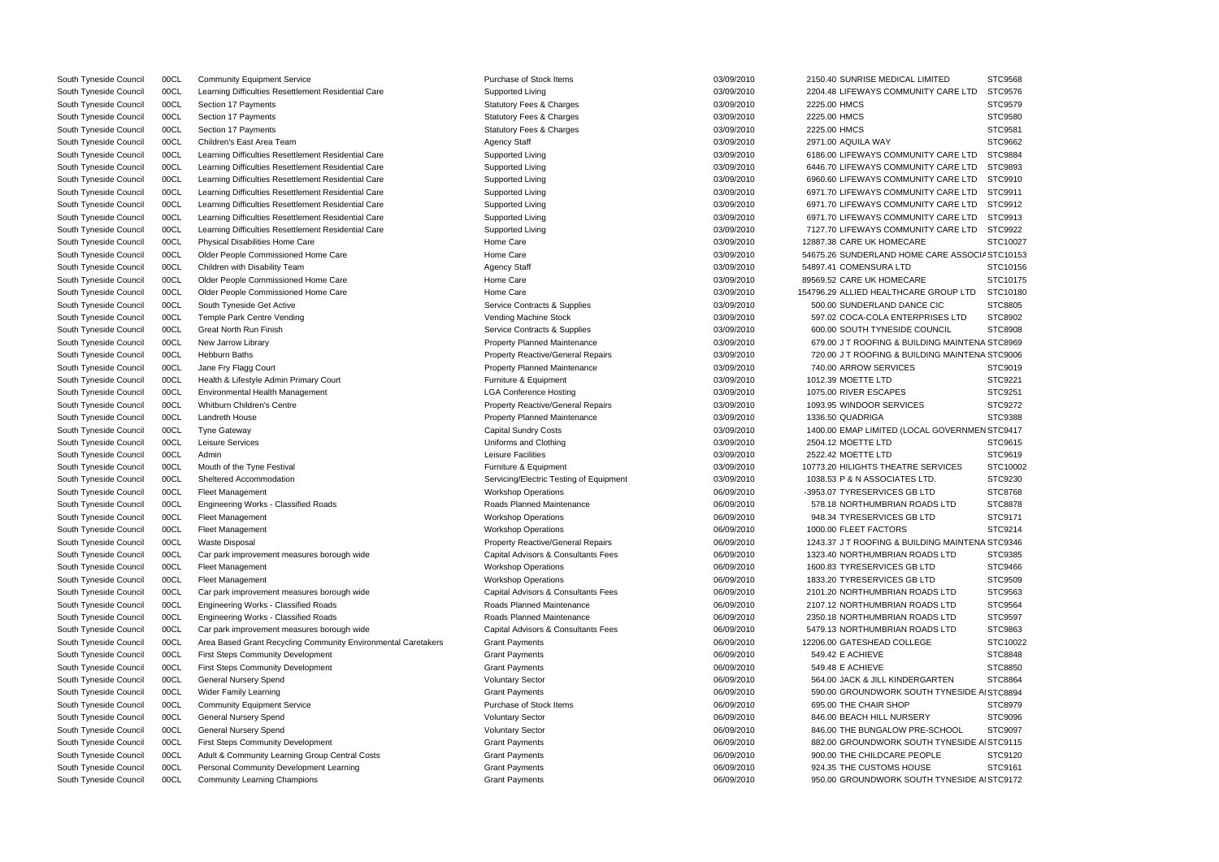| IMITED                 | STC9568  |
|------------------------|----------|
| ITY CARE LTD           | STC9576  |
|                        | STC9579  |
|                        | STC9580  |
|                        | STC9581  |
|                        | STC9662  |
| ITY CARE LTD           |          |
|                        | STC9884  |
| <b>ITY CARE LTD</b>    | STC9893  |
| <b>ITY CARE LTD</b>    | STC9910  |
| <b>ITY CARE LTD</b>    | STC9911  |
| ITY CARE LTD           | STC9912  |
| ITY CARE LTD           | STC9913  |
| ITY CARE LTD           | STC9922  |
| E                      | STC10027 |
| CARE ASSOCIA STC10153  |          |
|                        |          |
|                        | STC10156 |
| E                      | STC10175 |
| E GROUP LTD            | STC10180 |
| E CIC                  | STC8805  |
| <b>PRISES LTD</b>      | STC8902  |
| OUNCIL                 | STC8908  |
| DING MAINTENA STC8969  |          |
| DING MAINTENA STC9006  |          |
|                        |          |
|                        | STC9019  |
|                        | STC9221  |
|                        | STC9251  |
| ς                      | STC9272  |
|                        | STC9388  |
| AL GOVERNMEN STC9417   |          |
|                        | STC9615  |
|                        | STC9619  |
| SERVICES               | STC10002 |
| TD.                    | STC9230  |
| TD <sub>-</sub>        |          |
|                        | STC8768  |
| <b>ADS LTD</b>         | STC8878  |
| _TD                    | STC9171  |
|                        | STC9214  |
| DING MAINTENA STC9346  |          |
| ADS LTD                | STC9385  |
| _TD                    | STC9466  |
| _TD                    | STC9509  |
| ADS LTD                | STC9563  |
|                        | STC9564  |
| ADS LTD                |          |
| ADS LTD                | STC9597  |
| ADS LTD                | STC9863  |
| ЭE                     | STC10022 |
|                        | STC8848  |
|                        | STC8850  |
| GARTEN                 | STC8864  |
| TH TYNESIDE AI STC8894 |          |
|                        |          |
|                        | STC8979  |
| RΥ                     | STC9096  |
| E-SCHOOL               | STC9097  |
| TH TYNESIDE AI STC9115 |          |
| <b>PLE</b>             | STC9120  |
| SE                     | STC9161  |
| TH TYNESIDE AI STC9172 |          |
|                        |          |

| South Tyneside Council | 00CL | <b>Community Equipment Service</b>                            | Purchase of Stock Items                  | 03/09/2010 | 2150.40 SUNRISE MEDICAL LIMITED                 | STC9568        |
|------------------------|------|---------------------------------------------------------------|------------------------------------------|------------|-------------------------------------------------|----------------|
| South Tyneside Council | 00CL | Learning Difficulties Resettlement Residential Care           | Supported Living                         | 03/09/2010 | 2204.48 LIFEWAYS COMMUNITY CARE LTD             | STC9576        |
| South Tyneside Council | 00CL | Section 17 Payments                                           | <b>Statutory Fees &amp; Charges</b>      | 03/09/2010 | 2225.00 HMCS                                    | STC9579        |
| South Tyneside Council | 00CL | Section 17 Payments                                           | <b>Statutory Fees &amp; Charges</b>      | 03/09/2010 | 2225.00 HMCS                                    | STC9580        |
| South Tyneside Council | 00CL | Section 17 Payments                                           | <b>Statutory Fees &amp; Charges</b>      | 03/09/2010 | 2225.00 HMCS                                    | STC9581        |
| South Tyneside Council | 00CL | Children's East Area Team                                     | <b>Agency Staff</b>                      | 03/09/2010 | 2971.00 AQUILA WAY                              | STC9662        |
| South Tyneside Council | 00CL | Learning Difficulties Resettlement Residential Care           | Supported Living                         | 03/09/2010 | 6186.00 LIFEWAYS COMMUNITY CARE LTD             | <b>STC9884</b> |
| South Tyneside Council | 00CL | Learning Difficulties Resettlement Residential Care           | Supported Living                         | 03/09/2010 | 6446.70 LIFEWAYS COMMUNITY CARE LTD             | STC9893        |
| South Tyneside Council | 00CL | Learning Difficulties Resettlement Residential Care           | Supported Living                         | 03/09/2010 | 6960.60 LIFEWAYS COMMUNITY CARE LTD             | STC9910        |
| South Tyneside Council | 00CL | Learning Difficulties Resettlement Residential Care           | Supported Living                         | 03/09/2010 | 6971.70 LIFEWAYS COMMUNITY CARE LTD             | STC9911        |
| South Tyneside Council | 00CL | Learning Difficulties Resettlement Residential Care           | Supported Living                         | 03/09/2010 | 6971.70 LIFEWAYS COMMUNITY CARE LTD             | STC9912        |
| South Tyneside Council | 00CL | Learning Difficulties Resettlement Residential Care           | Supported Living                         | 03/09/2010 | 6971.70 LIFEWAYS COMMUNITY CARE LTD             | STC9913        |
| South Tyneside Council | 00CL | Learning Difficulties Resettlement Residential Care           | Supported Living                         | 03/09/2010 | 7127.70 LIFEWAYS COMMUNITY CARE LTD             | STC9922        |
| South Tyneside Council | 00CL | Physical Disabilities Home Care                               | Home Care                                | 03/09/2010 | 12887.38 CARE UK HOMECARE                       | STC10027       |
| South Tyneside Council | 00CL | Older People Commissioned Home Care                           | Home Care                                | 03/09/2010 | 54675.26 SUNDERLAND HOME CARE ASSOCIA STC10153  |                |
| South Tyneside Council | 00CL | Children with Disability Team                                 | <b>Agency Staff</b>                      | 03/09/2010 | 54897.41 COMENSURA LTD                          | STC10156       |
| South Tyneside Council | 00CL | Older People Commissioned Home Care                           | Home Care                                | 03/09/2010 | 89569.52 CARE UK HOMECARE                       | STC10175       |
|                        | 00CL | Older People Commissioned Home Care                           | Home Care                                | 03/09/2010 | 154796.29 ALLIED HEALTHCARE GROUP LTD           | STC10180       |
| South Tyneside Council |      |                                                               |                                          |            |                                                 |                |
| South Tyneside Council | 00CL | South Tyneside Get Active                                     | Service Contracts & Supplies             | 03/09/2010 | 500.00 SUNDERLAND DANCE CIC                     | STC8805        |
| South Tyneside Council | 00CL | Temple Park Centre Vending                                    | Vending Machine Stock                    | 03/09/2010 | 597.02 COCA-COLA ENTERPRISES LTD                | STC8902        |
| South Tyneside Council | 00CL | <b>Great North Run Finish</b>                                 | Service Contracts & Supplies             | 03/09/2010 | 600.00 SOUTH TYNESIDE COUNCIL                   | STC8908        |
| South Tyneside Council | 00CL | New Jarrow Library                                            | <b>Property Planned Maintenance</b>      | 03/09/2010 | 679.00 J T ROOFING & BUILDING MAINTENA STC8969  |                |
| South Tyneside Council | 00CL | Hebburn Baths                                                 | <b>Property Reactive/General Repairs</b> | 03/09/2010 | 720.00 J T ROOFING & BUILDING MAINTENA STC9006  |                |
| South Tyneside Council | 00CL | Jane Fry Flagg Court                                          | <b>Property Planned Maintenance</b>      | 03/09/2010 | 740.00 ARROW SERVICES                           | STC9019        |
| South Tyneside Council | 00CL | Health & Lifestyle Admin Primary Court                        | Furniture & Equipment                    | 03/09/2010 | 1012.39 MOETTE LTD                              | STC9221        |
| South Tyneside Council | 00CL | Environmental Health Management                               | <b>LGA Conference Hosting</b>            | 03/09/2010 | 1075.00 RIVER ESCAPES                           | STC9251        |
| South Tyneside Council | 00CL | Whitburn Children's Centre                                    | <b>Property Reactive/General Repairs</b> | 03/09/2010 | 1093.95 WINDOOR SERVICES                        | STC9272        |
| South Tyneside Council | 00CL | Landreth House                                                | <b>Property Planned Maintenance</b>      | 03/09/2010 | 1336.50 QUADRIGA                                | <b>STC9388</b> |
| South Tyneside Council | 00CL | <b>Tyne Gateway</b>                                           | <b>Capital Sundry Costs</b>              | 03/09/2010 | 1400.00 EMAP LIMITED (LOCAL GOVERNMEN STC9417   |                |
| South Tyneside Council | 00CL | Leisure Services                                              | Uniforms and Clothing                    | 03/09/2010 | 2504.12 MOETTE LTD                              | STC9615        |
| South Tyneside Council | 00CL | Admin                                                         | Leisure Facilities                       | 03/09/2010 | 2522.42 MOETTE LTD                              | STC9619        |
| South Tyneside Council | 00CL | Mouth of the Tyne Festival                                    | Furniture & Equipment                    | 03/09/2010 | 10773.20 HILIGHTS THEATRE SERVICES              | STC10002       |
| South Tyneside Council | 00CL | Sheltered Accommodation                                       | Servicing/Electric Testing of Equipment  | 03/09/2010 | 1038.53 P & N ASSOCIATES LTD.                   | STC9230        |
| South Tyneside Council | 00CL | <b>Fleet Management</b>                                       | <b>Workshop Operations</b>               | 06/09/2010 | -3953.07 TYRESERVICES GB LTD                    | STC8768        |
| South Tyneside Council | 00CL | Engineering Works - Classified Roads                          | <b>Roads Planned Maintenance</b>         | 06/09/2010 | 578.18 NORTHUMBRIAN ROADS LTD                   | STC8878        |
| South Tyneside Council | 00CL | Fleet Management                                              | <b>Workshop Operations</b>               | 06/09/2010 | 948.34 TYRESERVICES GB LTD                      | STC9171        |
| South Tyneside Council | 00CL | <b>Fleet Management</b>                                       | <b>Workshop Operations</b>               | 06/09/2010 | 1000.00 FLEET FACTORS                           | STC9214        |
| South Tyneside Council | 00CL | <b>Waste Disposal</b>                                         | <b>Property Reactive/General Repairs</b> | 06/09/2010 | 1243.37 J T ROOFING & BUILDING MAINTENA STC9346 |                |
| South Tyneside Council | 00CL | Car park improvement measures borough wide                    | Capital Advisors & Consultants Fees      | 06/09/2010 | 1323.40 NORTHUMBRIAN ROADS LTD                  | STC9385        |
| South Tyneside Council | 00CL | Fleet Management                                              | <b>Workshop Operations</b>               | 06/09/2010 | 1600.83 TYRESERVICES GB LTD                     | STC9466        |
| South Tyneside Council | 00CL | <b>Fleet Management</b>                                       | <b>Workshop Operations</b>               | 06/09/2010 | 1833.20 TYRESERVICES GB LTD                     | STC9509        |
| South Tyneside Council | 00CL | Car park improvement measures borough wide                    | Capital Advisors & Consultants Fees      | 06/09/2010 | 2101.20 NORTHUMBRIAN ROADS LTD                  | STC9563        |
| South Tyneside Council | 00CL | Engineering Works - Classified Roads                          | Roads Planned Maintenance                | 06/09/2010 | 2107.12 NORTHUMBRIAN ROADS LTD                  | STC9564        |
| South Tyneside Council | 00CL | Engineering Works - Classified Roads                          | Roads Planned Maintenance                | 06/09/2010 | 2350.18 NORTHUMBRIAN ROADS LTD                  | STC9597        |
| South Tyneside Council | 00CL | Car park improvement measures borough wide                    | Capital Advisors & Consultants Fees      | 06/09/2010 | 5479.13 NORTHUMBRIAN ROADS LTD                  | STC9863        |
| South Tyneside Council | 00CL |                                                               |                                          | 06/09/2010 | 12206.00 GATESHEAD COLLEGE                      | STC10022       |
|                        |      | Area Based Grant Recycling Community Environmental Caretakers | <b>Grant Payments</b>                    |            |                                                 |                |
| South Tyneside Council | 00CL | <b>First Steps Community Development</b>                      | <b>Grant Payments</b>                    | 06/09/2010 | 549.42 E ACHIEVE                                | STC8848        |
| South Tyneside Council | 00CL | <b>First Steps Community Development</b>                      | <b>Grant Payments</b>                    | 06/09/2010 | 549.48 E ACHIEVE                                | STC8850        |
| South Tyneside Council | 00CL | General Nursery Spend                                         | <b>Voluntary Sector</b>                  | 06/09/2010 | 564.00 JACK & JILL KINDERGARTEN                 | STC8864        |
| South Tyneside Council | 00CL | <b>Wider Family Learning</b>                                  | <b>Grant Payments</b>                    | 06/09/2010 | 590.00 GROUNDWORK SOUTH TYNESIDE AI STC8894     |                |
| South Tyneside Council | 00CL | <b>Community Equipment Service</b>                            | Purchase of Stock Items                  | 06/09/2010 | 695.00 THE CHAIR SHOP                           | STC8979        |
| South Tyneside Council | 00CL | General Nursery Spend                                         | <b>Voluntary Sector</b>                  | 06/09/2010 | 846.00 BEACH HILL NURSERY                       | STC9096        |
| South Tyneside Council | 00CL | General Nursery Spend                                         | <b>Voluntary Sector</b>                  | 06/09/2010 | 846.00 THE BUNGALOW PRE-SCHOOL                  | STC9097        |
| South Tyneside Council | 00CL | <b>First Steps Community Development</b>                      | <b>Grant Payments</b>                    | 06/09/2010 | 882.00 GROUNDWORK SOUTH TYNESIDE AI STC9115     |                |
| South Tyneside Council | 00CL | Adult & Community Learning Group Central Costs                | <b>Grant Payments</b>                    | 06/09/2010 | 900.00 THE CHILDCARE PEOPLE                     | STC9120        |
| South Tyneside Council | 00CL | Personal Community Development Learning                       | <b>Grant Payments</b>                    | 06/09/2010 | 924.35 THE CUSTOMS HOUSE                        | STC9161        |
| South Tyneside Council | 00CL | <b>Community Learning Champions</b>                           | <b>Grant Payments</b>                    | 06/09/2010 | 950.00 GROUNDWORK SOUTH TYNESIDE AI STC9172     |                |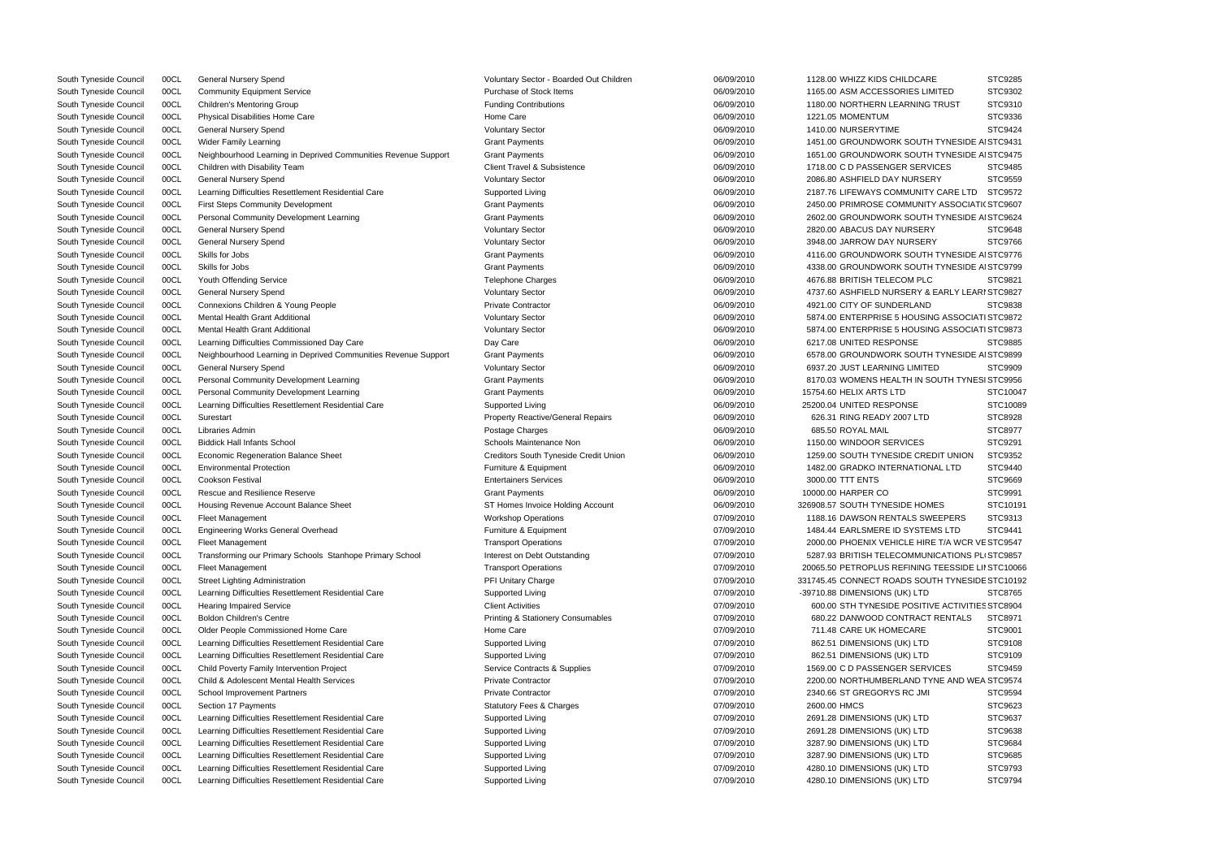| South Tyneside Council | 00CL | <b>General Nursery Spend</b>                                   | Voluntary Sector - Boarded Out Children      | 06/09/2010 | 1128.00 WHIZZ KIDS CHILDCARE                      | STC9285        |
|------------------------|------|----------------------------------------------------------------|----------------------------------------------|------------|---------------------------------------------------|----------------|
| South Tyneside Council | 00CL | <b>Community Equipment Service</b>                             | Purchase of Stock Items                      | 06/09/2010 | 1165.00 ASM ACCESSORIES LIMITED                   | STC9302        |
| South Tyneside Council | 00CL | <b>Children's Mentoring Group</b>                              | <b>Funding Contributions</b>                 | 06/09/2010 | 1180.00 NORTHERN LEARNING TRUST                   | STC9310        |
| South Tyneside Council | 00CL | Physical Disabilities Home Care                                | Home Care                                    | 06/09/2010 | 1221.05 MOMENTUM                                  | STC9336        |
| South Tyneside Council | 00CL | <b>General Nursery Spend</b>                                   | <b>Voluntary Sector</b>                      | 06/09/2010 | 1410.00 NURSERYTIME                               | STC9424        |
| South Tyneside Council | 00CL | Wider Family Learning                                          | <b>Grant Payments</b>                        | 06/09/2010 | 1451.00 GROUNDWORK SOUTH TYNESIDE AI STC9431      |                |
| South Tyneside Council | 00CL | Neighbourhood Learning in Deprived Communities Revenue Support | <b>Grant Payments</b>                        | 06/09/2010 | 1651.00 GROUNDWORK SOUTH TYNESIDE AI STC9475      |                |
| South Tyneside Council | 00CL | Children with Disability Team                                  | <b>Client Travel &amp; Subsistence</b>       | 06/09/2010 | 1718.00 C D PASSENGER SERVICES                    | STC9485        |
| South Tyneside Council | 00CL | General Nursery Spend                                          | <b>Voluntary Sector</b>                      | 06/09/2010 | 2086.80 ASHFIELD DAY NURSERY                      | STC9559        |
| South Tyneside Council | 00CL | Learning Difficulties Resettlement Residential Care            | Supported Living                             | 06/09/2010 | 2187.76 LIFEWAYS COMMUNITY CARE LTD               | STC9572        |
| South Tyneside Council | 00CL | <b>First Steps Community Development</b>                       | <b>Grant Payments</b>                        | 06/09/2010 | 2450.00 PRIMROSE COMMUNITY ASSOCIATI( STC9607     |                |
| South Tyneside Council | 00CL | Personal Community Development Learning                        | <b>Grant Payments</b>                        | 06/09/2010 | 2602.00 GROUNDWORK SOUTH TYNESIDE AI STC9624      |                |
| South Tyneside Council | 00CL | General Nursery Spend                                          | <b>Voluntary Sector</b>                      | 06/09/2010 | 2820.00 ABACUS DAY NURSERY                        | STC9648        |
| South Tyneside Council | 00CL | <b>General Nursery Spend</b>                                   | <b>Voluntary Sector</b>                      | 06/09/2010 | 3948.00 JARROW DAY NURSERY                        | STC9766        |
| South Tyneside Council | 00CL | Skills for Jobs                                                | <b>Grant Payments</b>                        | 06/09/2010 | 4116.00 GROUNDWORK SOUTH TYNESIDE AI STC9776      |                |
|                        | 00CL | Skills for Jobs                                                | <b>Grant Payments</b>                        | 06/09/2010 | 4338.00 GROUNDWORK SOUTH TYNESIDE AI STC9799      |                |
| South Tyneside Council | 00CL | Youth Offending Service                                        | <b>Telephone Charges</b>                     | 06/09/2010 | 4676.88 BRITISH TELECOM PLC                       | STC9821        |
| South Tyneside Council |      |                                                                |                                              |            |                                                   |                |
| South Tyneside Council | 00CL | <b>General Nursery Spend</b>                                   | <b>Voluntary Sector</b>                      | 06/09/2010 | 4737.60 ASHFIELD NURSERY & EARLY LEARI STC9827    |                |
| South Tyneside Council | 00CL | Connexions Children & Young People                             | <b>Private Contractor</b>                    | 06/09/2010 | 4921.00 CITY OF SUNDERLAND                        | STC9838        |
| South Tyneside Council | 00CL | Mental Health Grant Additional                                 | <b>Voluntary Sector</b>                      | 06/09/2010 | 5874.00 ENTERPRISE 5 HOUSING ASSOCIATI STC9872    |                |
| South Tyneside Council | 00CL | <b>Mental Health Grant Additional</b>                          | <b>Voluntary Sector</b>                      | 06/09/2010 | 5874.00 ENTERPRISE 5 HOUSING ASSOCIATI STC9873    |                |
| South Tyneside Council | 00CL | Learning Difficulties Commissioned Day Care                    | Day Care                                     | 06/09/2010 | 6217.08 UNITED RESPONSE                           | STC9885        |
| South Tyneside Council | 00CL | Neighbourhood Learning in Deprived Communities Revenue Support | <b>Grant Payments</b>                        | 06/09/2010 | 6578.00 GROUNDWORK SOUTH TYNESIDE AI STC9899      |                |
| South Tyneside Council | 00CL | General Nursery Spend                                          | <b>Voluntary Sector</b>                      | 06/09/2010 | 6937.20 JUST LEARNING LIMITED                     | STC9909        |
| South Tyneside Council | 00CL | Personal Community Development Learning                        | <b>Grant Payments</b>                        | 06/09/2010 | 8170.03 WOMENS HEALTH IN SOUTH TYNESI STC9956     |                |
| South Tyneside Council | 00CL | Personal Community Development Learning                        | <b>Grant Payments</b>                        | 06/09/2010 | 15754.60 HELIX ARTS LTD                           | STC10047       |
| South Tyneside Council | 00CL | Learning Difficulties Resettlement Residential Care            | Supported Living                             | 06/09/2010 | 25200.04 UNITED RESPONSE                          | STC10089       |
| South Tyneside Council | 00CL | Surestart                                                      | <b>Property Reactive/General Repairs</b>     | 06/09/2010 | 626.31 RING READY 2007 LTD                        | STC8928        |
| South Tyneside Council | 00CL | Libraries Admin                                                | Postage Charges                              | 06/09/2010 | 685.50 ROYAL MAIL                                 | STC8977        |
| South Tyneside Council | 00CL | <b>Biddick Hall Infants School</b>                             | Schools Maintenance Non                      | 06/09/2010 | 1150.00 WINDOOR SERVICES                          | STC9291        |
| South Tyneside Council | 00CL | Economic Regeneration Balance Sheet                            | Creditors South Tyneside Credit Union        | 06/09/2010 | 1259.00 SOUTH TYNESIDE CREDIT UNION               | STC9352        |
| South Tyneside Council | 00CL | <b>Environmental Protection</b>                                | Furniture & Equipment                        | 06/09/2010 | 1482.00 GRADKO INTERNATIONAL LTD                  | STC9440        |
| South Tyneside Council | 00CL | <b>Cookson Festival</b>                                        | <b>Entertainers Services</b>                 | 06/09/2010 | 3000.00 TTT ENTS                                  | STC9669        |
| South Tyneside Council | 00CL | <b>Rescue and Resilience Reserve</b>                           | <b>Grant Payments</b>                        | 06/09/2010 | 10000.00 HARPER CO                                | STC9991        |
| South Tyneside Council | 00CL | Housing Revenue Account Balance Sheet                          | ST Homes Invoice Holding Account             | 06/09/2010 | 326908.57 SOUTH TYNESIDE HOMES                    | STC10191       |
| South Tyneside Council | 00CL | <b>Fleet Management</b>                                        | <b>Workshop Operations</b>                   | 07/09/2010 | 1188.16 DAWSON RENTALS SWEEPERS                   | STC9313        |
| South Tyneside Council | 00CL | Engineering Works General Overhead                             | Furniture & Equipment                        | 07/09/2010 | 1484.44 EARLSMERE ID SYSTEMS LTD                  | <b>STC9441</b> |
| South Tyneside Council | 00CL | <b>Fleet Management</b>                                        | <b>Transport Operations</b>                  | 07/09/2010 | 2000.00 PHOENIX VEHICLE HIRE T/A WCR VE STC9547   |                |
| South Tyneside Council | 00CL | Transforming our Primary Schools Stanhope Primary School       | Interest on Debt Outstanding                 | 07/09/2010 | 5287.93 BRITISH TELECOMMUNICATIONS PLI STC9857    |                |
| South Tyneside Council | 00CL | <b>Fleet Management</b>                                        | <b>Transport Operations</b>                  | 07/09/2010 | 20065.50 PETROPLUS REFINING TEESSIDE LII STC10066 |                |
| South Tyneside Council | 00CL | Street Lighting Administration                                 | PFI Unitary Charge                           | 07/09/2010 | 331745.45 CONNECT ROADS SOUTH TYNESIDE STC10192   |                |
| South Tyneside Council | 00CL | Learning Difficulties Resettlement Residential Care            | Supported Living                             | 07/09/2010 | -39710.88 DIMENSIONS (UK) LTD                     | STC8765        |
| South Tyneside Council | 00CL | <b>Hearing Impaired Service</b>                                | <b>Client Activities</b>                     | 07/09/2010 | 600.00 STH TYNESIDE POSITIVE ACTIVITIES STC8904   |                |
| South Tyneside Council | 00CL | <b>Boldon Children's Centre</b>                                | <b>Printing &amp; Stationery Consumables</b> | 07/09/2010 | 680.22 DANWOOD CONTRACT RENTALS                   | STC8971        |
| South Tyneside Council | 00CL | Older People Commissioned Home Care                            | Home Care                                    | 07/09/2010 | 711.48 CARE UK HOMECARE                           | STC9001        |
| South Tyneside Council | 00CL | Learning Difficulties Resettlement Residential Care            | Supported Living                             | 07/09/2010 | 862.51 DIMENSIONS (UK) LTD                        | STC9108        |
| South Tyneside Council | 00CL | Learning Difficulties Resettlement Residential Care            | Supported Living                             | 07/09/2010 | 862.51 DIMENSIONS (UK) LTD                        | STC9109        |
| South Tyneside Council | 00CL | Child Poverty Family Intervention Project                      | Service Contracts & Supplies                 | 07/09/2010 | 1569.00 C D PASSENGER SERVICES                    | STC9459        |
| South Tyneside Council | 00CL | Child & Adolescent Mental Health Services                      | <b>Private Contractor</b>                    | 07/09/2010 | 2200.00 NORTHUMBERLAND TYNE AND WEA STC9574       |                |
| South Tyneside Council | 00CL | School Improvement Partners                                    | <b>Private Contractor</b>                    | 07/09/2010 | 2340.66 ST GREGORYS RC JMI                        | STC9594        |
|                        |      |                                                                |                                              |            |                                                   |                |
| South Tyneside Council | 00CL | Section 17 Payments                                            | <b>Statutory Fees &amp; Charges</b>          | 07/09/2010 | 2600.00 HMCS                                      | STC9623        |
| South Tyneside Council | 00CL | Learning Difficulties Resettlement Residential Care            | Supported Living                             | 07/09/2010 | 2691.28 DIMENSIONS (UK) LTD                       | STC9637        |
| South Tyneside Council | 00CL | Learning Difficulties Resettlement Residential Care            | Supported Living                             | 07/09/2010 | 2691.28 DIMENSIONS (UK) LTD                       | STC9638        |
| South Tyneside Council | 00CL | Learning Difficulties Resettlement Residential Care            | Supported Living                             | 07/09/2010 | 3287.90 DIMENSIONS (UK) LTD                       | STC9684        |
| South Tyneside Council | 00CL | Learning Difficulties Resettlement Residential Care            | Supported Living                             | 07/09/2010 | 3287.90 DIMENSIONS (UK) LTD                       | STC9685        |
| South Tyneside Council | 00CL | Learning Difficulties Resettlement Residential Care            | Supported Living                             | 07/09/2010 | 4280.10 DIMENSIONS (UK) LTD                       | STC9793        |
| South Tyneside Council | 00CL | Learning Difficulties Resettlement Residential Care            | Supported Living                             | 07/09/2010 | 4280.10 DIMENSIONS (UK) LTD                       | STC9794        |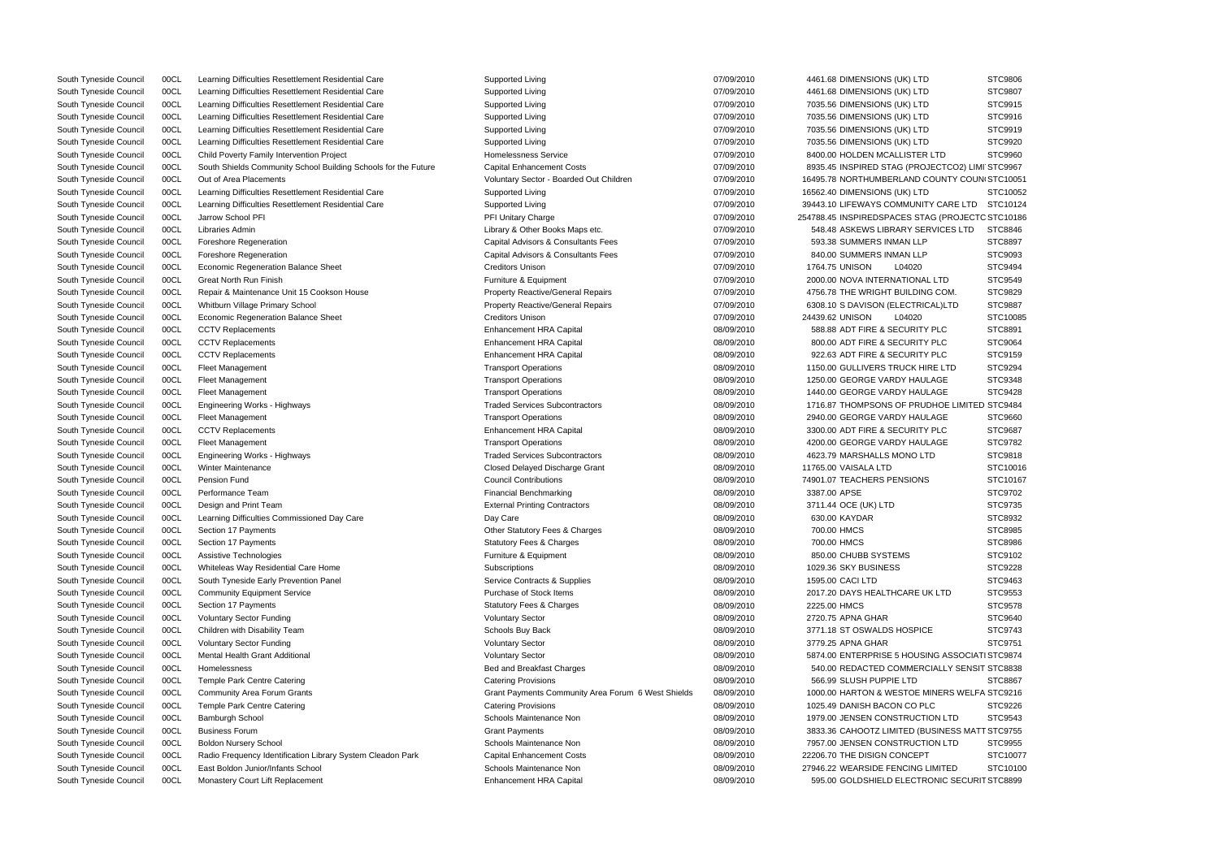| South Tyneside Council | 00CL | Learning Difficulties Resettlement Residential Care            | Supported Living                                   | 07/09/2010 | 4461.68 DIMENSIONS (UK) LTD                      | STC9806        |
|------------------------|------|----------------------------------------------------------------|----------------------------------------------------|------------|--------------------------------------------------|----------------|
| South Tyneside Council | 00CL | Learning Difficulties Resettlement Residential Care            | Supported Living                                   | 07/09/2010 | 4461.68 DIMENSIONS (UK) LTD                      | STC9807        |
| South Tyneside Council | 00CL | Learning Difficulties Resettlement Residential Care            | Supported Living                                   | 07/09/2010 | 7035.56 DIMENSIONS (UK) LTD                      | STC9915        |
| South Tyneside Council | 00CL | Learning Difficulties Resettlement Residential Care            | Supported Living                                   | 07/09/2010 | 7035.56 DIMENSIONS (UK) LTD                      | STC9916        |
| South Tyneside Council | 00CL | Learning Difficulties Resettlement Residential Care            | Supported Living                                   | 07/09/2010 | 7035.56 DIMENSIONS (UK) LTD                      | STC9919        |
| South Tyneside Council | 00CL | Learning Difficulties Resettlement Residential Care            | Supported Living                                   | 07/09/2010 | 7035.56 DIMENSIONS (UK) LTD                      | STC9920        |
| South Tyneside Council | 00CL | Child Poverty Family Intervention Project                      | <b>Homelessness Service</b>                        | 07/09/2010 | 8400.00 HOLDEN MCALLISTER LTD                    | STC9960        |
| South Tyneside Council | 00CL | South Shields Community School Building Schools for the Future | <b>Capital Enhancement Costs</b>                   | 07/09/2010 | 8935.45 INSPIRED STAG (PROJECTCO2) LIMI STC9967  |                |
| South Tyneside Council | 00CL | Out of Area Placements                                         | Voluntary Sector - Boarded Out Children            | 07/09/2010 | 16495.78 NORTHUMBERLAND COUNTY COUN STC10051     |                |
| South Tyneside Council | 00CL | Learning Difficulties Resettlement Residential Care            | Supported Living                                   | 07/09/2010 | 16562.40 DIMENSIONS (UK) LTD                     | STC10052       |
| South Tyneside Council | 00CL | Learning Difficulties Resettlement Residential Care            | Supported Living                                   | 07/09/2010 | 39443.10 LIFEWAYS COMMUNITY CARE LTD             | STC10124       |
| South Tyneside Council | 00CL | Jarrow School PFI                                              | PFI Unitary Charge                                 | 07/09/2010 | 254788.45 INSPIREDSPACES STAG (PROJECTC STC10186 |                |
| South Tyneside Council | 00CL | Libraries Admin                                                | Library & Other Books Maps etc.                    | 07/09/2010 | 548.48 ASKEWS LIBRARY SERVICES LTD               | STC8846        |
| South Tyneside Council | 00CL | Foreshore Regeneration                                         | Capital Advisors & Consultants Fees                | 07/09/2010 | 593.38 SUMMERS INMAN LLP                         | STC8897        |
| South Tyneside Council | 00CL | Foreshore Regeneration                                         | Capital Advisors & Consultants Fees                | 07/09/2010 | 840.00 SUMMERS INMAN LLP                         | STC9093        |
|                        |      |                                                                |                                                    |            |                                                  | STC9494        |
| South Tyneside Council | 00CL | Economic Regeneration Balance Sheet                            | <b>Creditors Unison</b>                            | 07/09/2010 | 1764.75 UNISON<br>L04020                         |                |
| South Tyneside Council | 00CL | <b>Great North Run Finish</b>                                  | Furniture & Equipment                              | 07/09/2010 | 2000.00 NOVA INTERNATIONAL LTD                   | STC9549        |
| South Tyneside Council | 00CL | Repair & Maintenance Unit 15 Cookson House                     | <b>Property Reactive/General Repairs</b>           | 07/09/2010 | 4756.78 THE WRIGHT BUILDING COM.                 | STC9829        |
| South Tyneside Council | 00CL | Whitburn Village Primary School                                | <b>Property Reactive/General Repairs</b>           | 07/09/2010 | 6308.10 S DAVISON (ELECTRICAL)LTD                | <b>STC9887</b> |
| South Tyneside Council | 00CL | <b>Economic Regeneration Balance Sheet</b>                     | <b>Creditors Unison</b>                            | 07/09/2010 | 24439.62 UNISON<br>L04020                        | STC10085       |
| South Tyneside Council | 00CL | <b>CCTV Replacements</b>                                       | <b>Enhancement HRA Capital</b>                     | 08/09/2010 | 588.88 ADT FIRE & SECURITY PLC                   | STC8891        |
| South Tyneside Council | 00CL | <b>CCTV Replacements</b>                                       | <b>Enhancement HRA Capital</b>                     | 08/09/2010 | 800.00 ADT FIRE & SECURITY PLC                   | STC9064        |
| South Tyneside Council | 00CL | <b>CCTV Replacements</b>                                       | <b>Enhancement HRA Capital</b>                     | 08/09/2010 | 922.63 ADT FIRE & SECURITY PLC                   | STC9159        |
| South Tyneside Council | 00CL | <b>Fleet Management</b>                                        | <b>Transport Operations</b>                        | 08/09/2010 | 1150.00 GULLIVERS TRUCK HIRE LTD                 | STC9294        |
| South Tyneside Council | 00CL | <b>Fleet Management</b>                                        | <b>Transport Operations</b>                        | 08/09/2010 | 1250.00 GEORGE VARDY HAULAGE                     | STC9348        |
| South Tyneside Council | 00CL | <b>Fleet Management</b>                                        | <b>Transport Operations</b>                        | 08/09/2010 | 1440.00 GEORGE VARDY HAULAGE                     | STC9428        |
| South Tyneside Council | 00CL | Engineering Works - Highways                                   | <b>Traded Services Subcontractors</b>              | 08/09/2010 | 1716.87 THOMPSONS OF PRUDHOE LIMITED STC9484     |                |
| South Tyneside Council | 00CL | Fleet Management                                               | <b>Transport Operations</b>                        | 08/09/2010 | 2940.00 GEORGE VARDY HAULAGE                     | STC9660        |
| South Tyneside Council | 00CL | <b>CCTV Replacements</b>                                       | <b>Enhancement HRA Capital</b>                     | 08/09/2010 | 3300.00 ADT FIRE & SECURITY PLC                  | STC9687        |
| South Tyneside Council | 00CL | <b>Fleet Management</b>                                        | <b>Transport Operations</b>                        | 08/09/2010 | 4200.00 GEORGE VARDY HAULAGE                     | STC9782        |
| South Tyneside Council | 00CL | Engineering Works - Highways                                   | <b>Traded Services Subcontractors</b>              | 08/09/2010 | 4623.79 MARSHALLS MONO LTD                       | STC9818        |
| South Tyneside Council | 00CL | <b>Winter Maintenance</b>                                      | Closed Delayed Discharge Grant                     | 08/09/2010 | 11765.00 VAISALA LTD                             | STC10016       |
| South Tyneside Council | 00CL | Pension Fund                                                   | <b>Council Contributions</b>                       | 08/09/2010 | 74901.07 TEACHERS PENSIONS                       | STC10167       |
| South Tyneside Council | 00CL | Performance Team                                               | Financial Benchmarking                             | 08/09/2010 | 3387.00 APSE                                     | STC9702        |
| South Tyneside Council | 00CL | Design and Print Team                                          | <b>External Printing Contractors</b>               | 08/09/2010 | 3711.44 OCE (UK) LTD                             | STC9735        |
| South Tyneside Council | 00CL | Learning Difficulties Commissioned Day Care                    | Day Care                                           | 08/09/2010 | 630.00 KAYDAR                                    | STC8932        |
| South Tyneside Council | 00CL | Section 17 Payments                                            | Other Statutory Fees & Charges                     | 08/09/2010 | 700.00 HMCS                                      | STC8985        |
| South Tyneside Council | 00CL | Section 17 Payments                                            | <b>Statutory Fees &amp; Charges</b>                | 08/09/2010 | 700.00 HMCS                                      | STC8986        |
| South Tyneside Council | 00CL | Assistive Technologies                                         | Furniture & Equipment                              | 08/09/2010 | 850.00 CHUBB SYSTEMS                             | STC9102        |
| South Tyneside Council | 00CL | Whiteleas Way Residential Care Home                            | Subscriptions                                      | 08/09/2010 | 1029.36 SKY BUSINESS                             | STC9228        |
| South Tyneside Council | 00CL | South Tyneside Early Prevention Panel                          | Service Contracts & Supplies                       | 08/09/2010 | 1595.00 CACI LTD                                 | STC9463        |
| South Tyneside Council | 00CL |                                                                | Purchase of Stock Items                            | 08/09/2010 | 2017.20 DAYS HEALTHCARE UK LTD                   | STC9553        |
|                        |      | <b>Community Equipment Service</b>                             |                                                    |            |                                                  |                |
| South Tyneside Council | 00CL | Section 17 Payments                                            | <b>Statutory Fees &amp; Charges</b>                | 08/09/2010 | 2225.00 HMCS                                     | STC9578        |
| South Tyneside Council | 00CL | <b>Voluntary Sector Funding</b>                                | <b>Voluntary Sector</b>                            | 08/09/2010 | 2720.75 APNA GHAR                                | STC9640        |
| South Tyneside Council | 00CL | Children with Disability Team                                  | Schools Buy Back                                   | 08/09/2010 | 3771.18 ST OSWALDS HOSPICE                       | STC9743        |
| South Tyneside Council | 00CL | <b>Voluntary Sector Funding</b>                                | <b>Voluntary Sector</b>                            | 08/09/2010 | 3779.25 APNA GHAR                                | STC9751        |
| South Tyneside Council | 00CL | Mental Health Grant Additional                                 | <b>Voluntary Sector</b>                            | 08/09/2010 | 5874.00 ENTERPRISE 5 HOUSING ASSOCIATI STC9874   |                |
| South Tyneside Council | 00CL | Homelessness                                                   | Bed and Breakfast Charges                          | 08/09/2010 | 540.00 REDACTED COMMERCIALLY SENSIT STC8838      |                |
| South Tyneside Council | 00CL | Temple Park Centre Catering                                    | <b>Catering Provisions</b>                         | 08/09/2010 | 566.99 SLUSH PUPPIE LTD                          | STC8867        |
| South Tyneside Council | 00CL | <b>Community Area Forum Grants</b>                             | Grant Payments Community Area Forum 6 West Shields | 08/09/2010 | 1000.00 HARTON & WESTOE MINERS WELFA STC9216     |                |
| South Tyneside Council | 00CL | <b>Temple Park Centre Catering</b>                             | <b>Catering Provisions</b>                         | 08/09/2010 | 1025.49 DANISH BACON CO PLC                      | STC9226        |
| South Tyneside Council | 00CL | Bamburgh School                                                | Schools Maintenance Non                            | 08/09/2010 | 1979.00 JENSEN CONSTRUCTION LTD                  | STC9543        |
| South Tyneside Council | 00CL | <b>Business Forum</b>                                          | <b>Grant Payments</b>                              | 08/09/2010 | 3833.36 CAHOOTZ LIMITED (BUSINESS MATT STC9755   |                |
| South Tyneside Council | 00CL | <b>Boldon Nursery School</b>                                   | Schools Maintenance Non                            | 08/09/2010 | 7957.00 JENSEN CONSTRUCTION LTD                  | STC9955        |
| South Tyneside Council | 00CL | Radio Frequency Identification Library System Cleadon Park     | <b>Capital Enhancement Costs</b>                   | 08/09/2010 | 22206.70 THE DISIGN CONCEPT                      | STC10077       |
| South Tyneside Council | 00CL | East Boldon Junior/Infants School                              | Schools Maintenance Non                            | 08/09/2010 | 27946.22 WEARSIDE FENCING LIMITED                | STC10100       |
| South Tyneside Council | 00CL | Monastery Court Lift Replacement                               | <b>Enhancement HRA Capital</b>                     | 08/09/2010 | 595.00 GOLDSHIELD ELECTRONIC SECURIT STC8899     |                |
|                        |      |                                                                |                                                    |            |                                                  |                |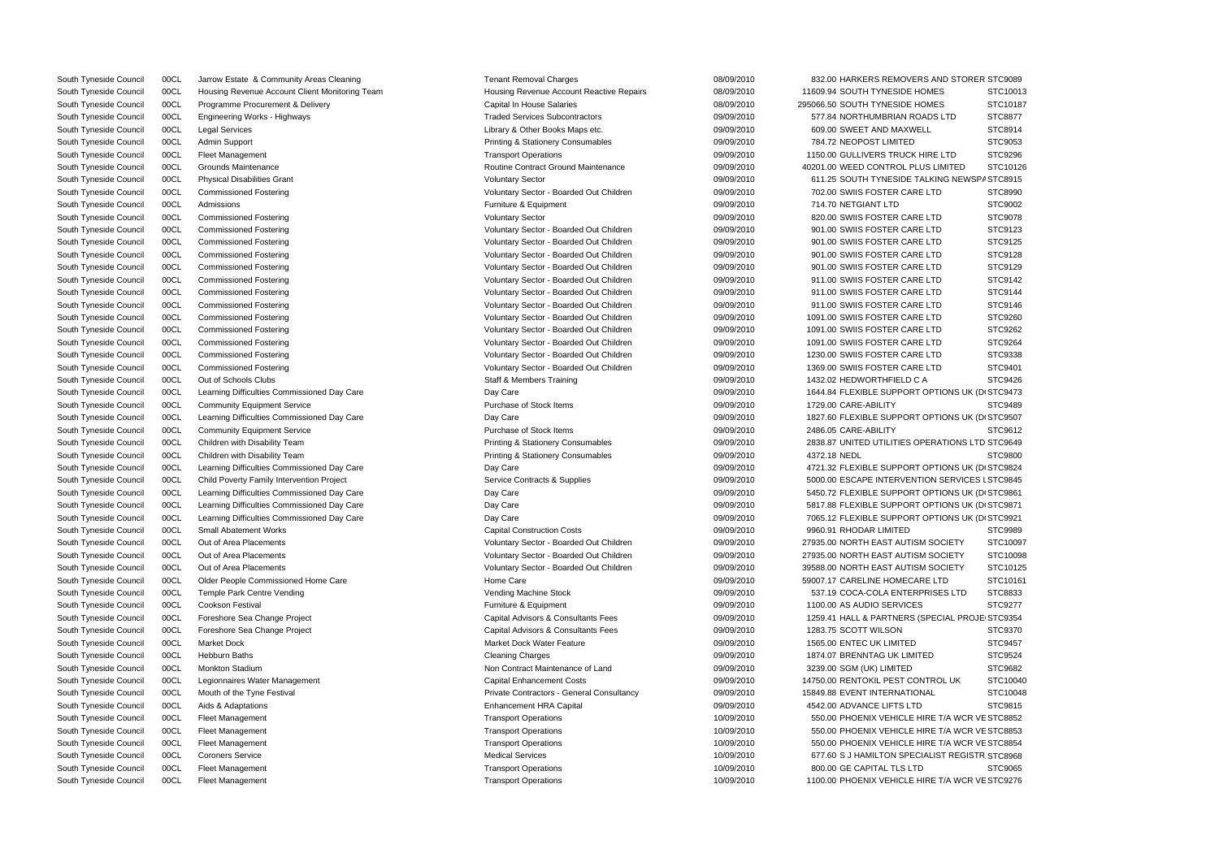| <b>UUCL</b> | Jarrow Estate & Community Areas Cleaning                                                                                                                                                                                                                                             | Tenant Removal Unarges                                                                                                                                                                                                                                                                                                                                                                                                                                                                                                                                                                                                                                                                                                                                                                                                                                                                                                                                                                                                                                                                                                                                                                                          | 09/09/2010                                                                                                                                                                                                                                                                                                                                                                                                                                                                                                                                                                                                                                                                                                                                                                                                                                                                                                                                                                                                                                                                                                                                                                                                     | 832.00 HARKERS REMOVERS AND STORER STO9089                                                                                                                                                                                                                                                                                                                                                                                                     |                                                                                                                                                                                                                                                                                                                                                                                                                                                                                                                                                                                                                                                                                                                                                                                                                                                                                                                                                                                                                                                                                                                                                                       |
|-------------|--------------------------------------------------------------------------------------------------------------------------------------------------------------------------------------------------------------------------------------------------------------------------------------|-----------------------------------------------------------------------------------------------------------------------------------------------------------------------------------------------------------------------------------------------------------------------------------------------------------------------------------------------------------------------------------------------------------------------------------------------------------------------------------------------------------------------------------------------------------------------------------------------------------------------------------------------------------------------------------------------------------------------------------------------------------------------------------------------------------------------------------------------------------------------------------------------------------------------------------------------------------------------------------------------------------------------------------------------------------------------------------------------------------------------------------------------------------------------------------------------------------------|----------------------------------------------------------------------------------------------------------------------------------------------------------------------------------------------------------------------------------------------------------------------------------------------------------------------------------------------------------------------------------------------------------------------------------------------------------------------------------------------------------------------------------------------------------------------------------------------------------------------------------------------------------------------------------------------------------------------------------------------------------------------------------------------------------------------------------------------------------------------------------------------------------------------------------------------------------------------------------------------------------------------------------------------------------------------------------------------------------------------------------------------------------------------------------------------------------------|------------------------------------------------------------------------------------------------------------------------------------------------------------------------------------------------------------------------------------------------------------------------------------------------------------------------------------------------------------------------------------------------------------------------------------------------|-----------------------------------------------------------------------------------------------------------------------------------------------------------------------------------------------------------------------------------------------------------------------------------------------------------------------------------------------------------------------------------------------------------------------------------------------------------------------------------------------------------------------------------------------------------------------------------------------------------------------------------------------------------------------------------------------------------------------------------------------------------------------------------------------------------------------------------------------------------------------------------------------------------------------------------------------------------------------------------------------------------------------------------------------------------------------------------------------------------------------------------------------------------------------|
| 00CL        | Housing Revenue Account Client Monitoring Team                                                                                                                                                                                                                                       | Housing Revenue Account Reactive Repairs                                                                                                                                                                                                                                                                                                                                                                                                                                                                                                                                                                                                                                                                                                                                                                                                                                                                                                                                                                                                                                                                                                                                                                        | 08/09/2010                                                                                                                                                                                                                                                                                                                                                                                                                                                                                                                                                                                                                                                                                                                                                                                                                                                                                                                                                                                                                                                                                                                                                                                                     | 11609.94 SOUTH TYNESIDE HOMES                                                                                                                                                                                                                                                                                                                                                                                                                  | STC1001                                                                                                                                                                                                                                                                                                                                                                                                                                                                                                                                                                                                                                                                                                                                                                                                                                                                                                                                                                                                                                                                                                                                                               |
| 00CL        | Programme Procurement & Delivery                                                                                                                                                                                                                                                     | <b>Capital In House Salaries</b>                                                                                                                                                                                                                                                                                                                                                                                                                                                                                                                                                                                                                                                                                                                                                                                                                                                                                                                                                                                                                                                                                                                                                                                | 08/09/2010                                                                                                                                                                                                                                                                                                                                                                                                                                                                                                                                                                                                                                                                                                                                                                                                                                                                                                                                                                                                                                                                                                                                                                                                     | 295066.50 SOUTH TYNESIDE HOMES                                                                                                                                                                                                                                                                                                                                                                                                                 | STC1018                                                                                                                                                                                                                                                                                                                                                                                                                                                                                                                                                                                                                                                                                                                                                                                                                                                                                                                                                                                                                                                                                                                                                               |
| 00CL        | Engineering Works - Highways                                                                                                                                                                                                                                                         | <b>Traded Services Subcontractors</b>                                                                                                                                                                                                                                                                                                                                                                                                                                                                                                                                                                                                                                                                                                                                                                                                                                                                                                                                                                                                                                                                                                                                                                           | 09/09/2010                                                                                                                                                                                                                                                                                                                                                                                                                                                                                                                                                                                                                                                                                                                                                                                                                                                                                                                                                                                                                                                                                                                                                                                                     | 577.84 NORTHUMBRIAN ROADS LTD                                                                                                                                                                                                                                                                                                                                                                                                                  | STC8877                                                                                                                                                                                                                                                                                                                                                                                                                                                                                                                                                                                                                                                                                                                                                                                                                                                                                                                                                                                                                                                                                                                                                               |
| 00CL        | <b>Legal Services</b>                                                                                                                                                                                                                                                                | Library & Other Books Maps etc.                                                                                                                                                                                                                                                                                                                                                                                                                                                                                                                                                                                                                                                                                                                                                                                                                                                                                                                                                                                                                                                                                                                                                                                 | 09/09/2010                                                                                                                                                                                                                                                                                                                                                                                                                                                                                                                                                                                                                                                                                                                                                                                                                                                                                                                                                                                                                                                                                                                                                                                                     | 609.00 SWEET AND MAXWELL                                                                                                                                                                                                                                                                                                                                                                                                                       | STC8914                                                                                                                                                                                                                                                                                                                                                                                                                                                                                                                                                                                                                                                                                                                                                                                                                                                                                                                                                                                                                                                                                                                                                               |
| 00CL        | Admin Support                                                                                                                                                                                                                                                                        | <b>Printing &amp; Stationery Consumables</b>                                                                                                                                                                                                                                                                                                                                                                                                                                                                                                                                                                                                                                                                                                                                                                                                                                                                                                                                                                                                                                                                                                                                                                    | 09/09/2010                                                                                                                                                                                                                                                                                                                                                                                                                                                                                                                                                                                                                                                                                                                                                                                                                                                                                                                                                                                                                                                                                                                                                                                                     | 784.72 NEOPOST LIMITED                                                                                                                                                                                                                                                                                                                                                                                                                         | STC9053                                                                                                                                                                                                                                                                                                                                                                                                                                                                                                                                                                                                                                                                                                                                                                                                                                                                                                                                                                                                                                                                                                                                                               |
| 00CL        | <b>Fleet Management</b>                                                                                                                                                                                                                                                              | <b>Transport Operations</b>                                                                                                                                                                                                                                                                                                                                                                                                                                                                                                                                                                                                                                                                                                                                                                                                                                                                                                                                                                                                                                                                                                                                                                                     | 09/09/2010                                                                                                                                                                                                                                                                                                                                                                                                                                                                                                                                                                                                                                                                                                                                                                                                                                                                                                                                                                                                                                                                                                                                                                                                     | 1150.00 GULLIVERS TRUCK HIRE LTD                                                                                                                                                                                                                                                                                                                                                                                                               | STC9296                                                                                                                                                                                                                                                                                                                                                                                                                                                                                                                                                                                                                                                                                                                                                                                                                                                                                                                                                                                                                                                                                                                                                               |
| 00CL        | Grounds Maintenance                                                                                                                                                                                                                                                                  | <b>Routine Contract Ground Maintenance</b>                                                                                                                                                                                                                                                                                                                                                                                                                                                                                                                                                                                                                                                                                                                                                                                                                                                                                                                                                                                                                                                                                                                                                                      | 09/09/2010                                                                                                                                                                                                                                                                                                                                                                                                                                                                                                                                                                                                                                                                                                                                                                                                                                                                                                                                                                                                                                                                                                                                                                                                     | 40201.00 WEED CONTROL PLUS LIMITED                                                                                                                                                                                                                                                                                                                                                                                                             | STC1012                                                                                                                                                                                                                                                                                                                                                                                                                                                                                                                                                                                                                                                                                                                                                                                                                                                                                                                                                                                                                                                                                                                                                               |
| 00CL        | <b>Physical Disabilities Grant</b>                                                                                                                                                                                                                                                   | <b>Voluntary Sector</b>                                                                                                                                                                                                                                                                                                                                                                                                                                                                                                                                                                                                                                                                                                                                                                                                                                                                                                                                                                                                                                                                                                                                                                                         | 09/09/2010                                                                                                                                                                                                                                                                                                                                                                                                                                                                                                                                                                                                                                                                                                                                                                                                                                                                                                                                                                                                                                                                                                                                                                                                     | 611.25 SOUTH TYNESIDE TALKING NEWSPASTC8915                                                                                                                                                                                                                                                                                                                                                                                                    |                                                                                                                                                                                                                                                                                                                                                                                                                                                                                                                                                                                                                                                                                                                                                                                                                                                                                                                                                                                                                                                                                                                                                                       |
| 00CL        | <b>Commissioned Fostering</b>                                                                                                                                                                                                                                                        |                                                                                                                                                                                                                                                                                                                                                                                                                                                                                                                                                                                                                                                                                                                                                                                                                                                                                                                                                                                                                                                                                                                                                                                                                 | 09/09/2010                                                                                                                                                                                                                                                                                                                                                                                                                                                                                                                                                                                                                                                                                                                                                                                                                                                                                                                                                                                                                                                                                                                                                                                                     | 702.00 SWIIS FOSTER CARE LTD                                                                                                                                                                                                                                                                                                                                                                                                                   | <b>STC8990</b>                                                                                                                                                                                                                                                                                                                                                                                                                                                                                                                                                                                                                                                                                                                                                                                                                                                                                                                                                                                                                                                                                                                                                        |
| 00CL        | Admissions                                                                                                                                                                                                                                                                           | Furniture & Equipment                                                                                                                                                                                                                                                                                                                                                                                                                                                                                                                                                                                                                                                                                                                                                                                                                                                                                                                                                                                                                                                                                                                                                                                           | 09/09/2010                                                                                                                                                                                                                                                                                                                                                                                                                                                                                                                                                                                                                                                                                                                                                                                                                                                                                                                                                                                                                                                                                                                                                                                                     | 714.70 NETGIANT LTD                                                                                                                                                                                                                                                                                                                                                                                                                            | STC9002                                                                                                                                                                                                                                                                                                                                                                                                                                                                                                                                                                                                                                                                                                                                                                                                                                                                                                                                                                                                                                                                                                                                                               |
|             | <b>Commissioned Fostering</b>                                                                                                                                                                                                                                                        | <b>Voluntary Sector</b>                                                                                                                                                                                                                                                                                                                                                                                                                                                                                                                                                                                                                                                                                                                                                                                                                                                                                                                                                                                                                                                                                                                                                                                         | 09/09/2010                                                                                                                                                                                                                                                                                                                                                                                                                                                                                                                                                                                                                                                                                                                                                                                                                                                                                                                                                                                                                                                                                                                                                                                                     | 820.00 SWIIS FOSTER CARE LTD                                                                                                                                                                                                                                                                                                                                                                                                                   | STC9078                                                                                                                                                                                                                                                                                                                                                                                                                                                                                                                                                                                                                                                                                                                                                                                                                                                                                                                                                                                                                                                                                                                                                               |
|             | <b>Commissioned Fostering</b>                                                                                                                                                                                                                                                        | Voluntary Sector - Boarded Out Children                                                                                                                                                                                                                                                                                                                                                                                                                                                                                                                                                                                                                                                                                                                                                                                                                                                                                                                                                                                                                                                                                                                                                                         | 09/09/2010                                                                                                                                                                                                                                                                                                                                                                                                                                                                                                                                                                                                                                                                                                                                                                                                                                                                                                                                                                                                                                                                                                                                                                                                     | 901.00 SWIIS FOSTER CARE LTD                                                                                                                                                                                                                                                                                                                                                                                                                   | STC9123                                                                                                                                                                                                                                                                                                                                                                                                                                                                                                                                                                                                                                                                                                                                                                                                                                                                                                                                                                                                                                                                                                                                                               |
|             |                                                                                                                                                                                                                                                                                      |                                                                                                                                                                                                                                                                                                                                                                                                                                                                                                                                                                                                                                                                                                                                                                                                                                                                                                                                                                                                                                                                                                                                                                                                                 | 09/09/2010                                                                                                                                                                                                                                                                                                                                                                                                                                                                                                                                                                                                                                                                                                                                                                                                                                                                                                                                                                                                                                                                                                                                                                                                     | 901.00 SWIIS FOSTER CARE LTD                                                                                                                                                                                                                                                                                                                                                                                                                   | STC9125                                                                                                                                                                                                                                                                                                                                                                                                                                                                                                                                                                                                                                                                                                                                                                                                                                                                                                                                                                                                                                                                                                                                                               |
|             |                                                                                                                                                                                                                                                                                      |                                                                                                                                                                                                                                                                                                                                                                                                                                                                                                                                                                                                                                                                                                                                                                                                                                                                                                                                                                                                                                                                                                                                                                                                                 |                                                                                                                                                                                                                                                                                                                                                                                                                                                                                                                                                                                                                                                                                                                                                                                                                                                                                                                                                                                                                                                                                                                                                                                                                |                                                                                                                                                                                                                                                                                                                                                                                                                                                | STC9128                                                                                                                                                                                                                                                                                                                                                                                                                                                                                                                                                                                                                                                                                                                                                                                                                                                                                                                                                                                                                                                                                                                                                               |
|             |                                                                                                                                                                                                                                                                                      |                                                                                                                                                                                                                                                                                                                                                                                                                                                                                                                                                                                                                                                                                                                                                                                                                                                                                                                                                                                                                                                                                                                                                                                                                 |                                                                                                                                                                                                                                                                                                                                                                                                                                                                                                                                                                                                                                                                                                                                                                                                                                                                                                                                                                                                                                                                                                                                                                                                                |                                                                                                                                                                                                                                                                                                                                                                                                                                                | STC9129                                                                                                                                                                                                                                                                                                                                                                                                                                                                                                                                                                                                                                                                                                                                                                                                                                                                                                                                                                                                                                                                                                                                                               |
|             |                                                                                                                                                                                                                                                                                      |                                                                                                                                                                                                                                                                                                                                                                                                                                                                                                                                                                                                                                                                                                                                                                                                                                                                                                                                                                                                                                                                                                                                                                                                                 |                                                                                                                                                                                                                                                                                                                                                                                                                                                                                                                                                                                                                                                                                                                                                                                                                                                                                                                                                                                                                                                                                                                                                                                                                |                                                                                                                                                                                                                                                                                                                                                                                                                                                | STC9142                                                                                                                                                                                                                                                                                                                                                                                                                                                                                                                                                                                                                                                                                                                                                                                                                                                                                                                                                                                                                                                                                                                                                               |
|             |                                                                                                                                                                                                                                                                                      |                                                                                                                                                                                                                                                                                                                                                                                                                                                                                                                                                                                                                                                                                                                                                                                                                                                                                                                                                                                                                                                                                                                                                                                                                 |                                                                                                                                                                                                                                                                                                                                                                                                                                                                                                                                                                                                                                                                                                                                                                                                                                                                                                                                                                                                                                                                                                                                                                                                                |                                                                                                                                                                                                                                                                                                                                                                                                                                                | STC9144                                                                                                                                                                                                                                                                                                                                                                                                                                                                                                                                                                                                                                                                                                                                                                                                                                                                                                                                                                                                                                                                                                                                                               |
|             |                                                                                                                                                                                                                                                                                      |                                                                                                                                                                                                                                                                                                                                                                                                                                                                                                                                                                                                                                                                                                                                                                                                                                                                                                                                                                                                                                                                                                                                                                                                                 |                                                                                                                                                                                                                                                                                                                                                                                                                                                                                                                                                                                                                                                                                                                                                                                                                                                                                                                                                                                                                                                                                                                                                                                                                |                                                                                                                                                                                                                                                                                                                                                                                                                                                | STC9146                                                                                                                                                                                                                                                                                                                                                                                                                                                                                                                                                                                                                                                                                                                                                                                                                                                                                                                                                                                                                                                                                                                                                               |
|             |                                                                                                                                                                                                                                                                                      |                                                                                                                                                                                                                                                                                                                                                                                                                                                                                                                                                                                                                                                                                                                                                                                                                                                                                                                                                                                                                                                                                                                                                                                                                 |                                                                                                                                                                                                                                                                                                                                                                                                                                                                                                                                                                                                                                                                                                                                                                                                                                                                                                                                                                                                                                                                                                                                                                                                                |                                                                                                                                                                                                                                                                                                                                                                                                                                                | STC9260                                                                                                                                                                                                                                                                                                                                                                                                                                                                                                                                                                                                                                                                                                                                                                                                                                                                                                                                                                                                                                                                                                                                                               |
|             |                                                                                                                                                                                                                                                                                      |                                                                                                                                                                                                                                                                                                                                                                                                                                                                                                                                                                                                                                                                                                                                                                                                                                                                                                                                                                                                                                                                                                                                                                                                                 |                                                                                                                                                                                                                                                                                                                                                                                                                                                                                                                                                                                                                                                                                                                                                                                                                                                                                                                                                                                                                                                                                                                                                                                                                |                                                                                                                                                                                                                                                                                                                                                                                                                                                | STC9262                                                                                                                                                                                                                                                                                                                                                                                                                                                                                                                                                                                                                                                                                                                                                                                                                                                                                                                                                                                                                                                                                                                                                               |
|             |                                                                                                                                                                                                                                                                                      |                                                                                                                                                                                                                                                                                                                                                                                                                                                                                                                                                                                                                                                                                                                                                                                                                                                                                                                                                                                                                                                                                                                                                                                                                 |                                                                                                                                                                                                                                                                                                                                                                                                                                                                                                                                                                                                                                                                                                                                                                                                                                                                                                                                                                                                                                                                                                                                                                                                                |                                                                                                                                                                                                                                                                                                                                                                                                                                                | STC9264                                                                                                                                                                                                                                                                                                                                                                                                                                                                                                                                                                                                                                                                                                                                                                                                                                                                                                                                                                                                                                                                                                                                                               |
|             |                                                                                                                                                                                                                                                                                      |                                                                                                                                                                                                                                                                                                                                                                                                                                                                                                                                                                                                                                                                                                                                                                                                                                                                                                                                                                                                                                                                                                                                                                                                                 |                                                                                                                                                                                                                                                                                                                                                                                                                                                                                                                                                                                                                                                                                                                                                                                                                                                                                                                                                                                                                                                                                                                                                                                                                |                                                                                                                                                                                                                                                                                                                                                                                                                                                | STC9338                                                                                                                                                                                                                                                                                                                                                                                                                                                                                                                                                                                                                                                                                                                                                                                                                                                                                                                                                                                                                                                                                                                                                               |
|             |                                                                                                                                                                                                                                                                                      |                                                                                                                                                                                                                                                                                                                                                                                                                                                                                                                                                                                                                                                                                                                                                                                                                                                                                                                                                                                                                                                                                                                                                                                                                 |                                                                                                                                                                                                                                                                                                                                                                                                                                                                                                                                                                                                                                                                                                                                                                                                                                                                                                                                                                                                                                                                                                                                                                                                                |                                                                                                                                                                                                                                                                                                                                                                                                                                                |                                                                                                                                                                                                                                                                                                                                                                                                                                                                                                                                                                                                                                                                                                                                                                                                                                                                                                                                                                                                                                                                                                                                                                       |
|             |                                                                                                                                                                                                                                                                                      |                                                                                                                                                                                                                                                                                                                                                                                                                                                                                                                                                                                                                                                                                                                                                                                                                                                                                                                                                                                                                                                                                                                                                                                                                 |                                                                                                                                                                                                                                                                                                                                                                                                                                                                                                                                                                                                                                                                                                                                                                                                                                                                                                                                                                                                                                                                                                                                                                                                                |                                                                                                                                                                                                                                                                                                                                                                                                                                                | STC9401                                                                                                                                                                                                                                                                                                                                                                                                                                                                                                                                                                                                                                                                                                                                                                                                                                                                                                                                                                                                                                                                                                                                                               |
|             |                                                                                                                                                                                                                                                                                      |                                                                                                                                                                                                                                                                                                                                                                                                                                                                                                                                                                                                                                                                                                                                                                                                                                                                                                                                                                                                                                                                                                                                                                                                                 |                                                                                                                                                                                                                                                                                                                                                                                                                                                                                                                                                                                                                                                                                                                                                                                                                                                                                                                                                                                                                                                                                                                                                                                                                |                                                                                                                                                                                                                                                                                                                                                                                                                                                | STC9426                                                                                                                                                                                                                                                                                                                                                                                                                                                                                                                                                                                                                                                                                                                                                                                                                                                                                                                                                                                                                                                                                                                                                               |
|             |                                                                                                                                                                                                                                                                                      |                                                                                                                                                                                                                                                                                                                                                                                                                                                                                                                                                                                                                                                                                                                                                                                                                                                                                                                                                                                                                                                                                                                                                                                                                 |                                                                                                                                                                                                                                                                                                                                                                                                                                                                                                                                                                                                                                                                                                                                                                                                                                                                                                                                                                                                                                                                                                                                                                                                                |                                                                                                                                                                                                                                                                                                                                                                                                                                                |                                                                                                                                                                                                                                                                                                                                                                                                                                                                                                                                                                                                                                                                                                                                                                                                                                                                                                                                                                                                                                                                                                                                                                       |
|             |                                                                                                                                                                                                                                                                                      |                                                                                                                                                                                                                                                                                                                                                                                                                                                                                                                                                                                                                                                                                                                                                                                                                                                                                                                                                                                                                                                                                                                                                                                                                 |                                                                                                                                                                                                                                                                                                                                                                                                                                                                                                                                                                                                                                                                                                                                                                                                                                                                                                                                                                                                                                                                                                                                                                                                                |                                                                                                                                                                                                                                                                                                                                                                                                                                                | STC9489                                                                                                                                                                                                                                                                                                                                                                                                                                                                                                                                                                                                                                                                                                                                                                                                                                                                                                                                                                                                                                                                                                                                                               |
|             |                                                                                                                                                                                                                                                                                      |                                                                                                                                                                                                                                                                                                                                                                                                                                                                                                                                                                                                                                                                                                                                                                                                                                                                                                                                                                                                                                                                                                                                                                                                                 |                                                                                                                                                                                                                                                                                                                                                                                                                                                                                                                                                                                                                                                                                                                                                                                                                                                                                                                                                                                                                                                                                                                                                                                                                |                                                                                                                                                                                                                                                                                                                                                                                                                                                |                                                                                                                                                                                                                                                                                                                                                                                                                                                                                                                                                                                                                                                                                                                                                                                                                                                                                                                                                                                                                                                                                                                                                                       |
|             |                                                                                                                                                                                                                                                                                      |                                                                                                                                                                                                                                                                                                                                                                                                                                                                                                                                                                                                                                                                                                                                                                                                                                                                                                                                                                                                                                                                                                                                                                                                                 |                                                                                                                                                                                                                                                                                                                                                                                                                                                                                                                                                                                                                                                                                                                                                                                                                                                                                                                                                                                                                                                                                                                                                                                                                |                                                                                                                                                                                                                                                                                                                                                                                                                                                | STC9612                                                                                                                                                                                                                                                                                                                                                                                                                                                                                                                                                                                                                                                                                                                                                                                                                                                                                                                                                                                                                                                                                                                                                               |
|             |                                                                                                                                                                                                                                                                                      |                                                                                                                                                                                                                                                                                                                                                                                                                                                                                                                                                                                                                                                                                                                                                                                                                                                                                                                                                                                                                                                                                                                                                                                                                 |                                                                                                                                                                                                                                                                                                                                                                                                                                                                                                                                                                                                                                                                                                                                                                                                                                                                                                                                                                                                                                                                                                                                                                                                                |                                                                                                                                                                                                                                                                                                                                                                                                                                                |                                                                                                                                                                                                                                                                                                                                                                                                                                                                                                                                                                                                                                                                                                                                                                                                                                                                                                                                                                                                                                                                                                                                                                       |
|             |                                                                                                                                                                                                                                                                                      |                                                                                                                                                                                                                                                                                                                                                                                                                                                                                                                                                                                                                                                                                                                                                                                                                                                                                                                                                                                                                                                                                                                                                                                                                 |                                                                                                                                                                                                                                                                                                                                                                                                                                                                                                                                                                                                                                                                                                                                                                                                                                                                                                                                                                                                                                                                                                                                                                                                                |                                                                                                                                                                                                                                                                                                                                                                                                                                                | STC9800                                                                                                                                                                                                                                                                                                                                                                                                                                                                                                                                                                                                                                                                                                                                                                                                                                                                                                                                                                                                                                                                                                                                                               |
|             |                                                                                                                                                                                                                                                                                      |                                                                                                                                                                                                                                                                                                                                                                                                                                                                                                                                                                                                                                                                                                                                                                                                                                                                                                                                                                                                                                                                                                                                                                                                                 |                                                                                                                                                                                                                                                                                                                                                                                                                                                                                                                                                                                                                                                                                                                                                                                                                                                                                                                                                                                                                                                                                                                                                                                                                |                                                                                                                                                                                                                                                                                                                                                                                                                                                |                                                                                                                                                                                                                                                                                                                                                                                                                                                                                                                                                                                                                                                                                                                                                                                                                                                                                                                                                                                                                                                                                                                                                                       |
|             |                                                                                                                                                                                                                                                                                      |                                                                                                                                                                                                                                                                                                                                                                                                                                                                                                                                                                                                                                                                                                                                                                                                                                                                                                                                                                                                                                                                                                                                                                                                                 |                                                                                                                                                                                                                                                                                                                                                                                                                                                                                                                                                                                                                                                                                                                                                                                                                                                                                                                                                                                                                                                                                                                                                                                                                |                                                                                                                                                                                                                                                                                                                                                                                                                                                |                                                                                                                                                                                                                                                                                                                                                                                                                                                                                                                                                                                                                                                                                                                                                                                                                                                                                                                                                                                                                                                                                                                                                                       |
| 00CL        |                                                                                                                                                                                                                                                                                      | Day Care                                                                                                                                                                                                                                                                                                                                                                                                                                                                                                                                                                                                                                                                                                                                                                                                                                                                                                                                                                                                                                                                                                                                                                                                        |                                                                                                                                                                                                                                                                                                                                                                                                                                                                                                                                                                                                                                                                                                                                                                                                                                                                                                                                                                                                                                                                                                                                                                                                                | 5450.72 FLEXIBLE SUPPORT OPTIONS UK (DI STC9861                                                                                                                                                                                                                                                                                                                                                                                                |                                                                                                                                                                                                                                                                                                                                                                                                                                                                                                                                                                                                                                                                                                                                                                                                                                                                                                                                                                                                                                                                                                                                                                       |
| 00CL        |                                                                                                                                                                                                                                                                                      | Day Care                                                                                                                                                                                                                                                                                                                                                                                                                                                                                                                                                                                                                                                                                                                                                                                                                                                                                                                                                                                                                                                                                                                                                                                                        | 09/09/2010                                                                                                                                                                                                                                                                                                                                                                                                                                                                                                                                                                                                                                                                                                                                                                                                                                                                                                                                                                                                                                                                                                                                                                                                     |                                                                                                                                                                                                                                                                                                                                                                                                                                                |                                                                                                                                                                                                                                                                                                                                                                                                                                                                                                                                                                                                                                                                                                                                                                                                                                                                                                                                                                                                                                                                                                                                                                       |
| 00CL        |                                                                                                                                                                                                                                                                                      | Day Care                                                                                                                                                                                                                                                                                                                                                                                                                                                                                                                                                                                                                                                                                                                                                                                                                                                                                                                                                                                                                                                                                                                                                                                                        | 09/09/2010                                                                                                                                                                                                                                                                                                                                                                                                                                                                                                                                                                                                                                                                                                                                                                                                                                                                                                                                                                                                                                                                                                                                                                                                     | 7065.12 FLEXIBLE SUPPORT OPTIONS UK (DI STC9921                                                                                                                                                                                                                                                                                                                                                                                                |                                                                                                                                                                                                                                                                                                                                                                                                                                                                                                                                                                                                                                                                                                                                                                                                                                                                                                                                                                                                                                                                                                                                                                       |
| 00CL        | <b>Small Abatement Works</b>                                                                                                                                                                                                                                                         |                                                                                                                                                                                                                                                                                                                                                                                                                                                                                                                                                                                                                                                                                                                                                                                                                                                                                                                                                                                                                                                                                                                                                                                                                 | 09/09/2010                                                                                                                                                                                                                                                                                                                                                                                                                                                                                                                                                                                                                                                                                                                                                                                                                                                                                                                                                                                                                                                                                                                                                                                                     | 9960.91 RHODAR LIMITED                                                                                                                                                                                                                                                                                                                                                                                                                         | <b>STC9989</b>                                                                                                                                                                                                                                                                                                                                                                                                                                                                                                                                                                                                                                                                                                                                                                                                                                                                                                                                                                                                                                                                                                                                                        |
| 00CL        | Out of Area Placements                                                                                                                                                                                                                                                               | Voluntary Sector - Boarded Out Children                                                                                                                                                                                                                                                                                                                                                                                                                                                                                                                                                                                                                                                                                                                                                                                                                                                                                                                                                                                                                                                                                                                                                                         | 09/09/2010                                                                                                                                                                                                                                                                                                                                                                                                                                                                                                                                                                                                                                                                                                                                                                                                                                                                                                                                                                                                                                                                                                                                                                                                     | 27935.00 NORTH EAST AUTISM SOCIETY                                                                                                                                                                                                                                                                                                                                                                                                             | STC1009                                                                                                                                                                                                                                                                                                                                                                                                                                                                                                                                                                                                                                                                                                                                                                                                                                                                                                                                                                                                                                                                                                                                                               |
| 00CL        | Out of Area Placements                                                                                                                                                                                                                                                               | Voluntary Sector - Boarded Out Children                                                                                                                                                                                                                                                                                                                                                                                                                                                                                                                                                                                                                                                                                                                                                                                                                                                                                                                                                                                                                                                                                                                                                                         | 09/09/2010                                                                                                                                                                                                                                                                                                                                                                                                                                                                                                                                                                                                                                                                                                                                                                                                                                                                                                                                                                                                                                                                                                                                                                                                     | 27935.00 NORTH EAST AUTISM SOCIETY                                                                                                                                                                                                                                                                                                                                                                                                             | STC1009                                                                                                                                                                                                                                                                                                                                                                                                                                                                                                                                                                                                                                                                                                                                                                                                                                                                                                                                                                                                                                                                                                                                                               |
| 00CL        | Out of Area Placements                                                                                                                                                                                                                                                               | Voluntary Sector - Boarded Out Children                                                                                                                                                                                                                                                                                                                                                                                                                                                                                                                                                                                                                                                                                                                                                                                                                                                                                                                                                                                                                                                                                                                                                                         | 09/09/2010                                                                                                                                                                                                                                                                                                                                                                                                                                                                                                                                                                                                                                                                                                                                                                                                                                                                                                                                                                                                                                                                                                                                                                                                     | 39588.00 NORTH EAST AUTISM SOCIETY                                                                                                                                                                                                                                                                                                                                                                                                             | STC1012                                                                                                                                                                                                                                                                                                                                                                                                                                                                                                                                                                                                                                                                                                                                                                                                                                                                                                                                                                                                                                                                                                                                                               |
| 00CL        | Older People Commissioned Home Care                                                                                                                                                                                                                                                  | Home Care                                                                                                                                                                                                                                                                                                                                                                                                                                                                                                                                                                                                                                                                                                                                                                                                                                                                                                                                                                                                                                                                                                                                                                                                       | 09/09/2010                                                                                                                                                                                                                                                                                                                                                                                                                                                                                                                                                                                                                                                                                                                                                                                                                                                                                                                                                                                                                                                                                                                                                                                                     | 59007.17 CARELINE HOMECARE LTD                                                                                                                                                                                                                                                                                                                                                                                                                 | STC1016                                                                                                                                                                                                                                                                                                                                                                                                                                                                                                                                                                                                                                                                                                                                                                                                                                                                                                                                                                                                                                                                                                                                                               |
| 00CL        | Temple Park Centre Vending                                                                                                                                                                                                                                                           | <b>Vending Machine Stock</b>                                                                                                                                                                                                                                                                                                                                                                                                                                                                                                                                                                                                                                                                                                                                                                                                                                                                                                                                                                                                                                                                                                                                                                                    | 09/09/2010                                                                                                                                                                                                                                                                                                                                                                                                                                                                                                                                                                                                                                                                                                                                                                                                                                                                                                                                                                                                                                                                                                                                                                                                     | 537.19 COCA-COLA ENTERPRISES LTD                                                                                                                                                                                                                                                                                                                                                                                                               | STC8833                                                                                                                                                                                                                                                                                                                                                                                                                                                                                                                                                                                                                                                                                                                                                                                                                                                                                                                                                                                                                                                                                                                                                               |
| 00CL        | Cookson Festival                                                                                                                                                                                                                                                                     | Furniture & Equipment                                                                                                                                                                                                                                                                                                                                                                                                                                                                                                                                                                                                                                                                                                                                                                                                                                                                                                                                                                                                                                                                                                                                                                                           | 09/09/2010                                                                                                                                                                                                                                                                                                                                                                                                                                                                                                                                                                                                                                                                                                                                                                                                                                                                                                                                                                                                                                                                                                                                                                                                     | 1100.00 AS AUDIO SERVICES                                                                                                                                                                                                                                                                                                                                                                                                                      | STC9277                                                                                                                                                                                                                                                                                                                                                                                                                                                                                                                                                                                                                                                                                                                                                                                                                                                                                                                                                                                                                                                                                                                                                               |
| 00CL        | Foreshore Sea Change Project                                                                                                                                                                                                                                                         | Capital Advisors & Consultants Fees                                                                                                                                                                                                                                                                                                                                                                                                                                                                                                                                                                                                                                                                                                                                                                                                                                                                                                                                                                                                                                                                                                                                                                             | 09/09/2010                                                                                                                                                                                                                                                                                                                                                                                                                                                                                                                                                                                                                                                                                                                                                                                                                                                                                                                                                                                                                                                                                                                                                                                                     | 1259.41 HALL & PARTNERS (SPECIAL PROJE STC9354                                                                                                                                                                                                                                                                                                                                                                                                 |                                                                                                                                                                                                                                                                                                                                                                                                                                                                                                                                                                                                                                                                                                                                                                                                                                                                                                                                                                                                                                                                                                                                                                       |
|             |                                                                                                                                                                                                                                                                                      | Capital Advisors & Consultants Fees                                                                                                                                                                                                                                                                                                                                                                                                                                                                                                                                                                                                                                                                                                                                                                                                                                                                                                                                                                                                                                                                                                                                                                             | 09/09/2010                                                                                                                                                                                                                                                                                                                                                                                                                                                                                                                                                                                                                                                                                                                                                                                                                                                                                                                                                                                                                                                                                                                                                                                                     | 1283.75 SCOTT WILSON                                                                                                                                                                                                                                                                                                                                                                                                                           | STC9370                                                                                                                                                                                                                                                                                                                                                                                                                                                                                                                                                                                                                                                                                                                                                                                                                                                                                                                                                                                                                                                                                                                                                               |
|             | <b>Market Dock</b>                                                                                                                                                                                                                                                                   | <b>Market Dock Water Feature</b>                                                                                                                                                                                                                                                                                                                                                                                                                                                                                                                                                                                                                                                                                                                                                                                                                                                                                                                                                                                                                                                                                                                                                                                | 09/09/2010                                                                                                                                                                                                                                                                                                                                                                                                                                                                                                                                                                                                                                                                                                                                                                                                                                                                                                                                                                                                                                                                                                                                                                                                     | 1565.00 ENTEC UK LIMITED                                                                                                                                                                                                                                                                                                                                                                                                                       | STC9457                                                                                                                                                                                                                                                                                                                                                                                                                                                                                                                                                                                                                                                                                                                                                                                                                                                                                                                                                                                                                                                                                                                                                               |
|             |                                                                                                                                                                                                                                                                                      |                                                                                                                                                                                                                                                                                                                                                                                                                                                                                                                                                                                                                                                                                                                                                                                                                                                                                                                                                                                                                                                                                                                                                                                                                 |                                                                                                                                                                                                                                                                                                                                                                                                                                                                                                                                                                                                                                                                                                                                                                                                                                                                                                                                                                                                                                                                                                                                                                                                                | 1874.07 BRENNTAG UK LIMITED                                                                                                                                                                                                                                                                                                                                                                                                                    | STC9524                                                                                                                                                                                                                                                                                                                                                                                                                                                                                                                                                                                                                                                                                                                                                                                                                                                                                                                                                                                                                                                                                                                                                               |
|             |                                                                                                                                                                                                                                                                                      |                                                                                                                                                                                                                                                                                                                                                                                                                                                                                                                                                                                                                                                                                                                                                                                                                                                                                                                                                                                                                                                                                                                                                                                                                 |                                                                                                                                                                                                                                                                                                                                                                                                                                                                                                                                                                                                                                                                                                                                                                                                                                                                                                                                                                                                                                                                                                                                                                                                                |                                                                                                                                                                                                                                                                                                                                                                                                                                                | STC9682                                                                                                                                                                                                                                                                                                                                                                                                                                                                                                                                                                                                                                                                                                                                                                                                                                                                                                                                                                                                                                                                                                                                                               |
|             |                                                                                                                                                                                                                                                                                      |                                                                                                                                                                                                                                                                                                                                                                                                                                                                                                                                                                                                                                                                                                                                                                                                                                                                                                                                                                                                                                                                                                                                                                                                                 |                                                                                                                                                                                                                                                                                                                                                                                                                                                                                                                                                                                                                                                                                                                                                                                                                                                                                                                                                                                                                                                                                                                                                                                                                |                                                                                                                                                                                                                                                                                                                                                                                                                                                | STC1004                                                                                                                                                                                                                                                                                                                                                                                                                                                                                                                                                                                                                                                                                                                                                                                                                                                                                                                                                                                                                                                                                                                                                               |
|             |                                                                                                                                                                                                                                                                                      |                                                                                                                                                                                                                                                                                                                                                                                                                                                                                                                                                                                                                                                                                                                                                                                                                                                                                                                                                                                                                                                                                                                                                                                                                 |                                                                                                                                                                                                                                                                                                                                                                                                                                                                                                                                                                                                                                                                                                                                                                                                                                                                                                                                                                                                                                                                                                                                                                                                                |                                                                                                                                                                                                                                                                                                                                                                                                                                                | STC1004                                                                                                                                                                                                                                                                                                                                                                                                                                                                                                                                                                                                                                                                                                                                                                                                                                                                                                                                                                                                                                                                                                                                                               |
|             |                                                                                                                                                                                                                                                                                      |                                                                                                                                                                                                                                                                                                                                                                                                                                                                                                                                                                                                                                                                                                                                                                                                                                                                                                                                                                                                                                                                                                                                                                                                                 |                                                                                                                                                                                                                                                                                                                                                                                                                                                                                                                                                                                                                                                                                                                                                                                                                                                                                                                                                                                                                                                                                                                                                                                                                |                                                                                                                                                                                                                                                                                                                                                                                                                                                | STC9815                                                                                                                                                                                                                                                                                                                                                                                                                                                                                                                                                                                                                                                                                                                                                                                                                                                                                                                                                                                                                                                                                                                                                               |
|             |                                                                                                                                                                                                                                                                                      |                                                                                                                                                                                                                                                                                                                                                                                                                                                                                                                                                                                                                                                                                                                                                                                                                                                                                                                                                                                                                                                                                                                                                                                                                 |                                                                                                                                                                                                                                                                                                                                                                                                                                                                                                                                                                                                                                                                                                                                                                                                                                                                                                                                                                                                                                                                                                                                                                                                                |                                                                                                                                                                                                                                                                                                                                                                                                                                                |                                                                                                                                                                                                                                                                                                                                                                                                                                                                                                                                                                                                                                                                                                                                                                                                                                                                                                                                                                                                                                                                                                                                                                       |
|             |                                                                                                                                                                                                                                                                                      |                                                                                                                                                                                                                                                                                                                                                                                                                                                                                                                                                                                                                                                                                                                                                                                                                                                                                                                                                                                                                                                                                                                                                                                                                 |                                                                                                                                                                                                                                                                                                                                                                                                                                                                                                                                                                                                                                                                                                                                                                                                                                                                                                                                                                                                                                                                                                                                                                                                                |                                                                                                                                                                                                                                                                                                                                                                                                                                                |                                                                                                                                                                                                                                                                                                                                                                                                                                                                                                                                                                                                                                                                                                                                                                                                                                                                                                                                                                                                                                                                                                                                                                       |
|             |                                                                                                                                                                                                                                                                                      |                                                                                                                                                                                                                                                                                                                                                                                                                                                                                                                                                                                                                                                                                                                                                                                                                                                                                                                                                                                                                                                                                                                                                                                                                 |                                                                                                                                                                                                                                                                                                                                                                                                                                                                                                                                                                                                                                                                                                                                                                                                                                                                                                                                                                                                                                                                                                                                                                                                                |                                                                                                                                                                                                                                                                                                                                                                                                                                                |                                                                                                                                                                                                                                                                                                                                                                                                                                                                                                                                                                                                                                                                                                                                                                                                                                                                                                                                                                                                                                                                                                                                                                       |
|             |                                                                                                                                                                                                                                                                                      |                                                                                                                                                                                                                                                                                                                                                                                                                                                                                                                                                                                                                                                                                                                                                                                                                                                                                                                                                                                                                                                                                                                                                                                                                 |                                                                                                                                                                                                                                                                                                                                                                                                                                                                                                                                                                                                                                                                                                                                                                                                                                                                                                                                                                                                                                                                                                                                                                                                                |                                                                                                                                                                                                                                                                                                                                                                                                                                                |                                                                                                                                                                                                                                                                                                                                                                                                                                                                                                                                                                                                                                                                                                                                                                                                                                                                                                                                                                                                                                                                                                                                                                       |
|             |                                                                                                                                                                                                                                                                                      |                                                                                                                                                                                                                                                                                                                                                                                                                                                                                                                                                                                                                                                                                                                                                                                                                                                                                                                                                                                                                                                                                                                                                                                                                 |                                                                                                                                                                                                                                                                                                                                                                                                                                                                                                                                                                                                                                                                                                                                                                                                                                                                                                                                                                                                                                                                                                                                                                                                                |                                                                                                                                                                                                                                                                                                                                                                                                                                                | STC9065                                                                                                                                                                                                                                                                                                                                                                                                                                                                                                                                                                                                                                                                                                                                                                                                                                                                                                                                                                                                                                                                                                                                                               |
|             |                                                                                                                                                                                                                                                                                      |                                                                                                                                                                                                                                                                                                                                                                                                                                                                                                                                                                                                                                                                                                                                                                                                                                                                                                                                                                                                                                                                                                                                                                                                                 |                                                                                                                                                                                                                                                                                                                                                                                                                                                                                                                                                                                                                                                                                                                                                                                                                                                                                                                                                                                                                                                                                                                                                                                                                |                                                                                                                                                                                                                                                                                                                                                                                                                                                |                                                                                                                                                                                                                                                                                                                                                                                                                                                                                                                                                                                                                                                                                                                                                                                                                                                                                                                                                                                                                                                                                                                                                                       |
|             |                                                                                                                                                                                                                                                                                      |                                                                                                                                                                                                                                                                                                                                                                                                                                                                                                                                                                                                                                                                                                                                                                                                                                                                                                                                                                                                                                                                                                                                                                                                                 |                                                                                                                                                                                                                                                                                                                                                                                                                                                                                                                                                                                                                                                                                                                                                                                                                                                                                                                                                                                                                                                                                                                                                                                                                |                                                                                                                                                                                                                                                                                                                                                                                                                                                |                                                                                                                                                                                                                                                                                                                                                                                                                                                                                                                                                                                                                                                                                                                                                                                                                                                                                                                                                                                                                                                                                                                                                                       |
|             | 00CL<br>00CL<br>00CL<br>00CL<br>00CL<br>00CL<br>00CL<br>00CL<br>00CL<br>00CL<br>00CL<br>00CL<br>00CL<br>00CL<br>00CL<br>00CL<br>00CL<br>00CL<br>00CL<br>00CL<br>00CL<br>00CL<br>00CL<br>00CL<br>00CL<br>00CL<br>00CL<br>00CL<br>00CL<br>00CL<br>00CL<br>00CL<br>00CL<br>00CL<br>00CL | <b>Commissioned Fostering</b><br><b>Commissioned Fostering</b><br><b>Commissioned Fostering</b><br><b>Commissioned Fostering</b><br><b>Commissioned Fostering</b><br><b>Commissioned Fostering</b><br><b>Commissioned Fostering</b><br><b>Commissioned Fostering</b><br><b>Commissioned Fostering</b><br><b>Commissioned Fostering</b><br><b>Commissioned Fostering</b><br>Out of Schools Clubs<br>Learning Difficulties Commissioned Day Care<br><b>Community Equipment Service</b><br>Learning Difficulties Commissioned Day Care<br><b>Community Equipment Service</b><br>Children with Disability Team<br>Children with Disability Team<br>Learning Difficulties Commissioned Day Care<br>Child Poverty Family Intervention Project<br>Learning Difficulties Commissioned Day Care<br>Learning Difficulties Commissioned Day Care<br>Learning Difficulties Commissioned Day Care<br>Foreshore Sea Change Project<br><b>Hebburn Baths</b><br><b>Monkton Stadium</b><br>Legionnaires Water Management<br>Mouth of the Tyne Festival<br>Aids & Adaptations<br>Fleet Management<br><b>Fleet Management</b><br><b>Fleet Management</b><br><b>Coroners Service</b><br>Fleet Management<br><b>Fleet Management</b> | Voluntary Sector - Boarded Out Children<br>Voluntary Sector - Boarded Out Children<br>Voluntary Sector - Boarded Out Children<br>Voluntary Sector - Boarded Out Children<br>Voluntary Sector - Boarded Out Children<br>Voluntary Sector - Boarded Out Children<br>Voluntary Sector - Boarded Out Children<br>Voluntary Sector - Boarded Out Children<br>Voluntary Sector - Boarded Out Children<br>Voluntary Sector - Boarded Out Children<br>Voluntary Sector - Boarded Out Children<br>Voluntary Sector - Boarded Out Children<br><b>Staff &amp; Members Training</b><br>Day Care<br>Purchase of Stock Items<br>Day Care<br>Purchase of Stock Items<br><b>Printing &amp; Stationery Consumables</b><br><b>Printing &amp; Stationery Consumables</b><br>Day Care<br>Service Contracts & Supplies<br><b>Capital Construction Costs</b><br><b>Cleaning Charges</b><br>Non Contract Maintenance of Land<br><b>Capital Enhancement Costs</b><br>Private Contractors - General Consultancy<br><b>Enhancement HRA Capital</b><br><b>Transport Operations</b><br><b>Transport Operations</b><br><b>Transport Operations</b><br><b>Medical Services</b><br><b>Transport Operations</b><br><b>Transport Operations</b> | 09/09/2010<br>09/09/2010<br>09/09/2010<br>09/09/2010<br>09/09/2010<br>09/09/2010<br>09/09/2010<br>09/09/2010<br>09/09/2010<br>09/09/2010<br>09/09/2010<br>09/09/2010<br>09/09/2010<br>09/09/2010<br>09/09/2010<br>09/09/2010<br>09/09/2010<br>09/09/2010<br>09/09/2010<br>09/09/2010<br>09/09/2010<br>09/09/2010<br>09/09/2010<br>09/09/2010<br>09/09/2010<br>10/09/2010<br>10/09/2010<br>10/09/2010<br>10/09/2010<br>10/09/2010<br>10/09/2010 | 901.00 SWIIS FOSTER CARE LTD<br>901.00 SWIIS FOSTER CARE LTD<br>911.00 SWIIS FOSTER CARE LTD<br>911.00 SWIIS FOSTER CARE LTD<br>911.00 SWIIS FOSTER CARE LTD<br>1091.00 SWIIS FOSTER CARE LTD<br>1091.00 SWIIS FOSTER CARE LTD<br>1091.00 SWIIS FOSTER CARE LTD<br>1230.00 SWIIS FOSTER CARE LTD<br>1369.00 SWIIS FOSTER CARE LTD<br>1432.02 HEDWORTHFIELD C A<br>1644.84 FLEXIBLE SUPPORT OPTIONS UK (DI STC9473<br>1729.00 CARE-ABILITY<br>1827.60 FLEXIBLE SUPPORT OPTIONS UK (DI STC9507<br>2486.05 CARE-ABILITY<br>2838.87 UNITED UTILITIES OPERATIONS LTD STC9649<br>4372.18 NEDL<br>4721.32 FLEXIBLE SUPPORT OPTIONS UK (DI STC9824<br>5000.00 ESCAPE INTERVENTION SERVICES I STC9845<br>5817.88 FLEXIBLE SUPPORT OPTIONS UK (DI STC9871<br>3239.00 SGM (UK) LIMITED<br>14750.00 RENTOKIL PEST CONTROL UK<br>15849.88 EVENT INTERNATIONAL<br>4542.00 ADVANCE LIFTS LTD<br>550.00 PHOENIX VEHICLE HIRE T/A WCR VE STC8852<br>550.00 PHOENIX VEHICLE HIRE T/A WCR VE STC8853<br>550.00 PHOENIX VEHICLE HIRE T/A WCR VE STC8854<br>677.60 S J HAMILTON SPECIALIST REGISTR STC8968<br>800.00 GE CAPITAL TLS LTD<br>1100.00 PHOENIX VEHICLE HIRE T/A WCR VE STC9276 |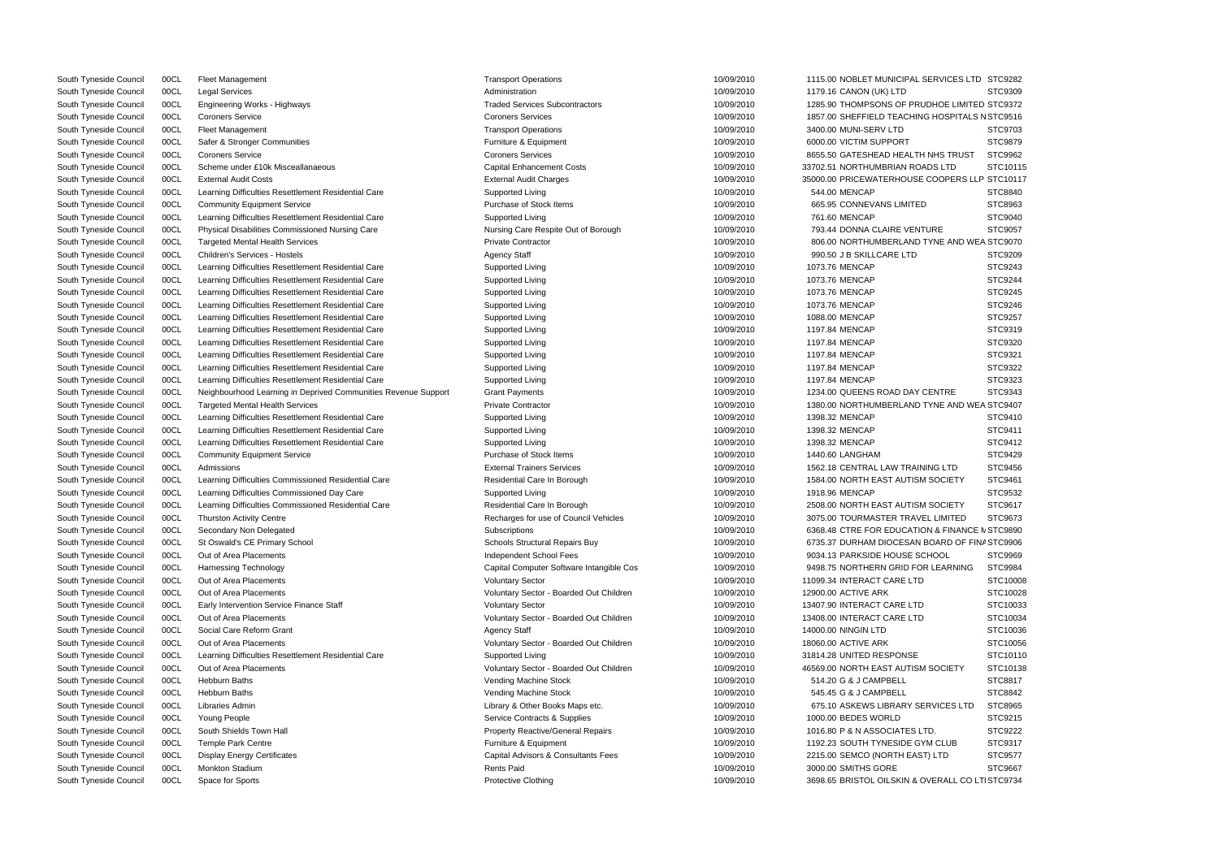| South Tyneside Council | 00CL | Fleet Management                                               | <b>Transport Operations</b>              | 10/09/2010 | 1115.00 NOBLET MUNICIPAL SERVICES LTD STC9282    |          |
|------------------------|------|----------------------------------------------------------------|------------------------------------------|------------|--------------------------------------------------|----------|
| South Tyneside Council | 00CL | <b>Legal Services</b>                                          | Administration                           | 10/09/2010 | 1179.16 CANON (UK) LTD                           | STC9309  |
| South Tyneside Council | 00CL | Engineering Works - Highways                                   | <b>Traded Services Subcontractors</b>    | 10/09/2010 | 1285.90 THOMPSONS OF PRUDHOE LIMITED STC9372     |          |
| South Tyneside Council | 00CL | <b>Coroners Service</b>                                        | <b>Coroners Services</b>                 | 10/09/2010 | 1857.00 SHEFFIELD TEACHING HOSPITALS N STC9516   |          |
| South Tyneside Council | 00CL | <b>Fleet Management</b>                                        | <b>Transport Operations</b>              | 10/09/2010 | 3400.00 MUNI-SERV LTD                            | STC9703  |
| South Tyneside Council | 00CL | Safer & Stronger Communities                                   | Furniture & Equipment                    | 10/09/2010 | 6000.00 VICTIM SUPPORT                           | STC9879  |
| South Tyneside Council | 00CL | <b>Coroners Service</b>                                        | <b>Coroners Services</b>                 | 10/09/2010 | 8655.50 GATESHEAD HEALTH NHS TRUST               | STC9962  |
| South Tyneside Council | 00CL | Scheme under £10k Misceallanaeous                              | <b>Capital Enhancement Costs</b>         | 10/09/2010 | 33702.51 NORTHUMBRIAN ROADS LTD                  | STC10115 |
| South Tyneside Council | 00CL | <b>External Audit Costs</b>                                    | <b>External Audit Charges</b>            | 10/09/2010 | 35000.00 PRICEWATERHOUSE COOPERS LLP STC10117    |          |
| South Tyneside Council | 00CL | Learning Difficulties Resettlement Residential Care            | Supported Living                         | 10/09/2010 | 544.00 MENCAP                                    | STC8840  |
| South Tyneside Council | 00CL | <b>Community Equipment Service</b>                             | Purchase of Stock Items                  | 10/09/2010 | 665.95 CONNEVANS LIMITED                         | STC8963  |
| South Tyneside Council | 00CL | Learning Difficulties Resettlement Residential Care            | Supported Living                         | 10/09/2010 | 761.60 MENCAP                                    | STC9040  |
| South Tyneside Council | 00CL | Physical Disabilities Commissioned Nursing Care                | Nursing Care Respite Out of Borough      | 10/09/2010 | 793.44 DONNA CLAIRE VENTURE                      | STC9057  |
| South Tyneside Council | 00CL | <b>Targeted Mental Health Services</b>                         | <b>Private Contractor</b>                | 10/09/2010 | 806.00 NORTHUMBERLAND TYNE AND WEA STC9070       |          |
| South Tyneside Council | 00CL | <b>Children's Services - Hostels</b>                           | <b>Agency Staff</b>                      | 10/09/2010 | 990.50 J B SKILLCARE LTD                         | STC9209  |
| South Tyneside Council | 00CL | Learning Difficulties Resettlement Residential Care            | Supported Living                         | 10/09/2010 | 1073.76 MENCAP                                   | STC9243  |
| South Tyneside Council | 00CL | Learning Difficulties Resettlement Residential Care            | Supported Living                         | 10/09/2010 | 1073.76 MENCAP                                   | STC9244  |
| South Tyneside Council | 00CL | Learning Difficulties Resettlement Residential Care            | Supported Living                         | 10/09/2010 | 1073.76 MENCAP                                   | STC9245  |
|                        |      |                                                                |                                          |            |                                                  | STC9246  |
| South Tyneside Council | 00CL | Learning Difficulties Resettlement Residential Care            | Supported Living                         | 10/09/2010 | 1073.76 MENCAP                                   | STC9257  |
| South Tyneside Council | 00CL | Learning Difficulties Resettlement Residential Care            | Supported Living                         | 10/09/2010 | 1088.00 MENCAP                                   |          |
| South Tyneside Council | 00CL | Learning Difficulties Resettlement Residential Care            | Supported Living                         | 10/09/2010 | 1197.84 MENCAP                                   | STC9319  |
| South Tyneside Council | 00CL | Learning Difficulties Resettlement Residential Care            | Supported Living                         | 10/09/2010 | 1197.84 MENCAP                                   | STC9320  |
| South Tyneside Council | 00CL | Learning Difficulties Resettlement Residential Care            | Supported Living                         | 10/09/2010 | 1197.84 MENCAP                                   | STC9321  |
| South Tyneside Council | 00CL | Learning Difficulties Resettlement Residential Care            | Supported Living                         | 10/09/2010 | 1197.84 MENCAP                                   | STC9322  |
| South Tyneside Council | 00CL | Learning Difficulties Resettlement Residential Care            | Supported Living                         | 10/09/2010 | 1197.84 MENCAP                                   | STC9323  |
| South Tyneside Council | 00CL | Neighbourhood Learning in Deprived Communities Revenue Support | <b>Grant Payments</b>                    | 10/09/2010 | 1234.00 QUEENS ROAD DAY CENTRE                   | STC9343  |
| South Tyneside Council | 00CL | <b>Targeted Mental Health Services</b>                         | <b>Private Contractor</b>                | 10/09/2010 | 1380.00 NORTHUMBERLAND TYNE AND WEA STC9407      |          |
| South Tyneside Council | 00CL | Learning Difficulties Resettlement Residential Care            | Supported Living                         | 10/09/2010 | 1398.32 MENCAP                                   | STC9410  |
| South Tyneside Council | 00CL | Learning Difficulties Resettlement Residential Care            | Supported Living                         | 10/09/2010 | 1398.32 MENCAP                                   | STC9411  |
| South Tyneside Council | 00CL | Learning Difficulties Resettlement Residential Care            | Supported Living                         | 10/09/2010 | 1398.32 MENCAP                                   | STC9412  |
| South Tyneside Council | 00CL | <b>Community Equipment Service</b>                             | Purchase of Stock Items                  | 10/09/2010 | 1440.60 LANGHAM                                  | STC9429  |
| South Tyneside Council | 00CL | Admissions                                                     | <b>External Trainers Services</b>        | 10/09/2010 | 1562.18 CENTRAL LAW TRAINING LTD                 | STC9456  |
| South Tyneside Council | 00CL | Learning Difficulties Commissioned Residential Care            | Residential Care In Borough              | 10/09/2010 | 1584.00 NORTH EAST AUTISM SOCIETY                | STC9461  |
| South Tyneside Council | 00CL | Learning Difficulties Commissioned Day Care                    | Supported Living                         | 10/09/2010 | 1918.96 MENCAP                                   | STC9532  |
| South Tyneside Council | 00CL | Learning Difficulties Commissioned Residential Care            | Residential Care In Borough              | 10/09/2010 | 2508.00 NORTH EAST AUTISM SOCIETY                | STC9617  |
| South Tyneside Council | 00CL | <b>Thurston Activity Centre</b>                                | Recharges for use of Council Vehicles    | 10/09/2010 | 3075.00 TOURMASTER TRAVEL LIMITED                | STC9673  |
| South Tyneside Council | 00CL | Secondary Non Delegated                                        | Subscriptions                            | 10/09/2010 | 6368.48 CTRE FOR EDUCATION & FINANCE N STC9890   |          |
| South Tyneside Council | 00CL | St Oswald's CE Primary School                                  | Schools Structural Repairs Buy           | 10/09/2010 | 6735.37 DURHAM DIOCESAN BOARD OF FINA STC9906    |          |
| South Tyneside Council | 00CL | Out of Area Placements                                         | Independent School Fees                  | 10/09/2010 | 9034.13 PARKSIDE HOUSE SCHOOL                    | STC9969  |
| South Tyneside Council | 00CL | <b>Harnessing Technology</b>                                   | Capital Computer Software Intangible Cos | 10/09/2010 | 9498.75 NORTHERN GRID FOR LEARNING               | STC9984  |
| South Tyneside Council | 00CL | Out of Area Placements                                         | <b>Voluntary Sector</b>                  | 10/09/2010 | 11099.34 INTERACT CARE LTD                       | STC10008 |
| South Tyneside Council | 00CL | Out of Area Placements                                         | Voluntary Sector - Boarded Out Children  | 10/09/2010 | 12900.00 ACTIVE ARK                              | STC10028 |
| South Tyneside Council | 00CL | Early Intervention Service Finance Staff                       | <b>Voluntary Sector</b>                  | 10/09/2010 | 13407.90 INTERACT CARE LTD                       | STC10033 |
| South Tyneside Council | 00CL | Out of Area Placements                                         | Voluntary Sector - Boarded Out Children  | 10/09/2010 | 13408.00 INTERACT CARE LTD                       | STC10034 |
| South Tyneside Council | 00CL | Social Care Reform Grant                                       | <b>Agency Staff</b>                      | 10/09/2010 | 14000.00 NINGIN LTD                              | STC10036 |
| South Tyneside Council | 00CL | Out of Area Placements                                         | Voluntary Sector - Boarded Out Children  | 10/09/2010 | 18060.00 ACTIVE ARK                              | STC10056 |
| South Tyneside Council | 00CL | Learning Difficulties Resettlement Residential Care            | Supported Living                         | 10/09/2010 | 31814.28 UNITED RESPONSE                         | STC10110 |
| South Tyneside Council | 00CL | Out of Area Placements                                         | Voluntary Sector - Boarded Out Children  | 10/09/2010 | 46569.00 NORTH EAST AUTISM SOCIETY               | STC10138 |
| South Tyneside Council | 00CL | Hebburn Baths                                                  | Vending Machine Stock                    | 10/09/2010 | 514.20 G & J CAMPBELL                            | STC8817  |
|                        | 00CL | <b>Hebburn Baths</b>                                           |                                          | 10/09/2010 | 545.45 G & J CAMPBELL                            | STC8842  |
| South Tyneside Council |      |                                                                | Vending Machine Stock                    |            |                                                  |          |
| South Tyneside Council | 00CL | Libraries Admin                                                | Library & Other Books Maps etc.          | 10/09/2010 | 675.10 ASKEWS LIBRARY SERVICES LTD               | STC8965  |
| South Tyneside Council | 00CL | Young People                                                   | Service Contracts & Supplies             | 10/09/2010 | 1000.00 BEDES WORLD                              | STC9215  |
| South Tyneside Council | 00CL | South Shields Town Hall                                        | <b>Property Reactive/General Repairs</b> | 10/09/2010 | 1016.80 P & N ASSOCIATES LTD.                    | STC9222  |
| South Tyneside Council | 00CL | <b>Temple Park Centre</b>                                      | Furniture & Equipment                    | 10/09/2010 | 1192.23 SOUTH TYNESIDE GYM CLUB                  | STC9317  |
| South Tyneside Council | 00CL | <b>Display Energy Certificates</b>                             | Capital Advisors & Consultants Fees      | 10/09/2010 | 2215.00 SEMCO (NORTH EAST) LTD                   | STC9577  |
| South Tyneside Council | 00CL | Monkton Stadium                                                | Rents Paid                               | 10/09/2010 | 3000.00 SMITHS GORE                              | STC9667  |
| South Tyneside Council | 00CL | Space for Sports                                               | <b>Protective Clothing</b>               | 10/09/2010 | 3698.65 BRISTOL OILSKIN & OVERALL CO LTI STC9734 |          |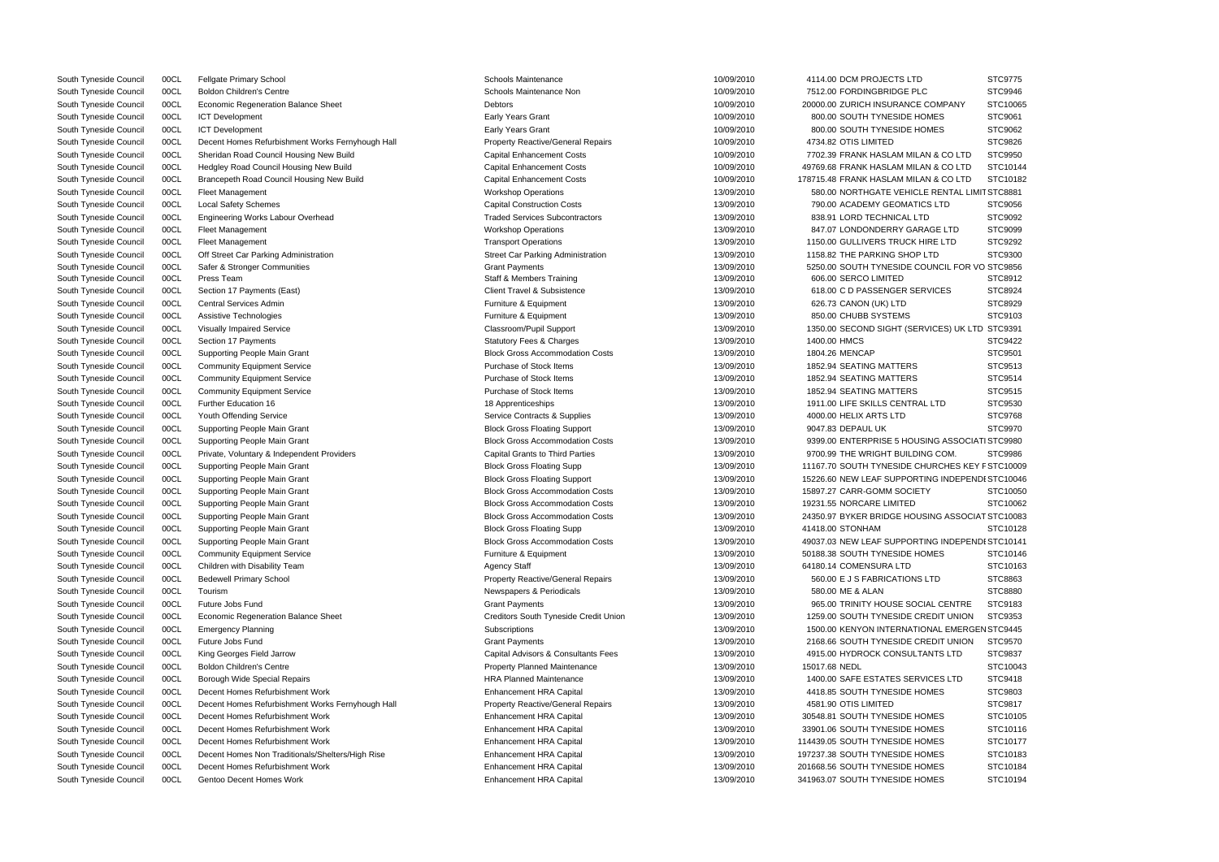|                               | STC9775  |
|-------------------------------|----------|
| С                             | STC9946  |
| <b>COMPANY</b>                | STC10065 |
| OMES                          | STC9061  |
| OMES                          | STC9062  |
|                               | STC9826  |
| AN & CO LTD                   | STC9950  |
| AN & CO LTD                   | STC10144 |
| AN & CO LTD                   | STC10182 |
| E RENTAL LIMIT STC8881        |          |
| CS LTD                        | STC9056  |
| D                             | STC9092  |
| AGE LTD                       | STC9099  |
| IRE LTD                       | STC9292  |
| <b>LTD</b>                    | STC9300  |
| <b>OUNCIL FOR VO STC9856</b>  |          |
|                               | STC8912  |
| RVICES                        | STC8924  |
|                               |          |
|                               | STC8929  |
|                               | STC9103  |
| <b>IVICES) UK LTD STC9391</b> |          |
|                               | STC9422  |
|                               | STC9501  |
|                               | STC9513  |
|                               | STC9514  |
|                               | STC9515  |
| L LTD،                        | STC9530  |
|                               | STC9768  |
|                               | STC9970  |
| SING ASSOCIATI STC9980        |          |
| NG COM.                       | STC9986  |
| <b>HURCHES KEY F STC10009</b> |          |
| ING INDEPENDI STC10046        |          |
| ΓY                            | STC10050 |
|                               | STC10062 |
| SING ASSOCIAT STC10083        |          |
|                               | STC10128 |
| ING INDEPENDI STC10141        |          |
| OMES                          | STC10146 |
|                               | STC10163 |
| <b>LTD</b>                    | STC8863  |
|                               | STC8880  |
| <b>IAL CENTRE</b>             | STC9183  |
| REDIT UNION                   |          |
|                               | STC9353  |
| ONAL EMERGEN STC9445          |          |
| REDIT UNION                   | STC9570  |
| <b>ANTS LTD</b>               | STC9837  |
|                               | STC10043 |
| VICES LTD                     | STC9418  |
| OMES                          | STC9803  |
|                               | STC9817  |
| OMES                          | STC10105 |
| <b>OMES</b>                   | STC10116 |
| <b>OMES</b>                   | STC10177 |
| <b>OMES</b>                   | STC10183 |
| OMES                          | STC10184 |
| OMES                          | STC10194 |
|                               |          |

| South Tyneside Council | 00CL | <b>Fellgate Primary School</b>                   | <b>Schools Maintenance</b>               | 10/09/2010 | 4114.00 DCM PROJECTS LTD                        | STC9775  |
|------------------------|------|--------------------------------------------------|------------------------------------------|------------|-------------------------------------------------|----------|
| South Tyneside Council | 00CL | <b>Boldon Children's Centre</b>                  | Schools Maintenance Non                  | 10/09/2010 | 7512.00 FORDINGBRIDGE PLC                       | STC9946  |
| South Tyneside Council | 00CL | <b>Economic Regeneration Balance Sheet</b>       | Debtors                                  | 10/09/2010 | 20000.00 ZURICH INSURANCE COMPANY               | STC10065 |
| South Tyneside Council | 00CL | <b>ICT Development</b>                           | Early Years Grant                        | 10/09/2010 | 800.00 SOUTH TYNESIDE HOMES                     | STC9061  |
| South Tyneside Council | 00CL | ICT Development                                  | Early Years Grant                        | 10/09/2010 | 800.00 SOUTH TYNESIDE HOMES                     | STC9062  |
| South Tyneside Council | 00CL | Decent Homes Refurbishment Works Fernyhough Hall | <b>Property Reactive/General Repairs</b> | 10/09/2010 | 4734.82 OTIS LIMITED                            | STC9826  |
| South Tyneside Council | 00CL | Sheridan Road Council Housing New Build          | <b>Capital Enhancement Costs</b>         | 10/09/2010 | 7702.39 FRANK HASLAM MILAN & CO LTD             | STC9950  |
| South Tyneside Council | 00CL | Hedgley Road Council Housing New Build           | <b>Capital Enhancement Costs</b>         | 10/09/2010 | 49769.68 FRANK HASLAM MILAN & CO LTD            | STC10144 |
| South Tyneside Council | 00CL | Brancepeth Road Council Housing New Build        | <b>Capital Enhancement Costs</b>         | 10/09/2010 | 178715.48 FRANK HASLAM MILAN & CO LTD           | STC10182 |
| South Tyneside Council | 00CL | Fleet Management                                 | <b>Workshop Operations</b>               | 13/09/2010 | 580.00 NORTHGATE VEHICLE RENTAL LIMIT STC8881   |          |
| South Tyneside Council | 00CL | <b>Local Safety Schemes</b>                      | <b>Capital Construction Costs</b>        | 13/09/2010 | 790.00 ACADEMY GEOMATICS LTD                    | STC9056  |
| South Tyneside Council | 00CL | <b>Engineering Works Labour Overhead</b>         | <b>Traded Services Subcontractors</b>    | 13/09/2010 | 838.91 LORD TECHNICAL LTD                       | STC9092  |
| South Tyneside Council | 00CL | Fleet Management                                 | <b>Workshop Operations</b>               | 13/09/2010 | 847.07 LONDONDERRY GARAGE LTD                   | STC9099  |
| South Tyneside Council | 00CL | Fleet Management                                 | <b>Transport Operations</b>              | 13/09/2010 | 1150.00 GULLIVERS TRUCK HIRE LTD                | STC9292  |
| South Tyneside Council | 00CL | Off Street Car Parking Administration            | <b>Street Car Parking Administration</b> | 13/09/2010 | 1158.82 THE PARKING SHOP LTD                    | STC9300  |
| South Tyneside Council | 00CL | Safer & Stronger Communities                     | <b>Grant Payments</b>                    | 13/09/2010 | 5250.00 SOUTH TYNESIDE COUNCIL FOR VO STC9856   |          |
| South Tyneside Council | 00CL | Press Team                                       | <b>Staff &amp; Members Training</b>      | 13/09/2010 | 606.00 SERCO LIMITED                            | STC8912  |
| South Tyneside Council | 00CL | Section 17 Payments (East)                       | <b>Client Travel &amp; Subsistence</b>   | 13/09/2010 | 618.00 C D PASSENGER SERVICES                   | STC8924  |
| South Tyneside Council | 00CL | <b>Central Services Admin</b>                    | Furniture & Equipment                    | 13/09/2010 | 626.73 CANON (UK) LTD                           | STC8929  |
| South Tyneside Council | 00CL | Assistive Technologies                           | Furniture & Equipment                    | 13/09/2010 | 850.00 CHUBB SYSTEMS                            | STC9103  |
| South Tyneside Council | 00CL | <b>Visually Impaired Service</b>                 | Classroom/Pupil Support                  | 13/09/2010 | 1350.00 SECOND SIGHT (SERVICES) UK LTD STC9391  |          |
| South Tyneside Council | 00CL | Section 17 Payments                              | <b>Statutory Fees &amp; Charges</b>      | 13/09/2010 | 1400.00 HMCS                                    | STC9422  |
|                        | 00CL |                                                  | <b>Block Gross Accommodation Costs</b>   | 13/09/2010 | 1804.26 MENCAP                                  | STC9501  |
| South Tyneside Council | 00CL | Supporting People Main Grant                     | Purchase of Stock Items                  | 13/09/2010 | 1852.94 SEATING MATTERS                         | STC9513  |
| South Tyneside Council |      | <b>Community Equipment Service</b>               |                                          |            |                                                 |          |
| South Tyneside Council | 00CL | <b>Community Equipment Service</b>               | Purchase of Stock Items                  | 13/09/2010 | 1852.94 SEATING MATTERS                         | STC9514  |
| South Tyneside Council | 00CL | <b>Community Equipment Service</b>               | Purchase of Stock Items                  | 13/09/2010 | 1852.94 SEATING MATTERS                         | STC9515  |
| South Tyneside Council | 00CL | <b>Further Education 16</b>                      | 18 Apprenticeships                       | 13/09/2010 | 1911.00 LIFE SKILLS CENTRAL LTD                 | STC9530  |
| South Tyneside Council | 00CL | Youth Offending Service                          | Service Contracts & Supplies             | 13/09/2010 | 4000.00 HELIX ARTS LTD                          | STC9768  |
| South Tyneside Council | 00CL | Supporting People Main Grant                     | <b>Block Gross Floating Support</b>      | 13/09/2010 | 9047.83 DEPAUL UK                               | STC9970  |
| South Tyneside Council | 00CL | Supporting People Main Grant                     | <b>Block Gross Accommodation Costs</b>   | 13/09/2010 | 9399.00 ENTERPRISE 5 HOUSING ASSOCIATI STC9980  |          |
| South Tyneside Council | 00CL | Private, Voluntary & Independent Providers       | <b>Capital Grants to Third Parties</b>   | 13/09/2010 | 9700.99 THE WRIGHT BUILDING COM.                | STC9986  |
| South Tyneside Council | 00CL | Supporting People Main Grant                     | <b>Block Gross Floating Supp</b>         | 13/09/2010 | 11167.70 SOUTH TYNESIDE CHURCHES KEY F STC10009 |          |
| South Tyneside Council | 00CL | Supporting People Main Grant                     | <b>Block Gross Floating Support</b>      | 13/09/2010 | 15226.60 NEW LEAF SUPPORTING INDEPENDI STC10046 |          |
| South Tyneside Council | 00CL | Supporting People Main Grant                     | <b>Block Gross Accommodation Costs</b>   | 13/09/2010 | 15897.27 CARR-GOMM SOCIETY                      | STC10050 |
| South Tyneside Council | 00CL | Supporting People Main Grant                     | <b>Block Gross Accommodation Costs</b>   | 13/09/2010 | 19231.55 NORCARE LIMITED                        | STC10062 |
| South Tyneside Council | 00CL | Supporting People Main Grant                     | <b>Block Gross Accommodation Costs</b>   | 13/09/2010 | 24350.97 BYKER BRIDGE HOUSING ASSOCIAT STC10083 |          |
| South Tyneside Council | 00CL | Supporting People Main Grant                     | <b>Block Gross Floating Supp</b>         | 13/09/2010 | 41418.00 STONHAM                                | STC10128 |
| South Tyneside Council | 00CL | Supporting People Main Grant                     | <b>Block Gross Accommodation Costs</b>   | 13/09/2010 | 49037.03 NEW LEAF SUPPORTING INDEPENDI STC10141 |          |
| South Tyneside Council | 00CL | <b>Community Equipment Service</b>               | Furniture & Equipment                    | 13/09/2010 | 50188.38 SOUTH TYNESIDE HOMES                   | STC10146 |
| South Tyneside Council | 00CL | Children with Disability Team                    | <b>Agency Staff</b>                      | 13/09/2010 | 64180.14 COMENSURA LTD                          | STC10163 |
| South Tyneside Council | 00CL | <b>Bedewell Primary School</b>                   | <b>Property Reactive/General Repairs</b> | 13/09/2010 | 560.00 E J S FABRICATIONS LTD                   | STC8863  |
| South Tyneside Council | 00CL | Tourism                                          | Newspapers & Periodicals                 | 13/09/2010 | 580.00 ME & ALAN                                | STC8880  |
| South Tyneside Council | 00CL | Future Jobs Fund                                 | <b>Grant Payments</b>                    | 13/09/2010 | 965.00 TRINITY HOUSE SOCIAL CENTRE              | STC9183  |
| South Tyneside Council | 00CL | <b>Economic Regeneration Balance Sheet</b>       | Creditors South Tyneside Credit Union    | 13/09/2010 | 1259.00 SOUTH TYNESIDE CREDIT UNION             | STC9353  |
| South Tyneside Council | 00CL | <b>Emergency Planning</b>                        | Subscriptions                            | 13/09/2010 | 1500.00 KENYON INTERNATIONAL EMERGEN STC9445    |          |
| South Tyneside Council | 00CL | Future Jobs Fund                                 | <b>Grant Payments</b>                    | 13/09/2010 | 2168.66 SOUTH TYNESIDE CREDIT UNION             | STC9570  |
| South Tyneside Council | 00CL | King Georges Field Jarrow                        | Capital Advisors & Consultants Fees      | 13/09/2010 | 4915.00 HYDROCK CONSULTANTS LTD                 | STC9837  |
| South Tyneside Council | 00CL | <b>Boldon Children's Centre</b>                  | <b>Property Planned Maintenance</b>      | 13/09/2010 | 15017.68 NEDL                                   | STC10043 |
| South Tyneside Council | 00CL | Borough Wide Special Repairs                     | <b>HRA Planned Maintenance</b>           | 13/09/2010 | 1400.00 SAFE ESTATES SERVICES LTD               | STC9418  |
| South Tyneside Council | 00CL | Decent Homes Refurbishment Work                  | <b>Enhancement HRA Capital</b>           | 13/09/2010 | 4418.85 SOUTH TYNESIDE HOMES                    | STC9803  |
| South Tyneside Council | 00CL | Decent Homes Refurbishment Works Fernyhough Hall | <b>Property Reactive/General Repairs</b> | 13/09/2010 | 4581.90 OTIS LIMITED                            | STC9817  |
| South Tyneside Council | 00CL | Decent Homes Refurbishment Work                  | <b>Enhancement HRA Capital</b>           | 13/09/2010 | 30548.81 SOUTH TYNESIDE HOMES                   | STC10105 |
| South Tyneside Council | 00CL | Decent Homes Refurbishment Work                  | <b>Enhancement HRA Capital</b>           | 13/09/2010 | 33901.06 SOUTH TYNESIDE HOMES                   | STC10116 |
| South Tyneside Council | 00CL | Decent Homes Refurbishment Work                  | <b>Enhancement HRA Capital</b>           | 13/09/2010 | 114439.05 SOUTH TYNESIDE HOMES                  | STC10177 |
| South Tyneside Council | 00CL | Decent Homes Non Traditionals/Shelters/High Rise | Enhancement HRA Capital                  | 13/09/2010 | 197237.38 SOUTH TYNESIDE HOMES                  | STC10183 |
| South Tyneside Council | 00CL | Decent Homes Refurbishment Work                  | <b>Enhancement HRA Capital</b>           | 13/09/2010 | 201668.56 SOUTH TYNESIDE HOMES                  | STC10184 |
| South Tyneside Council | 00CL | Gentoo Decent Homes Work                         | <b>Enhancement HRA Capital</b>           | 13/09/2010 | 341963.07 SOUTH TYNESIDE HOMES                  | STC10194 |
|                        |      |                                                  |                                          |            |                                                 |          |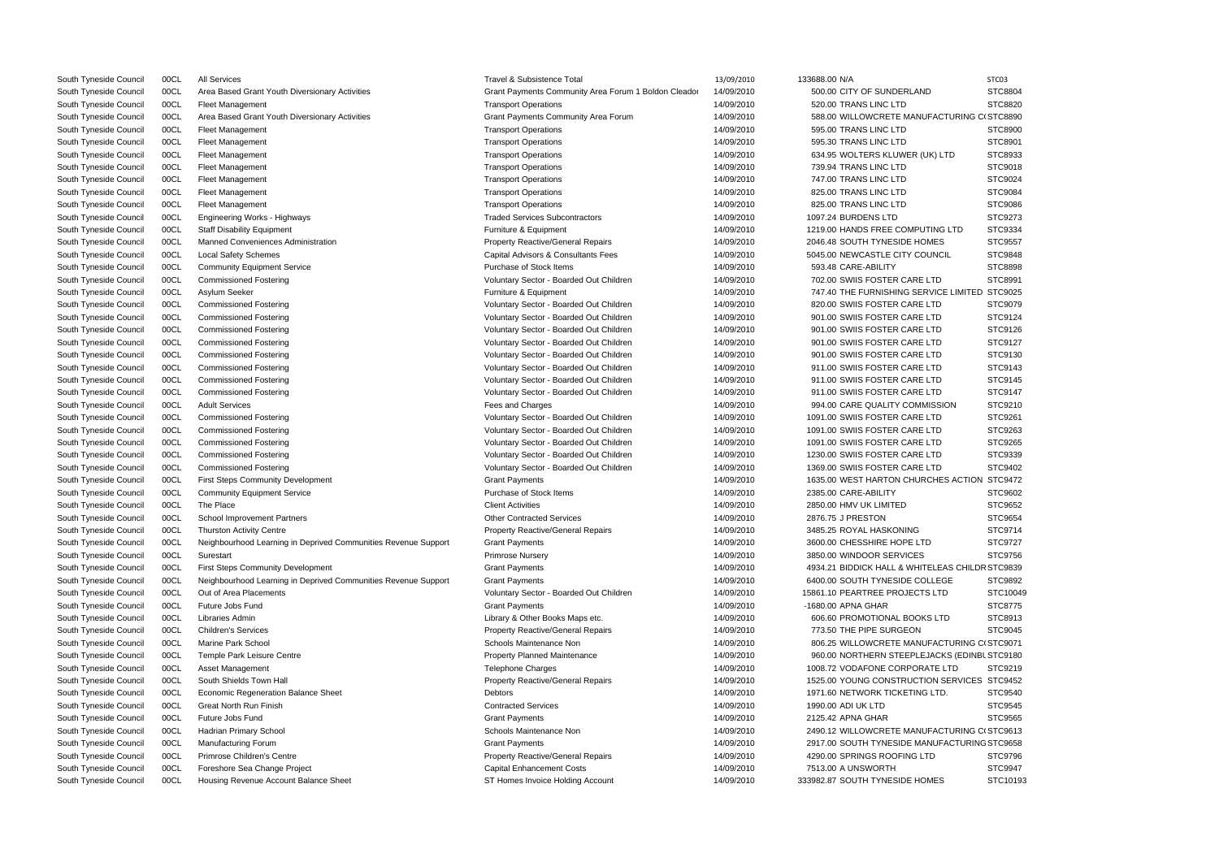| South Tyneside Council                           | 00CL | <b>All Services</b>                                            | Travel & Subsistence Total                           | 13/09/2010 | 133688.00 N/A                                   | STC03          |
|--------------------------------------------------|------|----------------------------------------------------------------|------------------------------------------------------|------------|-------------------------------------------------|----------------|
| South Tyneside Council                           | 00CL | Area Based Grant Youth Diversionary Activities                 | Grant Payments Community Area Forum 1 Boldon Cleador | 14/09/2010 | 500.00 CITY OF SUNDERLAND                       | STC8804        |
| South Tyneside Council                           | 00CL | <b>Fleet Management</b>                                        | <b>Transport Operations</b>                          | 14/09/2010 | 520.00 TRANS LINC LTD                           | STC8820        |
| South Tyneside Council                           | 00CL | Area Based Grant Youth Diversionary Activities                 | Grant Payments Community Area Forum                  | 14/09/2010 | 588.00 WILLOWCRETE MANUFACTURING CI STC8890     |                |
| South Tyneside Council                           | 00CL | <b>Fleet Management</b>                                        | <b>Transport Operations</b>                          | 14/09/2010 | 595.00 TRANS LINC LTD                           | STC8900        |
| South Tyneside Council                           | 00CL | <b>Fleet Management</b>                                        | <b>Transport Operations</b>                          | 14/09/2010 | 595.30 TRANS LINC LTD                           | STC8901        |
| South Tyneside Council                           | 00CL | <b>Fleet Management</b>                                        | <b>Transport Operations</b>                          | 14/09/2010 | 634.95 WOLTERS KLUWER (UK) LTD                  | STC8933        |
| South Tyneside Council                           | 00CL | Fleet Management                                               | <b>Transport Operations</b>                          | 14/09/2010 | 739.94 TRANS LINC LTD                           | STC9018        |
| South Tyneside Council                           | 00CL | <b>Fleet Management</b>                                        | <b>Transport Operations</b>                          | 14/09/2010 | 747.00 TRANS LINC LTD                           | STC9024        |
| South Tyneside Council                           | 00CL | <b>Fleet Management</b>                                        | <b>Transport Operations</b>                          | 14/09/2010 | 825.00 TRANS LINC LTD                           | STC9084        |
| South Tyneside Council                           | 00CL | Fleet Management                                               | <b>Transport Operations</b>                          | 14/09/2010 | 825.00 TRANS LINC LTD                           | STC9086        |
| South Tyneside Council                           | 00CL | Engineering Works - Highways                                   | <b>Traded Services Subcontractors</b>                | 14/09/2010 | 1097.24 BURDENS LTD                             | STC9273        |
| South Tyneside Council                           | 00CL | <b>Staff Disability Equipment</b>                              | Furniture & Equipment                                | 14/09/2010 | 1219.00 HANDS FREE COMPUTING LTD                | STC9334        |
| South Tyneside Council                           | 00CL | Manned Conveniences Administration                             | <b>Property Reactive/General Repairs</b>             | 14/09/2010 | 2046.48 SOUTH TYNESIDE HOMES                    | STC9557        |
| South Tyneside Council                           | 00CL | <b>Local Safety Schemes</b>                                    | Capital Advisors & Consultants Fees                  | 14/09/2010 | 5045.00 NEWCASTLE CITY COUNCIL                  | STC9848        |
| South Tyneside Council                           | 00CL | <b>Community Equipment Service</b>                             | Purchase of Stock Items                              | 14/09/2010 | 593.48 CARE-ABILITY                             | <b>STC8898</b> |
| South Tyneside Council                           | 00CL | <b>Commissioned Fostering</b>                                  | Voluntary Sector - Boarded Out Children              | 14/09/2010 | 702.00 SWIIS FOSTER CARE LTD                    | STC8991        |
| South Tyneside Council                           | 00CL | Asylum Seeker                                                  | Furniture & Equipment                                | 14/09/2010 | 747.40 THE FURNISHING SERVICE LIMITED STC9025   |                |
|                                                  |      |                                                                |                                                      | 14/09/2010 | 820.00 SWIIS FOSTER CARE LTD                    | STC9079        |
| South Tyneside Council<br>South Tyneside Council | 00CL | <b>Commissioned Fostering</b>                                  | Voluntary Sector - Boarded Out Children              | 14/09/2010 | 901.00 SWIIS FOSTER CARE LTD                    | STC9124        |
|                                                  | 00CL | <b>Commissioned Fostering</b>                                  | Voluntary Sector - Boarded Out Children              |            |                                                 |                |
| South Tyneside Council                           | 00CL | <b>Commissioned Fostering</b>                                  | Voluntary Sector - Boarded Out Children              | 14/09/2010 | 901.00 SWIIS FOSTER CARE LTD                    | STC9126        |
| South Tyneside Council                           | 00CL | <b>Commissioned Fostering</b>                                  | Voluntary Sector - Boarded Out Children              | 14/09/2010 | 901.00 SWIIS FOSTER CARE LTD                    | STC9127        |
| South Tyneside Council                           | 00CL | <b>Commissioned Fostering</b>                                  | Voluntary Sector - Boarded Out Children              | 14/09/2010 | 901.00 SWIIS FOSTER CARE LTD                    | STC9130        |
| South Tyneside Council                           | 00CL | <b>Commissioned Fostering</b>                                  | Voluntary Sector - Boarded Out Children              | 14/09/2010 | 911.00 SWIIS FOSTER CARE LTD                    | STC9143        |
| South Tyneside Council                           | 00CL | <b>Commissioned Fostering</b>                                  | Voluntary Sector - Boarded Out Children              | 14/09/2010 | 911.00 SWIIS FOSTER CARE LTD                    | STC9145        |
| South Tyneside Council                           | 00CL | <b>Commissioned Fostering</b>                                  | Voluntary Sector - Boarded Out Children              | 14/09/2010 | 911.00 SWIIS FOSTER CARE LTD                    | STC9147        |
| South Tyneside Council                           | 00CL | <b>Adult Services</b>                                          | Fees and Charges                                     | 14/09/2010 | 994.00 CARE QUALITY COMMISSION                  | STC9210        |
| South Tyneside Council                           | 00CL | <b>Commissioned Fostering</b>                                  | Voluntary Sector - Boarded Out Children              | 14/09/2010 | 1091.00 SWIIS FOSTER CARE LTD                   | STC9261        |
| South Tyneside Council                           | 00CL | <b>Commissioned Fostering</b>                                  | Voluntary Sector - Boarded Out Children              | 14/09/2010 | 1091.00 SWIIS FOSTER CARE LTD                   | STC9263        |
| South Tyneside Council                           | 00CL | <b>Commissioned Fostering</b>                                  | Voluntary Sector - Boarded Out Children              | 14/09/2010 | 1091.00 SWIIS FOSTER CARE LTD                   | STC9265        |
| South Tyneside Council                           | 00CL | <b>Commissioned Fostering</b>                                  | Voluntary Sector - Boarded Out Children              | 14/09/2010 | 1230.00 SWIIS FOSTER CARE LTD                   | STC9339        |
| South Tyneside Council                           | 00CL | <b>Commissioned Fostering</b>                                  | Voluntary Sector - Boarded Out Children              | 14/09/2010 | 1369.00 SWIIS FOSTER CARE LTD                   | STC9402        |
| South Tyneside Council                           | 00CL | <b>First Steps Community Development</b>                       | <b>Grant Payments</b>                                | 14/09/2010 | 1635.00 WEST HARTON CHURCHES ACTION STC9472     |                |
| South Tyneside Council                           | 00CL | <b>Community Equipment Service</b>                             | Purchase of Stock Items                              | 14/09/2010 | 2385.00 CARE-ABILITY                            | STC9602        |
| South Tyneside Council                           | 00CL | The Place                                                      | <b>Client Activities</b>                             | 14/09/2010 | 2850.00 HMV UK LIMITED                          | STC9652        |
| South Tyneside Council                           | 00CL | School Improvement Partners                                    | <b>Other Contracted Services</b>                     | 14/09/2010 | 2876.75 J PRESTON                               | STC9654        |
| South Tyneside Council                           | 00CL | <b>Thurston Activity Centre</b>                                | <b>Property Reactive/General Repairs</b>             | 14/09/2010 | 3485.25 ROYAL HASKONING                         | STC9714        |
| South Tyneside Council                           | 00CL | Neighbourhood Learning in Deprived Communities Revenue Support | <b>Grant Payments</b>                                | 14/09/2010 | 3600.00 CHESSHIRE HOPE LTD                      | STC9727        |
| South Tyneside Council                           | 00CL | Surestart                                                      | <b>Primrose Nursery</b>                              | 14/09/2010 | 3850.00 WINDOOR SERVICES                        | STC9756        |
| South Tyneside Council                           | 00CL | First Steps Community Development                              | <b>Grant Payments</b>                                | 14/09/2010 | 4934.21 BIDDICK HALL & WHITELEAS CHILDR STC9839 |                |
| South Tyneside Council                           | 00CL | Neighbourhood Learning in Deprived Communities Revenue Support | <b>Grant Payments</b>                                | 14/09/2010 | 6400.00 SOUTH TYNESIDE COLLEGE                  | STC9892        |
| South Tyneside Council                           | 00CL | Out of Area Placements                                         | Voluntary Sector - Boarded Out Children              | 14/09/2010 | 15861.10 PEARTREE PROJECTS LTD                  | STC10049       |
| South Tyneside Council                           | 00CL | Future Jobs Fund                                               | <b>Grant Payments</b>                                | 14/09/2010 | -1680.00 APNA GHAR                              | STC8775        |
| South Tyneside Council                           | 00CL | Libraries Admin                                                | Library & Other Books Maps etc.                      | 14/09/2010 | 606.60 PROMOTIONAL BOOKS LTD                    | STC8913        |
| South Tyneside Council                           | 00CL | <b>Children's Services</b>                                     | <b>Property Reactive/General Repairs</b>             | 14/09/2010 | 773.50 THE PIPE SURGEON                         | STC9045        |
| South Tyneside Council                           | 00CL | Marine Park School                                             | Schools Maintenance Non                              | 14/09/2010 | 806.25 WILLOWCRETE MANUFACTURING CI STC9071     |                |
| South Tyneside Council                           | 00CL | Temple Park Leisure Centre                                     | <b>Property Planned Maintenance</b>                  | 14/09/2010 | 960.00 NORTHERN STEEPLEJACKS (EDINBL STC9180    |                |
| South Tyneside Council                           | 00CL | Asset Management                                               | <b>Telephone Charges</b>                             | 14/09/2010 | 1008.72 VODAFONE CORPORATE LTD                  | STC9219        |
| South Tyneside Council                           | 00CL | South Shields Town Hall                                        | <b>Property Reactive/General Repairs</b>             | 14/09/2010 | 1525.00 YOUNG CONSTRUCTION SERVICES STC9452     |                |
| South Tyneside Council                           | 00CL | <b>Economic Regeneration Balance Sheet</b>                     | Debtors                                              | 14/09/2010 | 1971.60 NETWORK TICKETING LTD.                  | STC9540        |
| South Tyneside Council                           | 00CL | <b>Great North Run Finish</b>                                  | <b>Contracted Services</b>                           | 14/09/2010 | 1990.00 ADI UK LTD                              | STC9545        |
| South Tyneside Council                           | 00CL | Future Jobs Fund                                               | <b>Grant Payments</b>                                | 14/09/2010 | 2125.42 APNA GHAR                               | STC9565        |
| South Tyneside Council                           | 00CL | Hadrian Primary School                                         | Schools Maintenance Non                              | 14/09/2010 | 2490.12 WILLOWCRETE MANUFACTURING CI STC9613    |                |
| South Tyneside Council                           | 00CL | <b>Manufacturing Forum</b>                                     | <b>Grant Payments</b>                                | 14/09/2010 | 2917.00 SOUTH TYNESIDE MANUFACTURING STC9658    |                |
| South Tyneside Council                           | 00CL | Primrose Children's Centre                                     | <b>Property Reactive/General Repairs</b>             | 14/09/2010 | 4290.00 SPRINGS ROOFING LTD                     | STC9796        |
| South Tyneside Council                           | 00CL | Foreshore Sea Change Project                                   | <b>Capital Enhancement Costs</b>                     | 14/09/2010 | 7513.00 A UNSWORTH                              | STC9947        |
| South Tyneside Council                           | 00CL | Housing Revenue Account Balance Sheet                          | ST Homes Invoice Holding Account                     | 14/09/2010 | 333982.87 SOUTH TYNESIDE HOMES                  | STC10193       |
|                                                  |      |                                                                |                                                      |            |                                                 |                |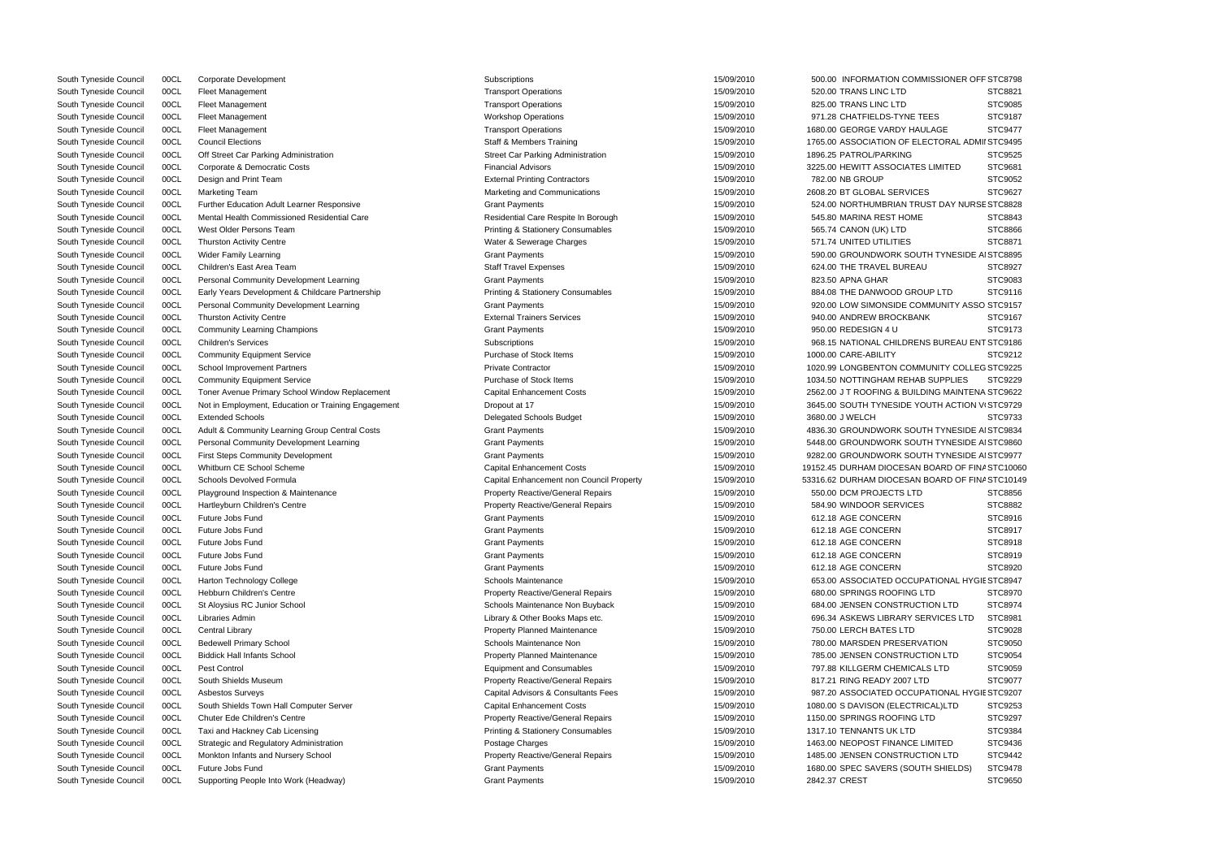| South Tyneside Council | 00CL | Corporate Development                               | Subscriptions                                | 15/09/2010 | 500.00 INFORMATION COMMISSIONER OFF STC8798     |                |
|------------------------|------|-----------------------------------------------------|----------------------------------------------|------------|-------------------------------------------------|----------------|
| South Tyneside Council | 00CL | Fleet Management                                    | <b>Transport Operations</b>                  | 15/09/2010 | 520.00 TRANS LINC LTD                           | STC8821        |
| South Tyneside Council | 00CL | Fleet Management                                    | <b>Transport Operations</b>                  | 15/09/2010 | 825.00 TRANS LINC LTD                           | STC9085        |
| South Tyneside Council | 00CL | Fleet Management                                    | <b>Workshop Operations</b>                   | 15/09/2010 | 971.28 CHATFIELDS-TYNE TEES                     | STC9187        |
| South Tyneside Council | 00CL | <b>Fleet Management</b>                             | <b>Transport Operations</b>                  | 15/09/2010 | 1680.00 GEORGE VARDY HAULAGE                    | <b>STC9477</b> |
| South Tyneside Council | 00CL | <b>Council Elections</b>                            | Staff & Members Training                     | 15/09/2010 | 1765.00 ASSOCIATION OF ELECTORAL ADMII STC9495  |                |
| South Tyneside Council | 00CL | Off Street Car Parking Administration               | <b>Street Car Parking Administration</b>     | 15/09/2010 | 1896.25 PATROL/PARKING                          | STC9525        |
| South Tyneside Council | 00CL | Corporate & Democratic Costs                        | <b>Financial Advisors</b>                    | 15/09/2010 | 3225.00 HEWITT ASSOCIATES LIMITED               | STC9681        |
| South Tyneside Council | 00CL | Design and Print Team                               | <b>External Printing Contractors</b>         | 15/09/2010 | 782.00 NB GROUP                                 | STC9052        |
| South Tyneside Council | 00CL | <b>Marketing Team</b>                               | Marketing and Communications                 | 15/09/2010 | 2608.20 BT GLOBAL SERVICES                      | STC9627        |
| South Tyneside Council | 00CL | Further Education Adult Learner Responsive          | <b>Grant Payments</b>                        | 15/09/2010 | 524.00 NORTHUMBRIAN TRUST DAY NURSE STC8828     |                |
| South Tyneside Council | 00CL | Mental Health Commissioned Residential Care         | Residential Care Respite In Borough          | 15/09/2010 | 545.80 MARINA REST HOME                         | STC8843        |
| South Tyneside Council | 00CL | West Older Persons Team                             | <b>Printing &amp; Stationery Consumables</b> | 15/09/2010 | 565.74 CANON (UK) LTD                           | STC8866        |
| South Tyneside Council | 00CL | <b>Thurston Activity Centre</b>                     | Water & Sewerage Charges                     | 15/09/2010 | 571.74 UNITED UTILITIES                         | STC8871        |
| South Tyneside Council | 00CL | Wider Family Learning                               | <b>Grant Payments</b>                        | 15/09/2010 | 590.00 GROUNDWORK SOUTH TYNESIDE AI STC8895     |                |
| South Tyneside Council | 00CL | Children's East Area Team                           | <b>Staff Travel Expenses</b>                 | 15/09/2010 | 624.00 THE TRAVEL BUREAU                        | STC8927        |
| South Tyneside Council | 00CL | Personal Community Development Learning             | <b>Grant Payments</b>                        | 15/09/2010 | 823.50 APNA GHAR                                | STC9083        |
|                        |      |                                                     |                                              |            |                                                 | STC9116        |
| South Tyneside Council | 00CL | Early Years Development & Childcare Partnership     | <b>Printing &amp; Stationery Consumables</b> | 15/09/2010 | 884.08 THE DANWOOD GROUP LTD                    |                |
| South Tyneside Council | 00CL | Personal Community Development Learning             | <b>Grant Payments</b>                        | 15/09/2010 | 920.00 LOW SIMONSIDE COMMUNITY ASSO STC9157     |                |
| South Tyneside Council | 00CL | <b>Thurston Activity Centre</b>                     | <b>External Trainers Services</b>            | 15/09/2010 | 940.00 ANDREW BROCKBANK                         | STC9167        |
| South Tyneside Council | 00CL | <b>Community Learning Champions</b>                 | <b>Grant Payments</b>                        | 15/09/2010 | 950.00 REDESIGN 4 U                             | STC9173        |
| South Tyneside Council | 00CL | <b>Children's Services</b>                          | Subscriptions                                | 15/09/2010 | 968.15 NATIONAL CHILDRENS BUREAU ENT STC9186    |                |
| South Tyneside Council | 00CL | <b>Community Equipment Service</b>                  | Purchase of Stock Items                      | 15/09/2010 | 1000.00 CARE-ABILITY                            | STC9212        |
| South Tyneside Council | 00CL | <b>School Improvement Partners</b>                  | <b>Private Contractor</b>                    | 15/09/2010 | 1020.99 LONGBENTON COMMUNITY COLLEG STC9225     |                |
| South Tyneside Council | 00CL | <b>Community Equipment Service</b>                  | Purchase of Stock Items                      | 15/09/2010 | 1034.50 NOTTINGHAM REHAB SUPPLIES               | STC9229        |
| South Tyneside Council | 00CL | Toner Avenue Primary School Window Replacement      | <b>Capital Enhancement Costs</b>             | 15/09/2010 | 2562.00 J T ROOFING & BUILDING MAINTENA STC9622 |                |
| South Tyneside Council | 00CL | Not in Employment, Education or Training Engagement | Dropout at 17                                | 15/09/2010 | 3645.00 SOUTH TYNESIDE YOUTH ACTION V STC9729   |                |
| South Tyneside Council | 00CL | <b>Extended Schools</b>                             | Delegated Schools Budget                     | 15/09/2010 | 3680.00 J WELCH                                 | STC9733        |
| South Tyneside Council | 00CL | Adult & Community Learning Group Central Costs      | <b>Grant Payments</b>                        | 15/09/2010 | 4836.30 GROUNDWORK SOUTH TYNESIDE AI STC9834    |                |
| South Tyneside Council | 00CL | Personal Community Development Learning             | <b>Grant Payments</b>                        | 15/09/2010 | 5448.00 GROUNDWORK SOUTH TYNESIDE AI STC9860    |                |
| South Tyneside Council | 00CL | <b>First Steps Community Development</b>            | <b>Grant Payments</b>                        | 15/09/2010 | 9282.00 GROUNDWORK SOUTH TYNESIDE AI STC9977    |                |
| South Tyneside Council | 00CL | Whitburn CE School Scheme                           | <b>Capital Enhancement Costs</b>             | 15/09/2010 | 19152.45 DURHAM DIOCESAN BOARD OF FINA STC10060 |                |
| South Tyneside Council | 00CL | Schools Devolved Formula                            | Capital Enhancement non Council Property     | 15/09/2010 | 53316.62 DURHAM DIOCESAN BOARD OF FINA STC10149 |                |
| South Tyneside Council | 00CL | Playground Inspection & Maintenance                 | <b>Property Reactive/General Repairs</b>     | 15/09/2010 | 550.00 DCM PROJECTS LTD                         | STC8856        |
| South Tyneside Council | 00CL | Hartleyburn Children's Centre                       | <b>Property Reactive/General Repairs</b>     | 15/09/2010 | 584.90 WINDOOR SERVICES                         | STC8882        |
| South Tyneside Council | 00CL | Future Jobs Fund                                    | <b>Grant Payments</b>                        | 15/09/2010 | 612.18 AGE CONCERN                              | STC8916        |
| South Tyneside Council | 00CL | Future Jobs Fund                                    | <b>Grant Payments</b>                        | 15/09/2010 | 612.18 AGE CONCERN                              | STC8917        |
| South Tyneside Council | 00CL | Future Jobs Fund                                    | <b>Grant Payments</b>                        | 15/09/2010 | 612.18 AGE CONCERN                              | STC8918        |
| South Tyneside Council | 00CL | Future Jobs Fund                                    | <b>Grant Payments</b>                        | 15/09/2010 | 612.18 AGE CONCERN                              | STC8919        |
| South Tyneside Council | 00CL | Future Jobs Fund                                    | <b>Grant Payments</b>                        | 15/09/2010 | 612.18 AGE CONCERN                              | STC8920        |
| South Tyneside Council | 00CL | <b>Harton Technology College</b>                    | Schools Maintenance                          | 15/09/2010 | 653.00 ASSOCIATED OCCUPATIONAL HYGIE STC8947    |                |
| South Tyneside Council | 00CL | Hebburn Children's Centre                           | <b>Property Reactive/General Repairs</b>     | 15/09/2010 | 680.00 SPRINGS ROOFING LTD                      | STC8970        |
| South Tyneside Council | 00CL | St Aloysius RC Junior School                        | Schools Maintenance Non Buyback              | 15/09/2010 | 684.00 JENSEN CONSTRUCTION LTD                  | STC8974        |
| South Tyneside Council | 00CL | Libraries Admin                                     | Library & Other Books Maps etc.              | 15/09/2010 | 696.34 ASKEWS LIBRARY SERVICES LTD              | STC8981        |
|                        |      |                                                     |                                              |            |                                                 |                |
| South Tyneside Council | 00CL | <b>Central Library</b>                              | Property Planned Maintenance                 | 15/09/2010 | 750.00 LERCH BATES LTD                          | STC9028        |
| South Tyneside Council | 00CL | <b>Bedewell Primary School</b>                      | Schools Maintenance Non                      | 15/09/2010 | 780.00 MARSDEN PRESERVATION                     | STC9050        |
| South Tyneside Council | 00CL | <b>Biddick Hall Infants School</b>                  | <b>Property Planned Maintenance</b>          | 15/09/2010 | 785.00 JENSEN CONSTRUCTION LTD                  | STC9054        |
| South Tyneside Council | 00CL | Pest Control                                        | <b>Equipment and Consumables</b>             | 15/09/2010 | 797.88 KILLGERM CHEMICALS LTD                   | STC9059        |
| South Tyneside Council | 00CL | South Shields Museum                                | <b>Property Reactive/General Repairs</b>     | 15/09/2010 | 817.21 RING READY 2007 LTD                      | STC9077        |
| South Tyneside Council | 00CL | <b>Asbestos Surveys</b>                             | Capital Advisors & Consultants Fees          | 15/09/2010 | 987.20 ASSOCIATED OCCUPATIONAL HYGIE STC9207    |                |
| South Tyneside Council | 00CL | South Shields Town Hall Computer Server             | <b>Capital Enhancement Costs</b>             | 15/09/2010 | 1080.00 S DAVISON (ELECTRICAL)LTD               | STC9253        |
| South Tyneside Council | 00CL | Chuter Ede Children's Centre                        | Property Reactive/General Repairs            | 15/09/2010 | 1150.00 SPRINGS ROOFING LTD                     | STC9297        |
| South Tyneside Council | 00CL | Taxi and Hackney Cab Licensing                      | <b>Printing &amp; Stationery Consumables</b> | 15/09/2010 | 1317.10 TENNANTS UK LTD                         | STC9384        |
| South Tyneside Council | 00CL | Strategic and Regulatory Administration             | Postage Charges                              | 15/09/2010 | 1463.00 NEOPOST FINANCE LIMITED                 | STC9436        |
| South Tyneside Council | 00CL | Monkton Infants and Nursery School                  | <b>Property Reactive/General Repairs</b>     | 15/09/2010 | 1485.00 JENSEN CONSTRUCTION LTD                 | STC9442        |
| South Tyneside Council | 00CL | Future Jobs Fund                                    | <b>Grant Payments</b>                        | 15/09/2010 | 1680.00 SPEC SAVERS (SOUTH SHIELDS)             | STC9478        |
| South Tyneside Council | 00CL | Supporting People Into Work (Headway)               | <b>Grant Payments</b>                        | 15/09/2010 | 2842.37 CREST                                   | STC9650        |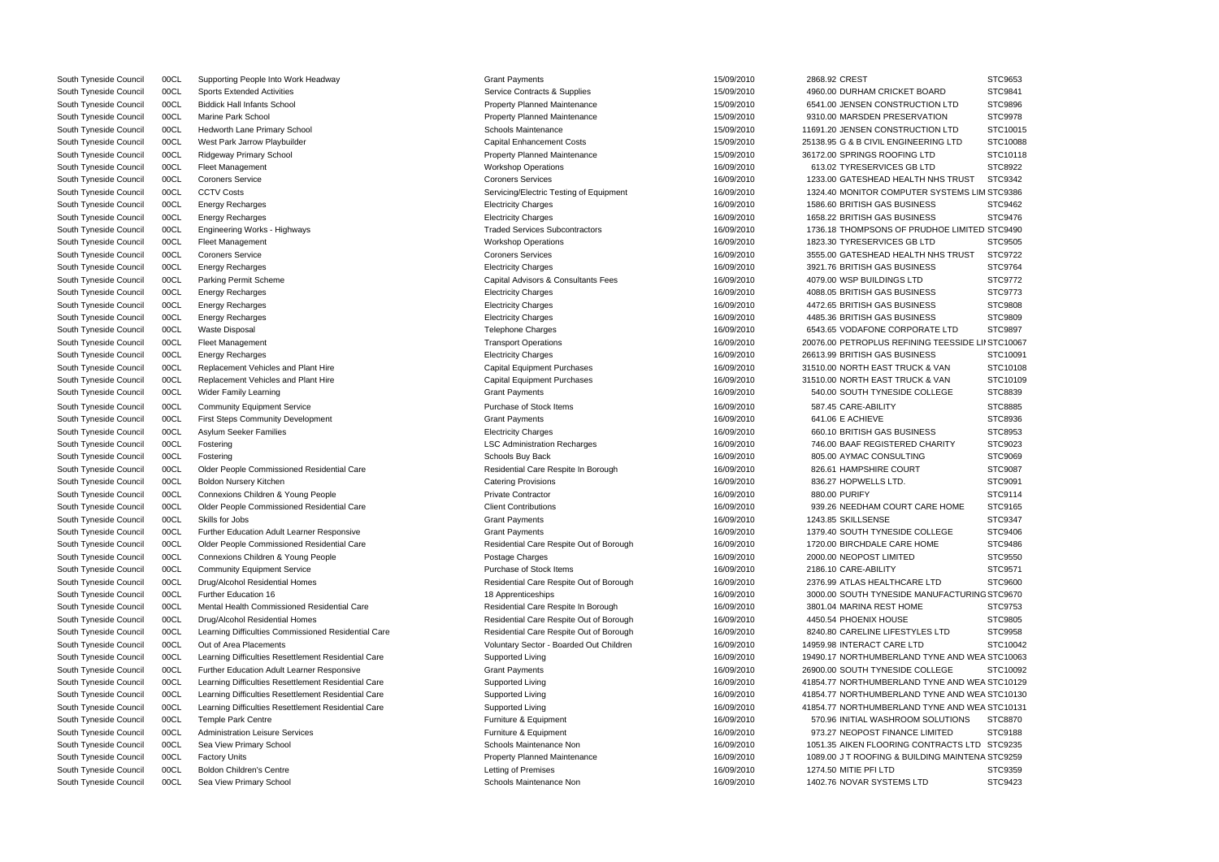|                                 | <b>PI CADO?</b> |
|---------------------------------|-----------------|
| OARD                            | STC9841         |
| TION LTD                        | STC9896         |
| <b>ATION</b>                    | STC9978         |
| <b>TION LTD</b>                 | STC10015        |
|                                 |                 |
| RING LTD                        | STC10088        |
| TD <sub>-</sub>                 | STC10118        |
| TD <sub>-</sub>                 | STC8922         |
| H NHS TRUST                     | STC9342         |
| R SYSTEMS LIM STC9386           |                 |
| ESS                             | STC9462         |
| ESS                             | STC9476         |
|                                 |                 |
| JDHOE LIMITED STC9490           |                 |
| TD <sub>-</sub>                 | STC9505         |
| <b>I NHS TRUST</b>              | STC9722         |
| ESS                             | STC9764         |
|                                 | STC9772         |
| ESS                             | STC9773         |
| <b>ESS</b>                      | STC9808         |
| ESS                             |                 |
|                                 | STC9809         |
| የATE LTD                        | STC9897         |
| <b>IG TEESSIDE LII STC10067</b> |                 |
| ESS                             | STC10091        |
| $8$ VAN                         | STC10108        |
| $8$ VAN                         | STC10109        |
| OLLEGE                          | STC8839         |
|                                 | STC8885         |
|                                 | STC8936         |
| ESS                             | STC8953         |
|                                 |                 |
| <b>CHARITY</b>                  | STC9023         |
| ć                               | STC9069         |
|                                 | STC9087         |
|                                 | STC9091         |
|                                 | STC9114         |
| ARE HOME                        | STC9165         |
|                                 | STC9347         |
| OLLEGE                          | <b>STC9406</b>  |
| <b>OME</b>                      | STC9486         |
|                                 |                 |
|                                 | STC9550         |
|                                 | STC9571         |
| <b>LTD</b>                      | STC9600         |
| ANUFACTURING STC9670            |                 |
|                                 | STC9753         |
|                                 | STC9805         |
| ES LTD                          | STC9958         |
| )                               | STC10042        |
| TYNE AND WEA STC10063           |                 |
| OLLEGE                          | STC10092        |
|                                 |                 |
| TYNE AND WEA STC10129           |                 |
| TYNE AND WEA STC10130           |                 |
| TYNE AND WEA STC10131           |                 |
| SOLUTIONS                       | STC8870         |
| <b>LIMITED</b>                  | STC9188         |
| NTRACTS LTD STC9235             |                 |
| <b>DING MAINTENA STC9259</b>    |                 |
|                                 | STC9359         |
| D                               | STC9423         |
|                                 |                 |

| South Tyneside Council | 00CL | Supporting People Into Work Headway                 | <b>Grant Payments</b>                   | 15/09/2010 | 2868.92 CREST                                   | STC9653            |
|------------------------|------|-----------------------------------------------------|-----------------------------------------|------------|-------------------------------------------------|--------------------|
| South Tyneside Council | 00CL | <b>Sports Extended Activities</b>                   | Service Contracts & Supplies            | 15/09/2010 | 4960.00 DURHAM CRICKET BOARD                    | STC9841            |
| South Tyneside Council | 00CL | <b>Biddick Hall Infants School</b>                  | Property Planned Maintenance            | 15/09/2010 | 6541.00 JENSEN CONSTRUCTION LTD                 | STC9896            |
| South Tyneside Council | 00CL | Marine Park School                                  | <b>Property Planned Maintenance</b>     | 15/09/2010 | 9310.00 MARSDEN PRESERVATION                    | STC9978            |
| South Tyneside Council | 00CL | <b>Hedworth Lane Primary School</b>                 | Schools Maintenance                     | 15/09/2010 | 11691.20 JENSEN CONSTRUCTION LTD                | STC1001            |
| South Tyneside Council | 00CL | West Park Jarrow Playbuilder                        | <b>Capital Enhancement Costs</b>        | 15/09/2010 | 25138.95 G & B CIVIL ENGINEERING LTD            | STC1008            |
| South Tyneside Council | 00CL | Ridgeway Primary School                             | <b>Property Planned Maintenance</b>     | 15/09/2010 | 36172.00 SPRINGS ROOFING LTD                    | STC1011            |
| South Tyneside Council | 00CL | <b>Fleet Management</b>                             | <b>Workshop Operations</b>              | 16/09/2010 | 613.02 TYRESERVICES GB LTD                      | STC8922            |
| South Tyneside Council | 00CL | <b>Coroners Service</b>                             | <b>Coroners Services</b>                | 16/09/2010 | 1233.00 GATESHEAD HEALTH NHS TRUST              | STC9342            |
| South Tyneside Council | 00CL | <b>CCTV Costs</b>                                   | Servicing/Electric Testing of Equipment | 16/09/2010 | 1324.40 MONITOR COMPUTER SYSTEMS LIM STC9386    |                    |
| South Tyneside Council | 00CL | <b>Energy Recharges</b>                             | <b>Electricity Charges</b>              | 16/09/2010 | 1586.60 BRITISH GAS BUSINESS                    | STC9462            |
| South Tyneside Council | 00CL | <b>Energy Recharges</b>                             | <b>Electricity Charges</b>              | 16/09/2010 | 1658.22 BRITISH GAS BUSINESS                    | STC9476            |
| South Tyneside Council | 00CL | Engineering Works - Highways                        | <b>Traded Services Subcontractors</b>   | 16/09/2010 | 1736.18 THOMPSONS OF PRUDHOE LIMITED STC9490    |                    |
| South Tyneside Council | 00CL | <b>Fleet Management</b>                             | <b>Workshop Operations</b>              | 16/09/2010 | 1823.30 TYRESERVICES GB LTD                     | STC9505            |
| South Tyneside Council | 00CL | <b>Coroners Service</b>                             | <b>Coroners Services</b>                | 16/09/2010 | 3555.00 GATESHEAD HEALTH NHS TRUST              | STC9722            |
| South Tyneside Council | 00CL | Energy Recharges                                    | <b>Electricity Charges</b>              | 16/09/2010 | 3921.76 BRITISH GAS BUSINESS                    | STC9764            |
| South Tyneside Council | 00CL | <b>Parking Permit Scheme</b>                        | Capital Advisors & Consultants Fees     | 16/09/2010 | 4079.00 WSP BUILDINGS LTD                       | STC9772            |
| South Tyneside Council | 00CL | <b>Energy Recharges</b>                             | <b>Electricity Charges</b>              | 16/09/2010 | 4088.05 BRITISH GAS BUSINESS                    | STC9773            |
| South Tyneside Council | 00CL | <b>Energy Recharges</b>                             | <b>Electricity Charges</b>              | 16/09/2010 | 4472.65 BRITISH GAS BUSINESS                    | STC9808            |
| South Tyneside Council | 00CL | <b>Energy Recharges</b>                             | <b>Electricity Charges</b>              | 16/09/2010 | 4485.36 BRITISH GAS BUSINESS                    | <b>STC9809</b>     |
| South Tyneside Council | 00CL | <b>Waste Disposal</b>                               | Telephone Charges                       | 16/09/2010 | 6543.65 VODAFONE CORPORATE LTD                  | STC9897            |
| South Tyneside Council | 00CL | <b>Fleet Management</b>                             | <b>Transport Operations</b>             | 16/09/2010 | 20076.00 PETROPLUS REFINING TEESSIDE            | <b>LII STC1006</b> |
| South Tyneside Council | 00CL | <b>Energy Recharges</b>                             | <b>Electricity Charges</b>              | 16/09/2010 | 26613.99 BRITISH GAS BUSINESS                   | STC1009            |
| South Tyneside Council | 00CL | Replacement Vehicles and Plant Hire                 | <b>Capital Equipment Purchases</b>      | 16/09/2010 | 31510.00 NORTH EAST TRUCK & VAN                 | STC1010            |
| South Tyneside Council | 00CL | Replacement Vehicles and Plant Hire                 | <b>Capital Equipment Purchases</b>      | 16/09/2010 | 31510.00 NORTH EAST TRUCK & VAN                 | STC1010            |
| South Tyneside Council | 00CL | <b>Wider Family Learning</b>                        | <b>Grant Payments</b>                   | 16/09/2010 | 540.00 SOUTH TYNESIDE COLLEGE                   | <b>STC8839</b>     |
| South Tyneside Council | 00CL | <b>Community Equipment Service</b>                  | Purchase of Stock Items                 | 16/09/2010 | 587.45 CARE-ABILITY                             | <b>STC8885</b>     |
| South Tyneside Council | 00CL | <b>First Steps Community Development</b>            | <b>Grant Payments</b>                   | 16/09/2010 | 641.06 E ACHIEVE                                | STC8936            |
| South Tyneside Council | 00CL | <b>Asylum Seeker Families</b>                       | <b>Electricity Charges</b>              | 16/09/2010 | 660.10 BRITISH GAS BUSINESS                     | STC8953            |
| South Tyneside Council | 00CL | Fostering                                           | <b>LSC Administration Recharges</b>     | 16/09/2010 | 746.00 BAAF REGISTERED CHARITY                  | STC9023            |
| South Tyneside Council | 00CL | Fostering                                           | Schools Buy Back                        | 16/09/2010 | 805.00 AYMAC CONSULTING                         | <b>STC9069</b>     |
| South Tyneside Council | 00CL | Older People Commissioned Residential Care          | Residential Care Respite In Borough     | 16/09/2010 | 826.61 HAMPSHIRE COURT                          | STC9087            |
| South Tyneside Council | 00CL | Boldon Nursery Kitchen                              | <b>Catering Provisions</b>              | 16/09/2010 | 836.27 HOPWELLS LTD.                            | STC9091            |
| South Tyneside Council | 00CL | Connexions Children & Young People                  | <b>Private Contractor</b>               | 16/09/2010 | 880.00 PURIFY                                   | STC9114            |
| South Tyneside Council | 00CL | Older People Commissioned Residential Care          | <b>Client Contributions</b>             | 16/09/2010 | 939.26 NEEDHAM COURT CARE HOME                  | STC9165            |
| South Tyneside Council | 00CL | Skills for Jobs                                     | <b>Grant Payments</b>                   | 16/09/2010 | 1243.85 SKILLSENSE                              | STC9347            |
| South Tyneside Council | 00CL | <b>Further Education Adult Learner Responsive</b>   | <b>Grant Payments</b>                   | 16/09/2010 | 1379.40 SOUTH TYNESIDE COLLEGE                  | STC9406            |
| South Tyneside Council | 00CL | Older People Commissioned Residential Care          | Residential Care Respite Out of Borough | 16/09/2010 | 1720.00 BIRCHDALE CARE HOME                     | STC9486            |
| South Tyneside Council | 00CL | Connexions Children & Young People                  | Postage Charges                         | 16/09/2010 | 2000.00 NEOPOST LIMITED                         | STC9550            |
| South Tyneside Council | 00CL | <b>Community Equipment Service</b>                  | Purchase of Stock Items                 | 16/09/2010 | 2186.10 CARE-ABILITY                            | STC9571            |
| South Tyneside Council | 00CL | Drug/Alcohol Residential Homes                      | Residential Care Respite Out of Borough | 16/09/2010 | 2376.99 ATLAS HEALTHCARE LTD                    | STC9600            |
| South Tyneside Council | 00CL | <b>Further Education 16</b>                         | 18 Apprenticeships                      | 16/09/2010 | 3000.00 SOUTH TYNESIDE MANUFACTURING STC9670    |                    |
| South Tyneside Council | 00CL | Mental Health Commissioned Residential Care         | Residential Care Respite In Borough     | 16/09/2010 | 3801.04 MARINA REST HOME                        | STC9753            |
| South Tyneside Council | 00CL | Drug/Alcohol Residential Homes                      | Residential Care Respite Out of Borough | 16/09/2010 | 4450.54 PHOENIX HOUSE                           | STC9805            |
| South Tyneside Council | 00CL | Learning Difficulties Commissioned Residential Care | Residential Care Respite Out of Borough | 16/09/2010 | 8240.80 CARELINE LIFESTYLES LTD                 | STC9958            |
| South Tyneside Council | 00CL | Out of Area Placements                              | Voluntary Sector - Boarded Out Children | 16/09/2010 | 14959.98 INTERACT CARE LTD                      | STC1004            |
| South Tyneside Council | 00CL | Learning Difficulties Resettlement Residential Care | Supported Living                        | 16/09/2010 | 19490.17 NORTHUMBERLAND TYNE AND WEA STC1006    |                    |
| South Tyneside Council | 00CL | <b>Further Education Adult Learner Responsive</b>   | <b>Grant Payments</b>                   | 16/09/2010 | 26900.00 SOUTH TYNESIDE COLLEGE                 | STC1009            |
| South Tyneside Council | 00CL | Learning Difficulties Resettlement Residential Care | Supported Living                        | 16/09/2010 | 41854.77 NORTHUMBERLAND TYNE AND WEA STC1012    |                    |
| South Tyneside Council | 00CL | Learning Difficulties Resettlement Residential Care | Supported Living                        | 16/09/2010 | 41854.77 NORTHUMBERLAND TYNE AND WEA STC1013    |                    |
| South Tyneside Council | 00CL | Learning Difficulties Resettlement Residential Care | Supported Living                        | 16/09/2010 | 41854.77 NORTHUMBERLAND TYNE AND WEA STC1013    |                    |
| South Tyneside Council | 00CL | <b>Temple Park Centre</b>                           | Furniture & Equipment                   | 16/09/2010 | 570.96 INITIAL WASHROOM SOLUTIONS               | <b>STC8870</b>     |
| South Tyneside Council | 00CL | <b>Administration Leisure Services</b>              | Furniture & Equipment                   | 16/09/2010 | 973.27 NEOPOST FINANCE LIMITED                  | STC9188            |
| South Tyneside Council | 00CL | Sea View Primary School                             | Schools Maintenance Non                 | 16/09/2010 | 1051.35 AIKEN FLOORING CONTRACTS LTD            | STC9235            |
| South Tyneside Council | 00CL | <b>Factory Units</b>                                | <b>Property Planned Maintenance</b>     | 16/09/2010 | 1089.00 J T ROOFING & BUILDING MAINTENA STC9259 |                    |
| South Tyneside Council | 00CL | <b>Boldon Children's Centre</b>                     | Letting of Premises                     | 16/09/2010 | 1274.50 MITIE PFI LTD                           | STC9359            |
| South Tyneside Council | 00CL | Sea View Primary School                             | Schools Maintenance Non                 | 16/09/2010 | 1402.76 NOVAR SYSTEMS LTD                       | STC9423            |

|      | <b>Grant Payments</b>                   | 15/09/2010 | 2868.92 CREST                |
|------|-----------------------------------------|------------|------------------------------|
|      | Service Contracts & Supplies            | 15/09/2010 | 4960.00 DURHAM CRICKET B     |
|      | Property Planned Maintenance            | 15/09/2010 | 6541.00 JENSEN CONSTRUCT     |
|      | Property Planned Maintenance            | 15/09/2010 | 9310.00 MARSDEN PRESERV      |
|      | <b>Schools Maintenance</b>              | 15/09/2010 | 11691.20 JENSEN CONSTRUCT    |
|      | <b>Capital Enhancement Costs</b>        | 15/09/2010 | 25138.95 G & B CIVIL ENGINEE |
|      | <b>Property Planned Maintenance</b>     | 15/09/2010 | 36172.00 SPRINGS ROOFING I   |
|      | <b>Workshop Operations</b>              | 16/09/2010 | 613.02 TYRESERVICES GB L     |
|      | <b>Coroners Services</b>                | 16/09/2010 | 1233.00 GATESHEAD HEALTH     |
|      | Servicing/Electric Testing of Equipment | 16/09/2010 | 1324.40 MONITOR COMPUTE      |
|      | <b>Electricity Charges</b>              | 16/09/2010 | 1586.60 BRITISH GAS BUSINE   |
|      | <b>Electricity Charges</b>              | 16/09/2010 | 1658.22 BRITISH GAS BUSINE   |
|      | <b>Traded Services Subcontractors</b>   | 16/09/2010 | 1736.18 THOMPSONS OF PRI     |
|      | <b>Workshop Operations</b>              | 16/09/2010 | 1823.30 TYRESERVICES GB L    |
|      | <b>Coroners Services</b>                | 16/09/2010 | 3555.00 GATESHEAD HEALTH     |
|      | <b>Electricity Charges</b>              | 16/09/2010 | 3921.76 BRITISH GAS BUSINE   |
|      | Capital Advisors & Consultants Fees     | 16/09/2010 | 4079.00 WSP BUILDINGS LTD    |
|      | <b>Electricity Charges</b>              | 16/09/2010 | 4088.05 BRITISH GAS BUSINE   |
|      | <b>Electricity Charges</b>              | 16/09/2010 | 4472.65 BRITISH GAS BUSINE   |
|      | <b>Electricity Charges</b>              | 16/09/2010 | 4485.36 BRITISH GAS BUSINE   |
|      | <b>Telephone Charges</b>                | 16/09/2010 | 6543.65 VODAFONE CORPOR      |
|      | <b>Transport Operations</b>             | 16/09/2010 | 20076.00 PETROPLUS REFININ   |
|      | <b>Electricity Charges</b>              | 16/09/2010 | 26613.99 BRITISH GAS BUSINE  |
|      | <b>Capital Equipment Purchases</b>      | 16/09/2010 | 31510.00 NORTH EAST TRUCK    |
|      | <b>Capital Equipment Purchases</b>      | 16/09/2010 | 31510.00 NORTH EAST TRUCK    |
|      | <b>Grant Payments</b>                   | 16/09/2010 | 540.00 SOUTH TYNESIDE CO     |
|      | Purchase of Stock Items                 | 16/09/2010 | 587.45 CARE-ABILITY          |
|      | <b>Grant Payments</b>                   | 16/09/2010 | 641.06 E ACHIEVE             |
|      | <b>Electricity Charges</b>              | 16/09/2010 | 660.10 BRITISH GAS BUSINE    |
|      | <b>LSC Administration Recharges</b>     | 16/09/2010 | 746.00 BAAF REGISTERED (     |
|      | Schools Buy Back                        | 16/09/2010 | 805.00 AYMAC CONSULTING      |
|      | Residential Care Respite In Borough     | 16/09/2010 | 826.61 HAMPSHIRE COURT       |
|      | <b>Catering Provisions</b>              | 16/09/2010 | 836.27 HOPWELLS LTD.         |
|      | <b>Private Contractor</b>               | 16/09/2010 | 880.00 PURIFY                |
|      | <b>Client Contributions</b>             | 16/09/2010 | 939.26 NEEDHAM COURT C       |
|      | <b>Grant Payments</b>                   | 16/09/2010 | 1243.85 SKILLSENSE           |
|      | <b>Grant Payments</b>                   | 16/09/2010 | 1379.40 SOUTH TYNESIDE CO    |
|      | Residential Care Respite Out of Borough | 16/09/2010 | 1720.00 BIRCHDALE CARE HO    |
|      | Postage Charges                         | 16/09/2010 | 2000.00 NEOPOST LIMITED      |
|      | Purchase of Stock Items                 | 16/09/2010 | 2186.10 CARE-ABILITY         |
|      | Residential Care Respite Out of Borough | 16/09/2010 | 2376.99 ATLAS HEALTHCARE     |
|      | 18 Apprenticeships                      | 16/09/2010 | 3000.00 SOUTH TYNESIDE M.    |
|      | Residential Care Respite In Borough     | 16/09/2010 | 3801.04 MARINA REST HOME     |
|      | Residential Care Respite Out of Borough | 16/09/2010 | 4450.54 PHOENIX HOUSE        |
| Care | Residential Care Respite Out of Borough | 16/09/2010 | 8240.80 CARELINE LIFESTYL    |
|      | Voluntary Sector - Boarded Out Children | 16/09/2010 | 14959.98 INTERACT CARE LTD   |
| are  | Supported Living                        | 16/09/2010 | 19490.17 NORTHUMBERLAND      |
|      | <b>Grant Payments</b>                   | 16/09/2010 | 26900.00 SOUTH TYNESIDE CO   |
| are  | Supported Living                        | 16/09/2010 | 41854.77 NORTHUMBERLAND      |
| are  | Supported Living                        | 16/09/2010 | 41854.77 NORTHUMBERLAND      |
| are  | Supported Living                        | 16/09/2010 | 41854.77 NORTHUMBERLAND      |
|      | Furniture & Equipment                   | 16/09/2010 | 570.96 INITIAL WASHROOM      |
|      | Furniture & Equipment                   | 16/09/2010 | 973.27 NEOPOST FINANCE I     |
|      | Schools Maintenance Non                 | 16/09/2010 | 1051.35 AIKEN FLOORING CO    |
|      | Property Planned Maintenance            | 16/09/2010 | 1089.00 J T ROOFING & BUILI  |
|      | Letting of Premises                     | 16/09/2010 | 1274.50 MITIE PFI LTD        |
|      | Cahaala Maintenanaa Nan                 | AC/OO/OO   | $110076$ NOVAD CVCTEMC LT    |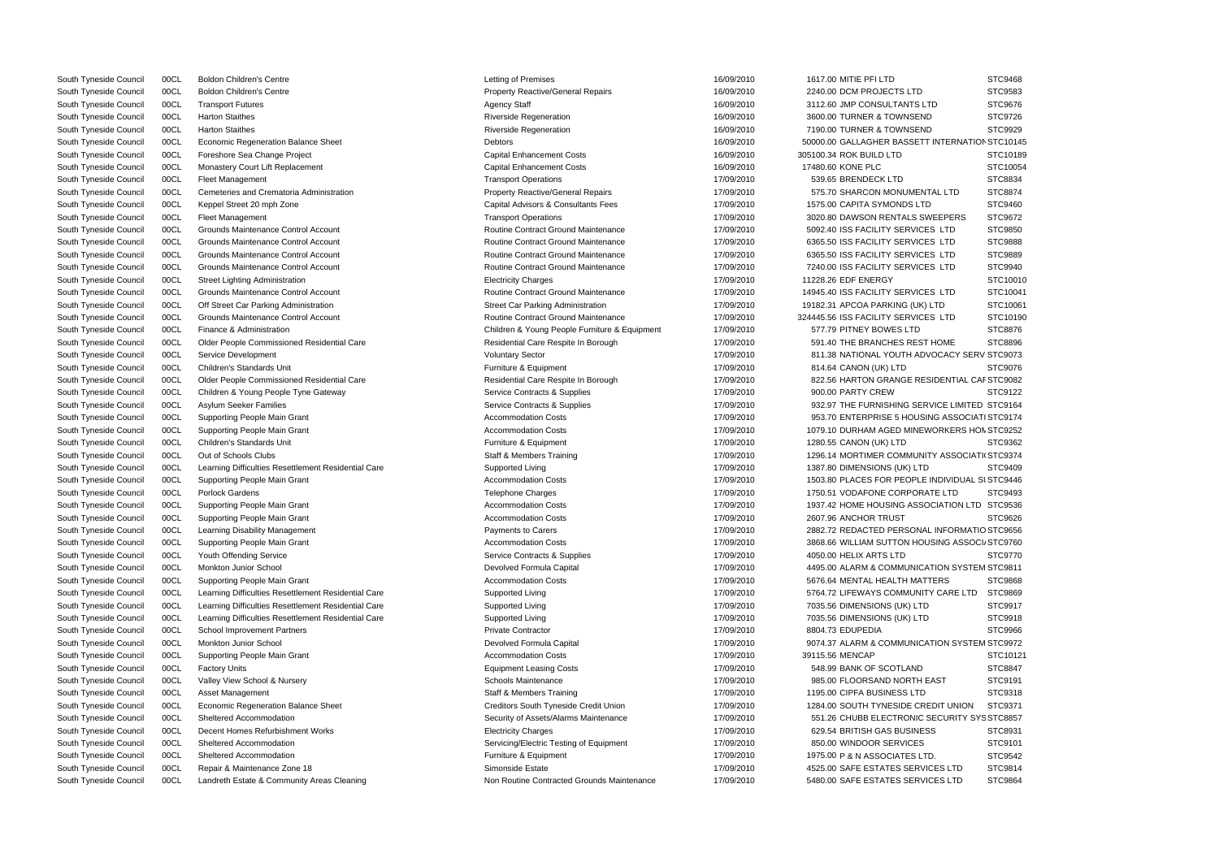|                                | STC9468  |
|--------------------------------|----------|
|                                | STC9583  |
| LTD                            | STC9676  |
| ND                             | STC9726  |
| ND                             | STC9929  |
| <b>IT INTERNATION STC10145</b> |          |
|                                |          |
|                                | STC10189 |
|                                | STC10054 |
|                                | STC8834  |
| NTAL LTD                       | STC8874  |
| ГD                             | STC9460  |
| <b>SWEEPERS</b>                | STC9672  |
| <b>ES LTD</b>                  | STC9850  |
| <b>ES</b><br><b>LTD</b>        | STC9888  |
| <b>ES LTD</b>                  | STC9889  |
|                                |          |
| CES LTD                        | STC9940  |
|                                | STC10010 |
| <b>ES LTD</b>                  | STC10041 |
| () LTD                         | STC10061 |
| <b>ES LTD</b>                  | STC10190 |
|                                | STC8876  |
| <b>ST HOME</b>                 | STC8896  |
| <b>DVOCACY SERV STC9073</b>    |          |
|                                | STC9076  |
|                                |          |
| ESIDENTIAL CAF STC9082         |          |
|                                | STC9122  |
| RVICE LIMITED STC9164          |          |
| SING ASSOCIATI STC9174         |          |
| <b>EWORKERS HON STC9252</b>    |          |
|                                | STC9362  |
| <b>NITY ASSOCIATI(STC9374</b>  |          |
| ď                              | STC9409  |
| E INDIVIDUAL SI STC9446        |          |
|                                |          |
| <b>RATE LTD</b>                | STC9493  |
| <b>SOCIATION LTD STC9536</b>   |          |
|                                | STC9626  |
| AL INFORMATIO STC9656          |          |
| <b>DUSING ASSOCI, STC9760</b>  |          |
|                                | STC9770  |
| CATION SYSTEM STC9811          |          |
| <b>TTERS</b>                   | STC9868  |
| ITY CARE LTD                   | STC9869  |
| D                              | STC9917  |
|                                |          |
| ď                              | STC9918  |
|                                | STC9966  |
| CATION SYSTEM STC9972          |          |
|                                | STC10121 |
| )                              | STC8847  |
| <b>EAST</b>                    | STC9191  |
| כ                              | STC9318  |
| REDIT UNION                    | STC9371  |
|                                |          |
| SECURITY SYS STC8857           |          |
| ESS                            | STC8931  |
| έ                              | STC9101  |
| TD.                            |          |
|                                | STC9542  |
| VICES LTD                      | STC9814  |

| South Tyneside Council | 00CL | <b>Boldon Children's Centre</b>                     | Letting of Premises                           | 16/09/2010 | 1617.00 MITIE PFI LTD                           | STC9468        |
|------------------------|------|-----------------------------------------------------|-----------------------------------------------|------------|-------------------------------------------------|----------------|
| South Tyneside Council | 00CL | <b>Boldon Children's Centre</b>                     | <b>Property Reactive/General Repairs</b>      | 16/09/2010 | 2240.00 DCM PROJECTS LTD                        | STC9583        |
| South Tyneside Council | 00CL | <b>Transport Futures</b>                            | <b>Agency Staff</b>                           | 16/09/2010 | 3112.60 JMP CONSULTANTS LTD                     | STC9676        |
| South Tyneside Council | 00CL | <b>Harton Staithes</b>                              | <b>Riverside Regeneration</b>                 | 16/09/2010 | 3600.00 TURNER & TOWNSEND                       | STC9726        |
| South Tyneside Council | 00CL | <b>Harton Staithes</b>                              | <b>Riverside Regeneration</b>                 | 16/09/2010 | 7190.00 TURNER & TOWNSEND                       | STC9929        |
| South Tyneside Council | 00CL | <b>Economic Regeneration Balance Sheet</b>          | <b>Debtors</b>                                | 16/09/2010 | 50000.00 GALLAGHER BASSETT INTERNATION STC10145 |                |
| South Tyneside Council | 00CL | Foreshore Sea Change Project                        | <b>Capital Enhancement Costs</b>              | 16/09/2010 | 305100.34 ROK BUILD LTD                         | STC10189       |
| South Tyneside Council | 00CL | Monastery Court Lift Replacement                    | <b>Capital Enhancement Costs</b>              | 16/09/2010 | 17480.60 KONE PLC                               | STC10054       |
| South Tyneside Council | 00CL | <b>Fleet Management</b>                             | <b>Transport Operations</b>                   | 17/09/2010 | 539.65 BRENDECK LTD                             | STC8834        |
| South Tyneside Council | 00CL | Cemeteries and Crematoria Administration            | <b>Property Reactive/General Repairs</b>      | 17/09/2010 | 575.70 SHARCON MONUMENTAL LTD                   | STC8874        |
| South Tyneside Council | 00CL | Keppel Street 20 mph Zone                           | Capital Advisors & Consultants Fees           | 17/09/2010 | 1575.00 CAPITA SYMONDS LTD                      | STC9460        |
| South Tyneside Council | 00CL | <b>Fleet Management</b>                             | <b>Transport Operations</b>                   | 17/09/2010 | 3020.80 DAWSON RENTALS SWEEPERS                 | STC9672        |
| South Tyneside Council | 00CL | Grounds Maintenance Control Account                 | Routine Contract Ground Maintenance           | 17/09/2010 | 5092.40 ISS FACILITY SERVICES LTD               | STC9850        |
| South Tyneside Council | 00CL | Grounds Maintenance Control Account                 | <b>Routine Contract Ground Maintenance</b>    | 17/09/2010 | 6365.50 ISS FACILITY SERVICES LTD               | <b>STC9888</b> |
| South Tyneside Council | 00CL | Grounds Maintenance Control Account                 | Routine Contract Ground Maintenance           | 17/09/2010 | 6365.50 ISS FACILITY SERVICES LTD               | STC9889        |
| South Tyneside Council | 00CL | Grounds Maintenance Control Account                 | <b>Routine Contract Ground Maintenance</b>    | 17/09/2010 | 7240.00 ISS FACILITY SERVICES LTD               | STC9940        |
| South Tyneside Council | 00CL | <b>Street Lighting Administration</b>               | <b>Electricity Charges</b>                    | 17/09/2010 | 11228.26 EDF ENERGY                             | STC10010       |
| South Tyneside Council | 00CL | Grounds Maintenance Control Account                 | Routine Contract Ground Maintenance           | 17/09/2010 | 14945.40 ISS FACILITY SERVICES LTD              | STC10041       |
| South Tyneside Council | 00CL | Off Street Car Parking Administration               | <b>Street Car Parking Administration</b>      | 17/09/2010 | 19182.31 APCOA PARKING (UK) LTD                 | STC10061       |
| South Tyneside Council | 00CL | Grounds Maintenance Control Account                 | Routine Contract Ground Maintenance           | 17/09/2010 | 324445.56 ISS FACILITY SERVICES LTD             | STC10190       |
|                        |      | Finance & Administration                            |                                               |            |                                                 |                |
| South Tyneside Council | 00CL |                                                     | Children & Young People Furniture & Equipment | 17/09/2010 | 577.79 PITNEY BOWES LTD                         | STC8876        |
| South Tyneside Council | 00CL | Older People Commissioned Residential Care          | Residential Care Respite In Borough           | 17/09/2010 | 591.40 THE BRANCHES REST HOME                   | STC8896        |
| South Tyneside Council | 00CL | Service Development                                 | <b>Voluntary Sector</b>                       | 17/09/2010 | 811.38 NATIONAL YOUTH ADVOCACY SERV STC9073     |                |
| South Tyneside Council | 00CL | <b>Children's Standards Unit</b>                    | Furniture & Equipment                         | 17/09/2010 | 814.64 CANON (UK) LTD                           | STC9076        |
| South Tyneside Council | 00CL | Older People Commissioned Residential Care          | Residential Care Respite In Borough           | 17/09/2010 | 822.56 HARTON GRANGE RESIDENTIAL CAF STC9082    |                |
| South Tyneside Council | 00CL | Children & Young People Tyne Gateway                | Service Contracts & Supplies                  | 17/09/2010 | 900.00 PARTY CREW                               | STC9122        |
| South Tyneside Council | 00CL | Asylum Seeker Families                              | Service Contracts & Supplies                  | 17/09/2010 | 932.97 THE FURNISHING SERVICE LIMITED STC9164   |                |
| South Tyneside Council | 00CL | Supporting People Main Grant                        | <b>Accommodation Costs</b>                    | 17/09/2010 | 953.70 ENTERPRISE 5 HOUSING ASSOCIATI STC9174   |                |
| South Tyneside Council | 00CL | Supporting People Main Grant                        | <b>Accommodation Costs</b>                    | 17/09/2010 | 1079.10 DURHAM AGED MINEWORKERS HON STC9252     |                |
| South Tyneside Council | 00CL | <b>Children's Standards Unit</b>                    | Furniture & Equipment                         | 17/09/2010 | 1280.55 CANON (UK) LTD                          | STC9362        |
| South Tyneside Council | 00CL | Out of Schools Clubs                                | <b>Staff &amp; Members Training</b>           | 17/09/2010 | 1296.14 MORTIMER COMMUNITY ASSOCIATI(STC9374    |                |
| South Tyneside Council | 00CL | Learning Difficulties Resettlement Residential Care | Supported Living                              | 17/09/2010 | 1387.80 DIMENSIONS (UK) LTD                     | STC9409        |
| South Tyneside Council | 00CL | Supporting People Main Grant                        | <b>Accommodation Costs</b>                    | 17/09/2010 | 1503.80 PLACES FOR PEOPLE INDIVIDUAL SI STC9446 |                |
| South Tyneside Council | 00CL | Porlock Gardens                                     | <b>Telephone Charges</b>                      | 17/09/2010 | 1750.51 VODAFONE CORPORATE LTD                  | STC9493        |
| South Tyneside Council | 00CL | Supporting People Main Grant                        | <b>Accommodation Costs</b>                    | 17/09/2010 | 1937.42 HOME HOUSING ASSOCIATION LTD STC9536    |                |
| South Tyneside Council | 00CL | Supporting People Main Grant                        | <b>Accommodation Costs</b>                    | 17/09/2010 | 2607.96 ANCHOR TRUST                            | STC9626        |
| South Tyneside Council | 00CL | Learning Disability Management                      | <b>Payments to Carers</b>                     | 17/09/2010 | 2882.72 REDACTED PERSONAL INFORMATIO STC9656    |                |
| South Tyneside Council | 00CL | Supporting People Main Grant                        | <b>Accommodation Costs</b>                    | 17/09/2010 | 3868.66 WILLIAM SUTTON HOUSING ASSOCI STC9760   |                |
| South Tyneside Council | 00CL | Youth Offending Service                             | Service Contracts & Supplies                  | 17/09/2010 | 4050.00 HELIX ARTS LTD                          | STC9770        |
| South Tyneside Council | 00CL | Monkton Junior School                               | Devolved Formula Capital                      | 17/09/2010 | 4495.00 ALARM & COMMUNICATION SYSTEM STC9811    |                |
| South Tyneside Council | 00CL | Supporting People Main Grant                        | <b>Accommodation Costs</b>                    | 17/09/2010 | 5676.64 MENTAL HEALTH MATTERS                   | STC9868        |
| South Tyneside Council | 00CL | Learning Difficulties Resettlement Residential Care | Supported Living                              | 17/09/2010 | 5764.72 LIFEWAYS COMMUNITY CARE LTD             | STC9869        |
| South Tyneside Council | 00CL | Learning Difficulties Resettlement Residential Care | Supported Living                              | 17/09/2010 | 7035.56 DIMENSIONS (UK) LTD                     | STC9917        |
| South Tyneside Council | 00CL | Learning Difficulties Resettlement Residential Care | Supported Living                              | 17/09/2010 | 7035.56 DIMENSIONS (UK) LTD                     | STC9918        |
| South Tyneside Council | 00CL | <b>School Improvement Partners</b>                  | <b>Private Contractor</b>                     | 17/09/2010 | 8804.73 EDUPEDIA                                | STC9966        |
| South Tyneside Council | 00CL | <b>Monkton Junior School</b>                        | Devolved Formula Capital                      | 17/09/2010 | 9074.37 ALARM & COMMUNICATION SYSTEM STC9972    |                |
| South Tyneside Council | 00CL | Supporting People Main Grant                        | <b>Accommodation Costs</b>                    | 17/09/2010 | 39115.56 MENCAP                                 | STC10121       |
|                        |      |                                                     | <b>Equipment Leasing Costs</b>                |            | 548.99 BANK OF SCOTLAND                         |                |
| South Tyneside Council | 00CL | <b>Factory Units</b>                                |                                               | 17/09/2010 |                                                 | STC8847        |
| South Tyneside Council | 00CL | Valley View School & Nursery                        | <b>Schools Maintenance</b>                    | 17/09/2010 | 985.00 FLOORSAND NORTH EAST                     | STC9191        |
| South Tyneside Council | 00CL | Asset Management                                    | <b>Staff &amp; Members Training</b>           | 17/09/2010 | 1195.00 CIPFA BUSINESS LTD                      | STC9318        |
| South Tyneside Council | 00CL | Economic Regeneration Balance Sheet                 | Creditors South Tyneside Credit Union         | 17/09/2010 | 1284.00 SOUTH TYNESIDE CREDIT UNION             | STC9371        |
| South Tyneside Council | 00CL | Sheltered Accommodation                             | Security of Assets/Alarms Maintenance         | 17/09/2010 | 551.26 CHUBB ELECTRONIC SECURITY SYS STC8857    |                |
| South Tyneside Council | 00CL | Decent Homes Refurbishment Works                    | <b>Electricity Charges</b>                    | 17/09/2010 | 629.54 BRITISH GAS BUSINESS                     | STC8931        |
| South Tyneside Council | 00CL | Sheltered Accommodation                             | Servicing/Electric Testing of Equipment       | 17/09/2010 | 850.00 WINDOOR SERVICES                         | STC9101        |
| South Tyneside Council | 00CL | Sheltered Accommodation                             | Furniture & Equipment                         | 17/09/2010 | 1975.00 P & N ASSOCIATES LTD.                   | STC9542        |
| South Tyneside Council | 00CL | Repair & Maintenance Zone 18                        | Simonside Estate                              | 17/09/2010 | 4525.00 SAFE ESTATES SERVICES LTD               | STC9814        |
| South Tyneside Council | 00CL | Landreth Estate & Community Areas Cleaning          | Non Routine Contracted Grounds Maintenance    | 17/09/2010 | 5480.00 SAFE ESTATES SERVICES LTD               | STC9864        |
|                        |      |                                                     |                                               |            |                                                 |                |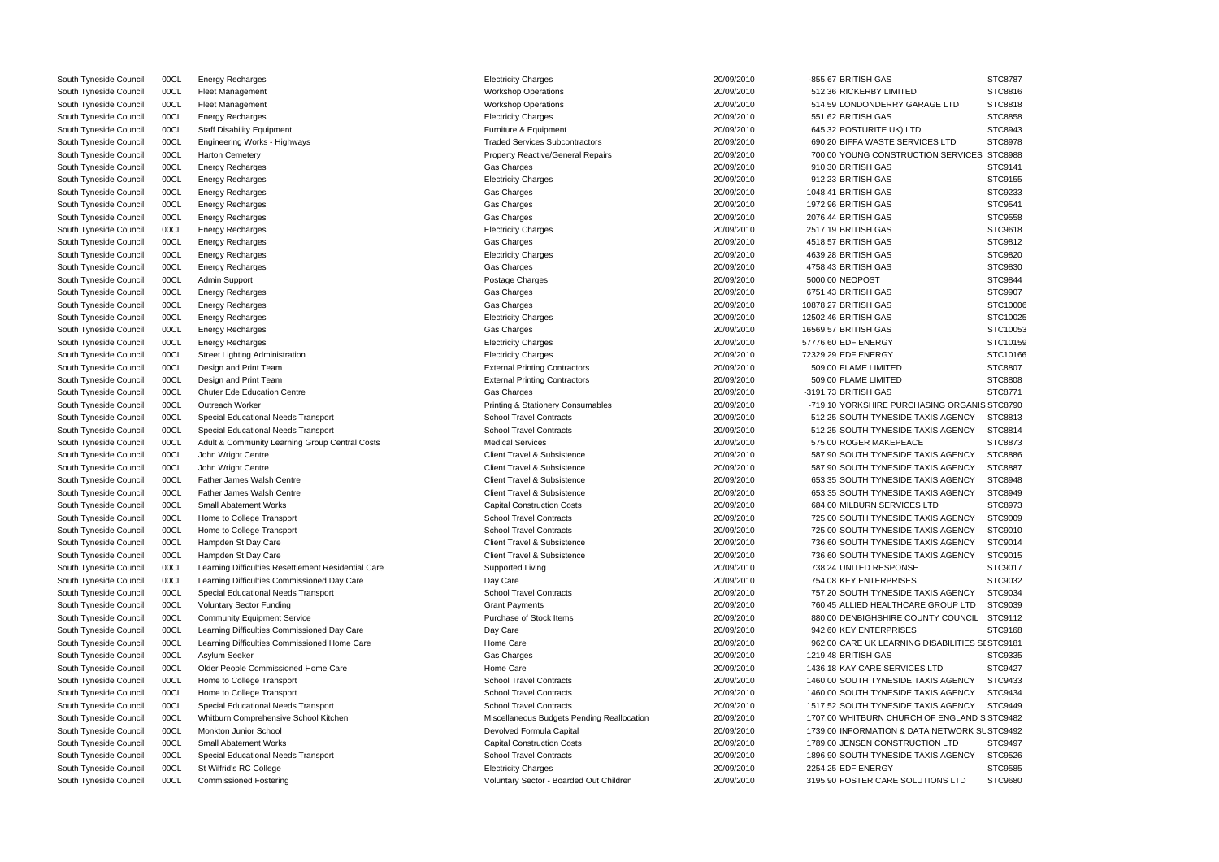|                                | ১।∪୪/୪/  |
|--------------------------------|----------|
|                                | STC8816  |
| <b>AGE LTD</b>                 | STC8818  |
|                                | STC8858  |
|                                | STC8943  |
| CES LTD                        | STC8978  |
| <b>TION SERVICES</b>           | STC8988  |
|                                | STC9141  |
|                                |          |
|                                | STC9155  |
|                                | STC9233  |
|                                | STC9541  |
|                                | STC9558  |
|                                | STC9618  |
|                                | STC9812  |
|                                | STC9820  |
|                                | STC9830  |
|                                | STC9844  |
|                                | STC9907  |
|                                | STC10006 |
|                                | STC10025 |
|                                | STC10053 |
|                                |          |
|                                | STC10159 |
|                                | STC10166 |
|                                | STC8807  |
|                                | STC8808  |
|                                | STC8771  |
| <b>ASING ORGANIS STC8790</b>   |          |
| <b>AXIS AGENCY</b>             | STC8813  |
| <b>XIS AGENCY</b>              | STC8814  |
|                                | STC8873  |
| <b>XIS AGENCY</b>              | STC8886  |
| <b>XIS AGENCY</b>              | STC8887  |
| <b>XIS AGENCY</b>              | STC8948  |
| <b>XIS AGENCY</b>              |          |
|                                | STC8949  |
| <b>LTD</b>                     | STC8973  |
| <b>XIS AGENCY</b>              | STC9009  |
| <b>AXIS AGENCY</b>             | STC9010  |
| <b>XIS AGENCY</b>              | STC9014  |
| <b>XIS AGENCY</b>              | STC9015  |
|                                | STC9017  |
|                                | STC9032  |
| <b>XIS AGENCY</b>              | STC9034  |
| E GROUP LTD                    | STC9039  |
| <b>INTY COUNCIL</b>            | STC9112  |
|                                | STC9168  |
| <b>DISABILITIES SI STC9181</b> |          |
|                                | STC9335  |
| S LTD                          | STC9427  |
| <b>XIS AGENCY</b>              |          |
|                                | STC9433  |
| <b>XIS AGENCY</b>              | STC9434  |
| <b>XIS AGENCY</b>              | STC9449  |
| OF ENGLAND S STC9482           |          |
| <b>A NETWORK SL STC9492</b>    |          |
| <b>TION LTD</b>                | STC9497  |
| <b>XIS AGENCY</b>              | STC9526  |
|                                | STC9585  |
| <b>TIONS LTD</b>               | STC9680  |
|                                |          |

| South Tyneside Council | 00CL | <b>Energy Recharges</b>                                     | <b>Electricity Charges</b>                   | 20/09/2010 | -855.67 BRITISH GAS                             | STC8787        |
|------------------------|------|-------------------------------------------------------------|----------------------------------------------|------------|-------------------------------------------------|----------------|
| South Tyneside Council | 00CL | <b>Fleet Management</b>                                     | <b>Workshop Operations</b>                   | 20/09/2010 | 512.36 RICKERBY LIMITED                         | STC8816        |
| South Tyneside Council | 00CL | Fleet Management                                            | <b>Workshop Operations</b>                   | 20/09/2010 | 514.59 LONDONDERRY GARAGE LTD                   | STC8818        |
| South Tyneside Council | 00CL | <b>Energy Recharges</b>                                     | <b>Electricity Charges</b>                   | 20/09/2010 | 551.62 BRITISH GAS                              | <b>STC8858</b> |
| South Tyneside Council | 00CL | <b>Staff Disability Equipment</b>                           | Furniture & Equipment                        | 20/09/2010 | 645.32 POSTURITE UK) LTD                        | STC8943        |
| South Tyneside Council | 00CL | Engineering Works - Highways                                | <b>Traded Services Subcontractors</b>        | 20/09/2010 | 690.20 BIFFA WASTE SERVICES LTD                 | STC8978        |
| South Tyneside Council | 00CL | <b>Harton Cemetery</b>                                      | <b>Property Reactive/General Repairs</b>     | 20/09/2010 | 700.00 YOUNG CONSTRUCTION SERVICES STC8988      |                |
| South Tyneside Council | 00CL | <b>Energy Recharges</b>                                     | Gas Charges                                  | 20/09/2010 | 910.30 BRITISH GAS                              | STC9141        |
| South Tyneside Council | 00CL | <b>Energy Recharges</b>                                     | <b>Electricity Charges</b>                   | 20/09/2010 | 912.23 BRITISH GAS                              | STC9155        |
| South Tyneside Council | 00CL | <b>Energy Recharges</b>                                     | Gas Charges                                  | 20/09/2010 | 1048.41 BRITISH GAS                             | STC9233        |
| South Tyneside Council | 00CL | <b>Energy Recharges</b>                                     | Gas Charges                                  | 20/09/2010 | 1972.96 BRITISH GAS                             | STC9541        |
| South Tyneside Council | 00CL | <b>Energy Recharges</b>                                     | Gas Charges                                  | 20/09/2010 | 2076.44 BRITISH GAS                             | STC9558        |
| South Tyneside Council | 00CL | <b>Energy Recharges</b>                                     | <b>Electricity Charges</b>                   | 20/09/2010 | 2517.19 BRITISH GAS                             | STC9618        |
| South Tyneside Council | 00CL | <b>Energy Recharges</b>                                     | Gas Charges                                  | 20/09/2010 | 4518.57 BRITISH GAS                             | STC9812        |
| South Tyneside Council | 00CL | <b>Energy Recharges</b>                                     | <b>Electricity Charges</b>                   | 20/09/2010 | 4639.28 BRITISH GAS                             | STC9820        |
| South Tyneside Council | 00CL | <b>Energy Recharges</b>                                     | Gas Charges                                  | 20/09/2010 | 4758.43 BRITISH GAS                             | STC9830        |
| South Tyneside Council | 00CL | Admin Support                                               | Postage Charges                              | 20/09/2010 | 5000.00 NEOPOST                                 | STC9844        |
| South Tyneside Council | 00CL | <b>Energy Recharges</b>                                     | Gas Charges                                  | 20/09/2010 | 6751.43 BRITISH GAS                             | STC9907        |
| South Tyneside Council | 00CL | <b>Energy Recharges</b>                                     | Gas Charges                                  | 20/09/2010 | 10878.27 BRITISH GAS                            | STC10006       |
| South Tyneside Council | 00CL | <b>Energy Recharges</b>                                     | <b>Electricity Charges</b>                   | 20/09/2010 | 12502.46 BRITISH GAS                            | STC10025       |
| South Tyneside Council | 00CL | Energy Recharges                                            | Gas Charges                                  | 20/09/2010 | 16569.57 BRITISH GAS                            | STC10053       |
| South Tyneside Council | 00CL | <b>Energy Recharges</b>                                     | <b>Electricity Charges</b>                   | 20/09/2010 | 57776.60 EDF ENERGY                             | STC10159       |
| South Tyneside Council | 00CL | Street Lighting Administration                              | <b>Electricity Charges</b>                   | 20/09/2010 | 72329.29 EDF ENERGY                             | STC10166       |
|                        |      |                                                             | <b>External Printing Contractors</b>         | 20/09/2010 | 509.00 FLAME LIMITED                            | STC8807        |
| South Tyneside Council | 00CL | Design and Print Team                                       |                                              | 20/09/2010 |                                                 |                |
| South Tyneside Council | 00CL | Design and Print Team<br><b>Chuter Ede Education Centre</b> | <b>External Printing Contractors</b>         | 20/09/2010 | 509.00 FLAME LIMITED                            | STC8808        |
| South Tyneside Council | 00CL |                                                             | Gas Charges                                  |            | -3191.73 BRITISH GAS                            | STC8771        |
| South Tyneside Council | 00CL | Outreach Worker                                             | <b>Printing &amp; Stationery Consumables</b> | 20/09/2010 | -719.10 YORKSHIRE PURCHASING ORGANIS STC8790    |                |
| South Tyneside Council | 00CL | Special Educational Needs Transport                         | <b>School Travel Contracts</b>               | 20/09/2010 | 512.25 SOUTH TYNESIDE TAXIS AGENCY              | STC8813        |
| South Tyneside Council | 00CL | Special Educational Needs Transport                         | <b>School Travel Contracts</b>               | 20/09/2010 | 512.25 SOUTH TYNESIDE TAXIS AGENCY              | STC8814        |
| South Tyneside Council | 00CL | Adult & Community Learning Group Central Costs              | <b>Medical Services</b>                      | 20/09/2010 | 575.00 ROGER MAKEPEACE                          | STC8873        |
| South Tyneside Council | 00CL | John Wright Centre                                          | <b>Client Travel &amp; Subsistence</b>       | 20/09/2010 | 587.90 SOUTH TYNESIDE TAXIS AGENCY              | STC8886        |
| South Tyneside Council | 00CL | John Wright Centre                                          | Client Travel & Subsistence                  | 20/09/2010 | 587.90 SOUTH TYNESIDE TAXIS AGENCY              | STC8887        |
| South Tyneside Council | 00CL | <b>Father James Walsh Centre</b>                            | Client Travel & Subsistence                  | 20/09/2010 | 653.35 SOUTH TYNESIDE TAXIS AGENCY              | STC8948        |
| South Tyneside Council | 00CL | <b>Father James Walsh Centre</b>                            | Client Travel & Subsistence                  | 20/09/2010 | 653.35 SOUTH TYNESIDE TAXIS AGENCY              | STC8949        |
| South Tyneside Council | 00CL | <b>Small Abatement Works</b>                                | <b>Capital Construction Costs</b>            | 20/09/2010 | 684.00 MILBURN SERVICES LTD                     | STC8973        |
| South Tyneside Council | 00CL | Home to College Transport                                   | <b>School Travel Contracts</b>               | 20/09/2010 | 725.00 SOUTH TYNESIDE TAXIS AGENCY              | STC9009        |
| South Tyneside Council | 00CL | Home to College Transport                                   | <b>School Travel Contracts</b>               | 20/09/2010 | 725.00 SOUTH TYNESIDE TAXIS AGENCY              | STC9010        |
| South Tyneside Council | 00CL | Hampden St Day Care                                         | Client Travel & Subsistence                  | 20/09/2010 | 736.60 SOUTH TYNESIDE TAXIS AGENCY              | STC9014        |
| South Tyneside Council | 00CL | Hampden St Day Care                                         | Client Travel & Subsistence                  | 20/09/2010 | 736.60 SOUTH TYNESIDE TAXIS AGENCY              | STC9015        |
| South Tyneside Council | 00CL | Learning Difficulties Resettlement Residential Care         | Supported Living                             | 20/09/2010 | 738.24 UNITED RESPONSE                          | STC9017        |
| South Tyneside Council | 00CL | Learning Difficulties Commissioned Day Care                 | Day Care                                     | 20/09/2010 | 754.08 KEY ENTERPRISES                          | STC9032        |
| South Tyneside Council | 00CL | Special Educational Needs Transport                         | <b>School Travel Contracts</b>               | 20/09/2010 | 757.20 SOUTH TYNESIDE TAXIS AGENCY              | STC9034        |
| South Tyneside Council | 00CL | <b>Voluntary Sector Funding</b>                             | <b>Grant Payments</b>                        | 20/09/2010 | 760.45 ALLIED HEALTHCARE GROUP LTD              | STC9039        |
| South Tyneside Council | 00CL | <b>Community Equipment Service</b>                          | Purchase of Stock Items                      | 20/09/2010 | 880.00 DENBIGHSHIRE COUNTY COUNCIL STC9112      |                |
| South Tyneside Council | 00CL | Learning Difficulties Commissioned Day Care                 | Day Care                                     | 20/09/2010 | 942.60 KEY ENTERPRISES                          | STC9168        |
| South Tyneside Council | 00CL | Learning Difficulties Commissioned Home Care                | Home Care                                    | 20/09/2010 | 962.00 CARE UK LEARNING DISABILITIES SI STC9181 |                |
| South Tyneside Council | 00CL | Asylum Seeker                                               | Gas Charges                                  | 20/09/2010 | 1219.48 BRITISH GAS                             | STC9335        |
| South Tyneside Council | 00CL | Older People Commissioned Home Care                         | Home Care                                    | 20/09/2010 | 1436.18 KAY CARE SERVICES LTD                   | STC9427        |
| South Tyneside Council | 00CL | Home to College Transport                                   | <b>School Travel Contracts</b>               | 20/09/2010 | 1460.00 SOUTH TYNESIDE TAXIS AGENCY             | STC9433        |
| South Tyneside Council | 00CL | Home to College Transport                                   | <b>School Travel Contracts</b>               | 20/09/2010 | 1460.00 SOUTH TYNESIDE TAXIS AGENCY             | STC9434        |
| South Tyneside Council | 00CL | Special Educational Needs Transport                         | <b>School Travel Contracts</b>               | 20/09/2010 | 1517.52 SOUTH TYNESIDE TAXIS AGENCY             | STC9449        |
| South Tyneside Council | 00CL | Whitburn Comprehensive School Kitchen                       | Miscellaneous Budgets Pending Reallocation   | 20/09/2010 | 1707.00 WHITBURN CHURCH OF ENGLAND S STC9482    |                |
| South Tyneside Council | 00CL | Monkton Junior School                                       | Devolved Formula Capital                     | 20/09/2010 | 1739.00 INFORMATION & DATA NETWORK SL STC9492   |                |
| South Tyneside Council | 00CL | <b>Small Abatement Works</b>                                | <b>Capital Construction Costs</b>            | 20/09/2010 | 1789.00 JENSEN CONSTRUCTION LTD                 | STC9497        |
| South Tyneside Council | 00CL | Special Educational Needs Transport                         | <b>School Travel Contracts</b>               | 20/09/2010 | 1896.90 SOUTH TYNESIDE TAXIS AGENCY             | STC9526        |
| South Tyneside Council | 00CL | St Wilfrid's RC College                                     | <b>Electricity Charges</b>                   | 20/09/2010 | 2254.25 EDF ENERGY                              | STC9585        |
| South Tyneside Council | 00CL | <b>Commissioned Fostering</b>                               | Voluntary Sector - Boarded Out Children      | 20/09/2010 | 3195.90 FOSTER CARE SOLUTIONS LTD               | STC9680        |

|                  | <b>Electricity Charges</b>                   | 20/09/2010 | -855.67 BRITISH GAS       |
|------------------|----------------------------------------------|------------|---------------------------|
|                  | <b>Workshop Operations</b>                   | 20/09/2010 | 512.36 RICKERBY LIMITED   |
|                  | <b>Workshop Operations</b>                   | 20/09/2010 | 514.59 LONDONDERRY GAR    |
|                  | <b>Electricity Charges</b>                   | 20/09/2010 | 551.62 BRITISH GAS        |
|                  | Furniture & Equipment                        | 20/09/2010 | 645.32 POSTURITE UK) LTD  |
|                  | <b>Traded Services Subcontractors</b>        | 20/09/2010 | 690.20 BIFFA WASTE SERVIO |
|                  | Property Reactive/General Repairs            | 20/09/2010 | 700.00 YOUNG CONSTRUCT    |
|                  | Gas Charges                                  | 20/09/2010 | 910.30 BRITISH GAS        |
|                  | <b>Electricity Charges</b>                   | 20/09/2010 | 912.23 BRITISH GAS        |
|                  | Gas Charges                                  | 20/09/2010 | 1048.41 BRITISH GAS       |
|                  | Gas Charges                                  | 20/09/2010 | 1972.96 BRITISH GAS       |
|                  | Gas Charges                                  | 20/09/2010 | 2076.44 BRITISH GAS       |
|                  | <b>Electricity Charges</b>                   | 20/09/2010 | 2517.19 BRITISH GAS       |
|                  | Gas Charges                                  | 20/09/2010 | 4518.57 BRITISH GAS       |
|                  | <b>Electricity Charges</b>                   | 20/09/2010 | 4639.28 BRITISH GAS       |
|                  | Gas Charges                                  | 20/09/2010 | 4758.43 BRITISH GAS       |
|                  | Postage Charges                              | 20/09/2010 | 5000.00 NEOPOST           |
|                  | Gas Charges                                  | 20/09/2010 | 6751.43 BRITISH GAS       |
|                  | Gas Charges                                  | 20/09/2010 | 10878.27 BRITISH GAS      |
|                  | <b>Electricity Charges</b>                   | 20/09/2010 | 12502.46 BRITISH GAS      |
|                  | Gas Charges                                  | 20/09/2010 | 16569.57 BRITISH GAS      |
|                  | <b>Electricity Charges</b>                   | 20/09/2010 | 57776.60 EDF ENERGY       |
|                  | <b>Electricity Charges</b>                   | 20/09/2010 | 72329.29 EDF ENERGY       |
|                  | <b>External Printing Contractors</b>         | 20/09/2010 | 509.00 FLAME LIMITED      |
|                  | <b>External Printing Contractors</b>         | 20/09/2010 | 509.00 FLAME LIMITED      |
|                  | Gas Charges                                  | 20/09/2010 | -3191.73 BRITISH GAS      |
|                  | <b>Printing &amp; Stationery Consumables</b> | 20/09/2010 | -719.10 YORKSHIRE PURCHA  |
| ort              | <b>School Travel Contracts</b>               | 20/09/2010 | 512.25 SOUTH TYNESIDE TA  |
| ort              | <b>School Travel Contracts</b>               | 20/09/2010 | 512.25 SOUTH TYNESIDE TA  |
| ນ Central Costs  | <b>Medical Services</b>                      | 20/09/2010 | 575.00 ROGER MAKEPEACE    |
|                  | <b>Client Travel &amp; Subsistence</b>       | 20/09/2010 | 587.90 SOUTH TYNESIDE TA  |
|                  | <b>Client Travel &amp; Subsistence</b>       | 20/09/2010 | 587.90 SOUTH TYNESIDE TA  |
|                  | <b>Client Travel &amp; Subsistence</b>       | 20/09/2010 | 653.35 SOUTH TYNESIDE TA  |
|                  | <b>Client Travel &amp; Subsistence</b>       | 20/09/2010 | 653.35 SOUTH TYNESIDE TA  |
|                  | <b>Capital Construction Costs</b>            | 20/09/2010 | 684.00 MILBURN SERVICES   |
|                  | <b>School Travel Contracts</b>               | 20/09/2010 | 725.00 SOUTH TYNESIDE TA  |
|                  | <b>School Travel Contracts</b>               | 20/09/2010 | 725.00 SOUTH TYNESIDE TA  |
|                  | <b>Client Travel &amp; Subsistence</b>       | 20/09/2010 | 736.60 SOUTH TYNESIDE TA  |
|                  | <b>Client Travel &amp; Subsistence</b>       | 20/09/2010 | 736.60 SOUTH TYNESIDE TA  |
| Residential Care | Supported Living                             | 20/09/2010 | 738.24 UNITED RESPONSE    |
| Day Care         | Day Care                                     | 20/09/2010 | 754.08 KEY ENTERPRISES    |
| ort              | <b>School Travel Contracts</b>               | 20/09/2010 | 757.20 SOUTH TYNESIDE TA  |
|                  | <b>Grant Payments</b>                        | 20/09/2010 | 760.45 ALLIED HEALTHCARE  |
|                  | Purchase of Stock Items                      | 20/09/2010 | 880.00 DENBIGHSHIRE COU   |
| Day Care         | Day Care                                     | 20/09/2010 | 942.60 KEY ENTERPRISES    |
| Home Care        | Home Care                                    | 20/09/2010 | 962.00 CARE UK LEARNING   |
|                  | <b>Gas Charges</b>                           | 20/09/2010 | 1219.48 BRITISH GAS       |
| e Care           | Home Care                                    | 20/09/2010 | 1436.18 KAY CARE SERVICES |
|                  | <b>School Travel Contracts</b>               | 20/09/2010 | 1460.00 SOUTH TYNESIDE TA |
|                  | <b>School Travel Contracts</b>               | 20/09/2010 | 1460.00 SOUTH TYNESIDE TA |
| ort              | <b>School Travel Contracts</b>               | 20/09/2010 | 1517.52 SOUTH TYNESIDE TA |
| itchen           | Miscellaneous Budgets Pending Reallocation   | 20/09/2010 | 1707.00 WHITBURN CHURCH   |
|                  | Devolved Formula Capital                     | 20/09/2010 | 1739.00 INFORMATION & DAT |
|                  | <b>Capital Construction Costs</b>            | 20/09/2010 | 1789.00 JENSEN CONSTRUCT  |
| ort              | <b>School Travel Contracts</b>               | 20/09/2010 | 1896.90 SOUTH TYNESIDE TA |
|                  | <b>Electricity Charges</b>                   | 20/09/2010 | 2254.25 EDF ENERGY        |
|                  | Voluntary Sector - Boarded Out Children      | 20/09/2010 | 3195.90 FOSTER CARE SOLU  |
|                  |                                              |            |                           |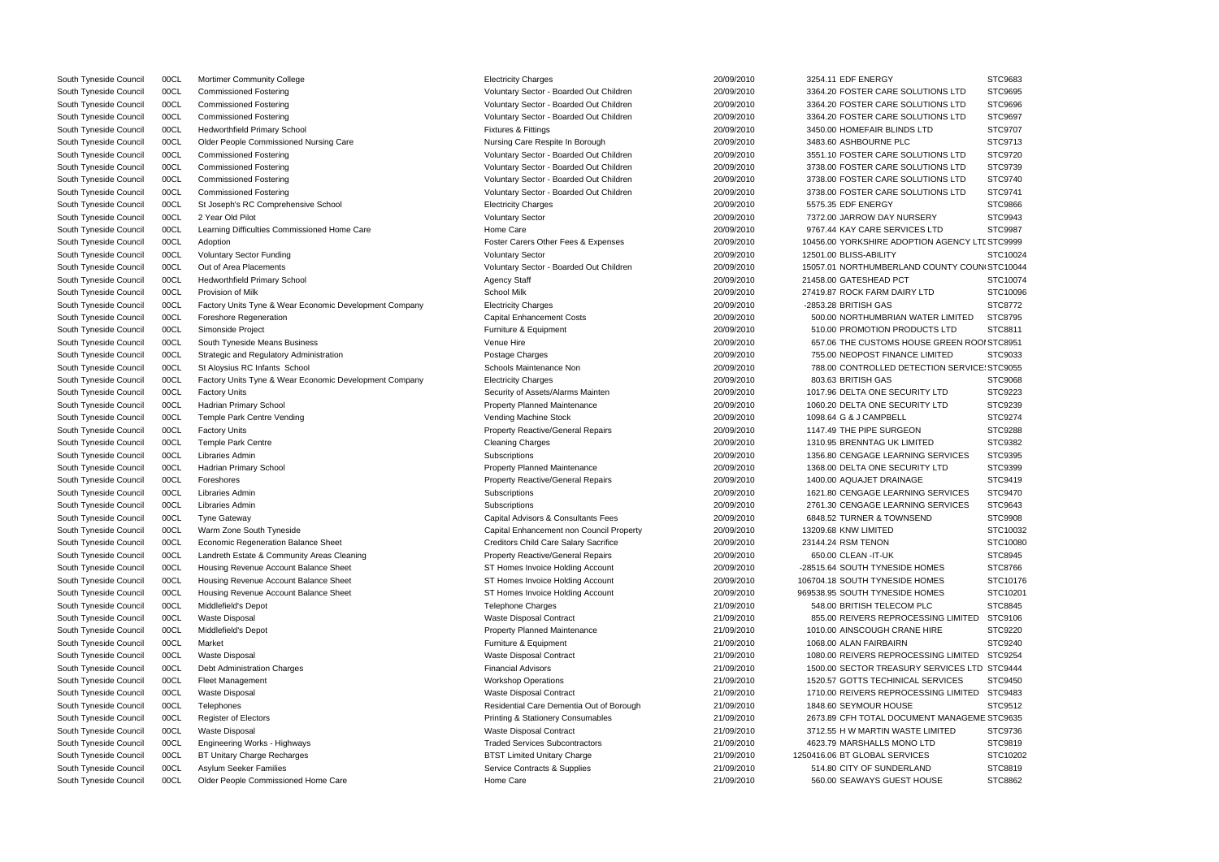| South Tyneside Council | 00CL | <b>Mortimer Community College</b>                      | <b>Electricity Charges</b>                   | 20/09/2010 | 3254.11 EDF ENERGY                             | STC9683        |
|------------------------|------|--------------------------------------------------------|----------------------------------------------|------------|------------------------------------------------|----------------|
| South Tyneside Council | 00CL | <b>Commissioned Fostering</b>                          | Voluntary Sector - Boarded Out Children      | 20/09/2010 | 3364.20 FOSTER CARE SOLUTIONS LTD              | STC9695        |
| South Tyneside Council | 00CL | <b>Commissioned Fostering</b>                          | Voluntary Sector - Boarded Out Children      | 20/09/2010 | 3364.20 FOSTER CARE SOLUTIONS LTD              | STC9696        |
| South Tyneside Council | 00CL | <b>Commissioned Fostering</b>                          | Voluntary Sector - Boarded Out Children      | 20/09/2010 | 3364.20 FOSTER CARE SOLUTIONS LTD              | STC9697        |
| South Tyneside Council | 00CL | <b>Hedworthfield Primary School</b>                    | <b>Fixtures &amp; Fittings</b>               | 20/09/2010 | 3450.00 HOMEFAIR BLINDS LTD                    | STC9707        |
| South Tyneside Council | 00CL | Older People Commissioned Nursing Care                 | Nursing Care Respite In Borough              | 20/09/2010 | 3483.60 ASHBOURNE PLC                          | STC9713        |
| South Tyneside Council | 00CL | <b>Commissioned Fostering</b>                          | Voluntary Sector - Boarded Out Children      | 20/09/2010 | 3551.10 FOSTER CARE SOLUTIONS LTD              | STC9720        |
| South Tyneside Council | 00CL | <b>Commissioned Fostering</b>                          | Voluntary Sector - Boarded Out Children      | 20/09/2010 | 3738.00 FOSTER CARE SOLUTIONS LTD              | STC9739        |
| South Tyneside Council | 00CL | <b>Commissioned Fostering</b>                          | Voluntary Sector - Boarded Out Children      | 20/09/2010 | 3738.00 FOSTER CARE SOLUTIONS LTD              | STC9740        |
| South Tyneside Council | 00CL | <b>Commissioned Fostering</b>                          | Voluntary Sector - Boarded Out Children      | 20/09/2010 | 3738.00 FOSTER CARE SOLUTIONS LTD              | STC9741        |
| South Tyneside Council | 00CL | St Joseph's RC Comprehensive School                    | <b>Electricity Charges</b>                   | 20/09/2010 | 5575.35 EDF ENERGY                             | STC9866        |
| South Tyneside Council | 00CL | 2 Year Old Pilot                                       | <b>Voluntary Sector</b>                      | 20/09/2010 | 7372.00 JARROW DAY NURSERY                     | STC9943        |
| South Tyneside Council | 00CL | Learning Difficulties Commissioned Home Care           | Home Care                                    | 20/09/2010 | 9767.44 KAY CARE SERVICES LTD                  | <b>STC9987</b> |
| South Tyneside Council | 00CL | Adoption                                               | Foster Carers Other Fees & Expenses          | 20/09/2010 | 10456.00 YORKSHIRE ADOPTION AGENCY LTI STC9999 |                |
| South Tyneside Council | 00CL | <b>Voluntary Sector Funding</b>                        | <b>Voluntary Sector</b>                      | 20/09/2010 | 12501.00 BLISS-ABILITY                         | STC10024       |
| South Tyneside Council | 00CL | Out of Area Placements                                 | Voluntary Sector - Boarded Out Children      | 20/09/2010 | 15057.01 NORTHUMBERLAND COUNTY COUN STC10044   |                |
| South Tyneside Council | 00CL | <b>Hedworthfield Primary School</b>                    | <b>Agency Staff</b>                          | 20/09/2010 | 21458.00 GATESHEAD PCT                         | STC10074       |
| South Tyneside Council | 00CL | Provision of Milk                                      | <b>School Milk</b>                           | 20/09/2010 | 27419.87 ROCK FARM DAIRY LTD                   | STC10096       |
| South Tyneside Council | 00CL | Factory Units Tyne & Wear Economic Development Company | <b>Electricity Charges</b>                   | 20/09/2010 | -2853.28 BRITISH GAS                           | STC8772        |
| South Tyneside Council | 00CL | Foreshore Regeneration                                 | <b>Capital Enhancement Costs</b>             | 20/09/2010 | 500.00 NORTHUMBRIAN WATER LIMITED              | STC8795        |
| South Tyneside Council | 00CL | Simonside Project                                      | Furniture & Equipment                        | 20/09/2010 | 510.00 PROMOTION PRODUCTS LTD                  | STC8811        |
| South Tyneside Council | 00CL | South Tyneside Means Business                          | Venue Hire                                   | 20/09/2010 | 657.06 THE CUSTOMS HOUSE GREEN ROOI STC8951    |                |
| South Tyneside Council | 00CL | Strategic and Regulatory Administration                | Postage Charges                              | 20/09/2010 | 755.00 NEOPOST FINANCE LIMITED                 | STC9033        |
|                        | 00CL | St Aloysius RC Infants School                          | Schools Maintenance Non                      | 20/09/2010 | 788.00 CONTROLLED DETECTION SERVICE: STC9055   |                |
| South Tyneside Council |      |                                                        |                                              | 20/09/2010 | 803.63 BRITISH GAS                             | STC9068        |
| South Tyneside Council | 00CL | Factory Units Tyne & Wear Economic Development Company | <b>Electricity Charges</b>                   | 20/09/2010 |                                                |                |
| South Tyneside Council | 00CL | <b>Factory Units</b>                                   | Security of Assets/Alarms Mainten            |            | 1017.96 DELTA ONE SECURITY LTD                 | STC9223        |
| South Tyneside Council | 00CL | <b>Hadrian Primary School</b>                          | <b>Property Planned Maintenance</b>          | 20/09/2010 | 1060.20 DELTA ONE SECURITY LTD                 | STC9239        |
| South Tyneside Council | 00CL | Temple Park Centre Vending                             | Vending Machine Stock                        | 20/09/2010 | 1098.64 G & J CAMPBELL                         | STC9274        |
| South Tyneside Council | 00CL | <b>Factory Units</b>                                   | <b>Property Reactive/General Repairs</b>     | 20/09/2010 | 1147.49 THE PIPE SURGEON                       | STC9288        |
| South Tyneside Council | 00CL | <b>Temple Park Centre</b>                              | <b>Cleaning Charges</b>                      | 20/09/2010 | 1310.95 BRENNTAG UK LIMITED                    | STC9382        |
| South Tyneside Council | 00CL | Libraries Admin                                        | Subscriptions                                | 20/09/2010 | 1356.80 CENGAGE LEARNING SERVICES              | STC9395        |
| South Tyneside Council | 00CL | Hadrian Primary School                                 | <b>Property Planned Maintenance</b>          | 20/09/2010 | 1368.00 DELTA ONE SECURITY LTD                 | STC9399        |
| South Tyneside Council | 00CL | Foreshores                                             | <b>Property Reactive/General Repairs</b>     | 20/09/2010 | 1400.00 AQUAJET DRAINAGE                       | STC9419        |
| South Tyneside Council | 00CL | Libraries Admin                                        | Subscriptions                                | 20/09/2010 | 1621.80 CENGAGE LEARNING SERVICES              | STC9470        |
| South Tyneside Council | 00CL | Libraries Admin                                        | Subscriptions                                | 20/09/2010 | 2761.30 CENGAGE LEARNING SERVICES              | STC9643        |
| South Tyneside Council | 00CL | <b>Tyne Gateway</b>                                    | Capital Advisors & Consultants Fees          | 20/09/2010 | 6848.52 TURNER & TOWNSEND                      | <b>STC9908</b> |
| South Tyneside Council | 00CL | Warm Zone South Tyneside                               | Capital Enhancement non Council Property     | 20/09/2010 | 13209.68 KNW LIMITED                           | STC10032       |
| South Tyneside Council | 00CL | <b>Economic Regeneration Balance Sheet</b>             | <b>Creditors Child Care Salary Sacrifice</b> | 20/09/2010 | 23144.24 RSM TENON                             | STC10080       |
| South Tyneside Council | 00CL | Landreth Estate & Community Areas Cleaning             | <b>Property Reactive/General Repairs</b>     | 20/09/2010 | 650.00 CLEAN - IT-UK                           | STC8945        |
| South Tyneside Council | 00CL | Housing Revenue Account Balance Sheet                  | ST Homes Invoice Holding Account             | 20/09/2010 | -28515.64 SOUTH TYNESIDE HOMES                 | STC8766        |
| South Tyneside Council | 00CL | Housing Revenue Account Balance Sheet                  | ST Homes Invoice Holding Account             | 20/09/2010 | 106704.18 SOUTH TYNESIDE HOMES                 | STC10176       |
| South Tyneside Council | 00CL | Housing Revenue Account Balance Sheet                  | ST Homes Invoice Holding Account             | 20/09/2010 | 969538.95 SOUTH TYNESIDE HOMES                 | STC10201       |
| South Tyneside Council | 00CL | Middlefield's Depot                                    | <b>Telephone Charges</b>                     | 21/09/2010 | 548.00 BRITISH TELECOM PLC                     | STC8845        |
| South Tyneside Council | 00CL | <b>Waste Disposal</b>                                  | Waste Disposal Contract                      | 21/09/2010 | 855.00 REIVERS REPROCESSING LIMITED            | STC9106        |
| South Tyneside Council | 00CL | Middlefield's Depot                                    | <b>Property Planned Maintenance</b>          | 21/09/2010 | 1010.00 AINSCOUGH CRANE HIRE                   | STC9220        |
| South Tyneside Council | 00CL | Market                                                 | Furniture & Equipment                        | 21/09/2010 | 1068.00 ALAN FAIRBAIRN                         | STC9240        |
| South Tyneside Council | 00CL | <b>Waste Disposal</b>                                  | Waste Disposal Contract                      | 21/09/2010 | 1080.00 REIVERS REPROCESSING LIMITED           | STC9254        |
| South Tyneside Council | 00CL | Debt Administration Charges                            | <b>Financial Advisors</b>                    | 21/09/2010 | 1500.00 SECTOR TREASURY SERVICES LTD STC9444   |                |
| South Tyneside Council | 00CL | Fleet Management                                       | <b>Workshop Operations</b>                   | 21/09/2010 | 1520.57 GOTTS TECHINICAL SERVICES              | STC9450        |
| South Tyneside Council | 00CL | Waste Disposal                                         | Waste Disposal Contract                      | 21/09/2010 | 1710.00 REIVERS REPROCESSING LIMITED           | STC9483        |
| South Tyneside Council | 00CL | Telephones                                             | Residential Care Dementia Out of Borough     | 21/09/2010 | 1848.60 SEYMOUR HOUSE                          | STC9512        |
| South Tyneside Council | 00CL | <b>Register of Electors</b>                            | <b>Printing &amp; Stationery Consumables</b> | 21/09/2010 | 2673.89 CFH TOTAL DOCUMENT MANAGEME STC9635    |                |
| South Tyneside Council | 00CL | <b>Waste Disposal</b>                                  | Waste Disposal Contract                      | 21/09/2010 | 3712.55 H W MARTIN WASTE LIMITED               | STC9736        |
| South Tyneside Council | 00CL | Engineering Works - Highways                           | <b>Traded Services Subcontractors</b>        | 21/09/2010 | 4623.79 MARSHALLS MONO LTD                     | STC9819        |
| South Tyneside Council | 00CL | BT Unitary Charge Recharges                            | <b>BTST Limited Unitary Charge</b>           | 21/09/2010 | 1250416.06 BT GLOBAL SERVICES                  | STC10202       |
| South Tyneside Council | 00CL | Asylum Seeker Families                                 | Service Contracts & Supplies                 | 21/09/2010 | 514.80 CITY OF SUNDERLAND                      | STC8819        |
| South Tyneside Council | 00CL | Older People Commissioned Home Care                    | Home Care                                    | 21/09/2010 | 560.00 SEAWAYS GUEST HOUSE                     | STC8862        |
|                        |      |                                                        |                                              |            |                                                |                |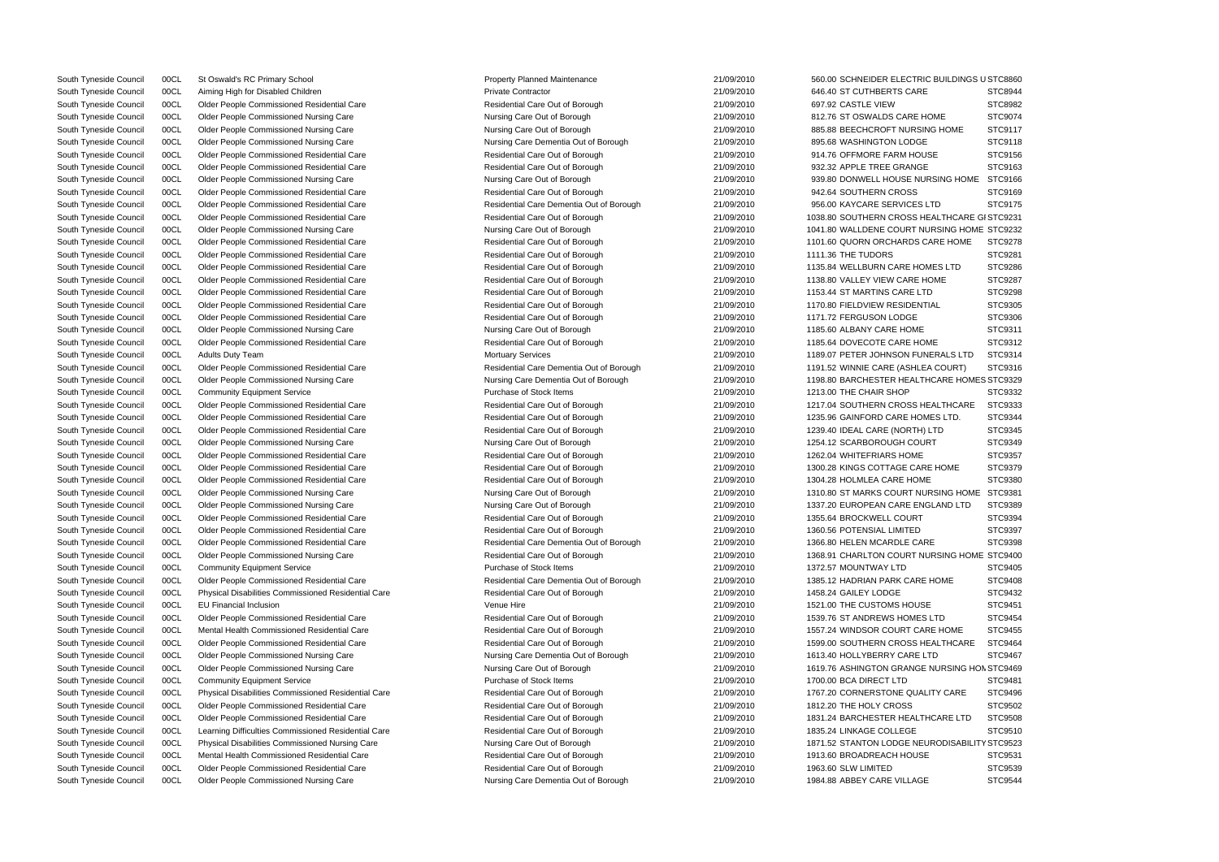South Tyneside Council COCL Older People Commissioned Nursing Care Nursing Care Nursing Care Dementia Out of Borough 21/09/2010 1198.80 BARCHESTER HEALTHCARE HOMES STC9329 South Tyneside Council COCL Older People Commissioned Nursing Care Nursing Care Nursing Care Out of Borough 21/09/2010 1619.76 ASHINGTON GRANGE NURSING HON STC9469 South Tyneside Council COCL Physical Disabilities Commissioned Nursing Care Nursing Care Nursing Care Nursing Care Out of Borough 21/09/2010 1871.52 STANTON LODGE NEURODISABILITY STC9523 South Tyneside Council 00CL Aiming High for Disabled Children **Private Contractor** Private Contractor 21/09/2010 646.40 ST CUTHBERTS CARE STC8944 South Tyneside Council 00CL Older People Commissioned Residential Care Net and Residential Care Residential Care Out of Borough 21/09/2010 697.92 CASTLE VIEW STC8982 South Tyneside Council 00CL Older People Commissioned Nursing Care Nursing Care Nursing Care Out of Borough 21/09/2010 812.76 ST OSWALDS CARE HOME STC9074 South Tyneside Council 00CL Older People Commissioned Nursing Care Nursing Care Nursing Care Out of Borough 21/09/2010 885.88 BEECHCROFT NURSING HOME STC9117 South Tyneside Council 00CL Older People Commissioned Nursing Care Nursing Care Nursing Care Dementia Out of Borough 21/09/2010 895.68 WASHINGTON LODGE STC9118 South Tyneside Council 00CL Older People Commissioned Residential Care Nesidential Care Residential Care Out of Borough 21/09/2010 914.76 OFFMORE FARM HOUSE STC9156 South Tyneside Council 00CL Older People Commissioned Residential Care Mesidential Care Residential Care Out of Borough 21/09/2010 932.32 APPLE TREE GRANGE STC9163 South Tyneside Council 00CL Older People Commissioned Nursing Care Nursing Care Nursing Care Out of Borough 21/09/2010 939.80 DONWELL HOUSE NURSING HOME STC9166 South Tyneside Council 00CL Older People Commissioned Residential Care Net and Residential Care Residential Care Out of Borough 21/09/2010 942.64 SOUTHERN CROSS STC9169 South Tyneside Council 00CL Older People Commissioned Residential Care Network Residential Care Dementia Out of Borough 21/09/2010 956.00 KAYCARE SERVICES LTD STC9175 South Tyneside Council 00CL Older People Commissioned Residential Care Residential Care Residential Care Residential Care Residential Care Residential Care Out of Borough 21/09/2010 1038.80 SOUTHERN CROSS HEALTHCARE GI STC South Tyneside Council 00CL Older People Commissioned Nursing Care Nursing Care Nursing Care Out of Borough 21/09/2010 1041.80 WALLDENE COURT NURSING HOME STC9232 South Tyneside Council 00CL Older People Commissioned Residential Care Residential Care Residential Care Residential Care Residential Care Residential Care Residential Care Out of Borough 21/09/2010 1101.60 QUORN ORCHARDS South Tyneside Council 00CL Older People Commissioned Residential Care Residential Care Residential Care Dut of Borough 21/09/2010 1111.36 THE TUDORS STC9281 South Tyneside Council 00CL Older People Commissioned Residential Care Mesidential Care Residential Care Residential Care Out of Borough 21/09/2010 1135.84 WELLBURN CARE HOMES LTD STC9286 South Tyneside Council 00CL Older People Commissioned Residential Care Mesidential Care Residential Care Residential Care Out of Borough 21/09/2010 1138.80 VALLEY VIEW CARE HOME STC9287 South Tyneside Council 00CL Older People Commissioned Residential Care Nesidential Care Residential Care Residential Care Out of Borough 21/09/2010 1153.44 ST MARTINS CARE LTD STC9298 South Tyneside Council 00CL Older People Commissioned Residential Care Net and Residential Care Residential Care Residential Care Out of Borough 21/09/2010 1170.80 FIELDVIEW RESIDENTIAL STC9305 South Tyneside Council 00CL Older People Commissioned Residential Care Nesidential Care Residential Care Out of Borough 21/09/2010 1171.72 FERGUSON LODGE STC9306 South Tyneside Council 00CL Older People Commissioned Nursing Care Nursing Care Nursing Care Out of Borough 21/09/2010 1185.60 ALBANY CARE HOME STC9311 South Tyneside Council 00CL Older People Commissioned Residential Care Nester Residential Care Residential Care Out of Borough 21/09/2010 1185.64 DOVECOTE CARE HOME STC9312 South Tyneside Council 00CL Adults Duty Team **Mortuary Services** 21/09/2010 1189.07 PETER JOHNSON FUNERALS LTD STC9314 South Tyneside Council 00CL Older People Commissioned Residential Care Network Residential Care Dementia Out of Borough 21/09/2010 1191.52 WINNIE CARE (ASHLEA COURT) STC9316 South Tyneside Council 00CL Community Equipment Service **Purchase of Stock Items** 21/09/2010 1213.00 THE CHAIR SHOP STC9332 South Tyneside Council 00CL Older People Commissioned Residential Care Mesidential Care Residential Care Residential Care Out of Borough 21/09/2010 1217.04 SOUTHERN CROSS HEALTHCARE STC9333 South Tyneside Council 00CL Older People Commissioned Residential Care Net Residential Care Residential Care Residential Care Out of Borough 21/09/2010 1235.96 GAINFORD CARE HOMES LTD. STC9344 South Tyneside Council 00CL Older People Commissioned Residential Care Residential Care Residential Care Residential Care Out of Borough 21/09/2010 1239.40 IDEAL CARE (NORTH) LTD STC9345 South Tyneside Council 00CL Older People Commissioned Nursing Care Nursing Care Nursing Care Out of Borough 21/09/2010 1254.12 SCARBOROUGH COURT STC9349 South Tyneside Council 00CL Older People Commissioned Residential Care Mesidential Care Residential Care Out of Borough 21/09/2010 1262.04 WHITEFRIARS HOME STC9357 South Tyneside Council 00CL Older People Commissioned Residential Care Net Residential Care Residential Care Residential Care Residential Care Out of Borough 21/09/2010 1300.28 KINGS COTTAGE CARE HOME STC9379 South Tyneside Council 00CL Older People Commissioned Residential Care Mesidential Care Residential Care Out of Borough 21/09/2010 1304.28 HOLMLEA CARE HOME STC9380 South Tyneside Council 00CL Older People Commissioned Nursing Care Nursing Care Nursing Care Out of Borough 21/09/2010 1310.80 ST MARKS COURT NURSING HOME STC9381 South Tyneside Council 00CL Older People Commissioned Nursing Care Nursing Care Nursing Care Out of Borough 21/09/2010 1337.20 EUROPEAN CARE ENGLAND LTD STC9389 South Tyneside Council 00CL Older People Commissioned Residential Care Mesidential Care Residential Care Out of Borough 21/09/2010 1355.64 BROCKWELL COURT STC9394 South Tyneside Council 00CL Older People Commissioned Residential Care Residential Care Residential Care Out of Borough 21/09/2010 1360.56 POTENSIAL LIMITED STC9397 South Tyneside Council 00CL Older People Commissioned Residential Care Residential Care Residential Care Residential Care Residential Care Dementia Out of Borough 21/09/2010 1366.80 HELEN MCARDLE CARE STC9398 South Tyneside Council 00CL Older People Commissioned Nursing Care Residential Care Out of Borough 21/09/2010 1368.91 CHARLTON COURT NURSING HOME STC9400 South Tyneside Council 00CL Community Equipment Service **Purchase of Stock Items** 21/09/2010 1372.57 MOUNTWAY LTD STC9405 South Tyneside Council 00CL Older People Commissioned Residential Care Network Residential Care Dementia Out of Borough 21/09/2010 1385.12 HADRIAN PARK CARE HOME STC9408 South Tyneside Council 00CL Physical Disabilities Commissioned Residential Care Residential Care Residential Care Residential Care Out of Borough 21/09/2010 1458.24 GAILEY LODGE STC9432 South Tyneside Council 00CL EU Financial Inclusion Carrier Venue Hire 21/09/2010 1521.00 THE CUSTOMS HOUSE STC9451 South Tyneside Council 00CL Older People Commissioned Residential Care Net and Residential Care Residential Care Residential Care Out of Borough 21/09/2010 1539.76 ST ANDREWS HOMES LTD STC9454 South Tyneside Council 00CL Mental Health Commissioned Residential Care Network Residential Care Residential Care Residential Care Residential Care Out of Borough 21/09/2010 1557.24 WINDSOR COURT CARE HOME STC9455 South Tyneside Council 00CL Older People Commissioned Residential Care Residential Care Residential Care Residential Care Residential Care Out of Borough 21/09/2010 1599.00 SOUTHERN CROSS HEALTHCARE STC9464 South Tyneside Council 00CL Older People Commissioned Nursing Care Nursing Care Nursing Care Dementia Out of Borough 21/09/2010 1613.40 HOLLYBERRY CARE LTD STC9467 South Tyneside Council 00CL Community Equipment Service **Purchase of Stock Items** 21/09/2010 1700.00 BCA DIRECT LTD STC9481 South Tyneside Council 00CL Physical Disabilities Commissioned Residential Care Residential Care Residential Care Residential Care Out of Borough 21/09/2010 1767.20 CORNERSTONE QUALITY CARE STC9496 South Tyneside Council 00CL Older People Commissioned Residential Care Net and Residential Care Residential Care Out of Borough 21/09/2010 1812.20 THE HOLY CROSS STC9502 South Tyneside Council 00CL Older People Commissioned Residential Care Mesidential Care Residential Care Residential Care Out of Borough 21/09/2010 1831.24 BARCHESTER HEALTHCARE LTD STC9508 South Tyneside Council 00CL Learning Difficulties Commissioned Residential Care Residential Care Residential Care Out of Borough 21/09/2010 1835.24 LINKAGE COLLEGE STC9510 South Tyneside Council 00CL Mental Health Commissioned Residential Care Residential Care Residential Care Residential Care Residential Care Residential Care Residential Care Out of Borough 21/09/2010 1913.60 BROADREACH HOU South Tyneside Council 00CL Older People Commissioned Residential Care Net Care Residential Care Out of Borough 21/09/2010 1963.60 SLW LIMITED STC9539 South Tyneside Council 00CL Older People Commissioned Nursing Care Nursing Care Nursing Care Dementia Out of Borough 21/09/2010 1984.88 ABBEY CARE VILLAGE STC9544

South Tyneside Council COCL St Oswald's RC Primary School 21/09/2010 21/09/2010 560.00 SCHNEIDER ELECTRIC BUILDINGS USTC8860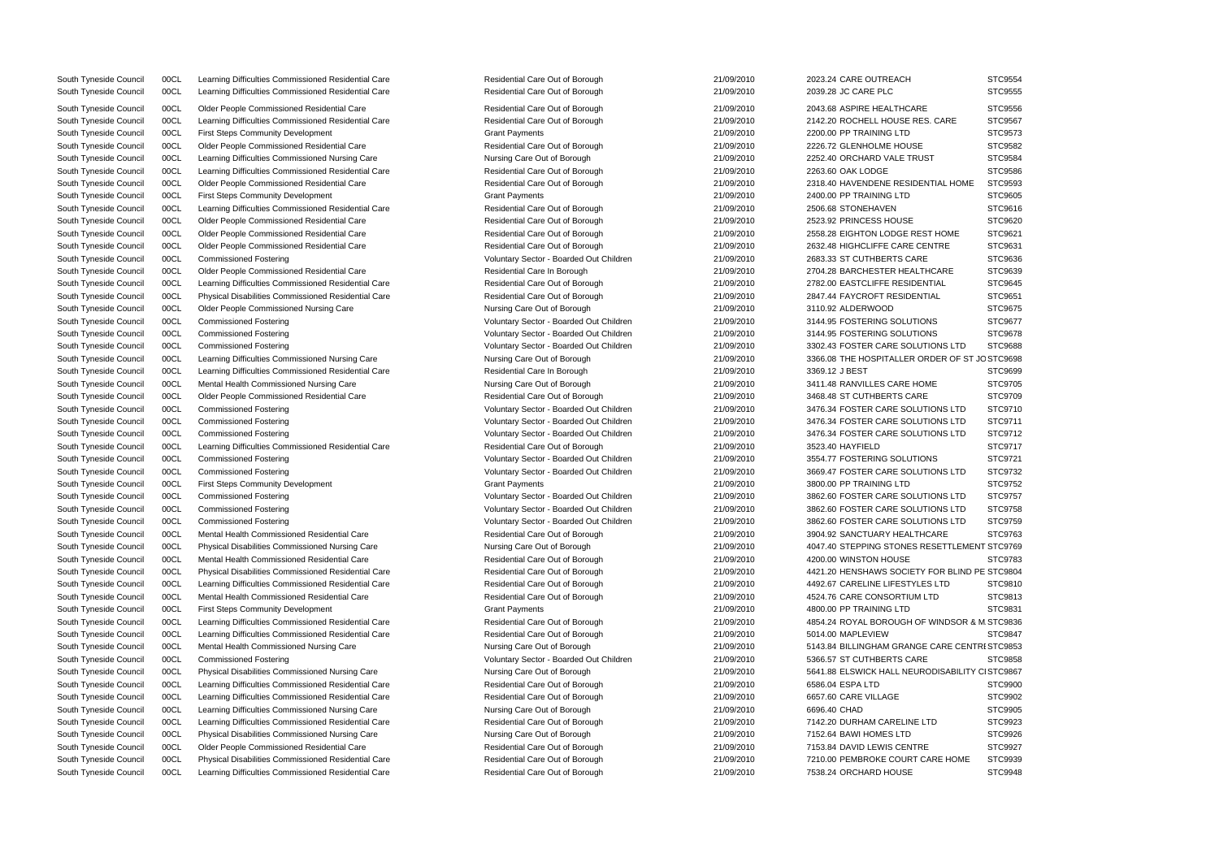South Tyneside Council 00CL Learning Difficulties Commissioned Residential Care Residential Care Out of Borough 21/09/2010 2023.24 CARE OUTREACH STC9554 South Tyneside Council 00CL Learning Difficulties Commissioned Residential Care Residential Care Residential Care Out of Borough 21/09/2010 2039.28 JC CARE PLC South Tyneside Council 00CL Older People Commissioned Residential Care Residential Care Residential Care Residential Care Residential Care Residential Care Out of Borough 21/09/2010 2043.68 ASPIRE HEALTHCAR South Tyneside Council 00CL Learning Difficulties Commissioned Residential Care Residential Care Residential Care Residential Care Residential Care Out of Borough 21/09/2010 21/09/2010 2142.20 ROCHELL HOUSE RE South Tyneside Council 00CL First Steps Community Development Crant Carrier Council Crant Payments Crant Payments 21/09/2010 2200.00 PP TRAINING LTD South Tyneside Council 00CL Older People Commissioned Residential Care **Residential Care** Residential Care Residential Care Residential Care Residential Care Out of Borough 21/09/2010 2226.72 GLENHOLME HOUSE South Tyneside Council 00CL Learning Difficulties Commissioned Nursing Care Nursing Care Nursing Care Out of Borough 21/09/2010 2252.40 ORCHARD VALE TRUST STEPS South Tyneside Council 00CL Learning Difficulties Commissioned Residential Care Residential Care Residential Care Out of Borough 21/09/2010 2263.60 OAK LODGE South Tyneside Council 00CL Older People Commissioned Residential Care Residential Care Residential Care Residential Care Residential Care Residential Care Residential Care Out of Borough 21/09/2010 2318.40 HAVENDENE RESID South Tyneside Council 00CL First Steps Community Development Crant Carrier Council Crant Payments Carrier Carrier Carrier 21/09/2010 2400.00 PP TRAINING LTD South Tyneside Council 00CL Learning Difficulties Commissioned Residential Care Residential Care Residential Care Out of Borough 21/09/2010 2506.68 STONEHAVEN South Tyneside Council 00CL Older People Commissioned Residential Care Residential Care Residential Care Residential Care Residential Care Residential Care Residential Care Out of Borough 21/09/2010 2523.92 PRINCESS HOUSE South Tyneside Council 00CL Older People Commissioned Residential Care **Residential Care Residential Care Residential Care** Residential Care Residential Care Out of Borough 21/09/2010 2558.28 EIGHTON LODGE RE South Tyneside Council 00CL Older People Commissioned Residential Care Residential Care Residential Care Residential Care Residential Care Residential Care Out of Borough 21/09/2010 2632.48 HIGHCLIFFE CARE C South Tyneside Council 00CL Commissioned Fostering CORP COMPUTERTS CARE Voluntary Sector - Boarded Out Children 21/09/2010 2683.33 ST CUTHBERTS CAR South Tyneside Council 00CL Older People Commissioned Residential Care Residential Care Residential Care Residential Care Residential Care Residential Care Residential Care Residential Care Residential Care Residential Car South Tyneside Council 00CL Learning Difficulties Commissioned Residential Care Residential Care Residential Care Residential Care Residential Care Residential Care Out of Borough 21/09/2010 2782.00 EASTCLIFFE RESIDEI South Tyneside Council 00CL Physical Disabilities Commissioned Residential Care Residential Care Residential Care Residential Care Residential Care Out of Borough 21/09/2010 2847.44 FAYCROFT RESIDEN South Tyneside Council 00CL Older People Commissioned Nursing Care Nursing Care Nursing Care Out of Borough 21/09/2010 3110.92 ALDERWOOD South Tyneside Council 00CL Commissioned Fostering values and voluntary Sector - Boarded Out Children 21/09/2010 3144.95 FOSTERING SOLUTION South Tyneside Council 00CL Commissioned Fostering Commissioned Fostering Voluntary Sector - Boarded Out Children 21/09/2010 3144.95 FOSTERING SOLUTIONS South Tyneside Council 00CL Commissioned Fostering values and voluntary Sector - Boarded Out Children 21/09/2010 3302.43 FOSTER CARE SOLU South Tyneside Council 00CL Learning Difficulties Commissioned Nursing Care Nursing Care Nursing Care Out of Borough 21/09/2010 3366.08 THE HOSPITALLER O South Tyneside Council 00CL Learning Difficulties Commissioned Residential Care Residential Care Residential Care Residential Care Residential Care In Borough 21/09/2010 3369.12 J BEST South Tyneside Council 00CL Mental Health Commissioned Nursing Care Nursing Care Nursing Care Out of Borough 21/09/2010 3411.48 RANVILLES CARE HC South Tyneside Council 00CL Older People Commissioned Residential Care Residential Care Residential Care Out of Borough 21/09/2010 3468.48 ST CUTHBERTS CAR South Tyneside Council 00CL Commissioned Fostering **Commissioned Fostering** Voluntary Sector - Boarded Out Children 21/09/2010 3476.34 FOSTER CARE SOLU South Tyneside Council 00CL Commissioned Fostering values and voluntary Sector - Boarded Out Children 21/09/2010 3476.34 FOSTER CARE SOLU South Tyneside Council 00CL Commissioned Fostering values and voluntary Sector - Boarded Out Children 21/09/2010 3476.34 FOSTER CARE SOLU South Tyneside Council 00CL Learning Difficulties Commissioned Residential Care Residential Care Residential Care Residential Care Residential Care Out of Borough 21/09/2010 3523.40 HAYFIELD South Tyneside Council 00CL Commissioned Fostering variable voluntary Sector - Boarded Out Children 21/09/2010 3554.77 FOSTERING SOLUTIONS South Tyneside Council 00CL Commissioned Fostering **South Access 21/09/2010** 21/09/2010 3669.47 FOSTER CARE SOLU South Tyneside Council 00CL First Steps Community Development Crant Cases and Crant Payments Crant Payments 21/09/2010 3800.00 PP TRAINING LTD South Tyneside Council 00CL Commissioned Fostering **Commissioned Fostering** Voluntary Sector - Boarded Out Children 21/09/2010 3862.60 FOSTER CARE SOLU South Tyneside Council 00CL Commissioned Fostering Commissioned Fostering Voluntary Sector - Boarded Out Children 21/09/2010 3862.60 FOSTER CARE SOLUTIONS LTD STEP CARE SOLUTIONS LTD STEP CARE SOLUTIONS LTD STEP CARE SOLUT South Tyneside Council 00CL Commissioned Fostering **South Access 21/09/2010** 3862.60 FOSTER CARE SOLUTIONS Voluntary Sector - Boarded Out Children 21/09/2010 3862.60 FOSTER CARE SOLUTIONS 2010 South Tyneside Council 00CL Mental Health Commissioned Residential Care Residential Care Residential Care Residential Care Residential Care Residential Care Out of Borough 21/09/2010 3904.92 SANCTUARY HEALTH South Tyneside Council 00CL Physical Disabilities Commissioned Nursing Care Nursing Care Nursing Care Out of Borough 21/09/2010 4047.40 STEPPING STONES R South Tyneside Council 00CL Mental Health Commissioned Residential Care Residential Care Residential Care Residential Care Residential Care Out of Borough 21/09/2010 4200.00 WINSTON HOUSE South Tyneside Council 00CL Physical Disabilities Commissioned Residential Care Residential Care Residential Care Out of Borough 21/09/2010 4421.20 HENSHAWS SOCIETY South Tyneside Council 00CL Learning Difficulties Commissioned Residential Care Residential Care Out of Borough 21/09/2010 4492.67 CARELINE LIFESTYLI South Tyneside Council 00CL Mental Health Commissioned Residential Care **Residential Care Residential Care Residential Care** Residential Care Out of Borough 21/09/2010 4524.76 CARE CONSORTIUM South Tyneside Council 00CL First Steps Community Development Crant Carrier Council Crant Payments Crant Payments 21/09/2010 4800.00 PP TRAINING LTD South Tyneside Council 00CL Learning Difficulties Commissioned Residential Care Residential Care Residential Care Out of Borough 21/09/2010 4854.24 ROYAL BOROUGH OI South Tyneside Council 00CL Learning Difficulties Commissioned Residential Care Residential Care Residential Care Out of Borough 21/09/2010 5014.00 MAPLEVIEW South Tyneside Council 00CL Mental Health Commissioned Nursing Care Nursing Care Nursing Care Out of Borough 21/09/2010 5143.84 BILLINGHAM GRANG South Tyneside Council 00CL Commissioned Fostering values of the Voluntary Sector - Boarded Out Children 21/09/2010 5366.57 ST CUTHBERTS CAR South Tyneside Council 00CL Physical Disabilities Commissioned Nursing Care Nursing Care Nursing Care Out of Borough 21/09/2010 5641.88 ELSWICK HALL NEUR South Tyneside Council 00CL Learning Difficulties Commissioned Residential Care Residential Care Residential Care Residential Care Residential Care Residential Care Out of Borough 21/09/2010 6586.04 ESPA LTD South Tyneside Council 00CL Learning Difficulties Commissioned Residential Care Residential Care Residential Care Dut of Borough 21/09/2010 6657.60 CARE VILLAGE South Tyneside Council 00CL Learning Difficulties Commissioned Nursing Care Nursing Care Nursing Care Out of Borough 21/09/2010 6696.40 CHAD South Tyneside Council 00CL Learning Difficulties Commissioned Residential Care Residential Care Out of Borough 21/09/2010 7142.20 DURHAM CARELINE South Tyneside Council 00CL Physical Disabilities Commissioned Nursing Care Nursing Care Nursing Care Out of Borough 21/09/2010 7152.64 BAWI HOMES LTD South Tyneside Council 00CL Older People Commissioned Residential Care Residential Care Residential Care Residential Care Residential Care Residential Care Out of Borough 21/09/2010 7153.84 DAVID LEWIS CENTR South Tyneside Council 00CL Physical Disabilities Commissioned Residential Care Residential Care Residential Care Residential Care Residential Care Out of Borough 21/09/2010 7210.00 PEMBROKE COURT C South Tyneside Council 00CL Learning Difficulties Commissioned Residential Care Residential Care Residential Care Residential Care Residential Care Residential Care Out of Borough 21/09/2010 7538.24 ORCHARD HOUSE

|                         | 31 U 9004<br>STC9555 |
|-------------------------|----------------------|
|                         |                      |
| E                       | STC9556              |
| S. CARE                 | STC9567<br>STC9573   |
|                         | STC9582              |
|                         |                      |
| IST                     | STC9584              |
|                         | STC9586              |
| <b>NTIAL HOME</b>       | STC9593              |
|                         | STC9605              |
|                         | STC9616              |
|                         | STC9620              |
| ST HOME                 | STC9621              |
| ENTRE                   | STC9631              |
| E                       | STC9636              |
| <b>THCARE</b>           | STC9639              |
| NTIAL                   | STC9645              |
| <b>TIAL</b>             | STC9651              |
|                         | STC9675              |
| ЭNS                     | STC9677              |
| ЭNS                     | STC9678              |
| <b>TIONS LTD</b>        | STC9688              |
| RDER OF ST JC STC9698   |                      |
|                         | STC9699              |
| ЖE                      | STC9705              |
| E                       | STC9709              |
| <b>TIONS LTD</b>        | STC9710              |
| <b>TIONS LTD</b>        | STC9711              |
| <b>TIONS LTD</b>        | STC9712              |
|                         | STC9717              |
| <b>DNS</b>              | STC9721              |
| <b>TIONS LTD</b>        | STC9732              |
|                         | STC9752              |
| <b>TIONS LTD</b>        | STC9757              |
| <b>TIONS LTD</b>        | STC9758              |
| <b>TIONS LTD</b>        | STC9759              |
| <b>ICARE</b>            | STC9763              |
| RESETTLEMENT STC9769    |                      |
|                         | STC9783              |
| Y FOR BLIND PE STC9804  |                      |
| ES LTD                  | STC9810              |
| LTD                     | STC9813              |
|                         | STC9831              |
| F WINDSOR & M STC9836   |                      |
|                         | STC9847              |
| E CARE CENTRI STC9853   |                      |
| E                       | STC9858              |
| RODISABILITY CI STC9867 |                      |
|                         | STC9900              |
|                         | STC9902              |
|                         | STC9905              |
| LTD                     | STC9923              |
|                         | STC9926              |
| E                       |                      |
|                         | STC9927              |
| CARE HOME               | STC9939              |
|                         | STC9948              |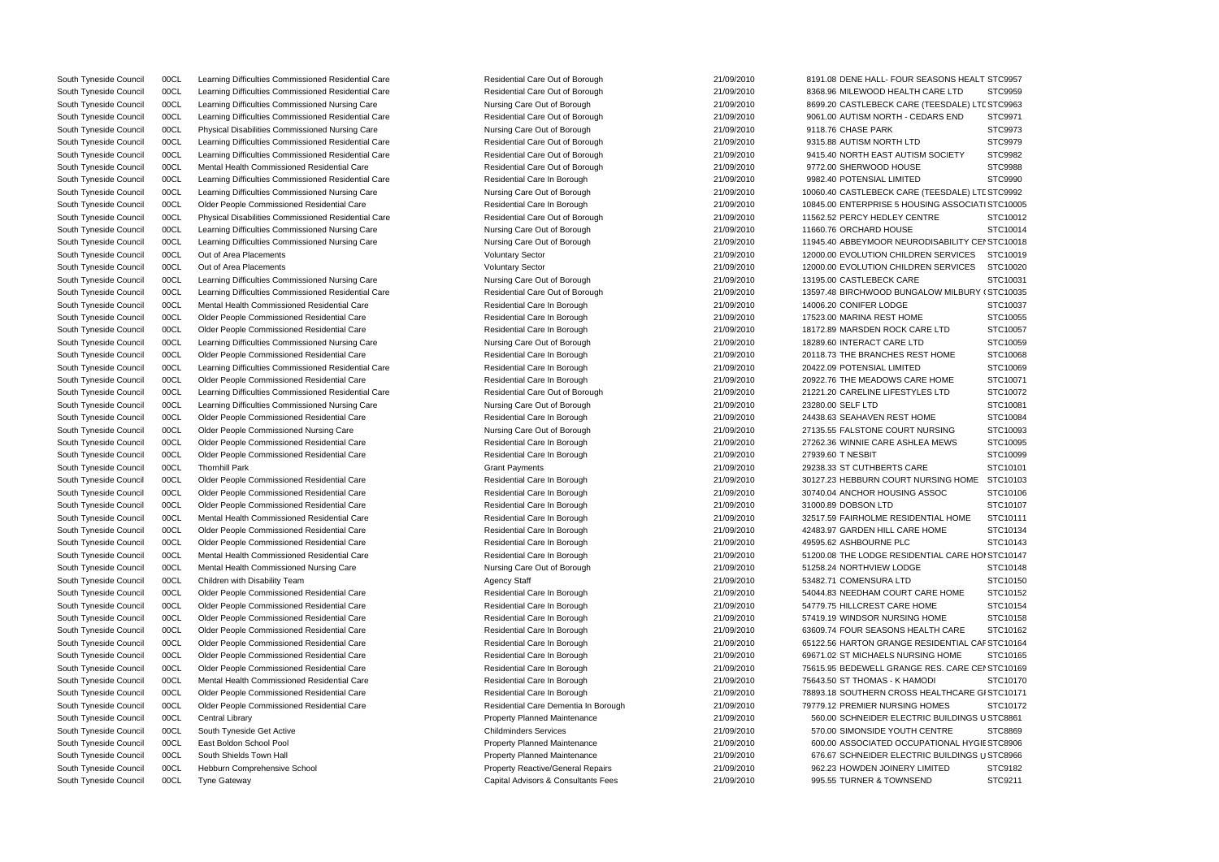South Tyneside Council 00CL Learning Difficulties Commissioned Residential Care Residential Care Residential Care Residential Care Residential Care Out of Borough 21/09/2010 8191.08 DENE HALL- FOUR SEASONS HEALT STC9957

South Tyneside Council 00CL Learning Difficulties Commissioned Nursing Care Nursing Care Out of Borough 8699.20 CASTLEBECK CARE (TEESDALE) LTE STC9963 South Tyneside Council COCL Learning Difficulties Commissioned Nursing Care Mursing Care Nursing Care Out of Borough 21/09/2010 10060.40 CASTLEBECK CARE (TEESDALE) LTE STC9992 South Tyneside Council COCL Learning Difficulties Commissioned Nursing Care Nursing Care Nursing Care Nursing Care Out of Borough 21/09/2010 11945.40 ABBEYMOOR NEURODISABILITY CEI STC10018 South Tyneside Council 00CL Older People Commissioned Residential Care Residential Care ln Borough 21/09/2010 65122.56 HARTON GRANGE RESIDENTIAL CAF STC10164 South Tyneside Council COCL Colder People Commissioned Residential Care Note 2000 Residential Care Reserve Reserve 21/09/2010 75615.95 BEDEWELL GRANGE RES. CARE CEI STC10169 South Tyneside Council 00CL Central Library Property Property Planned Maintenance 21/09/2010 560.00 SCHNEIDER ELECTRIC BUILDINGS USTC8861 South Tyneside Council COCL East Boldon School Pool 21/09 Property Planned Maintenance 21/09/2010 600.00 ASSOCIATED OCCUPATIONAL HYGIE STC8906 South Tyneside Council COCL South Shields Town Hall Property Planned Maintenance 21/09/2010 676.67 SCHNEIDER ELECTRIC BUILDINGS USTC8966 South Tyneside Council 00CL Learning Difficulties Commissioned Residential Care Residential Care Residential Care Residential Care Residential Care Residential Care Residential Care Residential Care Residential Care Out of South Tyneside Council 00CL Learning Difficulties Commissioned Residential Care Residential Care Residential Care Residential Care Residential Care Residential Care Residential Care Residential Care Residential Care Dut of South Tyneside Council 00CL Physical Disabilities Commissioned Nursing Care Nursing Care Nursing Care Out of Borough 21/09/2010 9118.76 CHASE PARK STC9973 South Tyneside Council 00CL Learning Difficulties Commissioned Residential Care Residential Care Residential Care Out of Borough 21/09/2010 9315.88 AUTISM NORTH LTD STC9979 South Tyneside Council 00CL Learning Difficulties Commissioned Residential Care Residential Care Residential Care Residential Care Out of Borough 21/09/2010 9415.40 NORTH EAST AUTISM SOCIETY STC9982 South Tyneside Council 00CL Mental Health Commissioned Residential Care Mesidential Care Residential Care Residential Care Out of Borough 21/09/2010 9772.00 SHERWOOD HOUSE STC9988 South Tyneside Council 00CL Learning Difficulties Commissioned Residential Care Residential Care Residential Care Residential Care Residential Care Residential Care In Borough 21/09/2010 9982.40 POTENSIAL LIMITED STC9990 South Tyneside Council 00CL Older People Commissioned Residential Care Residential Care Residential Care Residential Care Residential Care Residential Care Residential Care Residential Care Residential Care Residential Car South Tyneside Council 00CL Physical Disabilities Commissioned Residential Care Residential Care Residential Care Residential Care Out of Borough 21/09/2010 11562.52 PERCY HEDLEY CENTRE STC10012 South Tyneside Council 00CL Learning Difficulties Commissioned Nursing Care Nursing Care Nursing Care Out of Borough 21/09/2010 11660.76 ORCHARD HOUSE STC10014 South Tyneside Council 00CL Out of Area Placements **COUNCILL COUNCIL COUNCIL COUNCIL COUNCIL** Voluntary Sector 21/09/2010 12000.00 EVOLUTION CHILDREN SERVICES STC10019 South Tyneside Council 00CL Out of Area Placements Computer Council 21/09/2010 12000.00 EVOLUTION CHILDREN SERVICES STC10020 South Tyneside Council 00CL Learning Difficulties Commissioned Nursing Care Nursing Care Nursing Care Out of Borough 21/09/2010 13195.00 CASTLEBECK CARE STC10031 South Tyneside Council 00CL Learning Difficulties Commissioned Residential Care Residential Care Residential Care Out of Borough 21/09/2010 13597.48 BIRCHWOOD BUNGALOW MILBURY (STC10035 South Tyneside Council 00CL Mental Health Commissioned Residential Care Residential Care Residential Care Residential Care Residential Care Residential Care Residential Care Residential Care Residential Care In Borough 21/ South Tyneside Council 00CL Older People Commissioned Residential Care Residential Care Residential Care Residential Care Residential Care Residential Care Residential Care Residential Care Residential Care Residential Car South Tyneside Council 00CL Older People Commissioned Residential Care Residential Care Residential Care Residential Care Residential Care Residential Care Residential Care Residential Care Residential Care Residential Car South Tyneside Council 00CL Learning Difficulties Commissioned Nursing Care Nursing Care Nursing Care Out of Borough 21/09/2010 18289.60 INTERACT CARE LTD STC10059 South Tyneside Council 00CL Older People Commissioned Residential Care **Residential Care** Residential Care Residential Care Residential Care Residential Care Residential Care Residential Care Residential Care Residential C South Tyneside Council 00CL Learning Difficulties Commissioned Residential Care Residential Care Residential Care Residential Care Residential Care Residential Care In Borough 21/09/2010 20422.09 POTENSIAL LIMITED STC10069 South Tyneside Council 00CL Older People Commissioned Residential Care **Residential Care Residential Care Residential Care** Residential Care Residential Care In Borough 21/09/2010 20922.76 THE MEADOWS CARE HOME STC10071 South Tyneside Council 00CL Learning Difficulties Commissioned Residential Care Residential Care Residential Care Out of Borough 21/09/2010 21/09/2010 21/221.20 CARELINE LIFESTYLES LTD STC10072 South Tyneside Council 00CL Learning Difficulties Commissioned Nursing Care Nursing Care Nursing Care Out of Borough 21/09/2010 23280.00 SELF LTD STC10081 South Tyneside Council COCL Colder People Commissioned Residential Care Commissioned Residential Care Residential Care Residential Care Residential Care Residential Care Residential Care Residential Care Residential Care R South Tyneside Council 00CL Older People Commissioned Nursing Care Nursing Care Nursing Care Out of Borough 21/09/2010 27135.55 FALSTONE COURT NURSING STC10093 South Tyneside Council 00CL Older People Commissioned Residential Care **Residential Care** Residential Care Residential Care Residential Care Residential Care Residential Care Residential Care Residential Care Residential C South Tyneside Council COOCL Colder People Commissioned Residential Care Commissioned Residential Care Residential Care Residential Care Residential Care Residential Care Residential Care Residential Care Residential Care South Tyneside Council 00CL Thornhill Park Cannon Care Council Crant Payments Cannon Crant Payments 21/09/2010 29238.33 ST CUTHBERTS CARE STC10101 South Tyneside Council 00CL Older People Commissioned Residential Care Residential Care Residential Care Residential Care Residential Care Residential Care Residential Care Residential Care Residential Care Residential Car South Tyneside Council 00CL Older People Commissioned Residential Care Residential Care Residential Care Residential Care Residential Care Residential Care Residential Care Residential Care Residential Care Residential Car South Tyneside Council 00CL Older People Commissioned Residential Care Residential Care Residential Care Residential Care Residential Care Residential Care Residential Care Residential Care Residential Care Residential Car South Tyneside Council 00CL Mental Health Commissioned Residential Care Residential Care Residential Care Residential Care Residential Care Residential Care Residential Care Residential Care Residential Care Residential Ca South Tyneside Council 00CL Older People Commissioned Residential Care Residential Care Residential Care Residential Care Residential Care Residential Care Residential Care Residential Care Residential Care Residential Car South Tyneside Council 00CL Older People Commissioned Residential Care Residential Care Residential Care Residential Care Residential Care Residential Care Residential Care Residential Care Residential Care Residential Car South Tyneside Council 00CL Mental Health Commissioned Residential Care Residential Care Residential Care Residential Care Residential Care Residential Care Residential Care Residential Care Residential Care In Borough 21/ South Tyneside Council 00CL Mental Health Commissioned Nursing Care Nursing Care Nursing Care Out of Borough 21/09/2010 51258.24 NORTHVIEW LODGE STC10148 South Tyneside Council 00CL Children with Disability Team Agency Staff 21/09/2010 53482.71 COMENSURA LTD STC10150 South Tyneside Council 00CL Older People Commissioned Residential Care Residential Care Residential Care Residential Care Residential Care Residential Care Residential Care Residential Care Residential Care Residential Car South Tyneside Council 00CL Older People Commissioned Residential Care Residential Care Residential Care Residential Care Residential Care Residential Care Residential Care Residential Care Residential Care Residential Car South Tyneside Council 00CL Older People Commissioned Residential Care Residential Care Residential Care Residential Care Residential Care Residential Care Residential Care Residential Care Residential Care Residential Car South Tyneside Council 00CL Older People Commissioned Residential Care Residential Care Residential Care Residential Care Residential Care Residential Care Residential Care Residential Care Residential Care Residential Car South Tyneside Council 00CL Older People Commissioned Residential Care Residential Care Residential Care Residential Care Residential Care Residential Care Residential Care Residential Care Residential Care Residential Car South Tyneside Council 00CL Mental Health Commissioned Residential Care **Residential Care Residential Care Residential Care** Residential Care Residential Care In Borough 21/09/2010 75643.50 ST THOMAS - K HAMODI STC10170 South Tyneside Council 00CL Older People Commissioned Residential Care Residential Care Residential Care Residential Care Residential Care Residential Care Residential Care Residential Care Residential Care Residential Car South Tyneside Council 00CL Older People Commissioned Residential Care Network Residential Care Residential Care Dementia In Borough 21/09/2010 79779.12 PREMIER NURSING HOMES STC10172 South Tyneside Council 00CL South Tyneside Get Active Childminders Services Childminders Services 21/09/2010 570.00 SIMONSIDE YOUTH CENTRE STC8869 South Tyneside Council 00CL Hebburn Comprehensive School Property Reactive/General Repairs 21/09/2010 962.23 HOWDEN JOINERY LIMITED STC9182 South Tyneside Council 00CL Tyne Gateway Capital Advisors & Consultants Consultants Fees 21/09/2010 995.55 TURNER & TOWNSEND STC9211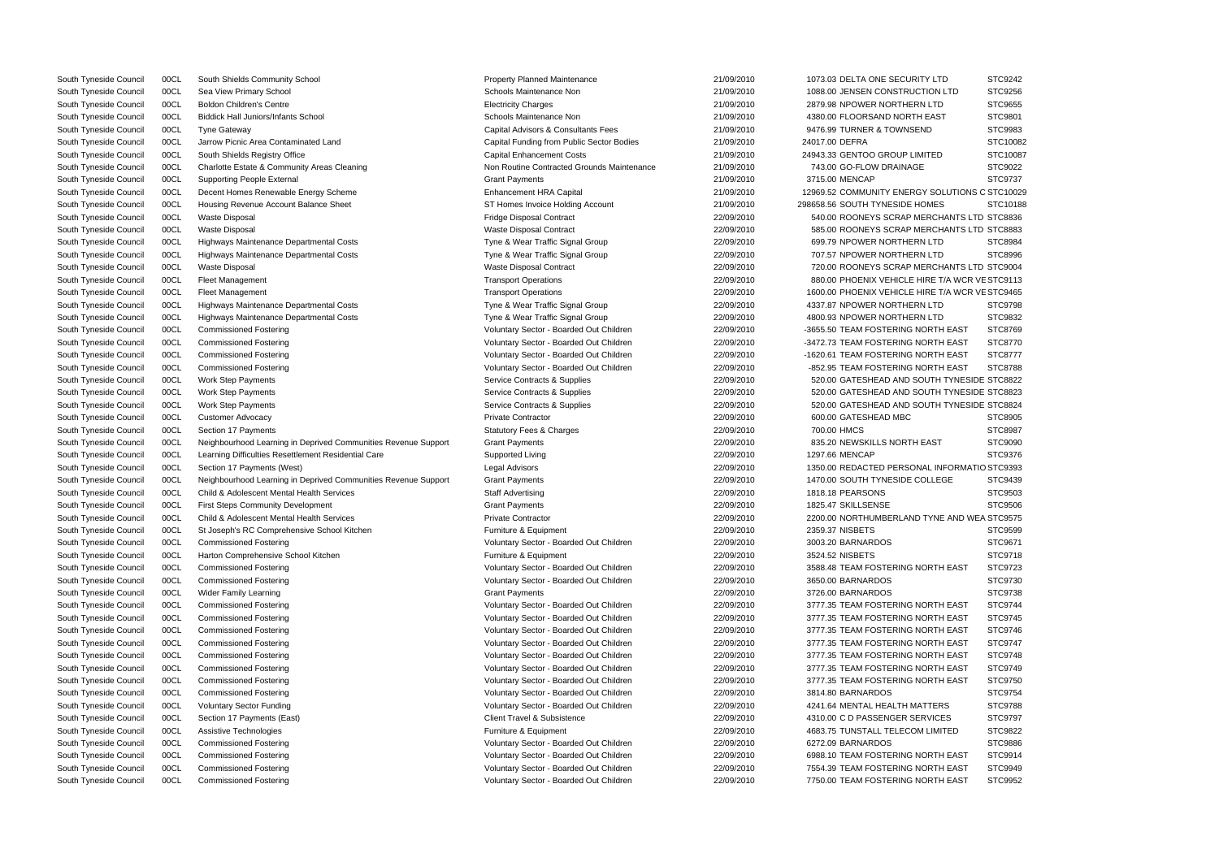| <b>TY LTD</b>                | STC9242  |
|------------------------------|----------|
| TION LTD                     | STC9256  |
| <b>VLTD</b>                  | STC9655  |
| <b>EAST</b>                  | STC9801  |
| ND                           | STC9983  |
|                              | STC10082 |
| <b>IITED</b>                 | STC10087 |
|                              | STC9022  |
| Ξ                            |          |
|                              | STC9737  |
| Y SOLUTIONS C STC10029       |          |
| <b>OMES</b>                  | STC10188 |
| ERCHANTS LTD STC8836         |          |
| ERCHANTS LTD STC8883         |          |
| N LTD                        | STC8984  |
| <b>VLTD</b>                  | STC8996  |
| ERCHANTS LTD STC9004         |          |
| IRE T/A WCR VE STC9113       |          |
| IRE T/A WCR VE STC9465       |          |
| <b>VLTD</b>                  | STC9798  |
| <b>VLTD</b>                  | STC9832  |
| ORTH EAST                    | STC8769  |
| ORTH EAST                    | STC8770  |
| ORTH EAST                    | STC8777  |
| ORTH EAST                    | STC8788  |
| <b>JUTH TYNESIDE STC8822</b> |          |
| <b>JUTH TYNESIDE STC8823</b> |          |
| <b>UTH TYNESIDE STC8824</b>  |          |
|                              | STC8905  |
|                              | STC8987  |
| EAST                         | STC9090  |
|                              | STC9376  |
| AL INFORMATIO STC9393        |          |
| OLLEGE                       | STC9439  |
|                              | STC9503  |
|                              | STC9506  |
| TYNE AND WEA STC9575         |          |
|                              |          |
|                              | STC9599  |
|                              | STC9671  |
|                              | STC9718  |
| ORTH EAST                    | STC9723  |
|                              | STC9730  |
|                              | STC9738  |
| ORTH EAST                    | STC9744  |
| ORTH EAST                    | STC9745  |
| ORTH EAST                    | STC9746  |
| ORTH EAST                    | STC9747  |
| ORTH EAST                    | STC9748  |
| ORTH EAST                    | STC9749  |
| ORTH EAST                    | STC9750  |
|                              | STC9754  |
| TTERS                        | STC9788  |
| RVICES                       | STC9797  |
| I LIMITED                    | STC9822  |
|                              | STC9886  |
| ORTH EAST                    | STC9914  |
| ORTH EAST                    | STC9949  |
| ORTH EAST                    | STC9952  |
|                              |          |

| South Tyneside Council | 00CL | South Shields Community School                                 | Property Planned Maintenance               | 21/09/2010 | 1073.03 DELTA ONE SECURITY LID                  | STC9242           |
|------------------------|------|----------------------------------------------------------------|--------------------------------------------|------------|-------------------------------------------------|-------------------|
| South Tyneside Council | 00CL | Sea View Primary School                                        | Schools Maintenance Non                    | 21/09/2010 | 1088.00 JENSEN CONSTRUCTION LTD                 | STC9256           |
| South Tyneside Council | 00CL | <b>Boldon Children's Centre</b>                                | <b>Electricity Charges</b>                 | 21/09/2010 | 2879.98 NPOWER NORTHERN LTD                     | STC9655           |
| South Tyneside Council | 00CL | <b>Biddick Hall Juniors/Infants School</b>                     | Schools Maintenance Non                    | 21/09/2010 | 4380.00 FLOORSAND NORTH EAST                    | STC9801           |
| South Tyneside Council | 00CL | <b>Tyne Gateway</b>                                            | Capital Advisors & Consultants Fees        | 21/09/2010 | 9476.99 TURNER & TOWNSEND                       | STC9983           |
| South Tyneside Council | 00CL | Jarrow Picnic Area Contaminated Land                           | Capital Funding from Public Sector Bodies  | 21/09/2010 | 24017.00 DEFRA                                  | STC1008           |
| South Tyneside Council | 00CL | South Shields Registry Office                                  | <b>Capital Enhancement Costs</b>           | 21/09/2010 | 24943.33 GENTOO GROUP LIMITED                   | STC1008           |
| South Tyneside Council | 00CL | Charlotte Estate & Community Areas Cleaning                    | Non Routine Contracted Grounds Maintenance | 21/09/2010 | 743.00 GO-FLOW DRAINAGE                         | STC9022           |
| South Tyneside Council | 00CL | <b>Supporting People External</b>                              | <b>Grant Payments</b>                      | 21/09/2010 | 3715.00 MENCAP                                  | STC9737           |
| South Tyneside Council | 00CL | Decent Homes Renewable Energy Scheme                           | Enhancement HRA Capital                    | 21/09/2010 | 12969.52 COMMUNITY ENERGY SOLUTIONS C STC1002   |                   |
| South Tyneside Council | 00CL | Housing Revenue Account Balance Sheet                          | ST Homes Invoice Holding Account           | 21/09/2010 | 298658.56 SOUTH TYNESIDE HOMES                  | STC1018           |
| South Tyneside Council | 00CL | <b>Waste Disposal</b>                                          | Fridge Disposal Contract                   | 22/09/2010 | 540.00 ROONEYS SCRAP MERCHANTS LTD STC8836      |                   |
| South Tyneside Council | 00CL | <b>Waste Disposal</b>                                          | <b>Waste Disposal Contract</b>             | 22/09/2010 | 585.00 ROONEYS SCRAP MERCHANTS LTD STC8883      |                   |
| South Tyneside Council | 00CL | Highways Maintenance Departmental Costs                        | Tyne & Wear Traffic Signal Group           | 22/09/2010 | 699.79 NPOWER NORTHERN LTD                      | STC8984           |
| South Tyneside Council | 00CL | Highways Maintenance Departmental Costs                        | Tyne & Wear Traffic Signal Group           | 22/09/2010 | 707.57 NPOWER NORTHERN LTD                      | STC8996           |
| South Tyneside Council | 00CL | <b>Waste Disposal</b>                                          | <b>Waste Disposal Contract</b>             | 22/09/2010 | 720.00 ROONEYS SCRAP MERCHANTS LTD STC9004      |                   |
| South Tyneside Council | 00CL | Fleet Management                                               | <b>Transport Operations</b>                | 22/09/2010 | 880.00 PHOENIX VEHICLE HIRE T/A WCR VE STC9113  |                   |
| South Tyneside Council | 00CL | <b>Fleet Management</b>                                        | <b>Transport Operations</b>                | 22/09/2010 | 1600.00 PHOENIX VEHICLE HIRE T/A WCR VE STC9465 |                   |
|                        |      |                                                                |                                            |            |                                                 |                   |
| South Tyneside Council | 00CL | Highways Maintenance Departmental Costs                        | Tyne & Wear Traffic Signal Group           | 22/09/2010 | 4337.87 NPOWER NORTHERN LTD                     | STC9798           |
| South Tyneside Council | 00CL | Highways Maintenance Departmental Costs                        | Tyne & Wear Traffic Signal Group           | 22/09/2010 | 4800.93 NPOWER NORTHERN LTD                     | STC9832           |
| South Tyneside Council | 00CL | <b>Commissioned Fostering</b>                                  | Voluntary Sector - Boarded Out Children    | 22/09/2010 | -3655.50 TEAM FOSTERING NORTH EAST              | <b>STC8769</b>    |
| South Tyneside Council | 00CL | <b>Commissioned Fostering</b>                                  | Voluntary Sector - Boarded Out Children    | 22/09/2010 | -3472.73 TEAM FOSTERING NORTH EAST              | STC8770           |
| South Tyneside Council | 00CL | <b>Commissioned Fostering</b>                                  | Voluntary Sector - Boarded Out Children    | 22/09/2010 | -1620.61 TEAM FOSTERING NORTH EAST              | STC8777           |
| South Tyneside Council | 00CL | <b>Commissioned Fostering</b>                                  | Voluntary Sector - Boarded Out Children    | 22/09/2010 | -852.95 TEAM FOSTERING NORTH EAST               | STC8788           |
| South Tyneside Council | 00CL | <b>Work Step Payments</b>                                      | Service Contracts & Supplies               | 22/09/2010 | 520.00 GATESHEAD AND SOUTH TYNESIDE STC8822     |                   |
| South Tyneside Council | 00CL | <b>Work Step Payments</b>                                      | Service Contracts & Supplies               | 22/09/2010 | 520.00 GATESHEAD AND SOUTH TYNESIDE STC8823     |                   |
| South Tyneside Council | 00CL | <b>Work Step Payments</b>                                      | Service Contracts & Supplies               | 22/09/2010 | 520.00 GATESHEAD AND SOUTH TYNESIDE STC8824     |                   |
| South Tyneside Council | 00CL | <b>Customer Advocacy</b>                                       | <b>Private Contractor</b>                  | 22/09/2010 | 600.00 GATESHEAD MBC                            | STC8905           |
| South Tyneside Council | 00CL | Section 17 Payments                                            | <b>Statutory Fees &amp; Charges</b>        | 22/09/2010 | 700.00 HMCS                                     | STC8987           |
| South Tyneside Council | 00CL | Neighbourhood Learning in Deprived Communities Revenue Support | <b>Grant Payments</b>                      | 22/09/2010 | 835.20 NEWSKILLS NORTH EAST                     | <b>STC9090</b>    |
| South Tyneside Council | 00CL | Learning Difficulties Resettlement Residential Care            | Supported Living                           | 22/09/2010 | 1297.66 MENCAP                                  | STC9376           |
| South Tyneside Council | 00CL | Section 17 Payments (West)                                     | Legal Advisors                             | 22/09/2010 | 1350.00 REDACTED PERSONAL INFORMAT              | <b>IO STC9393</b> |
| South Tyneside Council | 00CL | Neighbourhood Learning in Deprived Communities Revenue Support | <b>Grant Payments</b>                      | 22/09/2010 | 1470.00 SOUTH TYNESIDE COLLEGE                  | STC9439           |
| South Tyneside Council | 00CL | Child & Adolescent Mental Health Services                      | <b>Staff Advertising</b>                   | 22/09/2010 | 1818.18 PEARSONS                                | STC9503           |
| South Tyneside Council | 00CL | <b>First Steps Community Development</b>                       | <b>Grant Payments</b>                      | 22/09/2010 | 1825.47 SKILLSENSE                              | STC9506           |
| South Tyneside Council | 00CL | Child & Adolescent Mental Health Services                      | <b>Private Contractor</b>                  | 22/09/2010 | 2200.00 NORTHUMBERLAND TYNE AND WEA STC9575     |                   |
| South Tyneside Council | 00CL | St Joseph's RC Comprehensive School Kitchen                    | Furniture & Equipment                      | 22/09/2010 | 2359.37 NISBETS                                 | <b>STC9599</b>    |
| South Tyneside Council | 00CL | <b>Commissioned Fostering</b>                                  | Voluntary Sector - Boarded Out Children    | 22/09/2010 | 3003.20 BARNARDOS                               | STC9671           |
| South Tyneside Council | 00CL | Harton Comprehensive School Kitchen                            | Furniture & Equipment                      | 22/09/2010 | 3524.52 NISBETS                                 | STC9718           |
| South Tyneside Council | 00CL | <b>Commissioned Fostering</b>                                  | Voluntary Sector - Boarded Out Children    | 22/09/2010 | 3588.48 TEAM FOSTERING NORTH EAST               | STC9723           |
| South Tyneside Council | 00CL | <b>Commissioned Fostering</b>                                  | Voluntary Sector - Boarded Out Children    | 22/09/2010 | 3650.00 BARNARDOS                               | STC9730           |
| South Tyneside Council | 00CL | <b>Wider Family Learning</b>                                   | <b>Grant Payments</b>                      | 22/09/2010 | 3726.00 BARNARDOS                               | STC9738           |
| South Tyneside Council | 00CL | <b>Commissioned Fostering</b>                                  | Voluntary Sector - Boarded Out Children    | 22/09/2010 | 3777.35 TEAM FOSTERING NORTH EAST               | STC9744           |
| South Tyneside Council | 00CL | <b>Commissioned Fostering</b>                                  | Voluntary Sector - Boarded Out Children    | 22/09/2010 | 3777.35 TEAM FOSTERING NORTH EAST               | STC9745           |
| South Tyneside Council | 00CL | <b>Commissioned Fostering</b>                                  | Voluntary Sector - Boarded Out Children    | 22/09/2010 | 3777.35 TEAM FOSTERING NORTH EAST               | STC9746           |
| South Tyneside Council | 00CL | <b>Commissioned Fostering</b>                                  | Voluntary Sector - Boarded Out Children    | 22/09/2010 | 3777.35 TEAM FOSTERING NORTH EAST               | STC9747           |
| South Tyneside Council | 00CL | <b>Commissioned Fostering</b>                                  | Voluntary Sector - Boarded Out Children    | 22/09/2010 | 3777.35 TEAM FOSTERING NORTH EAST               | STC9748           |
|                        |      |                                                                |                                            | 22/09/2010 | 3777.35 TEAM FOSTERING NORTH EAST               |                   |
| South Tyneside Council | 00CL | <b>Commissioned Fostering</b>                                  | Voluntary Sector - Boarded Out Children    |            |                                                 | STC9749           |
| South Tyneside Council | 00CL | <b>Commissioned Fostering</b>                                  | Voluntary Sector - Boarded Out Children    | 22/09/2010 | 3777.35 TEAM FOSTERING NORTH EAST               | STC9750           |
| South Tyneside Council | 00CL | <b>Commissioned Fostering</b>                                  | Voluntary Sector - Boarded Out Children    | 22/09/2010 | 3814.80 BARNARDOS                               | STC9754           |
| South Tyneside Council | 00CL | <b>Voluntary Sector Funding</b>                                | Voluntary Sector - Boarded Out Children    | 22/09/2010 | 4241.64 MENTAL HEALTH MATTERS                   | STC9788           |
| South Tyneside Council | 00CL | Section 17 Payments (East)                                     | <b>Client Travel &amp; Subsistence</b>     | 22/09/2010 | 4310.00 C D PASSENGER SERVICES                  | STC9797           |
| South Tyneside Council | 00CL | Assistive Technologies                                         | Furniture & Equipment                      | 22/09/2010 | 4683.75 TUNSTALL TELECOM LIMITED                | STC9822           |
| South Tyneside Council | 00CL | <b>Commissioned Fostering</b>                                  | Voluntary Sector - Boarded Out Children    | 22/09/2010 | 6272.09 BARNARDOS                               | STC9886           |
| South Tyneside Council | 00CL | <b>Commissioned Fostering</b>                                  | Voluntary Sector - Boarded Out Children    | 22/09/2010 | 6988.10 TEAM FOSTERING NORTH EAST               | STC9914           |
| South Tyneside Council | 00CL | <b>Commissioned Fostering</b>                                  | Voluntary Sector - Boarded Out Children    | 22/09/2010 | 7554.39 TEAM FOSTERING NORTH EAST               | STC9949           |
| South Tyneside Council | 00CL | <b>Commissioned Fostering</b>                                  | Voluntary Sector - Boarded Out Children    | 22/09/2010 | 7750.00 TEAM FOSTERING NORTH EAST               | STC9952           |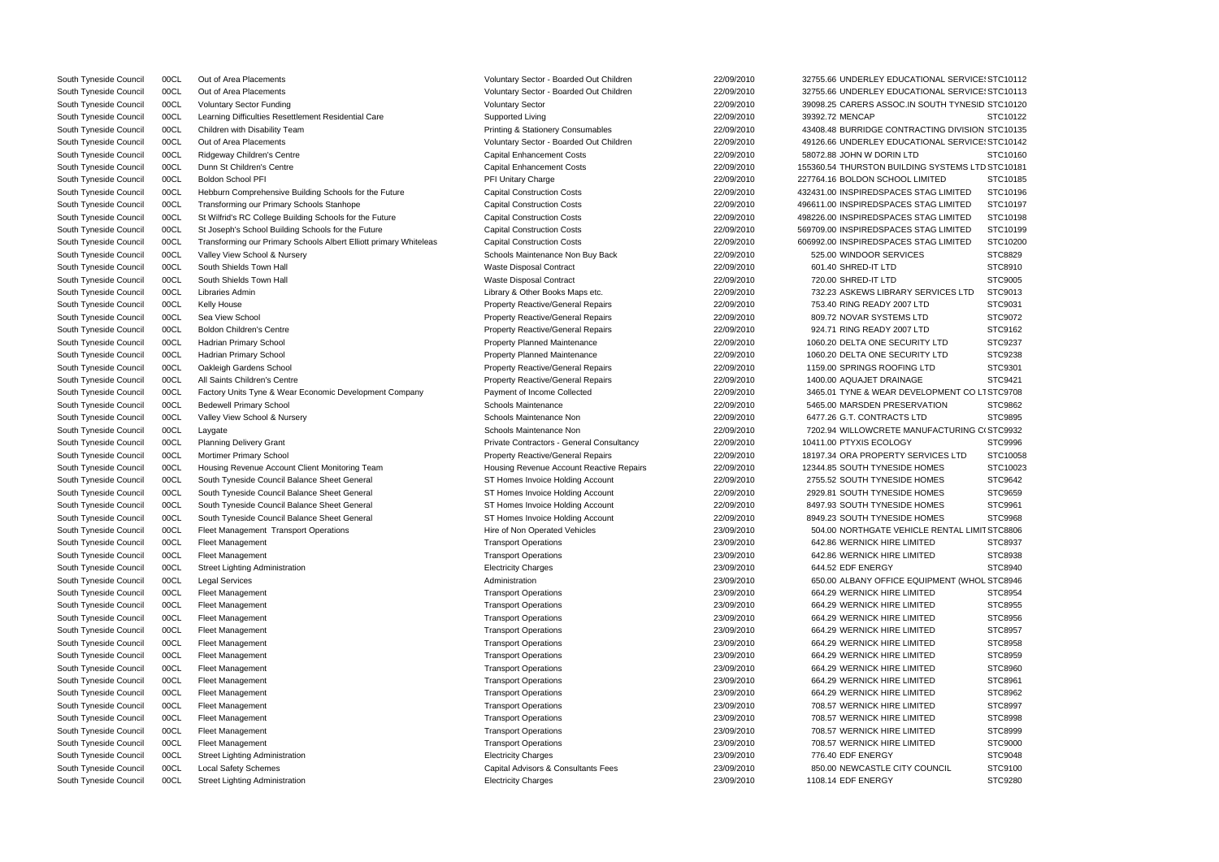| South Tyneside Council | 00CL | Out of Area Placements                                            | Voluntary Sector - Boarded Out Children      | 22/09/2010 | 32755.66 UNDERLEY EDUCATIONAL SERVICE: STC10112  |                |
|------------------------|------|-------------------------------------------------------------------|----------------------------------------------|------------|--------------------------------------------------|----------------|
| South Tyneside Council | 00CL | Out of Area Placements                                            | Voluntary Sector - Boarded Out Children      | 22/09/2010 | 32755.66 UNDERLEY EDUCATIONAL SERVICE: STC10113  |                |
| South Tyneside Council | 00CL | <b>Voluntary Sector Funding</b>                                   | <b>Voluntary Sector</b>                      | 22/09/2010 | 39098.25 CARERS ASSOC.IN SOUTH TYNESID STC10120  |                |
| South Tyneside Council | 00CL | Learning Difficulties Resettlement Residential Care               | Supported Living                             | 22/09/2010 | 39392.72 MENCAP                                  | STC10122       |
| South Tyneside Council | 00CL | Children with Disability Team                                     | <b>Printing &amp; Stationery Consumables</b> | 22/09/2010 | 43408.48 BURRIDGE CONTRACTING DIVISION STC10135  |                |
| South Tyneside Council | 00CL | Out of Area Placements                                            | Voluntary Sector - Boarded Out Children      | 22/09/2010 | 49126.66 UNDERLEY EDUCATIONAL SERVICE: STC10142  |                |
| South Tyneside Council | 00CL | Ridgeway Children's Centre                                        | <b>Capital Enhancement Costs</b>             | 22/09/2010 | 58072.88 JOHN W DORIN LTD                        | STC10160       |
| South Tyneside Council | 00CL | Dunn St Children's Centre                                         | <b>Capital Enhancement Costs</b>             | 22/09/2010 | 155360.54 THURSTON BUILDING SYSTEMS LTD STC10181 |                |
| South Tyneside Council | 00CL | <b>Boldon School PFI</b>                                          | PFI Unitary Charge                           | 22/09/2010 | 227764.16 BOLDON SCHOOL LIMITED                  | STC10185       |
| South Tyneside Council | 00CL | Hebburn Comprehensive Building Schools for the Future             | <b>Capital Construction Costs</b>            | 22/09/2010 | 432431.00 INSPIREDSPACES STAG LIMITED            | STC10196       |
| South Tyneside Council | 00CL | Transforming our Primary Schools Stanhope                         | <b>Capital Construction Costs</b>            | 22/09/2010 | 496611.00 INSPIREDSPACES STAG LIMITED            | STC10197       |
| South Tyneside Council | 00CL | St Wilfrid's RC College Building Schools for the Future           | <b>Capital Construction Costs</b>            | 22/09/2010 | 498226.00 INSPIREDSPACES STAG LIMITED            | STC10198       |
| South Tyneside Council | 00CL | St Joseph's School Building Schools for the Future                | <b>Capital Construction Costs</b>            | 22/09/2010 | 569709.00 INSPIREDSPACES STAG LIMITED            | STC10199       |
| South Tyneside Council | 00CL | Transforming our Primary Schools Albert Elliott primary Whiteleas | <b>Capital Construction Costs</b>            | 22/09/2010 | 606992.00 INSPIREDSPACES STAG LIMITED            | STC10200       |
| South Tyneside Council | 00CL | Valley View School & Nursery                                      | Schools Maintenance Non Buy Back             | 22/09/2010 | 525.00 WINDOOR SERVICES                          | STC8829        |
| South Tyneside Council | 00CL | South Shields Town Hall                                           | Waste Disposal Contract                      | 22/09/2010 | 601.40 SHRED-IT LTD                              | STC8910        |
| South Tyneside Council | 00CL | South Shields Town Hall                                           | Waste Disposal Contract                      | 22/09/2010 | 720.00 SHRED-IT LTD                              | STC9005        |
| South Tyneside Council | 00CL |                                                                   |                                              | 22/09/2010 | 732.23 ASKEWS LIBRARY SERVICES LTD               | STC9013        |
|                        |      | Libraries Admin                                                   | Library & Other Books Maps etc.              |            |                                                  |                |
| South Tyneside Council | 00CL | Kelly House                                                       | Property Reactive/General Repairs            | 22/09/2010 | 753.40 RING READY 2007 LTD                       | STC9031        |
| South Tyneside Council | 00CL | Sea View School                                                   | Property Reactive/General Repairs            | 22/09/2010 | 809.72 NOVAR SYSTEMS LTD                         | STC9072        |
| South Tyneside Council | 00CL | <b>Boldon Children's Centre</b>                                   | Property Reactive/General Repairs            | 22/09/2010 | 924.71 RING READY 2007 LTD                       | STC9162        |
| South Tyneside Council | 00CL | Hadrian Primary School                                            | <b>Property Planned Maintenance</b>          | 22/09/2010 | 1060.20 DELTA ONE SECURITY LTD                   | STC9237        |
| South Tyneside Council | 00CL | Hadrian Primary School                                            | <b>Property Planned Maintenance</b>          | 22/09/2010 | 1060.20 DELTA ONE SECURITY LTD                   | STC9238        |
| South Tyneside Council | 00CL | Oakleigh Gardens School                                           | <b>Property Reactive/General Repairs</b>     | 22/09/2010 | 1159.00 SPRINGS ROOFING LTD                      | STC9301        |
| South Tyneside Council | 00CL | All Saints Children's Centre                                      | <b>Property Reactive/General Repairs</b>     | 22/09/2010 | 1400.00 AQUAJET DRAINAGE                         | STC9421        |
| South Tyneside Council | 00CL | Factory Units Tyne & Wear Economic Development Company            | Payment of Income Collected                  | 22/09/2010 | 3465.01 TYNE & WEAR DEVELOPMENT CO L1STC9708     |                |
| South Tyneside Council | 00CL | <b>Bedewell Primary School</b>                                    | Schools Maintenance                          | 22/09/2010 | 5465.00 MARSDEN PRESERVATION                     | STC9862        |
| South Tyneside Council | 00CL | Valley View School & Nursery                                      | Schools Maintenance Non                      | 22/09/2010 | 6477.26 G.T. CONTRACTS LTD                       | STC9895        |
| South Tyneside Council | 00CL | Laygate                                                           | Schools Maintenance Non                      | 22/09/2010 | 7202.94 WILLOWCRETE MANUFACTURING C/ STC9932     |                |
| South Tyneside Council | 00CL | <b>Planning Delivery Grant</b>                                    | Private Contractors - General Consultancy    | 22/09/2010 | 10411.00 PTYXIS ECOLOGY                          | STC9996        |
| South Tyneside Council | 00CL | <b>Mortimer Primary School</b>                                    | Property Reactive/General Repairs            | 22/09/2010 | 18197.34 ORA PROPERTY SERVICES LTD               | STC10058       |
| South Tyneside Council | 00CL | Housing Revenue Account Client Monitoring Team                    | Housing Revenue Account Reactive Repairs     | 22/09/2010 | 12344.85 SOUTH TYNESIDE HOMES                    | STC10023       |
| South Tyneside Council | 00CL | South Tyneside Council Balance Sheet General                      | ST Homes Invoice Holding Account             | 22/09/2010 | 2755.52 SOUTH TYNESIDE HOMES                     | STC9642        |
| South Tyneside Council | 00CL | South Tyneside Council Balance Sheet General                      | ST Homes Invoice Holding Account             | 22/09/2010 | 2929.81 SOUTH TYNESIDE HOMES                     | STC9659        |
| South Tyneside Council | 00CL | South Tyneside Council Balance Sheet General                      | ST Homes Invoice Holding Account             | 22/09/2010 | 8497.93 SOUTH TYNESIDE HOMES                     | STC9961        |
| South Tyneside Council | 00CL | South Tyneside Council Balance Sheet General                      | ST Homes Invoice Holding Account             | 22/09/2010 | 8949.23 SOUTH TYNESIDE HOMES                     | <b>STC9968</b> |
| South Tyneside Council | 00CL | Fleet Management Transport Operations                             | Hire of Non Operated Vehicles                | 23/09/2010 | 504.00 NORTHGATE VEHICLE RENTAL LIMIT STC8806    |                |
| South Tyneside Council | 00CL | <b>Fleet Management</b>                                           | <b>Transport Operations</b>                  | 23/09/2010 | 642.86 WERNICK HIRE LIMITED                      | STC8937        |
| South Tyneside Council | 00CL | <b>Fleet Management</b>                                           | <b>Transport Operations</b>                  | 23/09/2010 | 642.86 WERNICK HIRE LIMITED                      | STC8938        |
| South Tyneside Council | 00CL | <b>Street Lighting Administration</b>                             | <b>Electricity Charges</b>                   | 23/09/2010 | 644.52 EDF ENERGY                                | STC8940        |
| South Tyneside Council | 00CL | <b>Legal Services</b>                                             | Administration                               | 23/09/2010 | 650.00 ALBANY OFFICE EQUIPMENT (WHOL STC8946     |                |
| South Tyneside Council | 00CL | Fleet Management                                                  | <b>Transport Operations</b>                  | 23/09/2010 | 664.29 WERNICK HIRE LIMITED                      | STC8954        |
| South Tyneside Council | 00CL | <b>Fleet Management</b>                                           | <b>Transport Operations</b>                  | 23/09/2010 | 664.29 WERNICK HIRE LIMITED                      | STC8955        |
| South Tyneside Council | 00CL | <b>Fleet Management</b>                                           | <b>Transport Operations</b>                  | 23/09/2010 | 664.29 WERNICK HIRE LIMITED                      | STC8956        |
| South Tyneside Council | 00CL | Fleet Management                                                  | <b>Transport Operations</b>                  | 23/09/2010 | 664.29 WERNICK HIRE LIMITED                      | STC8957        |
| South Tyneside Council | 00CL | <b>Fleet Management</b>                                           | <b>Transport Operations</b>                  | 23/09/2010 | 664.29 WERNICK HIRE LIMITED                      | STC8958        |
| South Tyneside Council | 00CL | Fleet Management                                                  | <b>Transport Operations</b>                  | 23/09/2010 | 664.29 WERNICK HIRE LIMITED                      | STC8959        |
| South Tyneside Council | 00CL | <b>Fleet Management</b>                                           | <b>Transport Operations</b>                  | 23/09/2010 | 664.29 WERNICK HIRE LIMITED                      | STC8960        |
| South Tyneside Council | 00CL | <b>Fleet Management</b>                                           |                                              | 23/09/2010 | 664.29 WERNICK HIRE LIMITED                      | STC8961        |
|                        |      |                                                                   | <b>Transport Operations</b>                  |            | 664.29 WERNICK HIRE LIMITED                      |                |
| South Tyneside Council | 00CL | <b>Fleet Management</b>                                           | <b>Transport Operations</b>                  | 23/09/2010 |                                                  | STC8962        |
| South Tyneside Council | 00CL | <b>Fleet Management</b>                                           | <b>Transport Operations</b>                  | 23/09/2010 | 708.57 WERNICK HIRE LIMITED                      | STC8997        |
| South Tyneside Council | 00CL | <b>Fleet Management</b>                                           | <b>Transport Operations</b>                  | 23/09/2010 | 708.57 WERNICK HIRE LIMITED                      | STC8998        |
| South Tyneside Council | 00CL | <b>Fleet Management</b>                                           | <b>Transport Operations</b>                  | 23/09/2010 | 708.57 WERNICK HIRE LIMITED                      | STC8999        |
| South Tyneside Council | 00CL | <b>Fleet Management</b>                                           | <b>Transport Operations</b>                  | 23/09/2010 | 708.57 WERNICK HIRE LIMITED                      | STC9000        |
| South Tyneside Council | 00CL | Street Lighting Administration                                    | <b>Electricity Charges</b>                   | 23/09/2010 | 776.40 EDF ENERGY                                | STC9048        |
| South Tyneside Council | 00CL | <b>Local Safety Schemes</b>                                       | Capital Advisors & Consultants Fees          | 23/09/2010 | 850.00 NEWCASTLE CITY COUNCIL                    | STC9100        |
| South Tyneside Council | 00CL | <b>Street Lighting Administration</b>                             | <b>Electricity Charges</b>                   | 23/09/2010 | 1108.14 EDF ENERGY                               | STC9280        |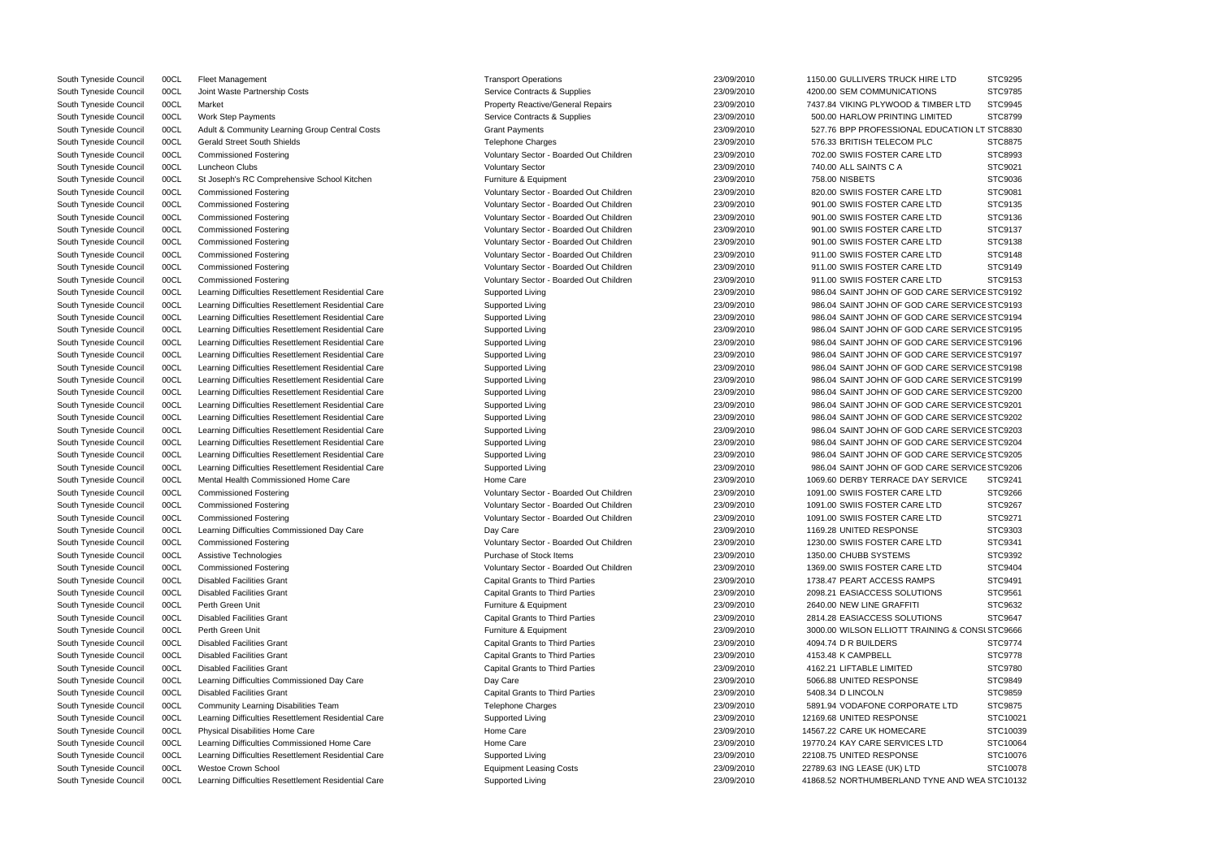| <b>HRE LTD</b>         | STC9295  |
|------------------------|----------|
| ЖS                     | STC9785  |
| TIMBER LTD             | STC9945  |
| <b>IMITED</b>          | STC8799  |
| EDUCATION LT STC8830   |          |
| LC                     | STC8875  |
| : LTD                  | STC8993  |
|                        |          |
|                        | STC9021  |
|                        | STC9036  |
| Ξ<br>LTD               | STC9081  |
| ELTD                   | STC9135  |
| <b>LTD</b>             | STC9136  |
| : LTD                  | STC9137  |
| ELTD                   | STC9138  |
| : LTD                  | STC9148  |
| : LTD                  | STC9149  |
| <b>LTD</b>             | STC9153  |
| CARE SERVICE STC9192   |          |
| CARE SERVICE STC9193   |          |
| CARE SERVICE STC9194   |          |
| CARE SERVICE STC9195   |          |
|                        |          |
| CARE SERVICE STC9196   |          |
| CARE SERVICE STC9197   |          |
| CARE SERVICE STC9198   |          |
| CARE SERVICE STC9199   |          |
| CARE SERVICE STC9200   |          |
| CARE SERVICE STC9201   |          |
| CARE SERVICE STC9202   |          |
| CARE SERVICE STC9203   |          |
| CARE SERVICE STC9204   |          |
| CARE SERVICE STC9205 ( |          |
| CARE SERVICE STC9206   |          |
| Y SERVICE              | STC9241  |
| ELTD                   | STC9266  |
| : LTD                  | STC9267  |
| ELTD                   | STC9271  |
|                        | STC9303  |
|                        |          |
| ELTD                   | STC9341  |
|                        | STC9392  |
| ELTD                   | STC9404  |
| <b>IPS</b>             | STC9491  |
| <b>IONS</b>            | STC9561  |
|                        | STC9632  |
| <b>IONS</b>            | STC9647  |
| AINING & CONSI STC9666 |          |
|                        | STC9774  |
|                        | STC9778  |
|                        | STC9780  |
|                        | STC9849  |
|                        | STC9859  |
| <b>ATE LTD</b>         | STC9875  |
|                        | STC10021 |
|                        | STC10039 |
| E<br>S LTD             | STC10064 |
|                        |          |
|                        | STC10076 |
|                        | STC10078 |
| TYNE AND WEA STC10132  |          |

| South Tyneside Council                           | 00CL         | <b>Fleet Management</b>                                                                     | <b>Transport Operations</b>                  | 23/09/2010 | 1150.00 GULLIVERS TRUCK HIRE LTD                | STC9295        |
|--------------------------------------------------|--------------|---------------------------------------------------------------------------------------------|----------------------------------------------|------------|-------------------------------------------------|----------------|
| South Tyneside Council                           | 00CL         | Joint Waste Partnership Costs                                                               | Service Contracts & Supplies                 | 23/09/2010 | 4200.00 SEM COMMUNICATIONS                      | STC9785        |
| South Tyneside Council                           | 00CL         | Market                                                                                      | <b>Property Reactive/General Repairs</b>     | 23/09/2010 | 7437.84 VIKING PLYWOOD & TIMBER LTD             | STC9945        |
| South Tyneside Council                           | 00CL         | Work Step Payments                                                                          | Service Contracts & Supplies                 | 23/09/2010 | 500.00 HARLOW PRINTING LIMITED                  | STC8799        |
| South Tyneside Council                           | 00CL         | Adult & Community Learning Group Central Costs                                              | <b>Grant Payments</b>                        | 23/09/2010 | 527.76 BPP PROFESSIONAL EDUCATION LT STC8830    |                |
| South Tyneside Council                           | 00CL         | <b>Gerald Street South Shields</b>                                                          | Telephone Charges                            | 23/09/2010 | 576.33 BRITISH TELECOM PLC                      | STC8875        |
| South Tyneside Council                           | 00CL         | <b>Commissioned Fostering</b>                                                               | Voluntary Sector - Boarded Out Children      | 23/09/2010 | 702.00 SWIIS FOSTER CARE LTD                    | STC8993        |
| South Tyneside Council                           | 00CL         | Luncheon Clubs                                                                              | <b>Voluntary Sector</b>                      | 23/09/2010 | 740.00 ALL SAINTS C A                           | STC9021        |
| South Tyneside Council                           | 00CL         | St Joseph's RC Comprehensive School Kitchen                                                 | Furniture & Equipment                        | 23/09/2010 | 758.00 NISBETS                                  | STC9036        |
| South Tyneside Council                           | 00CL         | <b>Commissioned Fostering</b>                                                               | Voluntary Sector - Boarded Out Children      | 23/09/2010 | 820.00 SWIIS FOSTER CARE LTD                    | STC9081        |
| South Tyneside Council                           | 00CL         | <b>Commissioned Fostering</b>                                                               | Voluntary Sector - Boarded Out Children      | 23/09/2010 | 901.00 SWIIS FOSTER CARE LTD                    | STC9135        |
| South Tyneside Council                           | 00CL         | <b>Commissioned Fostering</b>                                                               | Voluntary Sector - Boarded Out Children      | 23/09/2010 | 901.00 SWIIS FOSTER CARE LTD                    | STC9136        |
| South Tyneside Council                           | 00CL         | <b>Commissioned Fostering</b>                                                               | Voluntary Sector - Boarded Out Children      | 23/09/2010 | 901.00 SWIIS FOSTER CARE LTD                    | STC9137        |
| South Tyneside Council                           | 00CL         | <b>Commissioned Fostering</b>                                                               | Voluntary Sector - Boarded Out Children      | 23/09/2010 | 901.00 SWIIS FOSTER CARE LTD                    | STC9138        |
| South Tyneside Council                           | 00CL         | <b>Commissioned Fostering</b>                                                               | Voluntary Sector - Boarded Out Children      | 23/09/2010 | 911.00 SWIIS FOSTER CARE LTD                    | STC9148        |
| South Tyneside Council                           | 00CL         | <b>Commissioned Fostering</b>                                                               | Voluntary Sector - Boarded Out Children      | 23/09/2010 | 911.00 SWIIS FOSTER CARE LTD                    | STC9149        |
| South Tyneside Council                           | 00CL         | <b>Commissioned Fostering</b>                                                               | Voluntary Sector - Boarded Out Children      | 23/09/2010 | 911.00 SWIIS FOSTER CARE LTD                    | STC9153        |
| South Tyneside Council                           | 00CL         | Learning Difficulties Resettlement Residential Care                                         | Supported Living                             | 23/09/2010 | 986.04 SAINT JOHN OF GOD CARE SERVICE STC9192   |                |
| South Tyneside Council                           | 00CL         | Learning Difficulties Resettlement Residential Care                                         | Supported Living                             | 23/09/2010 | 986.04 SAINT JOHN OF GOD CARE SERVICE STC9193   |                |
| South Tyneside Council                           | 00CL         | Learning Difficulties Resettlement Residential Care                                         | Supported Living                             | 23/09/2010 | 986.04 SAINT JOHN OF GOD CARE SERVICE STC9194   |                |
| South Tyneside Council                           |              |                                                                                             | Supported Living                             | 23/09/2010 | 986.04 SAINT JOHN OF GOD CARE SERVICE STC9195   |                |
|                                                  | 00CL         | Learning Difficulties Resettlement Residential Care                                         |                                              |            |                                                 |                |
| South Tyneside Council                           | 00CL         | Learning Difficulties Resettlement Residential Care                                         | Supported Living                             | 23/09/2010 | 986.04 SAINT JOHN OF GOD CARE SERVICE STC9196   |                |
| South Tyneside Council                           | 00CL         | Learning Difficulties Resettlement Residential Care                                         | Supported Living                             | 23/09/2010 | 986.04 SAINT JOHN OF GOD CARE SERVICE STC9197   |                |
| South Tyneside Council                           | 00CL         | Learning Difficulties Resettlement Residential Care                                         | Supported Living                             | 23/09/2010 | 986.04 SAINT JOHN OF GOD CARE SERVICE STC9198   |                |
| South Tyneside Council                           | 00CL         | Learning Difficulties Resettlement Residential Care                                         | Supported Living                             | 23/09/2010 | 986.04 SAINT JOHN OF GOD CARE SERVICE STC9199   |                |
| South Tyneside Council                           | 00CL         | Learning Difficulties Resettlement Residential Care                                         | Supported Living                             | 23/09/2010 | 986.04 SAINT JOHN OF GOD CARE SERVICE STC9200   |                |
| South Tyneside Council                           | 00CL         | Learning Difficulties Resettlement Residential Care                                         | Supported Living                             | 23/09/2010 | 986.04 SAINT JOHN OF GOD CARE SERVICE STC9201   |                |
| South Tyneside Council                           | 00CL         | Learning Difficulties Resettlement Residential Care                                         | Supported Living                             | 23/09/2010 | 986.04 SAINT JOHN OF GOD CARE SERVICE STC9202   |                |
| South Tyneside Council                           | 00CL         | Learning Difficulties Resettlement Residential Care                                         | Supported Living                             | 23/09/2010 | 986.04 SAINT JOHN OF GOD CARE SERVICE STC9203   |                |
| South Tyneside Council                           | 00CL         | Learning Difficulties Resettlement Residential Care                                         | Supported Living                             | 23/09/2010 | 986.04 SAINT JOHN OF GOD CARE SERVICE STC9204   |                |
| South Tyneside Council                           | 00CL         | Learning Difficulties Resettlement Residential Care                                         | Supported Living                             | 23/09/2010 | 986.04 SAINT JOHN OF GOD CARE SERVICE STC9205   |                |
| South Tyneside Council                           | 00CL         | Learning Difficulties Resettlement Residential Care                                         | Supported Living                             | 23/09/2010 | 986.04 SAINT JOHN OF GOD CARE SERVICE STC9206   |                |
| South Tyneside Council                           | 00CL         | Mental Health Commissioned Home Care                                                        | Home Care                                    | 23/09/2010 | 1069.60 DERBY TERRACE DAY SERVICE               | STC9241        |
| South Tyneside Council                           | 00CL         | <b>Commissioned Fostering</b>                                                               | Voluntary Sector - Boarded Out Children      | 23/09/2010 | 1091.00 SWIIS FOSTER CARE LTD                   | STC9266        |
| South Tyneside Council                           | 00CL         | <b>Commissioned Fostering</b>                                                               | Voluntary Sector - Boarded Out Children      | 23/09/2010 | 1091.00 SWIIS FOSTER CARE LTD                   | <b>STC9267</b> |
| South Tyneside Council                           | 00CL         | <b>Commissioned Fostering</b>                                                               | Voluntary Sector - Boarded Out Children      | 23/09/2010 | 1091.00 SWIIS FOSTER CARE LTD                   | STC9271        |
| South Tyneside Council                           | 00CL         | Learning Difficulties Commissioned Day Care                                                 | Day Care                                     | 23/09/2010 | 1169.28 UNITED RESPONSE                         | STC9303        |
| South Tyneside Council                           | 00CL         | <b>Commissioned Fostering</b>                                                               | Voluntary Sector - Boarded Out Children      | 23/09/2010 | 1230.00 SWIIS FOSTER CARE LTD                   | STC9341        |
| South Tyneside Council                           | 00CL         | Assistive Technologies                                                                      | Purchase of Stock Items                      | 23/09/2010 | 1350.00 CHUBB SYSTEMS                           | STC9392        |
| South Tyneside Council                           | 00CL         | <b>Commissioned Fostering</b>                                                               | Voluntary Sector - Boarded Out Children      | 23/09/2010 | 1369.00 SWIIS FOSTER CARE LTD                   | STC9404        |
| South Tyneside Council                           | 00CL         | <b>Disabled Facilities Grant</b>                                                            | <b>Capital Grants to Third Parties</b>       | 23/09/2010 | 1738.47 PEART ACCESS RAMPS                      | STC9491        |
| South Tyneside Council                           | 00CL         | <b>Disabled Facilities Grant</b>                                                            | <b>Capital Grants to Third Parties</b>       | 23/09/2010 | 2098.21 EASIACCESS SOLUTIONS                    | STC9561        |
| South Tyneside Council                           | 00CL         | Perth Green Unit                                                                            | Furniture & Equipment                        | 23/09/2010 | 2640.00 NEW LINE GRAFFITI                       | STC9632        |
| South Tyneside Council                           | 00CL         | <b>Disabled Facilities Grant</b>                                                            | <b>Capital Grants to Third Parties</b>       | 23/09/2010 | 2814.28 EASIACCESS SOLUTIONS                    | STC9647        |
| South Tyneside Council                           | 00CL         | Perth Green Unit                                                                            | Furniture & Equipment                        | 23/09/2010 | 3000.00 WILSON ELLIOTT TRAINING & CONSI STC9666 |                |
| South Tyneside Council                           | 00CL         | <b>Disabled Facilities Grant</b>                                                            | <b>Capital Grants to Third Parties</b>       | 23/09/2010 | 4094.74 D R BUILDERS                            | STC9774        |
| South Tyneside Council                           | 00CL         | <b>Disabled Facilities Grant</b>                                                            | <b>Capital Grants to Third Parties</b>       | 23/09/2010 | 4153.48 K CAMPBELL                              | STC9778        |
| South Tyneside Council                           | 00CL         | <b>Disabled Facilities Grant</b>                                                            | <b>Capital Grants to Third Parties</b>       | 23/09/2010 | 4162.21 LIFTABLE LIMITED                        | STC9780        |
| South Tyneside Council                           | 00CL         | Learning Difficulties Commissioned Day Care                                                 | Day Care                                     | 23/09/2010 | 5066.88 UNITED RESPONSE                         | STC9849        |
| South Tyneside Council                           | 00CL         | <b>Disabled Facilities Grant</b>                                                            | <b>Capital Grants to Third Parties</b>       | 23/09/2010 | 5408.34 D LINCOLN                               | STC9859        |
|                                                  |              |                                                                                             |                                              | 23/09/2010 | 5891.94 VODAFONE CORPORATE LTD                  | STC9875        |
| South Tyneside Council<br>South Tyneside Council | 00CL<br>00CL | Community Learning Disabilities Team<br>Learning Difficulties Resettlement Residential Care | <b>Telephone Charges</b><br>Supported Living | 23/09/2010 | 12169.68 UNITED RESPONSE                        | STC1002        |
|                                                  |              |                                                                                             | Home Care                                    |            |                                                 |                |
| South Tyneside Council                           | 00CL         | Physical Disabilities Home Care                                                             |                                              | 23/09/2010 | 14567.22 CARE UK HOMECARE                       | STC1003        |
| South Tyneside Council                           | 00CL         | Learning Difficulties Commissioned Home Care                                                | Home Care                                    | 23/09/2010 | 19770.24 KAY CARE SERVICES LTD                  | STC1006        |
| South Tyneside Council                           | 00CL         | Learning Difficulties Resettlement Residential Care                                         | Supported Living                             | 23/09/2010 | 22108.75 UNITED RESPONSE                        | STC1007        |
| South Tyneside Council                           | 00CL         | Westoe Crown School                                                                         | <b>Equipment Leasing Costs</b>               | 23/09/2010 | 22789.63 ING LEASE (UK) LTD                     | STC1007        |
| South Tyneside Council                           | 00CL         | Learning Difficulties Resettlement Residential Care                                         | Supported Living                             | 23/09/2010 | 41868.52 NORTHUMBERLAND TYNE AND WEA STC1013    |                |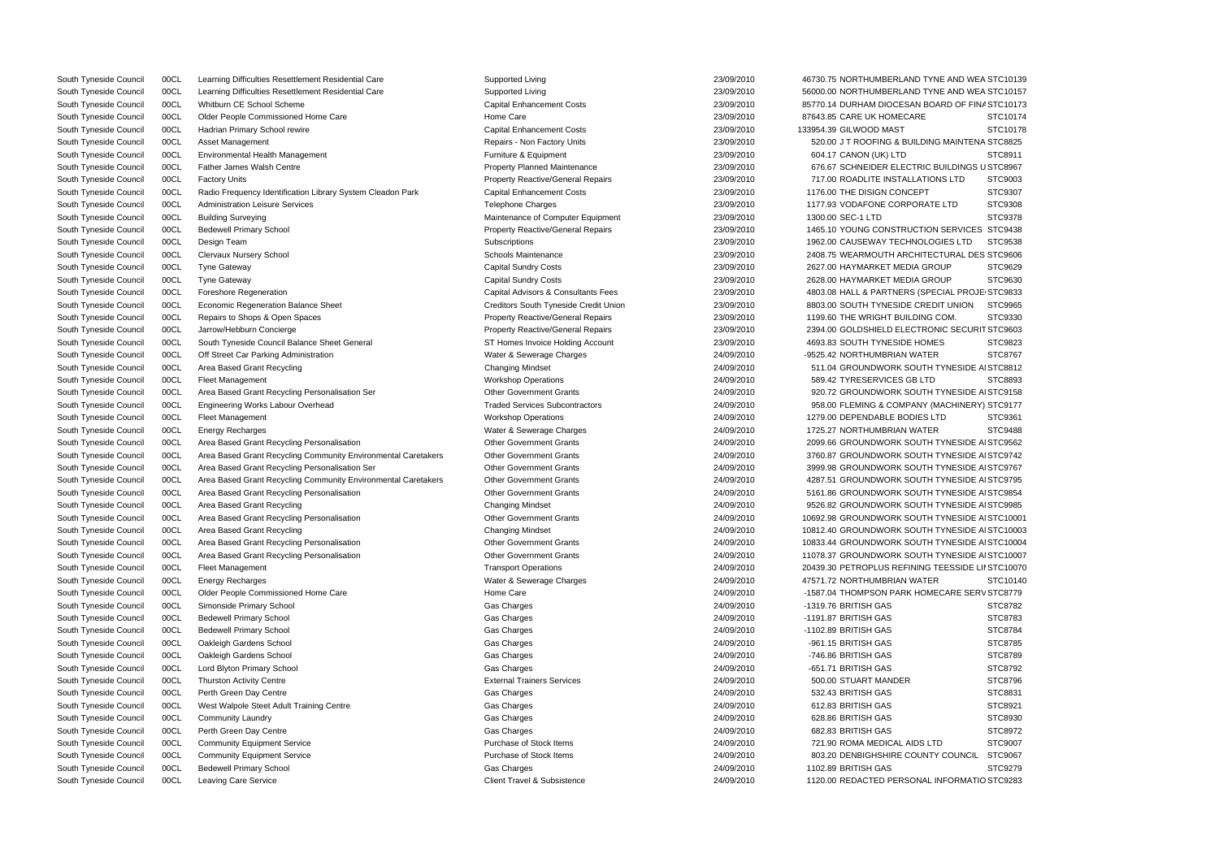| South Tyneside Council | 00CL | Learning Difficulties Resettlement Residential Care           | Supported Living                                                             | 23/09/2010 | 46730.75 NORTHUMBERLAND TYNE AND WEA STC10139     |          |
|------------------------|------|---------------------------------------------------------------|------------------------------------------------------------------------------|------------|---------------------------------------------------|----------|
| South Tyneside Council | 00CL | Learning Difficulties Resettlement Residential Care           | Supported Living                                                             | 23/09/2010 | 56000.00 NORTHUMBERLAND TYNE AND WEA STC10157     |          |
| South Tyneside Council | 00CL | Whitburn CE School Scheme                                     | <b>Capital Enhancement Costs</b>                                             | 23/09/2010 | 85770.14 DURHAM DIOCESAN BOARD OF FINA STC10173   |          |
| South Tyneside Council | 00CL | Older People Commissioned Home Care                           | Home Care                                                                    | 23/09/2010 | 87643.85 CARE UK HOMECARE                         | STC10174 |
| South Tyneside Council | 00CL | Hadrian Primary School rewire                                 | <b>Capital Enhancement Costs</b>                                             | 23/09/2010 | 133954.39 GILWOOD MAST                            | STC10178 |
| South Tyneside Council | 00CL | Asset Management                                              | Repairs - Non Factory Units                                                  | 23/09/2010 | 520.00 J T ROOFING & BUILDING MAINTENA STC8825    |          |
| South Tyneside Council | 00CL | Environmental Health Management                               | Furniture & Equipment                                                        | 23/09/2010 | 604.17 CANON (UK) LTD                             | STC8911  |
| South Tyneside Council | 00CL | <b>Father James Walsh Centre</b>                              | <b>Property Planned Maintenance</b>                                          | 23/09/2010 | 676.67 SCHNEIDER ELECTRIC BUILDINGS USTC8967      |          |
| South Tyneside Council | 00CL | <b>Factory Units</b>                                          | <b>Property Reactive/General Repairs</b>                                     | 23/09/2010 | 717.00 ROADLITE INSTALLATIONS LTD                 | STC9003  |
| South Tyneside Council | 00CL | Radio Frequency Identification Library System Cleadon Park    | <b>Capital Enhancement Costs</b>                                             | 23/09/2010 | 1176.00 THE DISIGN CONCEPT                        | STC9307  |
| South Tyneside Council | 00CL | <b>Administration Leisure Services</b>                        | <b>Telephone Charges</b>                                                     | 23/09/2010 | 1177.93 VODAFONE CORPORATE LTD                    | STC9308  |
| South Tyneside Council | 00CL | <b>Building Surveying</b>                                     | Maintenance of Computer Equipment                                            | 23/09/2010 | 1300.00 SEC-1 LTD                                 | STC9378  |
| South Tyneside Council | 00CL | <b>Bedewell Primary School</b>                                | <b>Property Reactive/General Repairs</b>                                     | 23/09/2010 | 1465.10 YOUNG CONSTRUCTION SERVICES STC9438       |          |
| South Tyneside Council | 00CL | Design Team                                                   | Subscriptions                                                                | 23/09/2010 | 1962.00 CAUSEWAY TECHNOLOGIES LTD                 | STC9538  |
| South Tyneside Council | 00CL | <b>Clervaux Nursery School</b>                                | Schools Maintenance                                                          | 23/09/2010 | 2408.75 WEARMOUTH ARCHITECTURAL DES STC9606       |          |
| South Tyneside Council | 00CL | <b>Tyne Gateway</b>                                           | <b>Capital Sundry Costs</b>                                                  | 23/09/2010 | 2627.00 HAYMARKET MEDIA GROUP                     | STC9629  |
| South Tyneside Council | 00CL | <b>Tyne Gateway</b>                                           | <b>Capital Sundry Costs</b>                                                  | 23/09/2010 | 2628.00 HAYMARKET MEDIA GROUP                     | STC9630  |
| South Tyneside Council | 00CL | Foreshore Regeneration                                        | Capital Advisors & Consultants Fees                                          | 23/09/2010 | 4803.08 HALL & PARTNERS (SPECIAL PROJE STC9833    |          |
| South Tyneside Council | 00CL | <b>Economic Regeneration Balance Sheet</b>                    | Creditors South Tyneside Credit Union                                        | 23/09/2010 | 8803.00 SOUTH TYNESIDE CREDIT UNION               | STC9965  |
| South Tyneside Council | 00CL | Repairs to Shops & Open Spaces                                | <b>Property Reactive/General Repairs</b>                                     | 23/09/2010 | 1199.60 THE WRIGHT BUILDING COM.                  | STC9330  |
| South Tyneside Council | 00CL | Jarrow/Hebburn Concierge                                      |                                                                              | 23/09/2010 | 2394.00 GOLDSHIELD ELECTRONIC SECURIT STC9603     |          |
|                        |      |                                                               | <b>Property Reactive/General Repairs</b><br>ST Homes Invoice Holding Account | 23/09/2010 |                                                   | STC9823  |
| South Tyneside Council | 00CL | South Tyneside Council Balance Sheet General                  |                                                                              |            | 4693.83 SOUTH TYNESIDE HOMES                      |          |
| South Tyneside Council | 00CL | Off Street Car Parking Administration                         | Water & Sewerage Charges                                                     | 24/09/2010 | -9525.42 NORTHUMBRIAN WATER                       | STC8767  |
| South Tyneside Council | 00CL | Area Based Grant Recycling                                    | <b>Changing Mindset</b>                                                      | 24/09/2010 | 511.04 GROUNDWORK SOUTH TYNESIDE AI STC8812       |          |
| South Tyneside Council | 00CL | <b>Fleet Management</b>                                       | <b>Workshop Operations</b>                                                   | 24/09/2010 | 589.42 TYRESERVICES GB LTD                        | STC8893  |
| South Tyneside Council | 00CL | Area Based Grant Recycling Personalisation Ser                | <b>Other Government Grants</b>                                               | 24/09/2010 | 920.72 GROUNDWORK SOUTH TYNESIDE AI STC9158       |          |
| South Tyneside Council | 00CL | <b>Engineering Works Labour Overhead</b>                      | <b>Traded Services Subcontractors</b>                                        | 24/09/2010 | 958.00 FLEMING & COMPANY (MACHINERY) STC9177      |          |
| South Tyneside Council | 00CL | Fleet Management                                              | <b>Workshop Operations</b>                                                   | 24/09/2010 | 1279.00 DEPENDABLE BODIES LTD                     | STC9361  |
| South Tyneside Council | 00CL | <b>Energy Recharges</b>                                       | Water & Sewerage Charges                                                     | 24/09/2010 | 1725.27 NORTHUMBRIAN WATER                        | STC9488  |
| South Tyneside Council | 00CL | Area Based Grant Recycling Personalisation                    | <b>Other Government Grants</b>                                               | 24/09/2010 | 2099.66 GROUNDWORK SOUTH TYNESIDE AI STC9562      |          |
| South Tyneside Council | 00CL | Area Based Grant Recycling Community Environmental Caretakers | <b>Other Government Grants</b>                                               | 24/09/2010 | 3760.87 GROUNDWORK SOUTH TYNESIDE AI STC9742      |          |
| South Tyneside Council | 00CL | Area Based Grant Recycling Personalisation Ser                | <b>Other Government Grants</b>                                               | 24/09/2010 | 3999.98 GROUNDWORK SOUTH TYNESIDE AI STC9767      |          |
| South Tyneside Council | 00CL | Area Based Grant Recycling Community Environmental Caretakers | <b>Other Government Grants</b>                                               | 24/09/2010 | 4287.51 GROUNDWORK SOUTH TYNESIDE A STC9795       |          |
| South Tyneside Council | 00CL | Area Based Grant Recycling Personalisation                    | <b>Other Government Grants</b>                                               | 24/09/2010 | 5161.86 GROUNDWORK SOUTH TYNESIDE A STC9854       |          |
| South Tyneside Council | 00CL | Area Based Grant Recycling                                    | <b>Changing Mindset</b>                                                      | 24/09/2010 | 9526.82 GROUNDWORK SOUTH TYNESIDE AI STC9985      |          |
| South Tyneside Council | 00CL | Area Based Grant Recycling Personalisation                    | <b>Other Government Grants</b>                                               | 24/09/2010 | 10692.98 GROUNDWORK SOUTH TYNESIDE AI STC10001    |          |
| South Tyneside Council | 00CL | Area Based Grant Recycling                                    | <b>Changing Mindset</b>                                                      | 24/09/2010 | 10812.40 GROUNDWORK SOUTH TYNESIDE AI STC10003    |          |
| South Tyneside Council | 00CL | Area Based Grant Recycling Personalisation                    | <b>Other Government Grants</b>                                               | 24/09/2010 | 10833.44 GROUNDWORK SOUTH TYNESIDE AI STC10004    |          |
| South Tyneside Council | 00CL | Area Based Grant Recycling Personalisation                    | <b>Other Government Grants</b>                                               | 24/09/2010 | 11078.37 GROUNDWORK SOUTH TYNESIDE AI STC10007    |          |
| South Tyneside Council | 00CL | <b>Fleet Management</b>                                       | <b>Transport Operations</b>                                                  | 24/09/2010 | 20439.30 PETROPLUS REFINING TEESSIDE LII STC10070 |          |
| South Tyneside Council | 00CL | <b>Energy Recharges</b>                                       | Water & Sewerage Charges                                                     | 24/09/2010 | 47571.72 NORTHUMBRIAN WATER                       | STC10140 |
| South Tyneside Council | 00CL | Older People Commissioned Home Care                           | Home Care                                                                    | 24/09/2010 | -1587.04 THOMPSON PARK HOMECARE SERV STC8779      |          |
| South Tyneside Council | 00CL | Simonside Primary School                                      | Gas Charges                                                                  | 24/09/2010 | -1319.76 BRITISH GAS                              | STC8782  |
| South Tyneside Council | 00CL | <b>Bedewell Primary School</b>                                | Gas Charges                                                                  | 24/09/2010 | -1191.87 BRITISH GAS                              | STC8783  |
| South Tyneside Council | 00CL | <b>Bedewell Primary School</b>                                | Gas Charges                                                                  | 24/09/2010 | -1102.89 BRITISH GAS                              | STC8784  |
| South Tyneside Council | 00CL | Oakleigh Gardens School                                       | Gas Charges                                                                  | 24/09/2010 | -961.15 BRITISH GAS                               | STC8785  |
| South Tyneside Council | 00CL | Oakleigh Gardens School                                       | Gas Charges                                                                  | 24/09/2010 | -746.86 BRITISH GAS                               | STC8789  |
| South Tyneside Council | 00CL | Lord Blyton Primary School                                    | Gas Charges                                                                  | 24/09/2010 | -651.71 BRITISH GAS                               | STC8792  |
| South Tyneside Council | 00CL | <b>Thurston Activity Centre</b>                               | <b>External Trainers Services</b>                                            | 24/09/2010 | 500.00 STUART MANDER                              | STC8796  |
| South Tyneside Council | 00CL | Perth Green Day Centre                                        | Gas Charges                                                                  | 24/09/2010 | 532.43 BRITISH GAS                                | STC8831  |
| South Tyneside Council | 00CL | West Walpole Steet Adult Training Centre                      | Gas Charges                                                                  | 24/09/2010 | 612.83 BRITISH GAS                                | STC8921  |
| South Tyneside Council | 00CL | <b>Community Laundry</b>                                      | Gas Charges                                                                  | 24/09/2010 | 628.86 BRITISH GAS                                | STC8930  |
| South Tyneside Council | 00CL | Perth Green Day Centre                                        | Gas Charges                                                                  | 24/09/2010 | 682.83 BRITISH GAS                                | STC8972  |
|                        | 00CL |                                                               | Purchase of Stock Items                                                      | 24/09/2010 | 721.90 ROMA MEDICAL AIDS LTD                      | STC9007  |
| South Tyneside Council |      | <b>Community Equipment Service</b>                            | Purchase of Stock Items                                                      | 24/09/2010 | 803.20 DENBIGHSHIRE COUNTY COUNCIL                | STC9067  |
| South Tyneside Council | 00CL | <b>Community Equipment Service</b>                            |                                                                              |            |                                                   |          |
| South Tyneside Council | 00CL | <b>Bedewell Primary School</b>                                | Gas Charges                                                                  | 24/09/2010 | 1102.89 BRITISH GAS                               | STC9279  |
| South Tyneside Council | 00CL | Leaving Care Service                                          | Client Travel & Subsistence                                                  | 24/09/2010 | 1120.00 REDACTED PERSONAL INFORMATIO STC9283      |          |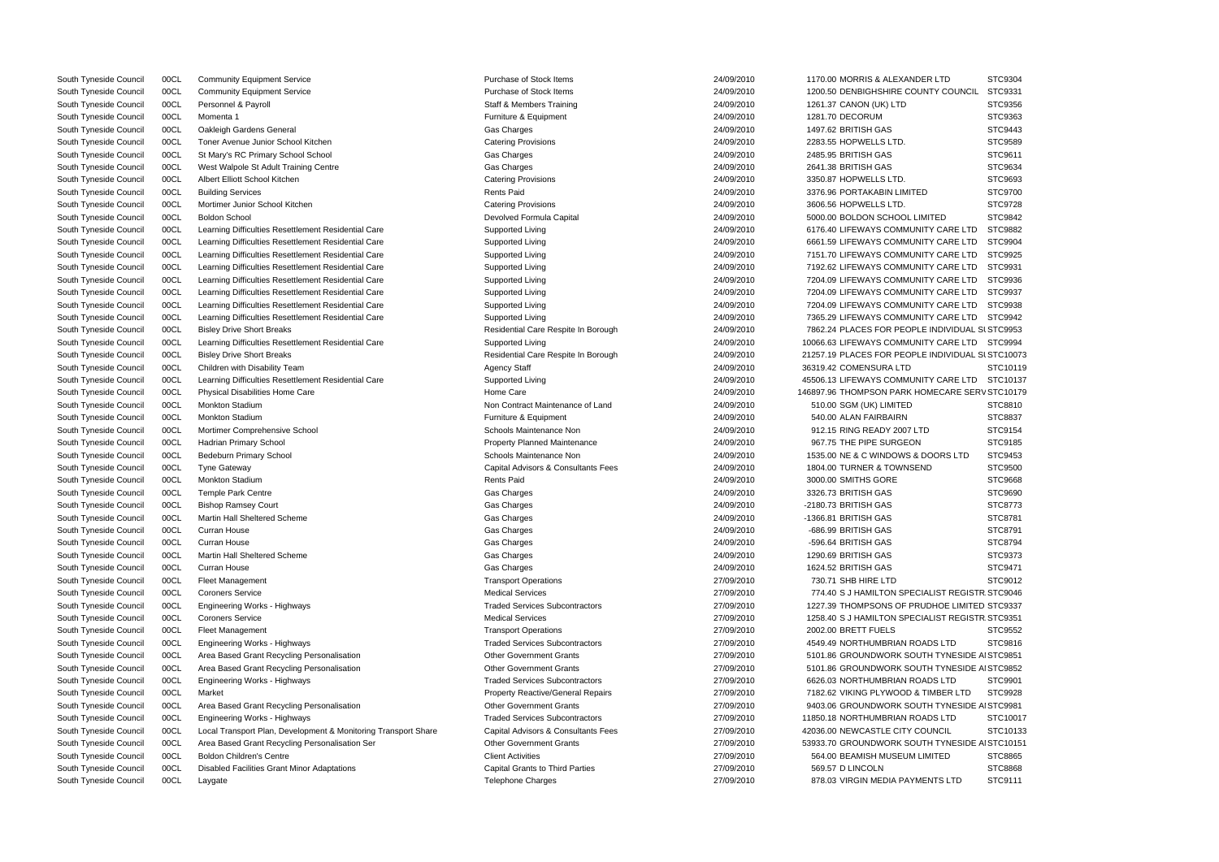| South Tynesiae Council | <b>UUCL</b> | Community Equipment Service                                    | Purchase of Stock Items                  | <b>24/09/2010</b> | TITU.UU MURRIS & ALEXANDER LTD                   | <b>PICA304</b> |
|------------------------|-------------|----------------------------------------------------------------|------------------------------------------|-------------------|--------------------------------------------------|----------------|
| South Tyneside Council | 00CL        | <b>Community Equipment Service</b>                             | Purchase of Stock Items                  | 24/09/2010        | 1200.50 DENBIGHSHIRE COUNTY COUNCIL              | STC9331        |
| South Tyneside Council | 00CL        | Personnel & Payroll                                            | <b>Staff &amp; Members Training</b>      | 24/09/2010        | 1261.37 CANON (UK) LTD                           | STC9356        |
| South Tyneside Council | 00CL        | Momenta 1                                                      | Furniture & Equipment                    | 24/09/2010        | 1281.70 DECORUM                                  | STC9363        |
| South Tyneside Council | 00CL        | Oakleigh Gardens General                                       | Gas Charges                              | 24/09/2010        | 1497.62 BRITISH GAS                              | STC9443        |
| South Tyneside Council | 00CL        | Toner Avenue Junior School Kitchen                             | <b>Catering Provisions</b>               | 24/09/2010        | 2283.55 HOPWELLS LTD.                            | <b>STC9589</b> |
| South Tyneside Council | 00CL        | St Mary's RC Primary School School                             | Gas Charges                              | 24/09/2010        | 2485.95 BRITISH GAS                              | STC9611        |
| South Tyneside Council | 00CL        | West Walpole St Adult Training Centre                          | Gas Charges                              | 24/09/2010        | 2641.38 BRITISH GAS                              | STC9634        |
| South Tyneside Council | 00CL        | Albert Elliott School Kitchen                                  | <b>Catering Provisions</b>               | 24/09/2010        | 3350.87 HOPWELLS LTD.                            | STC9693        |
| South Tyneside Council | 00CL        | <b>Building Services</b>                                       | <b>Rents Paid</b>                        | 24/09/2010        | 3376.96 PORTAKABIN LIMITED                       | STC9700        |
| South Tyneside Council | 00CL        | Mortimer Junior School Kitchen                                 | <b>Catering Provisions</b>               | 24/09/2010        | 3606.56 HOPWELLS LTD.                            | STC9728        |
| South Tyneside Council | 00CL        | <b>Boldon School</b>                                           | Devolved Formula Capital                 | 24/09/2010        | 5000.00 BOLDON SCHOOL LIMITED                    | STC9842        |
| South Tyneside Council | 00CL        | Learning Difficulties Resettlement Residential Care            | Supported Living                         | 24/09/2010        | 6176.40 LIFEWAYS COMMUNITY CARE LTD              | STC9882        |
| South Tyneside Council | 00CL        | Learning Difficulties Resettlement Residential Care            | Supported Living                         | 24/09/2010        | 6661.59 LIFEWAYS COMMUNITY CARE LTD              | STC9904        |
| South Tyneside Council | 00CL        | Learning Difficulties Resettlement Residential Care            | Supported Living                         | 24/09/2010        | 7151.70 LIFEWAYS COMMUNITY CARE LTD              | STC9925        |
| South Tyneside Council | 00CL        | Learning Difficulties Resettlement Residential Care            | Supported Living                         | 24/09/2010        | 7192.62 LIFEWAYS COMMUNITY CARE LTD              | STC9931        |
| South Tyneside Council | 00CL        | Learning Difficulties Resettlement Residential Care            | Supported Living                         | 24/09/2010        | 7204.09 LIFEWAYS COMMUNITY CARE LTD              | STC9936        |
| South Tyneside Council | 00CL        | Learning Difficulties Resettlement Residential Care            | Supported Living                         | 24/09/2010        | 7204.09 LIFEWAYS COMMUNITY CARE LTD              | STC9937        |
| South Tyneside Council | 00CL        | Learning Difficulties Resettlement Residential Care            | Supported Living                         | 24/09/2010        | 7204.09 LIFEWAYS COMMUNITY CARE LTD              | STC9938        |
| South Tyneside Council | 00CL        | Learning Difficulties Resettlement Residential Care            | Supported Living                         | 24/09/2010        | 7365.29 LIFEWAYS COMMUNITY CARE LTD              | STC9942        |
| South Tyneside Council | 00CL        | <b>Bisley Drive Short Breaks</b>                               | Residential Care Respite In Borough      | 24/09/2010        | 7862.24 PLACES FOR PEOPLE INDIVIDUAL SI STC9953  |                |
| South Tyneside Council | 00CL        | Learning Difficulties Resettlement Residential Care            |                                          | 24/09/2010        | 10066.63 LIFEWAYS COMMUNITY CARE LTD             |                |
| South Tyneside Council |             |                                                                | Supported Living                         |                   |                                                  | STC9994        |
|                        | 00CL        | <b>Bisley Drive Short Breaks</b>                               | Residential Care Respite In Borough      | 24/09/2010        | 21257.19 PLACES FOR PEOPLE INDIVIDUAL SI STC1007 |                |
| South Tyneside Council | 00CL        | Children with Disability Team                                  | <b>Agency Staff</b>                      | 24/09/2010        | 36319.42 COMENSURA LTD                           | STC1011        |
| South Tyneside Council | 00CL        | Learning Difficulties Resettlement Residential Care            | Supported Living                         | 24/09/2010        | 45506.13 LIFEWAYS COMMUNITY CARE LTD             | STC1013        |
| South Tyneside Council | 00CL        | <b>Physical Disabilities Home Care</b>                         | Home Care                                | 24/09/2010        | 146897.96 THOMPSON PARK HOMECARE SERV STC1017    |                |
| South Tyneside Council | 00CL        | <b>Monkton Stadium</b>                                         | Non Contract Maintenance of Land         | 24/09/2010        | 510.00 SGM (UK) LIMITED                          | STC8810        |
| South Tyneside Council | 00CL        | <b>Monkton Stadium</b>                                         | Furniture & Equipment                    | 24/09/2010        | 540.00 ALAN FAIRBAIRN                            | STC8837        |
| South Tyneside Council | 00CL        | Mortimer Comprehensive School                                  | Schools Maintenance Non                  | 24/09/2010        | 912.15 RING READY 2007 LTD                       | STC9154        |
| South Tyneside Council | 00CL        | Hadrian Primary School                                         | <b>Property Planned Maintenance</b>      | 24/09/2010        | 967.75 THE PIPE SURGEON                          | STC9185        |
| South Tyneside Council | 00CL        | Bedeburn Primary School                                        | Schools Maintenance Non                  | 24/09/2010        | 1535.00 NE & C WINDOWS & DOORS LTD               | STC9453        |
| South Tyneside Council | 00CL        | <b>Tyne Gateway</b>                                            | Capital Advisors & Consultants Fees      | 24/09/2010        | 1804.00 TURNER & TOWNSEND                        | STC9500        |
| South Tyneside Council | 00CL        | <b>Monkton Stadium</b>                                         | <b>Rents Paid</b>                        | 24/09/2010        | 3000.00 SMITHS GORE                              | STC9668        |
| South Tyneside Council | 00CL        | Temple Park Centre                                             | Gas Charges                              | 24/09/2010        | 3326.73 BRITISH GAS                              | STC9690        |
| South Tyneside Council | 00CL        | <b>Bishop Ramsey Court</b>                                     | Gas Charges                              | 24/09/2010        | -2180.73 BRITISH GAS                             | STC8773        |
| South Tyneside Council | 00CL        | Martin Hall Sheltered Scheme                                   | Gas Charges                              | 24/09/2010        | -1366.81 BRITISH GAS                             | STC8781        |
| South Tyneside Council | 00CL        | Curran House                                                   | Gas Charges                              | 24/09/2010        | -686.99 BRITISH GAS                              | STC8791        |
| South Tyneside Council | 00CL        | Curran House                                                   | Gas Charges                              | 24/09/2010        | -596.64 BRITISH GAS                              | STC8794        |
| South Tyneside Council | 00CL        | Martin Hall Sheltered Scheme                                   | Gas Charges                              | 24/09/2010        | 1290.69 BRITISH GAS                              | STC9373        |
| South Tyneside Council | 00CL        | Curran House                                                   | Gas Charges                              | 24/09/2010        | 1624.52 BRITISH GAS                              | STC9471        |
| South Tyneside Council | 00CL        | <b>Fleet Management</b>                                        | <b>Transport Operations</b>              | 27/09/2010        | 730.71 SHB HIRE LTD                              | STC9012        |
| South Tyneside Council | 00CL        | <b>Coroners Service</b>                                        | <b>Medical Services</b>                  | 27/09/2010        | 774.40 S J HAMILTON SPECIALIST REGISTR STC9046   |                |
| South Tyneside Council | 00CL        | <b>Engineering Works - Highways</b>                            | <b>Traded Services Subcontractors</b>    | 27/09/2010        | 1227.39 THOMPSONS OF PRUDHOE LIMITED STC9337     |                |
| South Tyneside Council | 00CL        | <b>Coroners Service</b>                                        | <b>Medical Services</b>                  | 27/09/2010        | 1258.40 S J HAMILTON SPECIALIST REGISTR STC9351  |                |
| South Tyneside Council | 00CL        | <b>Fleet Management</b>                                        | <b>Transport Operations</b>              | 27/09/2010        | 2002.00 BRETT FUELS                              | STC9552        |
| South Tyneside Council | 00CL        | Engineering Works - Highways                                   | <b>Traded Services Subcontractors</b>    | 27/09/2010        | 4549.49 NORTHUMBRIAN ROADS LTD                   | STC9816        |
| South Tyneside Council | 00CL        | Area Based Grant Recycling Personalisation                     | <b>Other Government Grants</b>           | 27/09/2010        | 5101.86 GROUNDWORK SOUTH TYNESIDE AI STC9851     |                |
| South Tyneside Council | 00CL        | Area Based Grant Recycling Personalisation                     | <b>Other Government Grants</b>           | 27/09/2010        | 5101.86 GROUNDWORK SOUTH TYNESIDE AI STC9852     |                |
| South Tyneside Council | 00CL        | Engineering Works - Highways                                   | <b>Traded Services Subcontractors</b>    | 27/09/2010        | 6626.03 NORTHUMBRIAN ROADS LTD                   | STC9901        |
| South Tyneside Council | 00CL        | Market                                                         | <b>Property Reactive/General Repairs</b> | 27/09/2010        | 7182.62 VIKING PLYWOOD & TIMBER LTD              | STC9928        |
| South Tyneside Council | 00CL        | Area Based Grant Recycling Personalisation                     | <b>Other Government Grants</b>           | 27/09/2010        | 9403.06 GROUNDWORK SOUTH TYNESIDE AI STC9981     |                |
| South Tyneside Council | 00CL        | Engineering Works - Highways                                   | <b>Traded Services Subcontractors</b>    | 27/09/2010        | 11850.18 NORTHUMBRIAN ROADS LTD                  | STC1001        |
| South Tyneside Council | 00CL        | Local Transport Plan, Development & Monitoring Transport Share | Capital Advisors & Consultants Fees      | 27/09/2010        | 42036.00 NEWCASTLE CITY COUNCIL                  | STC1013        |
| South Tyneside Council | 00CL        | Area Based Grant Recycling Personalisation Ser                 | Other Government Grants                  | 27/09/2010        | 53933.70 GROUNDWORK SOUTH TYNESIDE AI STC1015    |                |
| South Tyneside Council | 00CL        | <b>Boldon Children's Centre</b>                                | <b>Client Activities</b>                 | 27/09/2010        | 564.00 BEAMISH MUSEUM LIMITED                    | STC8865        |
| South Tyneside Council | 00CL        | <b>Disabled Facilities Grant Minor Adaptations</b>             | <b>Capital Grants to Third Parties</b>   | 27/09/2010        | 569.57 D LINCOLN                                 | STC8868        |
| South Tyneside Council | 00CL        |                                                                | <b>Telephone Charges</b>                 | 27/09/2010        | 878.03 VIRGIN MEDIA PAYMENTS LTD                 | STC9111        |
|                        |             | Laygate                                                        |                                          |                   |                                                  |                |

| ER LTD                        | STC9304            |
|-------------------------------|--------------------|
| NTY COUNCIL                   | STC9331            |
|                               | STC9356            |
|                               | STC9363            |
|                               | STC9443            |
|                               | STC9589            |
|                               | STC9611            |
|                               | STC9634            |
|                               | STC9693            |
|                               |                    |
| D                             | STC9700            |
|                               | STC9728            |
| MITED                         | STC9842            |
| <b>ITY CARE LTD</b>           | STC9882            |
| ITY CARE LTD                  | STC9904            |
| ITY CARE LTD                  | STC9925            |
| <b>ITY CARE LTD</b>           | STC9931            |
| <b>ITY CARE LTD</b>           | STC9936            |
| <b>ITY CARE LTD</b>           | STC9937            |
| <b>ITY CARE LTD</b>           | STC9938            |
| ITY CARE LTD STC9942          |                    |
| E INDIVIDUAL SI STC9953       |                    |
| <b>ITY CARE LTD</b>           | STC9994            |
| E INDIVIDUAL SI STC10073      |                    |
|                               | STC10119           |
| <b>ITY CARE LTD</b>           | STC10137           |
| OMECARE SERV STC10179         |                    |
|                               | STC8810            |
|                               | STC8837            |
| D                             | STC9154            |
|                               | STC9185            |
| DOORS LTD                     | STC9453            |
| ٩D                            | STC9500            |
|                               |                    |
|                               | STC9668<br>STC9690 |
|                               |                    |
|                               | STC8773            |
|                               | STC8781            |
|                               | STC8791            |
|                               | STC8794            |
|                               | STC9373            |
|                               | STC9471            |
|                               | STC9012            |
| <b>IALIST REGISTR STC9046</b> |                    |
| JDHOE LIMITED STC9337         |                    |
| <b>ALIST REGISTR STC9351</b>  |                    |
|                               | STC9552            |
| ADS LTD                       | STC9816            |
| TH TYNESIDE AI STC9851        |                    |
| TH TYNESIDE AI STC9852        |                    |
| ADS LTD                       | STC9901            |
| TIMBER LTD                    | STC9928            |
| TH TYNESIDE AI STC9981        |                    |
| ADS LTD                       | STC10017           |
| OUNCIL                        | STC10133           |
| TH TYNESIDE AI STC10151       |                    |
| IMITED                        | STC8865            |
|                               | STC8868            |
| ENTS LTD                      | STC9111            |
|                               |                    |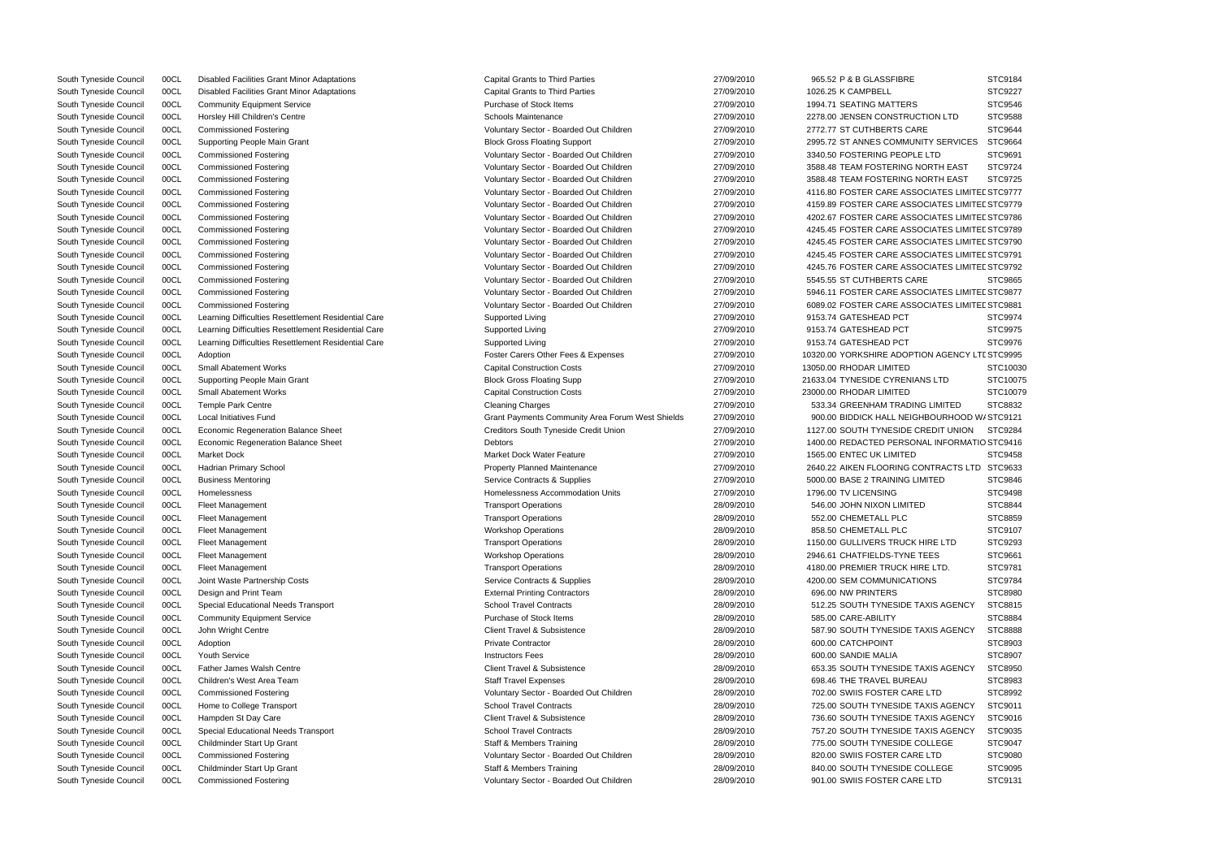|                               | JI U JI 04 |
|-------------------------------|------------|
|                               | STC9227    |
|                               | STC9546    |
| TION LTD                      | STC9588    |
|                               |            |
| Έ                             | STC9644    |
| ITY SERVICES                  | STC9664    |
| : LTD                         | STC9691    |
| ORTH EAST                     | STC9724    |
|                               |            |
| ORTH EAST                     | STC9725    |
| <b>CIATES LIMITEL STC9777</b> |            |
| <b>CIATES LIMITEL STC9779</b> |            |
| <b>CIATES LIMITEL STC9786</b> |            |
| <b>CIATES LIMITEL STC9789</b> |            |
| CIATES LIMITEL STC9790        |            |
|                               |            |
| CIATES LIMITEL STC9791        |            |
| <b>CIATES LIMITEL STC9792</b> |            |
| Ε                             | STC9865    |
| <b>CIATES LIMITEL STC9877</b> |            |
| )CIATES LIMITEL STC9881       |            |
|                               | STC9974    |
|                               |            |
|                               | STC9975    |
|                               | STC9976    |
| ON AGENCY LTI STC9995         |            |
|                               | STC10030   |
| NS LTD                        | STC10075   |
|                               |            |
|                               | STC10079   |
| <b>G LIMITED</b>              | STC8832    |
| HBOURHOOD W/ STC9121          |            |
| REDIT UNION                   | STC9284    |
| AL INFORMATIO STC9416         |            |
|                               | STC9458    |
|                               |            |
| )NTRACTS LTD                  | STC9633    |
| MITED                         | STC9846    |
|                               | STC9498    |
| ∋                             | STC8844    |
|                               | STC8859    |
|                               | STC9107    |
|                               |            |
| HIRE LTD                      | STC9293    |
| <b>EES</b>                    | STC9661    |
| RE LTD.                       | STC9781    |
| <b>DNS</b>                    | STC9784    |
|                               | STC8980    |
| <b>XIS AGENCY</b>             | STC8815    |
|                               |            |
|                               | STC8884    |
| <b>XIS AGENCY</b>             | STC8888    |
|                               | STC8903    |
|                               | STC8907    |
| <b>XIS AGENCY</b>             | STC8950    |
|                               |            |
| U                             | STC8983    |
| E LTD                         | STC8992    |
| <b>XIS AGENCY</b>             | STC9011    |
| <b>XIS AGENCY</b>             | STC9016    |
| <b>XIS AGENCY</b>             | STC9035    |
|                               |            |
| OLLEGE                        | STC9047    |
| E LTD                         | STC9080    |
| OLLEGE                        | STC9095    |
| E LTD                         | STC9131    |
|                               |            |

South Tyneside Council 00CL Disabled Facilities Grant Minor Adaptations Capital Grants to Third Parties 27/09/2010 965.52 P & B GLASSFIBRE STC9184 South Tyneside Council 00CL Disabled Facilities Grant Minor Adaptations Capital Grants to Third Parties 27/09/2010 1026.25 K CAMPBELL South Tyneside Council 00CL Community Equipment Service **Purchase of Stock Items** 27/09/2010 1994.71 SEATING MATTERS South Tyneside Council 00CL Horsley Hill Children's Centre Schools Maintenance 27/09/2010 2278.00 JENSEN CONSTRUCTION 2007 South Tyneside Council 00CL Commissioned Fostering CARE States and Voluntary Sector - Boarded Out Children 27/09/2010 27/09/2010 2772.77 ST CUTHBERTS CAR South Tyneside Council 00CL Supporting People Main Grant Community Council and Block Gross Floating Support 27/09/2010 2995.72 ST ANNES COMMUNITY South Tyneside Council 00CL Commissioned Fostering voluntary Sector - Boarded Out Children 27/09/2010 3340.50 FOSTERING PEOPLE South Tyneside Council 00CL Commissioned Fostering variable values and Voluntary Sector - Boarded Out Children 27/09/2010 3588.48 TEAM FOSTERING NORTH EAST STEP INC South Tyneside Council 00CL Commissioned Fostering **No. 2008** 27/09/2010 3588.48 TEAM FOSTERING No South Tyneside Council 00CL Commissioned Fostering exterior commissioned Fostering voluntary Sector - Boarded Out Children 27/09/2010 4116.80 FOSTER CARE ASSO South Tyneside Council 00CL Commissioned Fostering Commissioned Fostering Voluntary Sector - Boarded Out Children 27/09/2010 4159.89 FOSTER CARE ASSO South Tyneside Council 00CL Commissioned Fostering **Commissioned Fostering** Voluntary Sector - Boarded Out Children 27/09/2010 4202.67 FOSTER CARE ASSO South Tyneside Council 00CL Commissioned Fostering example and the Voluntary Sector - Boarded Out Children 27/09/2010 4245.45 FOSTER CARE ASSO South Tyneside Council 00CL Commissioned Fostering **Commissioned Fostering** Voluntary Sector - Boarded Out Children 27/09/2010 4245.45 FOSTER CARE ASSO South Tyneside Council 00CL Commissioned Fostering example and the Voluntary Sector - Boarded Out Children 27/09/2010 4245.45 FOSTER CARE ASSO South Tyneside Council 00CL Commissioned Fostering values and voluntary Sector - Boarded Out Children 27/09/2010 4245.76 FOSTER CARE ASSO South Tyneside Council 00CL Commissioned Fostering CORP COMPOSITION Voluntary Sector - Boarded Out Children 27/09/2010 5545.55 ST CUTHBERTS CAR South Tyneside Council 00CL Commissioned Fostering exterior commissioned Fostering voluntary Sector - Boarded Out Children 27/09/2010 5946.11 FOSTER CARE ASSO South Tyneside Council 00CL Commissioned Fostering values and voluntary Sector - Boarded Out Children 27/09/2010 6089.02 FOSTER CARE ASSOC South Tyneside Council 00CL Learning Difficulties Resettlement Residential Care Supported Living 27/09/2010 9153.74 GATESHEAD PCT South Tyneside Council 00CL Learning Difficulties Resettlement Residential Care Supported Living 27/09/2010 9153.74 GATESHEAD PCT South Tyneside Council 00CL Learning Difficulties Resettlement Residential Care Supported Living 27/09/2010 9153.74 GATESHEAD PCT South Tyneside Council 00CL Adoption **Foster Carers Other Fees & Expenses** 27/09/2010 10320.00 YORKSHIRE ADOPTIN South Tyneside Council 00CL Small Abatement Works Capital Construction Costs 27/09/2010 13050.00 RHODAR LIMITED South Tyneside Council COCL Supporting People Main Grant 20075 2008 2008 Block Gross Floating Supp 2009/2010 21633.04 TYNESIDE CYRENIANS LTD STC10075 South Tyneside Council 00CL Small Abatement Works Capital Construction Costs 27/09/2010 23000.00 RHODAR LIMITED South Tyneside Council 00CL Temple Park Centre Cleaning Charges 27/09/2010 533.34 GREENHAM TRADING LIMITED STC 27/09/2010 533.34 GREENHAM TRADING South Tyneside Council 00CL Local Initiatives Fund Crant Grant Community Area Forum West Shields 27/09/2010 900.00 BIDDICK HALL NEIGH South Tyneside Council 00CL Economic Regeneration Balance Sheet Creditors South Tyneside Credit Union 27/09/2010 1127.00 SOUTH TYNESIDE CI South Tyneside Council 00CL Economic Regeneration Balance Sheet Debtors Debtors 27/09/2010 1400.00 REDACTED PERSON South Tyneside Council 00CL Market Dock Market Dock Market Dock Water Feature 27/09/2010 1565.00 ENTEC UK LIMITED South Tyneside Council 00CL Hadrian Primary School **Property Planned Maintenance** 27/09/2010 2640.22 AIKEN FLOORING CO South Tyneside Council 00CL Business Mentoring Service Contracts & Supplies Contracts & Supplies 27/09/2010 5000.00 BASE 2 TRAINING LIMITED STC98466 27/09/2010 5000.00 BASE 2 TRAINING LIMITED STC98466 27/09/2010 5000.00 BA South Tyneside Council 00CL Homelessness 
South Tyneside Council 00CL Homelessness 
27/09/2010 1796.00 TV LICENSING South Tyneside Council 00CL Fleet Management Transport Operations Transport Operations 28/09/2010 546.00 JOHN NIXON LIMITED South Tyneside Council COCL Fleet Management (STC8859 and Transport Operations Transport Operations 28/09/2010 552.00 CHEMETALL PLC STC8859 South Tyneside Council 00CL Fleet Management Workshop Operations 28/09/2010 858.50 CHEMETALL PLC STC9107 South Tyneside Council 00CL Fleet Management 28/09/2010 1150.00 GULLIVERS TRUCK HIRE LTD STC929 2010 1150.00 GULLIVERS TRUCK HIRE LTD STC929 2010 1150.00 GULLIVERS TRUCK HIRE LTD STC929 2010 1150.00 GULLIVERS TRUCK H South Tyneside Council 00CL Fleet Management 28/09/2010 2946.61 CHATFIELDS-TYNE T South Tyneside Council 00CL Fleet Management Transport Operations Transport Operations 28/09/2010 4180.00 PREMIER TRUCK HIR South Tyneside Council 00CL Joint Waste Partnership Costs Supplies 28/09/2010 4200.00 SEM COMMUNICATIC South Tyneside Council COCL Design and Print Team  $\blacksquare$  External Printing Contractors  $28/09/2010$  696.00 NW PRINTERS STC8980 South Tyneside Council 00CL Special Educational Needs Transport School Travel Contracts 28/09/2010 512.25 SOUTH TYNESIDE TA South Tyneside Council 00CL Community Equipment Service **Purchase Council Control Control** Community Equipment Service Purchase of Stock Items 28/09/2010 585.00 CARE-ABILITY South Tyneside Council 00CL John Wright Centre Client Centre 28/09/2010 587.90 SOUTH TYNESIDE TANNESIDE TANNESIDE TA South Tyneside Council 00CL Adoption Private Contractor 28/09/2010 600.00 CATCHPOINT STC8903 South Tyneside Council 00CL Youth Service Instructors Fees 28/09/2010 600.00 SANDIE MALIA STC8907 South Tyneside Council 00CL Father James Walsh Centre Client Client Travel & Subsistence 28/09/2010 653.35 SOUTH TYNESIDE TA South Tyneside Council 00CL Children's West Area Team State State Staff Travel Expenses 28/09/2010 698.46 THE TRAVEL BUREAU South Tyneside Council 00CL Commissioned Fostering voluntary Sector - Boarded Out Children 28/09/2010 702.00 SWIIS FOSTER CARE School Travel Council 00CL Home to College Transport Contracts 28/09/2010 725.00 SOUTH TYNESIDE TANNESIDE TAXIS AGENCY SCHOOL TRAVel Contracts South Tyneside Council 00CL Hampden St Day Care Client Client Travel & Subsistence 28/09/2010 736.60 SOUTH TYNESIDE TA South Tyneside Council 00CL Special Educational Needs Transport School Travel Contracts 28/09/2010 757.20 SOUTH TYNESIDE TA South Tyneside Council 00CL Childminder Start Up Grant Start Start Start Start Start Start Start Start Start Start Start Start Start Start Start Start Start Start Start Start Start Start Start Start Start Start Start Start South Tyneside Council 00CL Commissioned Fostering values and voluntary Sector - Boarded Out Children 28/09/2010 820.00 SWIIS FOSTER CARE South Tyneside Council COCL Childminder Start Up Grant Natural State State State State State State State State State State State State State State State State State State State State State State State State State State Sta South Tyneside Council 00CL Commissioned Fostering Voluntary Sector - Boarded Out Children 28/09/2010 901.00 SWIIS FOSTER CARE LTD STC9131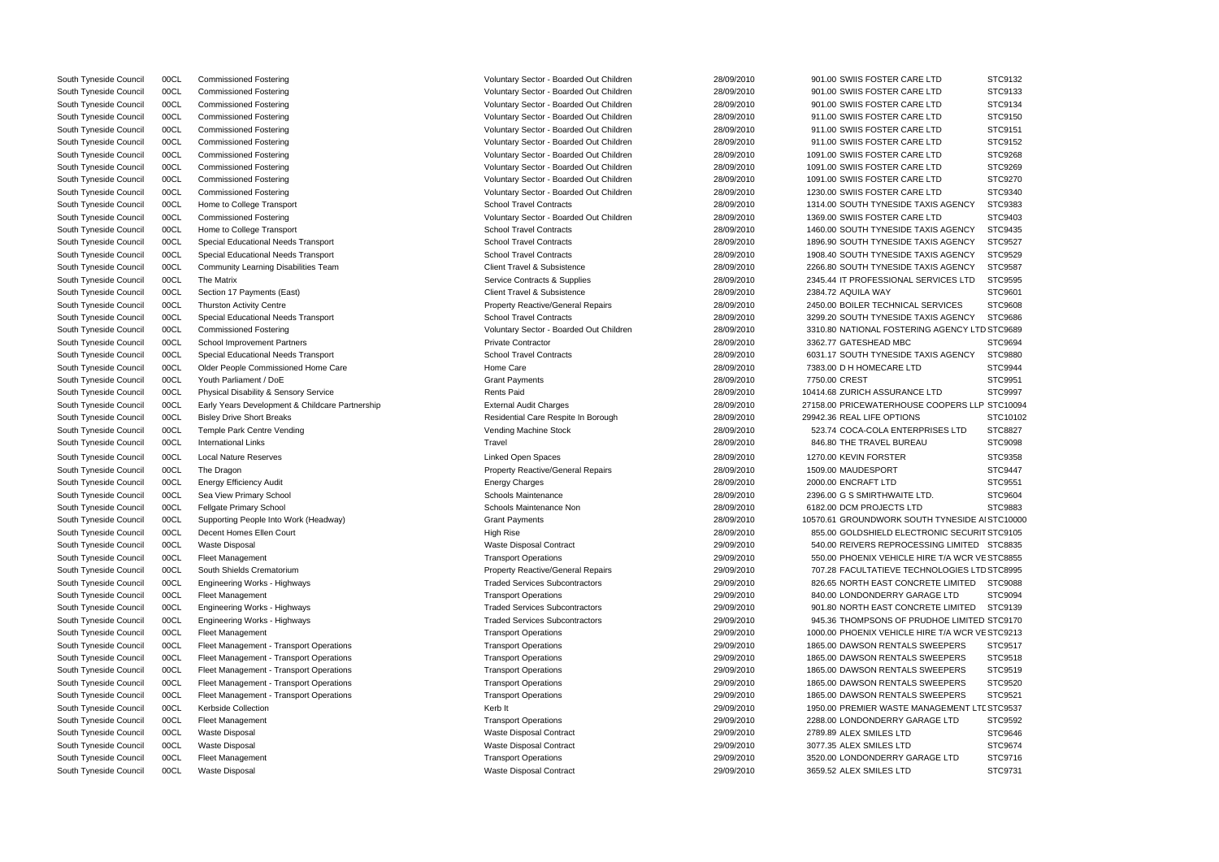| : LID                         | STC9132  |
|-------------------------------|----------|
| E LTD                         | STC9133  |
| E LTD                         | STC9134  |
| E LTD                         | STC9150  |
| E LTD                         | STC9151  |
| E LTD                         | STC9152  |
|                               |          |
| E LTD                         | STC9268  |
| ELTD                          | STC9269  |
| E LTD                         | STC9270  |
| E LTD                         | STC9340  |
| <b>XIS AGENCY</b>             | STC9383  |
| E LTD                         | STC9403  |
| <b>XIS AGENCY</b>             | STC9435  |
| <b>XIS AGENCY</b>             | STC9527  |
| <b>XIS AGENCY</b>             | STC9529  |
| <b>XIS AGENCY</b>             | STC9587  |
| <b>ERVICES LTD</b>            | STC9595  |
|                               |          |
|                               | STC9601  |
| <b>SERVICES</b>               | STC9608  |
| <b>XIS AGENCY</b>             | STC9686  |
| <b>IG AGENCY LTD STC9689</b>  |          |
|                               | STC9694  |
| <b>XIS AGENCY</b>             | STC9880  |
|                               | STC9944  |
|                               | STC9951  |
| $E$ LTD                       | STC9997  |
| COOPERS LLP STC10094          |          |
|                               | STC10102 |
| <b>PRISES LTD</b>             | STC8827  |
| U                             | STC9098  |
|                               | STC9358  |
|                               | STC9447  |
|                               |          |
|                               | STC9551  |
| TD.                           | STC9604  |
| I                             | STC9883  |
| TH TYNESIDE AI STC10000       |          |
| RONIC SECURIT STC9105         |          |
| SSING LIMITED STC8835         |          |
| <b>IRE T/A WCR VE STC8855</b> |          |
| <b>HNOLOGIES LTD STC8995</b>  |          |
| RETE LIMITED STC9088          |          |
| የAGE LTD                      | STC9094  |
| RETE LIMITED                  | STC9139  |
| <b>JDHOE LIMITED STC9170</b>  |          |
| <b>IRE T/A WCR VE STC9213</b> |          |
| SWEEPERS                      | STC9517  |
| SWEEPERS                      | STC9518  |
| <b>SWEEPERS</b>               | STC9519  |
| SWEEPERS                      | STC9520  |
| SWEEPERS                      | STC9521  |
| <b>NAGEMENT LTE STC9537</b>   |          |
| RAGE LTD                      | STC9592  |
|                               | STC9646  |
|                               |          |
|                               | STC9674  |
| <b>AGE LTD</b>                | STC9716  |
|                               | STC9731  |

South Tyneside Council 00CL Commissioned Fostering variable voluntary Sector - Boarded Out Children 28/09/2010 901.00 SWIIS FOSTER CARE South Tyneside Council 00CL Commissioned Fostering values and voluntary Sector - Boarded Out Children 28/09/2010 901.00 SWIIS FOSTER CARE South Tyneside Council 00CL Commissioned Fostering **South Access 28/09/2010** 911.00 SWIIS FOSTER CARE LARE LARE South Tyneside Council 00CL Commissioned Fostering Commissioned Fostering Voluntary Sector - Boarded Out Children 28/09/2010 911.00 SWIIS FOSTER CARE South Tyneside Council 00CL Commissioned Fostering variable voluntary Sector - Boarded Out Children 28/09/2010 911.00 SWIIS FOSTER CARE South Tyneside Council 00CL Commissioned Fostering values and voluntary Sector - Boarded Out Children 28/09/2010 1091.00 SWIIS FOSTER CARE South Tyneside Council 00CL Commissioned Fostering values and voluntary Sector - Boarded Out Children 28/09/2010 1091.00 SWIIS FOSTER CARE South Tyneside Council 00CL Commissioned Fostering **Commissioned Fostering** Voluntary Sector - Boarded Out Children 28/09/2010 1091.00 SWIIS FOSTER CARE South Tyneside Council 00CL Commissioned Fostering exterior commissioned Fostering voluntary Sector - Boarded Out Children 28/09/2010 1230.00 SWIIS FOSTER CARE South Tyneside Council COCL Home to College Transport STC9383 School Travel Contracts School Travel Contracts 28/09/2010 1314.00 SOUTH TYNESIDE TAXIS AGENCY STC9383 South Tyneside Council 00CL Commissioned Fostering **Commissioned Fostering** Voluntary Sector - Boarded Out Children 28/09/2010 1369.00 SWIIS FOSTER CARE South Tyneside Council 00CL Home to College Transport School Travel Contracts Contracts 28/09/2010 1460.00 SOUTH TYNESIDE TA South Tyneside Council 00CL Special Educational Needs Transport School Travel Contracts 28/09/2010 1896.90 SOUTH TYNESIDE TA South Tyneside Council 00CL Special Educational Needs Transport School Travel Contracts 28/09/2010 1908.40 SOUTH TYNESIDE TA South Tyneside Council 00CL Community Learning Disabilities Team Client Travel & Subsistence 28/09/2010 2266.80 SOUTH TYNESIDE TA South Tyneside Council 00CL The Matrix **Service Contracts & Supplies** 28/09/2010 2345.44 IT PROFESSIONAL SERVICE CONTRACTS A Supplies South Tyneside Council 00CL Section 17 Payments (East) Client Travel & Subsistence 28/09/2010 2384.72 AQUILA WAY STC9601 South Tyneside Council 00CL Thurston Activity Centre **Property Reactive/General Repairs** 28/09/2010 2450.00 BOILER TECHNICAL South Tyneside Council 00CL Special Educational Needs Transport School Travel Contracts 28/09/2010 3299.20 SOUTH TYNESIDE TA South Tyneside Council 00CL Commissioned Fostering Commissioned Fostering Voluntary Sector - Boarded Out Children 28/09/2010 3310.80 NATIONAL FOSTERING South Tyneside Council COCL School Improvement Partners Private Contractor Private Contractor 28/09/2010 3362.77 GATESHEAD MBC STC9694 South Tyneside Council 00CL Special Educational Needs Transport School Travel Contracts 28/09/2010 6031.17 SOUTH TYNESIDE TA South Tyneside Council 00CL Older People Commissioned Home Care Home Care Home Care Home Care 28/09/2010 7383.00 D H HOMECARE LTD South Tyneside Council COCL Youth Parliament / DoE (State Grant Payments 28/09/2010 7750.00 CREST STC9951 STC9951 South Tyneside Council 00CL Physical Disability & Sensory Service **Rents Paid 28/09/2010** 28/09/2010 10414.68 ZURICH ASSURANCE South Tyneside Council 00CL Early Years Development & Childcare Partnership External Audit Charges 28/09/2010 27158.00 PRICEWATERHOUSE South Tyneside Council 00CL Bisley Drive Short Breaks **Residential Care Respite In Borough** 28/09/2010 29942.36 REAL LIFE OPTIONS South Tyneside Council 00CL Temple Park Centre Vending Ventre Ventre Vending Vending Machine Stock 28/09/2010 523.74 COCA-COLA ENTERP South Tyneside Council 00CL International Links **Travel 28/09/2010** 28/09/2010 846.80 THE TRAVEL BUREAU STEP 38/09/2010 South Tyneside Council COCL Local Nature Reserves 28/09/2010 28/09/2010 1270.00 KEVIN FORSTER STC9358 South Tyneside Council 00CL The Dragon **Property Reactive/General Repairs** 28/09/2010 1509.00 MAUDESPORT STC94747 South Tyneside Council 00CL Energy Efficiency Audit Energy Charges 28/09/2010 2000.00 ENCRAFT LTD STC9551 Scouth Tyneside Council 00CL Sea View Primary School School School Schools Maintenance 28/09/2010 23/09/2010 2396.00 G S SMIRTHWAITE LTD. Schools Maintenance South Tyneside Council 00CL Fellgate Primary School School Schools Maintenance Non 28/09/2010 6182.00 DCM PROJECTS LTD South Tyneside Council 00CL Supporting People Into Work (Headway) Crant Payments Council 28/09/2010 10570.61 GROUNDWORK SOUT South Tyneside Council 00CL Decent Homes Ellen Court **High Rise** 28/09/2010 855.00 GOLDSHIELD ELECTI South Tyneside Council 00CL Waste Disposal **Waste Disposal Contract** 29/09/2010 540.00 REIVERS REPROCES South Tyneside Council 00CL Fleet Management 2000-2010 29/09/2010 550.00 PHOENIX VEHICLE HIRE T/A WCR VE STC8855 South Tyneside Council 00CL South Shields Crematorium **Property Reactive/General Repairs** 29/09/2010 707.28 FACULTATIEVE TECH South Tyneside Council 00CL Engineering Works - Highways Traded Services Subcontractors 29/09/2010 826.65 NORTH EAST CONCRETE AST CONCRETE LIMITED STC9088 South Tyneside Council COCL Fleet Management Transport Transport Operations 29/09/2010 840.00 LONDONDERRY GARAGE LTD STC9094 South Tyneside Council 00CL Engineering Works - Highways **Traded Services Subcontractors** 29/09/2010 901.80 NORTH EAST CONCR South Tyneside Council 00CL Engineering Works - Highways Traded Services Subcontractors 29/09/2010 945.36 THOMPSONS OF PRU South Tyneside Council 00CL Fleet Management Transport Operations Transport Operations 29/09/2010 1000.00 PHOENIX VEHICLE H South Tyneside Council 00CL Fleet Management - Transport Operations Transport Operations Transport Operations 29/09/2010 1865.00 DAWSON RENTALS S South Tyneside Council 00CL Fleet Management - Transport Operations Transport Operations Transport Operations 29/09/2010 1865.00 DAWSON RENTALS S South Tyneside Council 00CL Fleet Management - Transport Operations Transport Operations Transport Operations 29/09/2010 1865.00 DAWSON RENTALS S South Tyneside Council 00CL Fleet Management - Transport Operations Transport Operations Transport Operations 29/09/2010 1865.00 DAWSON RENTALS S South Tyneside Council 00CL Fleet Management - Transport Operations Transport Operations Transport Operations 29/09/2010 1865.00 DAWSON RENTALS S South Tyneside Council 00CL Kerbside Collection **Contact Collection** Accouncil 29/09/2010 1950.00 PREMIER WASTE MA South Tyneside Council 00CL Fleet Management Transport Operations Transport Operations 29/09/2010 2288.00 LONDONDERRY GAR South Tyneside Council 00CL Waste Disposal Waste Disposal Contract 29/09/2010 2789.89 ALEX SMILES LTD STC9646 South Tyneside Council 00CL Waste Disposal **Waste Disposal Waste Disposal Contract** 29/09/2010 3077.35 ALEX SMILES LTD South Tyneside Council 00CL Fleet Management 2000-2016 Transport Operations 29/09/2010 3520.00 LONDONDERRY GARAGE LTD STC9716 South Tyneside Council 00CL Waste Disposal Waste Disposal Contract 29/09/2010 3659.52 ALEX SMILES LTD STC9731

South Tyneside Council 00CL Commissioned Fostering **Supplemanual Content Content Content Content Content Content** Street Street Street Street Street Street Street Street Street Street Street Street Street Street Street Str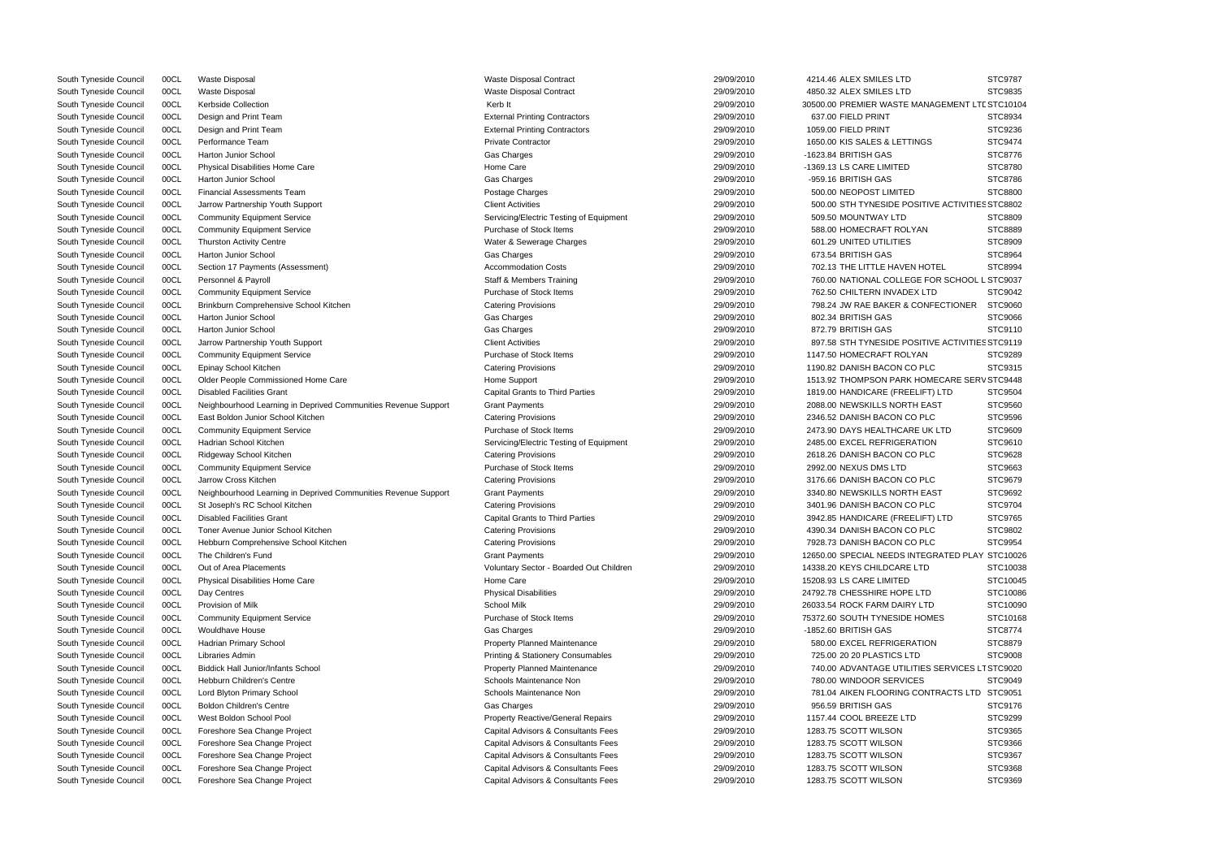|                           | STC9787  |
|---------------------------|----------|
|                           | STC9835  |
| NAGEMENT LTE STC10104     |          |
|                           | STC8934  |
|                           | STC9236  |
| GS                        | STC9474  |
|                           | STC8776  |
|                           | STC8780  |
|                           | STC8786  |
|                           | STC8800  |
| TIVE ACTIVITIES STC8802   |          |
|                           | STC8809  |
| N                         | STC8889  |
|                           | STC8909  |
|                           | STC8964  |
|                           |          |
| <b>IOTEL</b>              | STC8994  |
| FOR SCHOOL L STC9037      |          |
| LTD                       | STC9042  |
| <b>NFECTIONER</b>         | STC9060  |
|                           | STC9066  |
|                           | STC9110  |
| TIVE ACTIVITIES STC9119   |          |
| N                         | STC9289  |
| PLC                       | STC9315  |
| OMECARE SERV STC9448      |          |
| FT) LTD                   | STC9504  |
| EAST                      | STC9560  |
| PLC                       | STC9596  |
| UK LTD                    | STC9609  |
| ion                       | STC9610  |
| PLC                       | STC9628  |
|                           | STC9663  |
| PLC                       | STC9679  |
| EAST                      | STC9692  |
| PLC                       | STC9704  |
| FT) LTD                   | STC9765  |
| PLC                       | STC9802  |
| PLC                       | STC9954  |
| EGRATED PLAY              | STC10026 |
| `D                        | STC10038 |
|                           | STC10045 |
| ГD                        | STC10086 |
| TD.                       | STC10090 |
|                           |          |
| OMES                      | STC10168 |
|                           | STC8774  |
| ion                       | STC8879  |
|                           | STC9008  |
| ES SERVICES LT STC9020    |          |
| έ                         | STC9049  |
| <b><i>NTRACTS LTD</i></b> | STC9051  |
|                           | STC9176  |
|                           | STC9299  |
|                           | STC9365  |
|                           | STC9366  |
|                           | STC9367  |
|                           | STC9368  |
|                           | STC9369  |
|                           |          |

| South Tyneside Council | 00CL | <b>Waste Disposal</b>                                          | Waste Disposal Contract                      | 29/09/2010 | 4214.46 ALEX SMILES LTD   |
|------------------------|------|----------------------------------------------------------------|----------------------------------------------|------------|---------------------------|
| South Tyneside Council | 00CL | <b>Waste Disposal</b>                                          | Waste Disposal Contract                      | 29/09/2010 | 4850.32 ALEX SMILES LTD   |
| South Tyneside Council | 00CL | Kerbside Collection                                            | Kerb It                                      | 29/09/2010 | 30500.00 PREMIER WASTE    |
| South Tyneside Council | 00CL | Design and Print Team                                          | <b>External Printing Contractors</b>         | 29/09/2010 | 637.00 FIELD PRINT        |
| South Tyneside Council | 00CL | Design and Print Team                                          | <b>External Printing Contractors</b>         | 29/09/2010 | 1059.00 FIELD PRINT       |
| South Tyneside Council | 00CL | Performance Team                                               | <b>Private Contractor</b>                    | 29/09/2010 | 1650.00 KIS SALES & LETT  |
| South Tyneside Council | 00CL | <b>Harton Junior School</b>                                    | Gas Charges                                  | 29/09/2010 | -1623.84 BRITISH GAS      |
| South Tyneside Council | 00CL | <b>Physical Disabilities Home Care</b>                         | Home Care                                    | 29/09/2010 | -1369.13 LS CARE LIMITED  |
| South Tyneside Council | 00CL | Harton Junior School                                           | Gas Charges                                  | 29/09/2010 | -959.16 BRITISH GAS       |
| South Tyneside Council | 00CL | <b>Financial Assessments Team</b>                              | Postage Charges                              | 29/09/2010 | 500.00 NEOPOST LIMITED    |
| South Tyneside Council | 00CL | Jarrow Partnership Youth Support                               | <b>Client Activities</b>                     | 29/09/2010 | 500.00 STH TYNESIDE PC    |
| South Tyneside Council | 00CL | <b>Community Equipment Service</b>                             | Servicing/Electric Testing of Equipment      | 29/09/2010 | 509.50 MOUNTWAY LTD       |
| South Tyneside Council | 00CL | <b>Community Equipment Service</b>                             | Purchase of Stock Items                      | 29/09/2010 | 588.00 HOMECRAFT ROL      |
| South Tyneside Council | 00CL | <b>Thurston Activity Centre</b>                                | Water & Sewerage Charges                     | 29/09/2010 | 601.29 UNITED UTILITIES   |
| South Tyneside Council | 00CL | Harton Junior School                                           | Gas Charges                                  | 29/09/2010 | 673.54 BRITISH GAS        |
| South Tyneside Council | 00CL | Section 17 Payments (Assessment)                               | <b>Accommodation Costs</b>                   | 29/09/2010 | 702.13 THE LITTLE HAVE!   |
| South Tyneside Council | 00CL | Personnel & Payroll                                            | <b>Staff &amp; Members Training</b>          | 29/09/2010 | 760.00 NATIONAL COLLE     |
| South Tyneside Council | 00CL | <b>Community Equipment Service</b>                             | Purchase of Stock Items                      | 29/09/2010 | 762.50 CHILTERN INVADE    |
| South Tyneside Council | 00CL | Brinkburn Comprehensive School Kitchen                         | <b>Catering Provisions</b>                   | 29/09/2010 | 798.24 JW RAE BAKER &     |
| South Tyneside Council | 00CL | <b>Harton Junior School</b>                                    | Gas Charges                                  | 29/09/2010 | 802.34 BRITISH GAS        |
| South Tyneside Council | 00CL | <b>Harton Junior School</b>                                    | Gas Charges                                  | 29/09/2010 | 872.79 BRITISH GAS        |
| South Tyneside Council | 00CL |                                                                | <b>Client Activities</b>                     | 29/09/2010 | 897.58 STH TYNESIDE PC    |
|                        | 00CL | Jarrow Partnership Youth Support                               | Purchase of Stock Items                      | 29/09/2010 | 1147.50 HOMECRAFT ROL     |
| South Tyneside Council |      | <b>Community Equipment Service</b>                             |                                              |            |                           |
| South Tyneside Council | 00CL | Epinay School Kitchen                                          | <b>Catering Provisions</b>                   | 29/09/2010 | 1190.82 DANISH BACON C    |
| South Tyneside Council | 00CL | Older People Commissioned Home Care                            | Home Support                                 | 29/09/2010 | 1513.92 THOMPSON PARK     |
| South Tyneside Council | 00CL | <b>Disabled Facilities Grant</b>                               | <b>Capital Grants to Third Parties</b>       | 29/09/2010 | 1819.00 HANDICARE (FREI   |
| South Tyneside Council | 00CL | Neighbourhood Learning in Deprived Communities Revenue Support | <b>Grant Payments</b>                        | 29/09/2010 | 2088.00 NEWSKILLS NORT    |
| South Tyneside Council | 00CL | East Boldon Junior School Kitchen                              | <b>Catering Provisions</b>                   | 29/09/2010 | 2346.52 DANISH BACON C    |
| South Tyneside Council | 00CL | <b>Community Equipment Service</b>                             | Purchase of Stock Items                      | 29/09/2010 | 2473.90 DAYS HEALTHCAF    |
| South Tyneside Council | 00CL | Hadrian School Kitchen                                         | Servicing/Electric Testing of Equipment      | 29/09/2010 | 2485.00 EXCEL REFRIGER    |
| South Tyneside Council | 00CL | Ridgeway School Kitchen                                        | <b>Catering Provisions</b>                   | 29/09/2010 | 2618.26 DANISH BACON C    |
| South Tyneside Council | 00CL | <b>Community Equipment Service</b>                             | Purchase of Stock Items                      | 29/09/2010 | 2992.00 NEXUS DMS LTD     |
| South Tyneside Council | 00CL | Jarrow Cross Kitchen                                           | <b>Catering Provisions</b>                   | 29/09/2010 | 3176.66 DANISH BACON C    |
| South Tyneside Council | 00CL | Neighbourhood Learning in Deprived Communities Revenue Support | <b>Grant Payments</b>                        | 29/09/2010 | 3340.80 NEWSKILLS NORT    |
| South Tyneside Council | 00CL | St Joseph's RC School Kitchen                                  | <b>Catering Provisions</b>                   | 29/09/2010 | 3401.96 DANISH BACON C    |
| South Tyneside Council | 00CL | <b>Disabled Facilities Grant</b>                               | <b>Capital Grants to Third Parties</b>       | 29/09/2010 | 3942.85 HANDICARE (FREI   |
| South Tyneside Council | 00CL | Toner Avenue Junior School Kitchen                             | <b>Catering Provisions</b>                   | 29/09/2010 | 4390.34 DANISH BACON C    |
| South Tyneside Council | 00CL | Hebburn Comprehensive School Kitchen                           | <b>Catering Provisions</b>                   | 29/09/2010 | 7928.73 DANISH BACON C    |
| South Tyneside Council | 00CL | The Children's Fund                                            | <b>Grant Payments</b>                        | 29/09/2010 | 12650.00 SPECIAL NEEDS II |
| South Tyneside Council | 00CL | Out of Area Placements                                         | Voluntary Sector - Boarded Out Children      | 29/09/2010 | 14338.20 KEYS CHILDCARE   |
| South Tyneside Council | 00CL | Physical Disabilities Home Care                                | Home Care                                    | 29/09/2010 | 15208.93 LS CARE LIMITED  |
| South Tyneside Council | 00CL | Day Centres                                                    | <b>Physical Disabilities</b>                 | 29/09/2010 | 24792.78 CHESSHIRE HOPE   |
| South Tyneside Council | 00CL | Provision of Milk                                              | School Milk                                  | 29/09/2010 | 26033.54 ROCK FARM DAIR   |
| South Tyneside Council | 00CL | <b>Community Equipment Service</b>                             | Purchase of Stock Items                      | 29/09/2010 | 75372.60 SOUTH TYNESIDE   |
| South Tyneside Council | 00CL | <b>Wouldhave House</b>                                         | Gas Charges                                  | 29/09/2010 | -1852.60 BRITISH GAS      |
| South Tyneside Council | 00CL | Hadrian Primary School                                         | <b>Property Planned Maintenance</b>          | 29/09/2010 | 580.00 EXCEL REFRIGER     |
| South Tyneside Council | 00CL | Libraries Admin                                                | <b>Printing &amp; Stationery Consumables</b> | 29/09/2010 | 725.00 20 20 PLASTICS LT  |
| South Tyneside Council | 00CL | <b>Biddick Hall Junior/Infants School</b>                      | <b>Property Planned Maintenance</b>          | 29/09/2010 | 740.00 ADVANTAGE UTIL     |
| South Tyneside Council | 00CL | <b>Hebburn Children's Centre</b>                               | Schools Maintenance Non                      | 29/09/2010 | 780.00 WINDOOR SERVIC     |
| South Tyneside Council | 00CL | Lord Blyton Primary School                                     | Schools Maintenance Non                      | 29/09/2010 | 781.04 AIKEN FLOORING     |
| South Tyneside Council | 00CL | <b>Boldon Children's Centre</b>                                | Gas Charges                                  | 29/09/2010 | 956.59 BRITISH GAS        |
| South Tyneside Council | 00CL | West Boldon School Pool                                        | <b>Property Reactive/General Repairs</b>     | 29/09/2010 | 1157.44 COOL BREEZE LTI   |
| South Tyneside Council | 00CL | Foreshore Sea Change Project                                   | Capital Advisors & Consultants Fees          | 29/09/2010 | 1283.75 SCOTT WILSON      |
| South Tyneside Council | 00CL | Foreshore Sea Change Project                                   | Capital Advisors & Consultants Fees          | 29/09/2010 | 1283.75 SCOTT WILSON      |
| South Tyneside Council | 00CL | Foreshore Sea Change Project                                   | Capital Advisors & Consultants Fees          | 29/09/2010 | 1283.75 SCOTT WILSON      |
| South Tyneside Council | 00CL | Foreshore Sea Change Project                                   | Capital Advisors & Consultants Fees          | 29/09/2010 | 1283.75 SCOTT WILSON      |
| South Tyneside Council | 00CL | Foreshore Sea Change Project                                   | Capital Advisors & Consultants Fees          | 29/09/2010 | 1283.75 SCOTT WILSON      |
|                        |      |                                                                |                                              |            |                           |

| South Tyneside Council | 00CL | Waste Disposal                                                 | <b>Waste Disposal Contract</b>                     | 29/09/2010 | 4850.32 ALEX SMILES LTD                         | STC9835            |
|------------------------|------|----------------------------------------------------------------|----------------------------------------------------|------------|-------------------------------------------------|--------------------|
| South Tyneside Council | 00CL | Kerbside Collection                                            | Kerb It                                            | 29/09/2010 | 30500.00 PREMIER WASTE MANAGEMENT LTE STC1010   |                    |
| South Tyneside Council | 00CL | Design and Print Team                                          | <b>External Printing Contractors</b>               | 29/09/2010 | 637.00 FIELD PRINT                              | STC8934            |
| South Tyneside Council | 00CL | Design and Print Team                                          | <b>External Printing Contractors</b>               | 29/09/2010 | 1059.00 FIELD PRINT                             | STC9236            |
| South Tyneside Council | 00CL | Performance Team                                               | <b>Private Contractor</b>                          | 29/09/2010 | 1650.00 KIS SALES & LETTINGS                    | STC9474            |
| South Tyneside Council | 00CL | <b>Harton Junior School</b>                                    | Gas Charges                                        | 29/09/2010 | -1623.84 BRITISH GAS                            | STC8776            |
| South Tyneside Council | 00CL | Physical Disabilities Home Care                                | Home Care                                          | 29/09/2010 | -1369.13 LS CARE LIMITED                        | <b>STC8780</b>     |
| South Tyneside Council | 00CL | Harton Junior School                                           | Gas Charges                                        | 29/09/2010 | -959.16 BRITISH GAS                             | STC8786            |
| South Tyneside Council | 00CL | <b>Financial Assessments Team</b>                              | Postage Charges                                    | 29/09/2010 | 500.00 NEOPOST LIMITED                          | <b>STC8800</b>     |
| South Tyneside Council | 00CL | Jarrow Partnership Youth Support                               | <b>Client Activities</b>                           | 29/09/2010 | 500.00 STH TYNESIDE POSITIVE ACTIVITIES STC8802 |                    |
| South Tyneside Council | 00CL | <b>Community Equipment Service</b>                             | Servicing/Electric Testing of Equipment            | 29/09/2010 | 509.50 MOUNTWAY LTD                             | <b>STC8809</b>     |
| South Tyneside Council | 00CL | <b>Community Equipment Service</b>                             | Purchase of Stock Items                            | 29/09/2010 | 588.00 HOMECRAFT ROLYAN                         | <b>STC8889</b>     |
| South Tyneside Council | 00CL | <b>Thurston Activity Centre</b>                                | Water & Sewerage Charges                           | 29/09/2010 | 601.29 UNITED UTILITIES                         | <b>STC8909</b>     |
| South Tyneside Council | 00CL | <b>Harton Junior School</b>                                    | Gas Charges                                        | 29/09/2010 | 673.54 BRITISH GAS                              | STC8964            |
| South Tyneside Council | 00CL | Section 17 Payments (Assessment)                               | <b>Accommodation Costs</b>                         | 29/09/2010 | 702.13 THE LITTLE HAVEN HOTEL                   | STC8994            |
| South Tyneside Council | 00CL | Personnel & Payroll                                            | <b>Staff &amp; Members Training</b>                | 29/09/2010 | 760.00 NATIONAL COLLEGE FOR SCHOOL L STC9037    |                    |
| South Tyneside Council | 00CL | <b>Community Equipment Service</b>                             | Purchase of Stock Items                            | 29/09/2010 | 762.50 CHILTERN INVADEX LTD                     | STC9042            |
| South Tyneside Council | 00CL | Brinkburn Comprehensive School Kitchen                         | <b>Catering Provisions</b>                         | 29/09/2010 | 798.24 JW RAE BAKER & CONFECTIONER              | STC9060            |
| South Tyneside Council | 00CL | Harton Junior School                                           | Gas Charges                                        | 29/09/2010 | 802.34 BRITISH GAS                              | STC9066            |
| South Tyneside Council | 00CL | <b>Harton Junior School</b>                                    | Gas Charges                                        | 29/09/2010 | 872.79 BRITISH GAS                              | STC9110            |
| South Tyneside Council | 00CL | Jarrow Partnership Youth Support                               | <b>Client Activities</b>                           | 29/09/2010 | 897.58 STH TYNESIDE POSITIVE ACTIVITIES STC9119 |                    |
| South Tyneside Council | 00CL | <b>Community Equipment Service</b>                             | Purchase of Stock Items                            | 29/09/2010 | 1147.50 HOMECRAFT ROLYAN                        | STC9289            |
| South Tyneside Council | 00CL | Epinay School Kitchen                                          | <b>Catering Provisions</b>                         | 29/09/2010 | 1190.82 DANISH BACON CO PLC                     | STC9315            |
| South Tyneside Council | 00CL | Older People Commissioned Home Care                            | Home Support                                       | 29/09/2010 | 1513.92 THOMPSON PARK HOMECARE SERV STC9448     |                    |
| South Tyneside Council | 00CL | <b>Disabled Facilities Grant</b>                               | <b>Capital Grants to Third Parties</b>             | 29/09/2010 | 1819.00 HANDICARE (FREELIFT) LTD                | STC9504            |
| South Tyneside Council | 00CL | Neighbourhood Learning in Deprived Communities Revenue Support | <b>Grant Payments</b>                              | 29/09/2010 | 2088.00 NEWSKILLS NORTH EAST                    | STC9560            |
| South Tyneside Council | 00CL | East Boldon Junior School Kitchen                              | <b>Catering Provisions</b>                         | 29/09/2010 | 2346.52 DANISH BACON CO PLC                     | STC9596            |
| South Tyneside Council | 00CL | <b>Community Equipment Service</b>                             | Purchase of Stock Items                            | 29/09/2010 | 2473.90 DAYS HEALTHCARE UK LTD                  | STC9609            |
| South Tyneside Council | 00CL | Hadrian School Kitchen                                         | Servicing/Electric Testing of Equipment            | 29/09/2010 | 2485.00 EXCEL REFRIGERATION                     | STC9610            |
| South Tyneside Council | 00CL | Ridgeway School Kitchen                                        | <b>Catering Provisions</b>                         | 29/09/2010 | 2618.26 DANISH BACON CO PLC                     | STC9628            |
| South Tyneside Council | 00CL | <b>Community Equipment Service</b>                             | Purchase of Stock Items                            | 29/09/2010 | 2992.00 NEXUS DMS LTD                           | STC9663            |
| South Tyneside Council | 00CL | Jarrow Cross Kitchen                                           | <b>Catering Provisions</b>                         | 29/09/2010 | 3176.66 DANISH BACON CO PLC                     | STC9679            |
| South Tyneside Council | 00CL | Neighbourhood Learning in Deprived Communities Revenue Support | <b>Grant Payments</b>                              | 29/09/2010 | 3340.80 NEWSKILLS NORTH EAST                    | STC9692            |
| South Tyneside Council | 00CL | St Joseph's RC School Kitchen                                  | <b>Catering Provisions</b>                         | 29/09/2010 | 3401.96 DANISH BACON CO PLC                     | STC9704            |
| South Tyneside Council | 00CL | <b>Disabled Facilities Grant</b>                               | <b>Capital Grants to Third Parties</b>             | 29/09/2010 | 3942.85 HANDICARE (FREELIFT) LTD                | STC9765            |
| South Tyneside Council | 00CL | Toner Avenue Junior School Kitchen                             | <b>Catering Provisions</b>                         | 29/09/2010 | 4390.34 DANISH BACON CO PLC                     | STC9802            |
| South Tyneside Council | 00CL | Hebburn Comprehensive School Kitchen                           | <b>Catering Provisions</b>                         | 29/09/2010 | 7928.73 DANISH BACON CO PLC                     | STC9954            |
| South Tyneside Council | 00CL | The Children's Fund                                            | <b>Grant Payments</b>                              | 29/09/2010 | 12650.00 SPECIAL NEEDS INTEGRATED PLAY STC1002  |                    |
| South Tyneside Council | 00CL | Out of Area Placements                                         | Voluntary Sector - Boarded Out Children            | 29/09/2010 | 14338.20 KEYS CHILDCARE LTD                     | STC1003            |
| South Tyneside Council | 00CL | <b>Physical Disabilities Home Care</b>                         | Home Care                                          | 29/09/2010 | 15208.93 LS CARE LIMITED                        | STC1004            |
| South Tyneside Council | 00CL | Day Centres                                                    | <b>Physical Disabilities</b>                       | 29/09/2010 | 24792.78 CHESSHIRE HOPE LTD                     | STC1008            |
| South Tyneside Council | 00CL | Provision of Milk                                              | School Milk                                        | 29/09/2010 | 26033.54 ROCK FARM DAIRY LTD                    | STC1009            |
| South Tyneside Council | 00CL | <b>Community Equipment Service</b>                             | Purchase of Stock Items                            | 29/09/2010 | 75372.60 SOUTH TYNESIDE HOMES                   | STC1016            |
| South Tyneside Council | 00CL | Wouldhave House                                                | Gas Charges                                        | 29/09/2010 | -1852.60 BRITISH GAS                            | STC8774            |
| South Tyneside Council | 00CL | Hadrian Primary School                                         | <b>Property Planned Maintenance</b>                | 29/09/2010 | 580.00 EXCEL REFRIGERATION                      | <b>STC8879</b>     |
|                        |      | Libraries Admin                                                | <b>Printing &amp; Stationery Consumables</b>       | 29/09/2010 | 725.00 20 20 PLASTICS LTD                       | STC9008            |
| South Tyneside Council | 00CL |                                                                |                                                    | 29/09/2010 | 740.00 ADVANTAGE UTILITIES SERVICES LT STC9020  |                    |
| South Tyneside Council | 00CL | <b>Biddick Hall Junior/Infants School</b>                      | <b>Property Planned Maintenance</b>                |            |                                                 |                    |
| South Tyneside Council | 00CL | <b>Hebburn Children's Centre</b>                               | Schools Maintenance Non<br>Schools Maintenance Non | 29/09/2010 | 780.00 WINDOOR SERVICES                         | STC9049<br>STC9051 |
| South Tyneside Council | 00CL | Lord Blyton Primary School                                     |                                                    | 29/09/2010 | 781.04 AIKEN FLOORING CONTRACTS LTD             |                    |
| South Tyneside Council | 00CL | <b>Boldon Children's Centre</b>                                | Gas Charges                                        | 29/09/2010 | 956.59 BRITISH GAS                              | STC9176            |
| South Tyneside Council | 00CL | West Boldon School Pool                                        | Property Reactive/General Repairs                  | 29/09/2010 | 1157.44 COOL BREEZE LTD                         | STC9299            |
| South Tyneside Council | 00CL | Foreshore Sea Change Project                                   | Capital Advisors & Consultants Fees                | 29/09/2010 | 1283.75 SCOTT WILSON                            | STC9365            |
| South Tyneside Council | 00CL | Foreshore Sea Change Project                                   | Capital Advisors & Consultants Fees                | 29/09/2010 | 1283.75 SCOTT WILSON                            | STC9366            |
| South Tyneside Council | 00CL | Foreshore Sea Change Project                                   | Capital Advisors & Consultants Fees                | 29/09/2010 | 1283.75 SCOTT WILSON                            | STC9367            |
| South Tyneside Council | 00CL | Foreshore Sea Change Project                                   | Capital Advisors & Consultants Fees                | 29/09/2010 | 1283.75 SCOTT WILSON                            | STC9368            |
| South Tyneside Council | 00CL | Foreshore Sea Change Project                                   | Capital Advisors & Consultants Fees                | 29/09/2010 | 1283.75 SCOTT WILSON                            | STC9369            |